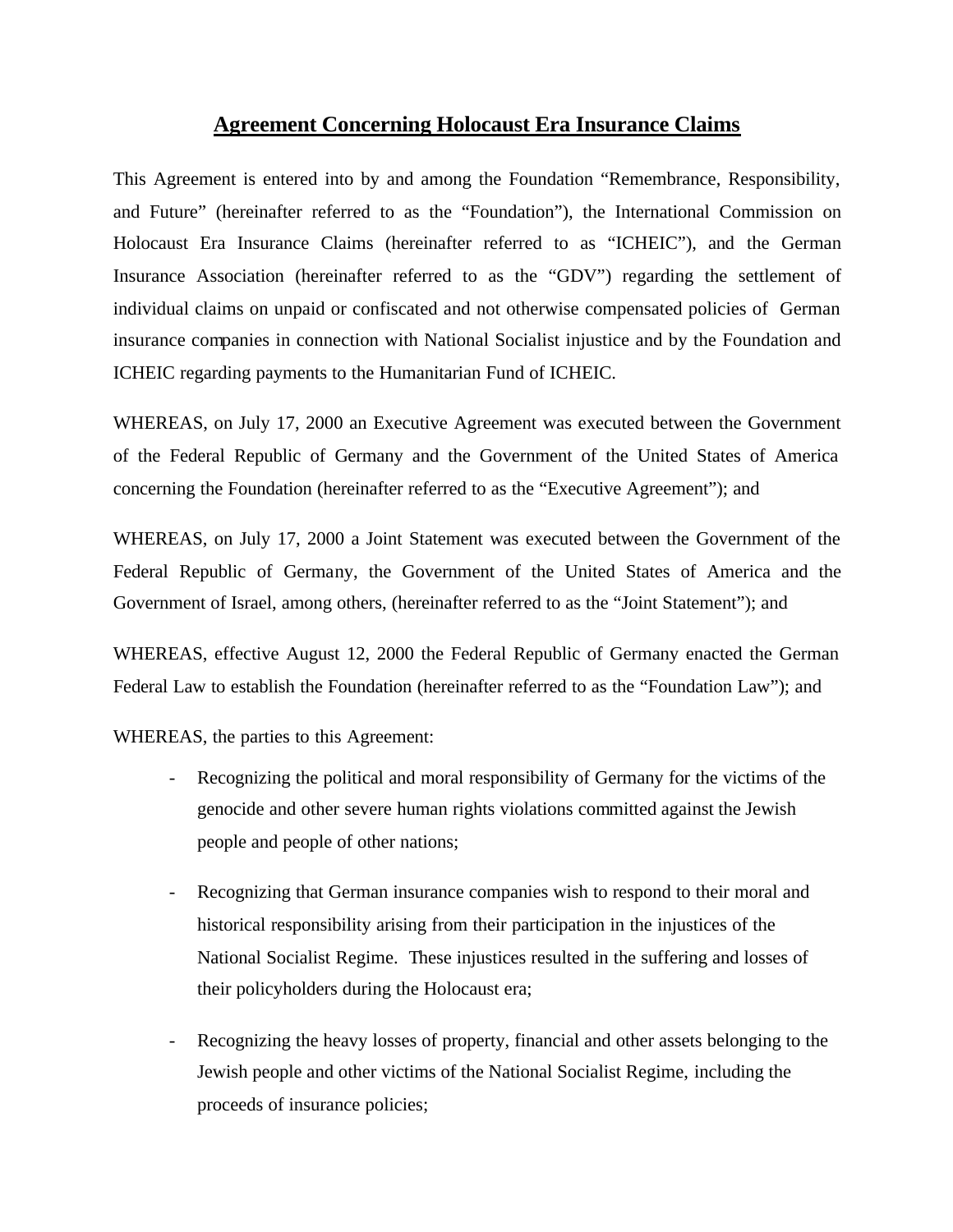# **Agreement Concerning Holocaust Era Insurance Claims**

This Agreement is entered into by and among the Foundation "Remembrance, Responsibility, and Future" (hereinafter referred to as the "Foundation"), the International Commission on Holocaust Era Insurance Claims (hereinafter referred to as "ICHEIC"), and the German Insurance Association (hereinafter referred to as the "GDV") regarding the settlement of individual claims on unpaid or confiscated and not otherwise compensated policies of German insurance companies in connection with National Socialist injustice and by the Foundation and ICHEIC regarding payments to the Humanitarian Fund of ICHEIC.

WHEREAS, on July 17, 2000 an Executive Agreement was executed between the Government of the Federal Republic of Germany and the Government of the United States of America concerning the Foundation (hereinafter referred to as the "Executive Agreement"); and

WHEREAS, on July 17, 2000 a Joint Statement was executed between the Government of the Federal Republic of Germany, the Government of the United States of America and the Government of Israel, among others, (hereinafter referred to as the "Joint Statement"); and

WHEREAS, effective August 12, 2000 the Federal Republic of Germany enacted the German Federal Law to establish the Foundation (hereinafter referred to as the "Foundation Law"); and

WHEREAS, the parties to this Agreement:

- Recognizing the political and moral responsibility of Germany for the victims of the genocide and other severe human rights violations committed against the Jewish people and people of other nations;
- Recognizing that German insurance companies wish to respond to their moral and historical responsibility arising from their participation in the injustices of the National Socialist Regime. These injustices resulted in the suffering and losses of their policyholders during the Holocaust era;
- Recognizing the heavy losses of property, financial and other assets belonging to the Jewish people and other victims of the National Socialist Regime, including the proceeds of insurance policies;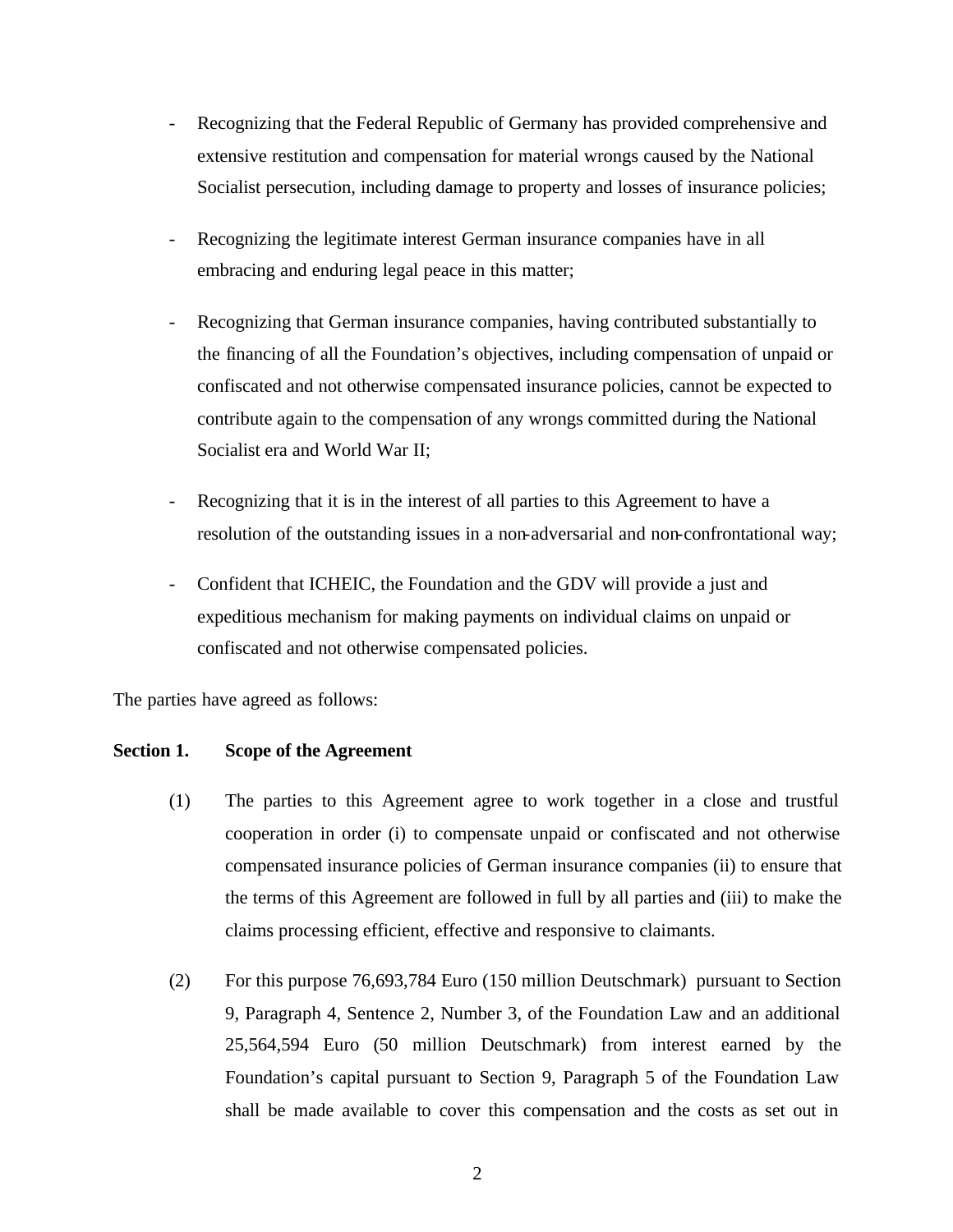- Recognizing that the Federal Republic of Germany has provided comprehensive and extensive restitution and compensation for material wrongs caused by the National Socialist persecution, including damage to property and losses of insurance policies;
- Recognizing the legitimate interest German insurance companies have in all embracing and enduring legal peace in this matter;
- Recognizing that German insurance companies, having contributed substantially to the financing of all the Foundation's objectives, including compensation of unpaid or confiscated and not otherwise compensated insurance policies, cannot be expected to contribute again to the compensation of any wrongs committed during the National Socialist era and World War II;
- Recognizing that it is in the interest of all parties to this Agreement to have a resolution of the outstanding issues in a non-adversarial and non-confrontational way;
- Confident that ICHEIC, the Foundation and the GDV will provide a just and expeditious mechanism for making payments on individual claims on unpaid or confiscated and not otherwise compensated policies.

The parties have agreed as follows:

#### **Section 1. Scope of the Agreement**

- (1) The parties to this Agreement agree to work together in a close and trustful cooperation in order (i) to compensate unpaid or confiscated and not otherwise compensated insurance policies of German insurance companies (ii) to ensure that the terms of this Agreement are followed in full by all parties and (iii) to make the claims processing efficient, effective and responsive to claimants.
- (2) For this purpose 76,693,784 Euro (150 million Deutschmark) pursuant to Section 9, Paragraph 4, Sentence 2, Number 3, of the Foundation Law and an additional 25,564,594 Euro (50 million Deutschmark) from interest earned by the Foundation's capital pursuant to Section 9, Paragraph 5 of the Foundation Law shall be made available to cover this compensation and the costs as set out in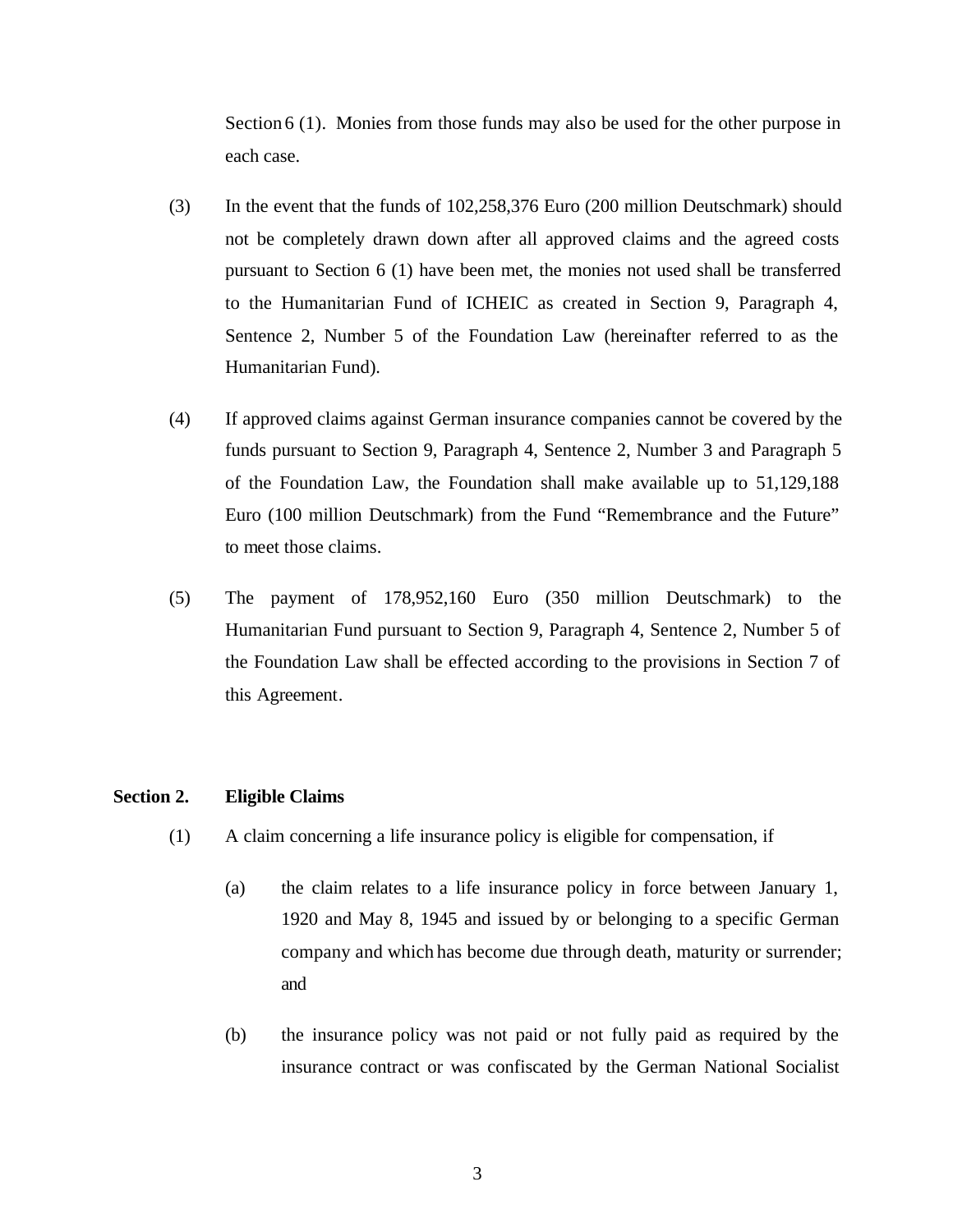Section 6 (1). Monies from those funds may also be used for the other purpose in each case.

- (3) In the event that the funds of 102,258,376 Euro (200 million Deutschmark) should not be completely drawn down after all approved claims and the agreed costs pursuant to Section 6 (1) have been met, the monies not used shall be transferred to the Humanitarian Fund of ICHEIC as created in Section 9, Paragraph 4, Sentence 2, Number 5 of the Foundation Law (hereinafter referred to as the Humanitarian Fund).
- (4) If approved claims against German insurance companies cannot be covered by the funds pursuant to Section 9, Paragraph 4, Sentence 2, Number 3 and Paragraph 5 of the Foundation Law, the Foundation shall make available up to 51,129,188 Euro (100 million Deutschmark) from the Fund "Remembrance and the Future" to meet those claims.
- (5) The payment of 178,952,160 Euro (350 million Deutschmark) to the Humanitarian Fund pursuant to Section 9, Paragraph 4, Sentence 2, Number 5 of the Foundation Law shall be effected according to the provisions in Section 7 of this Agreement.

# **Section 2. Eligible Claims**

- (1) A claim concerning a life insurance policy is eligible for compensation, if
	- (a) the claim relates to a life insurance policy in force between January 1, 1920 and May 8, 1945 and issued by or belonging to a specific German company and which has become due through death, maturity or surrender; and
	- (b) the insurance policy was not paid or not fully paid as required by the insurance contract or was confiscated by the German National Socialist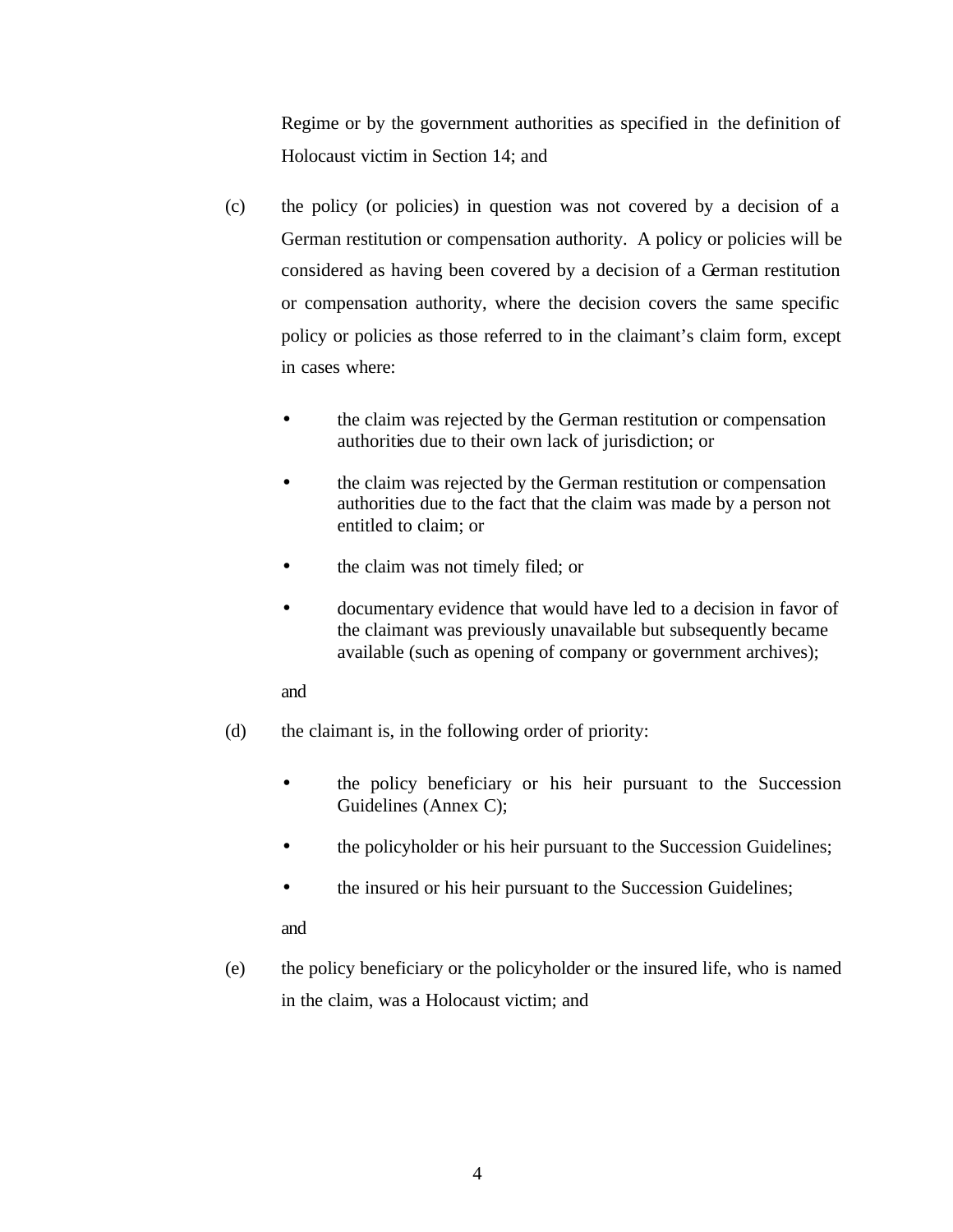Regime or by the government authorities as specified in the definition of Holocaust victim in Section 14; and

- (c) the policy (or policies) in question was not covered by a decision of a German restitution or compensation authority. A policy or policies will be considered as having been covered by a decision of a German restitution or compensation authority, where the decision covers the same specific policy or policies as those referred to in the claimant's claim form, except in cases where:
	- the claim was rejected by the German restitution or compensation authorities due to their own lack of jurisdiction; or
	- the claim was rejected by the German restitution or compensation authorities due to the fact that the claim was made by a person not entitled to claim; or
	- the claim was not timely filed; or
	- documentary evidence that would have led to a decision in favor of the claimant was previously unavailable but subsequently became available (such as opening of company or government archives);

and

- (d) the claimant is, in the following order of priority:
	- the policy beneficiary or his heir pursuant to the Succession Guidelines (Annex C);
	- the policyholder or his heir pursuant to the Succession Guidelines;
	- the insured or his heir pursuant to the Succession Guidelines;

and

(e) the policy beneficiary or the policyholder or the insured life, who is named in the claim, was a Holocaust victim; and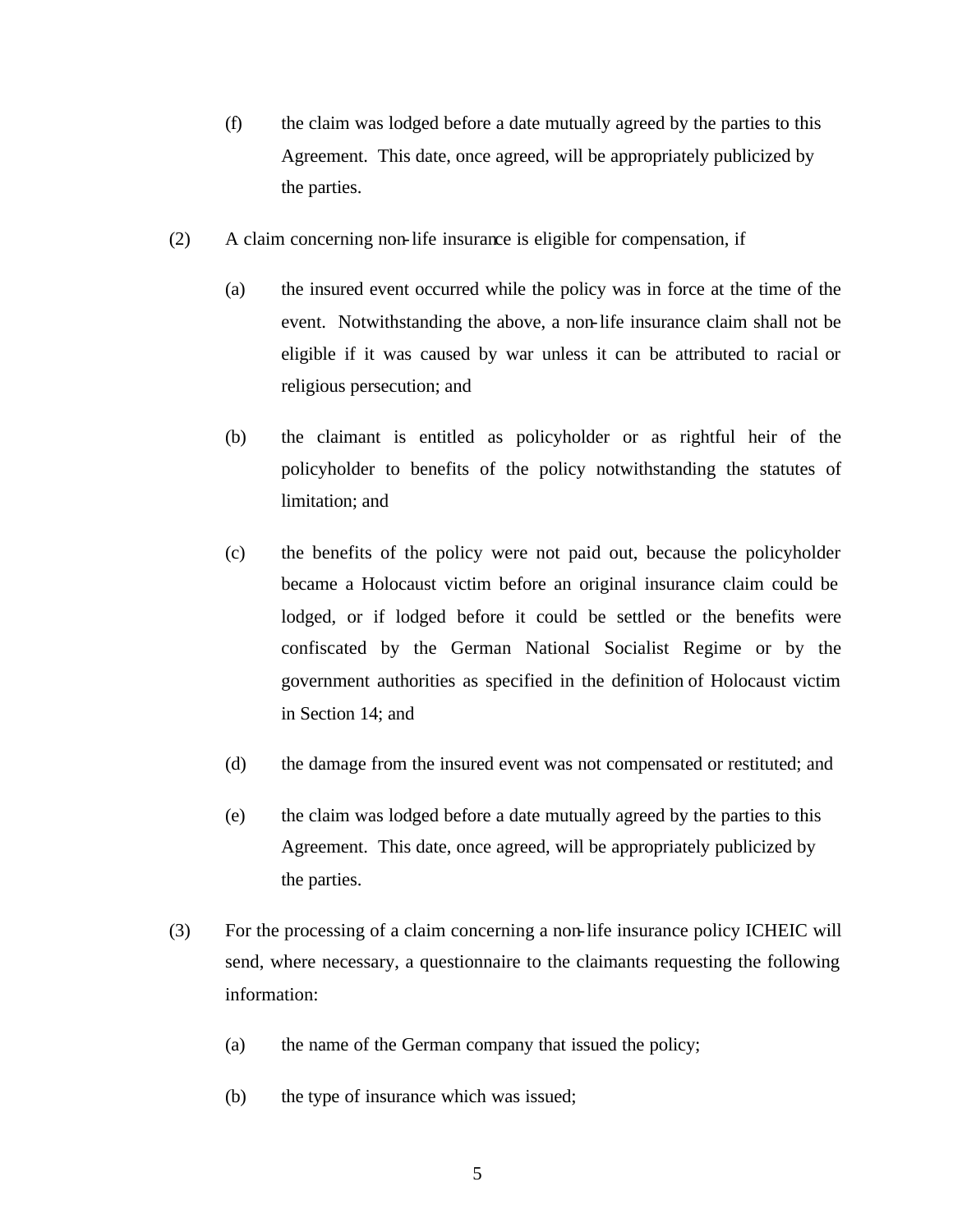- (f) the claim was lodged before a date mutually agreed by the parties to this Agreement. This date, once agreed, will be appropriately publicized by the parties.
- (2) A claim concerning non-life insurance is eligible for compensation, if
	- (a) the insured event occurred while the policy was in force at the time of the event. Notwithstanding the above, a non-life insurance claim shall not be eligible if it was caused by war unless it can be attributed to racial or religious persecution; and
	- (b) the claimant is entitled as policyholder or as rightful heir of the policyholder to benefits of the policy notwithstanding the statutes of limitation; and
	- (c) the benefits of the policy were not paid out, because the policyholder became a Holocaust victim before an original insurance claim could be lodged, or if lodged before it could be settled or the benefits were confiscated by the German National Socialist Regime or by the government authorities as specified in the definition of Holocaust victim in Section 14; and
	- (d) the damage from the insured event was not compensated or restituted; and
	- (e) the claim was lodged before a date mutually agreed by the parties to this Agreement. This date, once agreed, will be appropriately publicized by the parties.
- (3) For the processing of a claim concerning a non-life insurance policy ICHEIC will send, where necessary, a questionnaire to the claimants requesting the following information:
	- (a) the name of the German company that issued the policy;
	- (b) the type of insurance which was issued;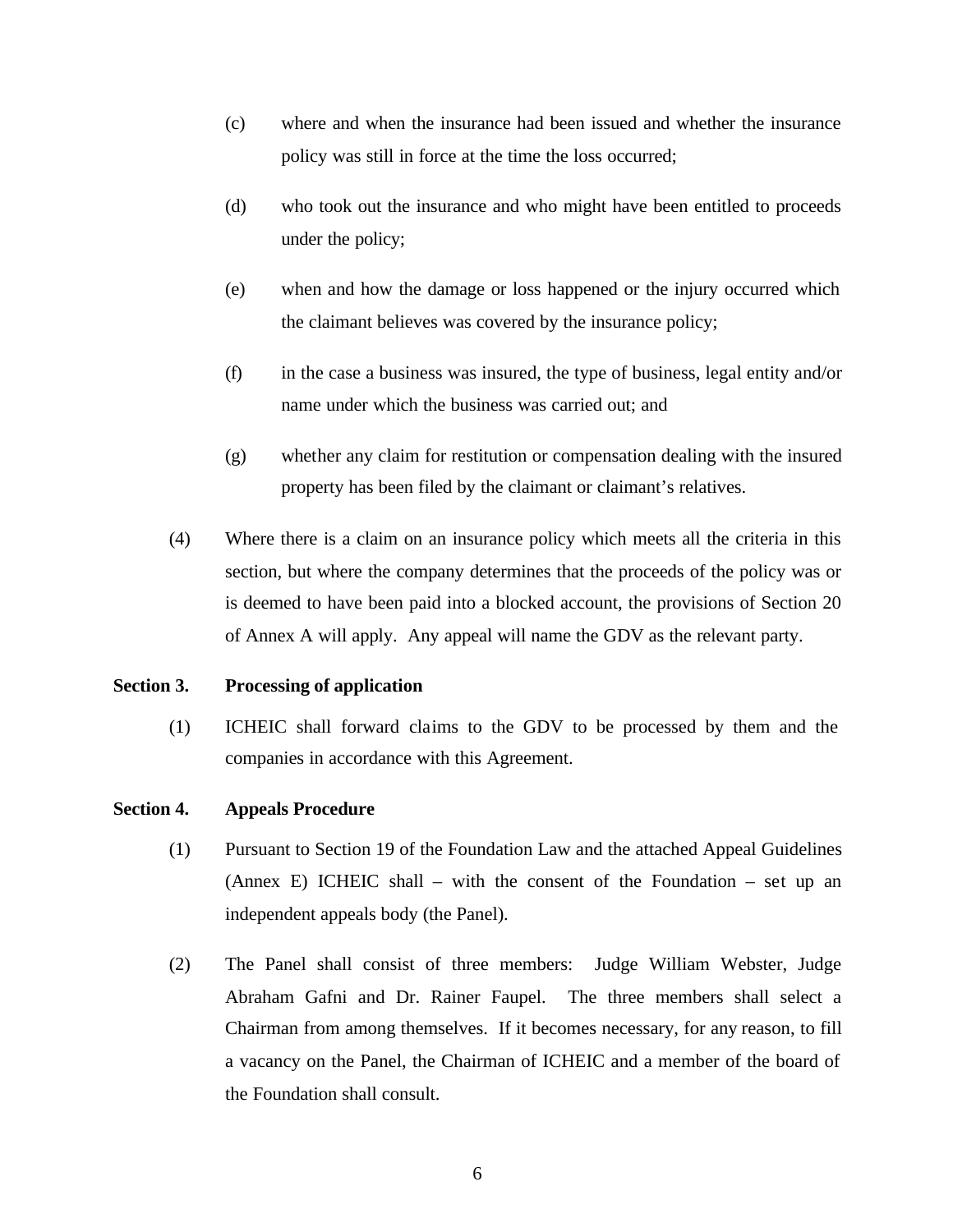- (c) where and when the insurance had been issued and whether the insurance policy was still in force at the time the loss occurred;
- (d) who took out the insurance and who might have been entitled to proceeds under the policy;
- (e) when and how the damage or loss happened or the injury occurred which the claimant believes was covered by the insurance policy;
- (f) in the case a business was insured, the type of business, legal entity and/or name under which the business was carried out; and
- (g) whether any claim for restitution or compensation dealing with the insured property has been filed by the claimant or claimant's relatives.
- (4) Where there is a claim on an insurance policy which meets all the criteria in this section, but where the company determines that the proceeds of the policy was or is deemed to have been paid into a blocked account, the provisions of Section 20 of Annex A will apply. Any appeal will name the GDV as the relevant party.

#### **Section 3. Processing of application**

(1) ICHEIC shall forward claims to the GDV to be processed by them and the companies in accordance with this Agreement.

#### **Section 4. Appeals Procedure**

- (1) Pursuant to Section 19 of the Foundation Law and the attached Appeal Guidelines (Annex E) ICHEIC shall – with the consent of the Foundation – set up an independent appeals body (the Panel).
- (2) The Panel shall consist of three members: Judge William Webster, Judge Abraham Gafni and Dr. Rainer Faupel. The three members shall select a Chairman from among themselves. If it becomes necessary, for any reason, to fill a vacancy on the Panel, the Chairman of ICHEIC and a member of the board of the Foundation shall consult.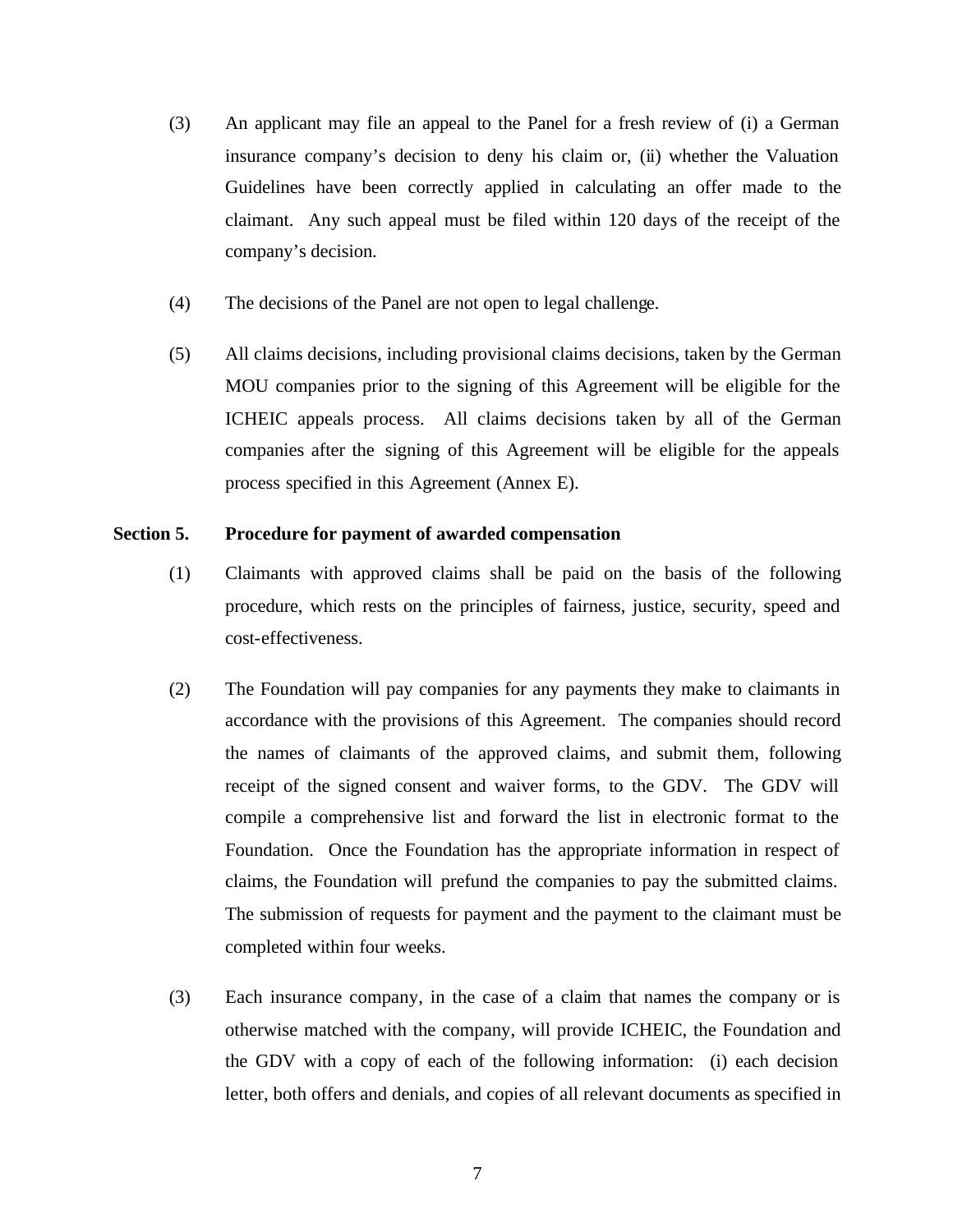- (3) An applicant may file an appeal to the Panel for a fresh review of (i) a German insurance company's decision to deny his claim or, (ii) whether the Valuation Guidelines have been correctly applied in calculating an offer made to the claimant. Any such appeal must be filed within 120 days of the receipt of the company's decision.
- (4) The decisions of the Panel are not open to legal challenge.
- (5) All claims decisions, including provisional claims decisions, taken by the German MOU companies prior to the signing of this Agreement will be eligible for the ICHEIC appeals process. All claims decisions taken by all of the German companies after the signing of this Agreement will be eligible for the appeals process specified in this Agreement (Annex E).

#### **Section 5. Procedure for payment of awarded compensation**

- (1) Claimants with approved claims shall be paid on the basis of the following procedure, which rests on the principles of fairness, justice, security, speed and cost-effectiveness.
- (2) The Foundation will pay companies for any payments they make to claimants in accordance with the provisions of this Agreement. The companies should record the names of claimants of the approved claims, and submit them, following receipt of the signed consent and waiver forms, to the GDV. The GDV will compile a comprehensive list and forward the list in electronic format to the Foundation. Once the Foundation has the appropriate information in respect of claims, the Foundation will prefund the companies to pay the submitted claims. The submission of requests for payment and the payment to the claimant must be completed within four weeks.
- (3) Each insurance company, in the case of a claim that names the company or is otherwise matched with the company, will provide ICHEIC, the Foundation and the GDV with a copy of each of the following information: (i) each decision letter, both offers and denials, and copies of all relevant documents as specified in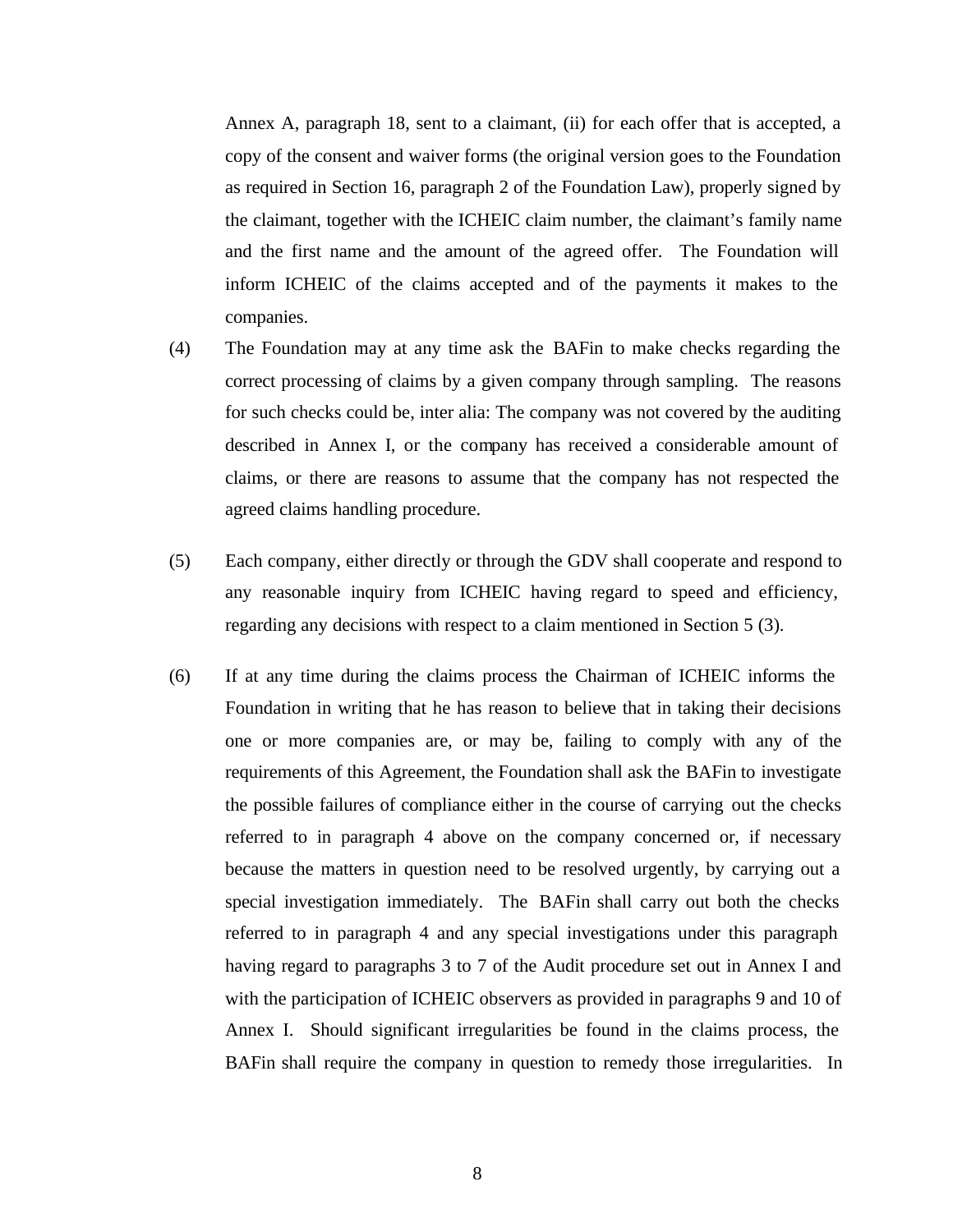Annex A, paragraph 18, sent to a claimant, (ii) for each offer that is accepted, a copy of the consent and waiver forms (the original version goes to the Foundation as required in Section 16, paragraph 2 of the Foundation Law), properly signed by the claimant, together with the ICHEIC claim number, the claimant's family name and the first name and the amount of the agreed offer. The Foundation will inform ICHEIC of the claims accepted and of the payments it makes to the companies.

- (4) The Foundation may at any time ask the BAFin to make checks regarding the correct processing of claims by a given company through sampling. The reasons for such checks could be, inter alia: The company was not covered by the auditing described in Annex I, or the company has received a considerable amount of claims, or there are reasons to assume that the company has not respected the agreed claims handling procedure.
- (5) Each company, either directly or through the GDV shall cooperate and respond to any reasonable inquiry from ICHEIC having regard to speed and efficiency, regarding any decisions with respect to a claim mentioned in Section 5 (3).
- (6) If at any time during the claims process the Chairman of ICHEIC informs the Foundation in writing that he has reason to believe that in taking their decisions one or more companies are, or may be, failing to comply with any of the requirements of this Agreement, the Foundation shall ask the BAFin to investigate the possible failures of compliance either in the course of carrying out the checks referred to in paragraph 4 above on the company concerned or, if necessary because the matters in question need to be resolved urgently, by carrying out a special investigation immediately. The BAFin shall carry out both the checks referred to in paragraph 4 and any special investigations under this paragraph having regard to paragraphs 3 to 7 of the Audit procedure set out in Annex I and with the participation of ICHEIC observers as provided in paragraphs 9 and 10 of Annex I. Should significant irregularities be found in the claims process, the BAFin shall require the company in question to remedy those irregularities. In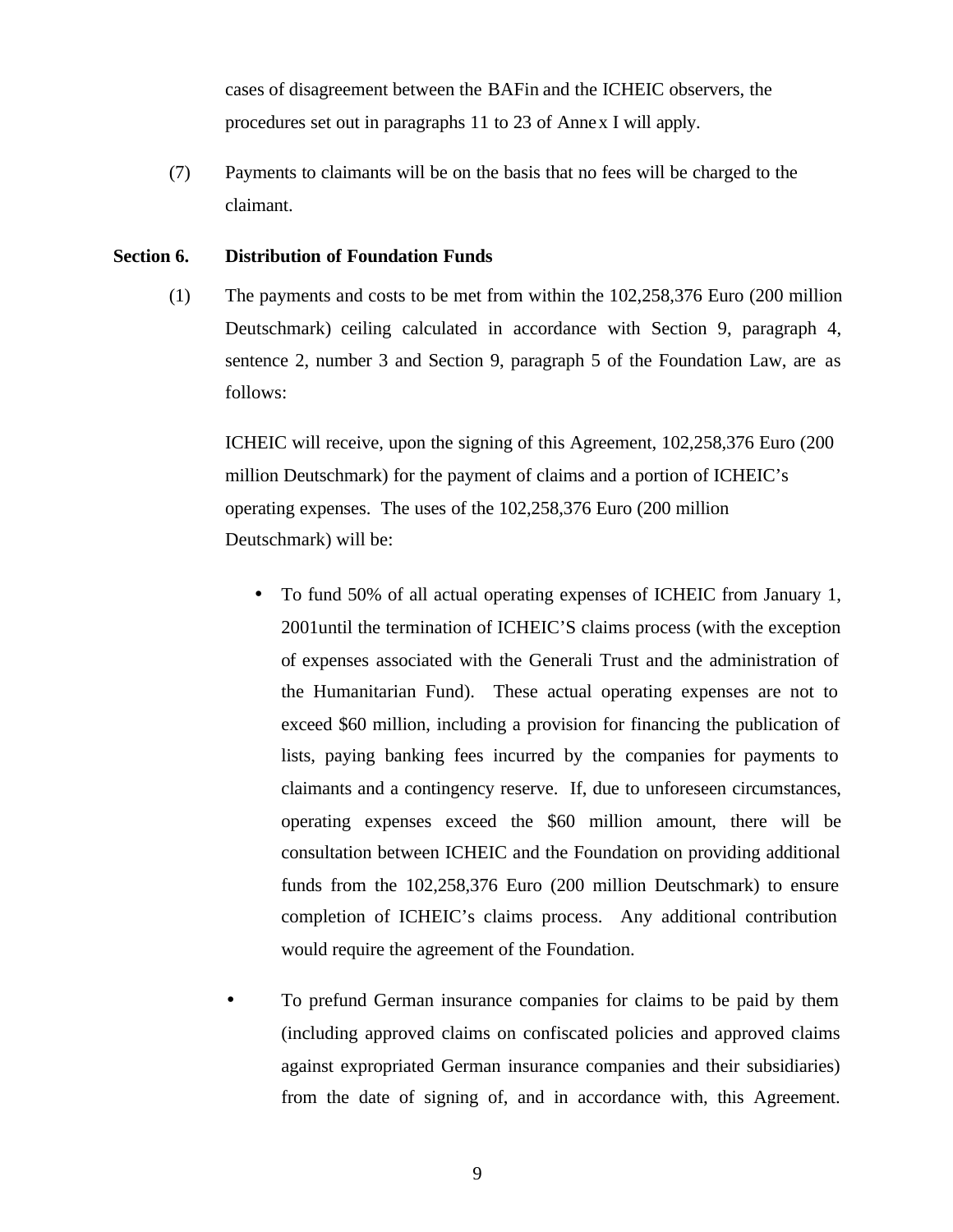cases of disagreement between the BAFin and the ICHEIC observers, the procedures set out in paragraphs 11 to 23 of Annex I will apply.

(7) Payments to claimants will be on the basis that no fees will be charged to the claimant.

# **Section 6. Distribution of Foundation Funds**

(1) The payments and costs to be met from within the 102,258,376 Euro (200 million Deutschmark) ceiling calculated in accordance with Section 9, paragraph 4, sentence 2, number 3 and Section 9, paragraph 5 of the Foundation Law, are as follows:

ICHEIC will receive, upon the signing of this Agreement, 102,258,376 Euro (200 million Deutschmark) for the payment of claims and a portion of ICHEIC's operating expenses. The uses of the 102,258,376 Euro (200 million Deutschmark) will be:

- To fund 50% of all actual operating expenses of ICHEIC from January 1, 2001until the termination of ICHEIC'S claims process (with the exception of expenses associated with the Generali Trust and the administration of the Humanitarian Fund). These actual operating expenses are not to exceed \$60 million, including a provision for financing the publication of lists, paying banking fees incurred by the companies for payments to claimants and a contingency reserve. If, due to unforeseen circumstances, operating expenses exceed the \$60 million amount, there will be consultation between ICHEIC and the Foundation on providing additional funds from the 102,258,376 Euro (200 million Deutschmark) to ensure completion of ICHEIC's claims process. Any additional contribution would require the agreement of the Foundation.
	- **·** To prefund German insurance companies for claims to be paid by them (including approved claims on confiscated policies and approved claims against expropriated German insurance companies and their subsidiaries) from the date of signing of, and in accordance with, this Agreement.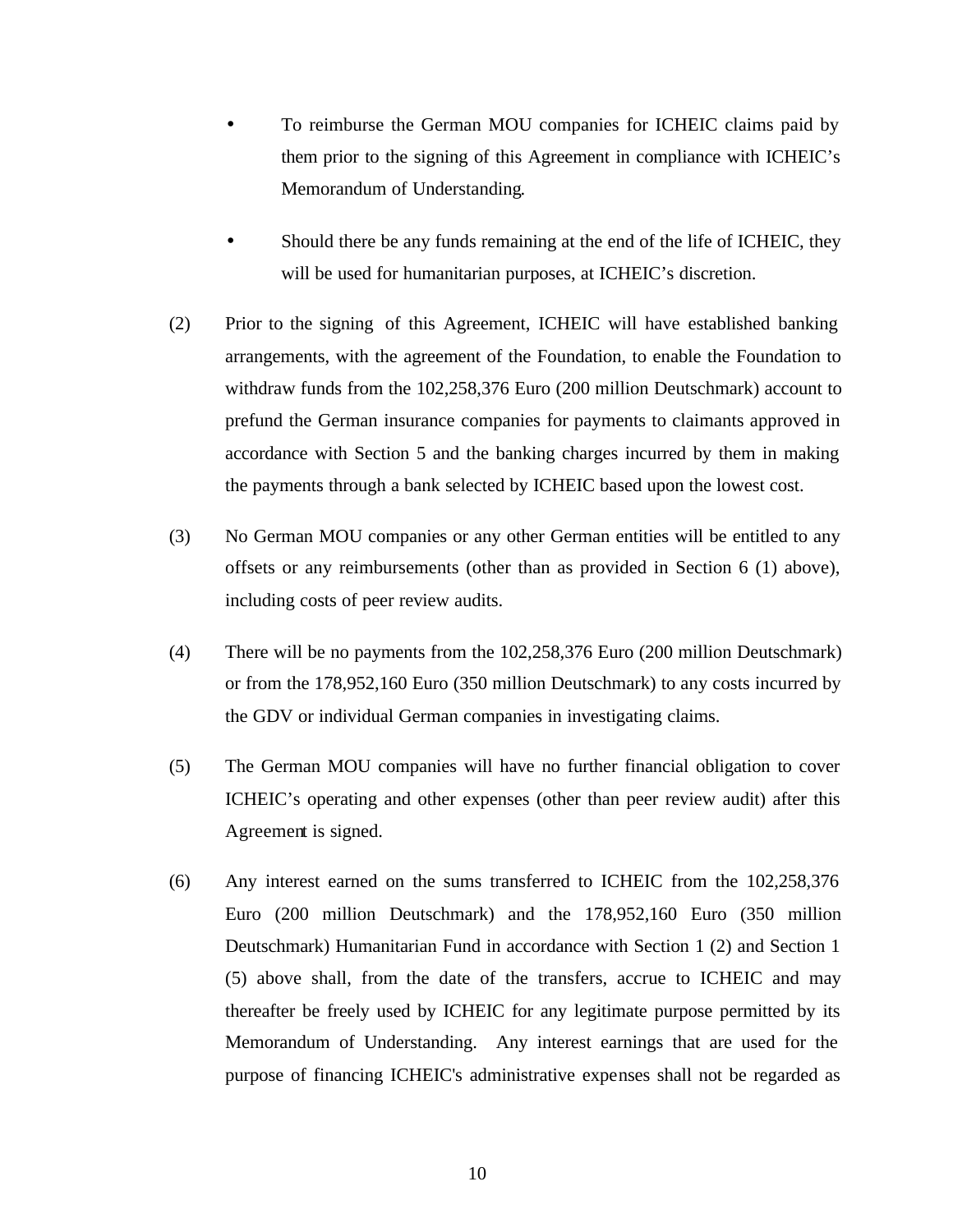- **·** To reimburse the German MOU companies for ICHEIC claims paid by them prior to the signing of this Agreement in compliance with ICHEIC's Memorandum of Understanding.
- **·** Should there be any funds remaining at the end of the life of ICHEIC, they will be used for humanitarian purposes, at ICHEIC's discretion.
- (2) Prior to the signing of this Agreement, ICHEIC will have established banking arrangements, with the agreement of the Foundation, to enable the Foundation to withdraw funds from the 102,258,376 Euro (200 million Deutschmark) account to prefund the German insurance companies for payments to claimants approved in accordance with Section 5 and the banking charges incurred by them in making the payments through a bank selected by ICHEIC based upon the lowest cost.
- (3) No German MOU companies or any other German entities will be entitled to any offsets or any reimbursements (other than as provided in Section 6 (1) above), including costs of peer review audits.
- (4) There will be no payments from the 102,258,376 Euro (200 million Deutschmark) or from the 178,952,160 Euro (350 million Deutschmark) to any costs incurred by the GDV or individual German companies in investigating claims.
- (5) The German MOU companies will have no further financial obligation to cover ICHEIC's operating and other expenses (other than peer review audit) after this Agreement is signed.
- (6) Any interest earned on the sums transferred to ICHEIC from the 102,258,376 Euro (200 million Deutschmark) and the 178,952,160 Euro (350 million Deutschmark) Humanitarian Fund in accordance with Section 1 (2) and Section 1 (5) above shall, from the date of the transfers, accrue to ICHEIC and may thereafter be freely used by ICHEIC for any legitimate purpose permitted by its Memorandum of Understanding. Any interest earnings that are used for the purpose of financing ICHEIC's administrative expenses shall not be regarded as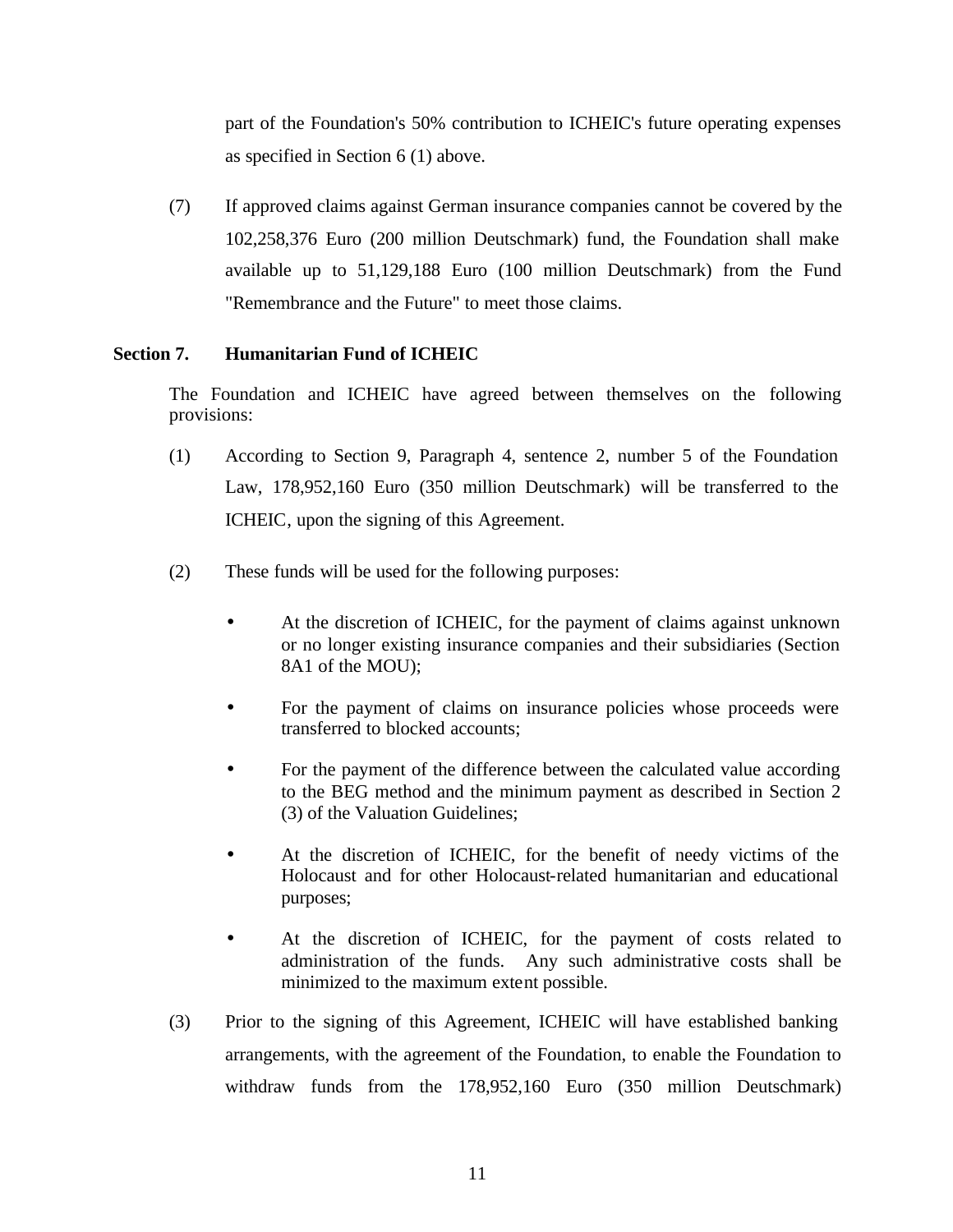part of the Foundation's 50% contribution to ICHEIC's future operating expenses as specified in Section 6 (1) above.

(7) If approved claims against German insurance companies cannot be covered by the 102,258,376 Euro (200 million Deutschmark) fund, the Foundation shall make available up to 51,129,188 Euro (100 million Deutschmark) from the Fund "Remembrance and the Future" to meet those claims.

# **Section 7. Humanitarian Fund of ICHEIC**

The Foundation and ICHEIC have agreed between themselves on the following provisions:

- (1) According to Section 9, Paragraph 4, sentence 2, number 5 of the Foundation Law, 178,952,160 Euro (350 million Deutschmark) will be transferred to the ICHEIC, upon the signing of this Agreement.
- (2) These funds will be used for the following purposes:
	- **·** At the discretion of ICHEIC, for the payment of claims against unknown or no longer existing insurance companies and their subsidiaries (Section 8A1 of the MOU);
	- **·** For the payment of claims on insurance policies whose proceeds were transferred to blocked accounts;
	- For the payment of the difference between the calculated value according to the BEG method and the minimum payment as described in Section 2 (3) of the Valuation Guidelines;
	- **·** At the discretion of ICHEIC, for the benefit of needy victims of the Holocaust and for other Holocaust-related humanitarian and educational purposes;
	- **·** At the discretion of ICHEIC, for the payment of costs related to administration of the funds. Any such administrative costs shall be minimized to the maximum extent possible.
- (3) Prior to the signing of this Agreement, ICHEIC will have established banking arrangements, with the agreement of the Foundation, to enable the Foundation to withdraw funds from the 178,952,160 Euro (350 million Deutschmark)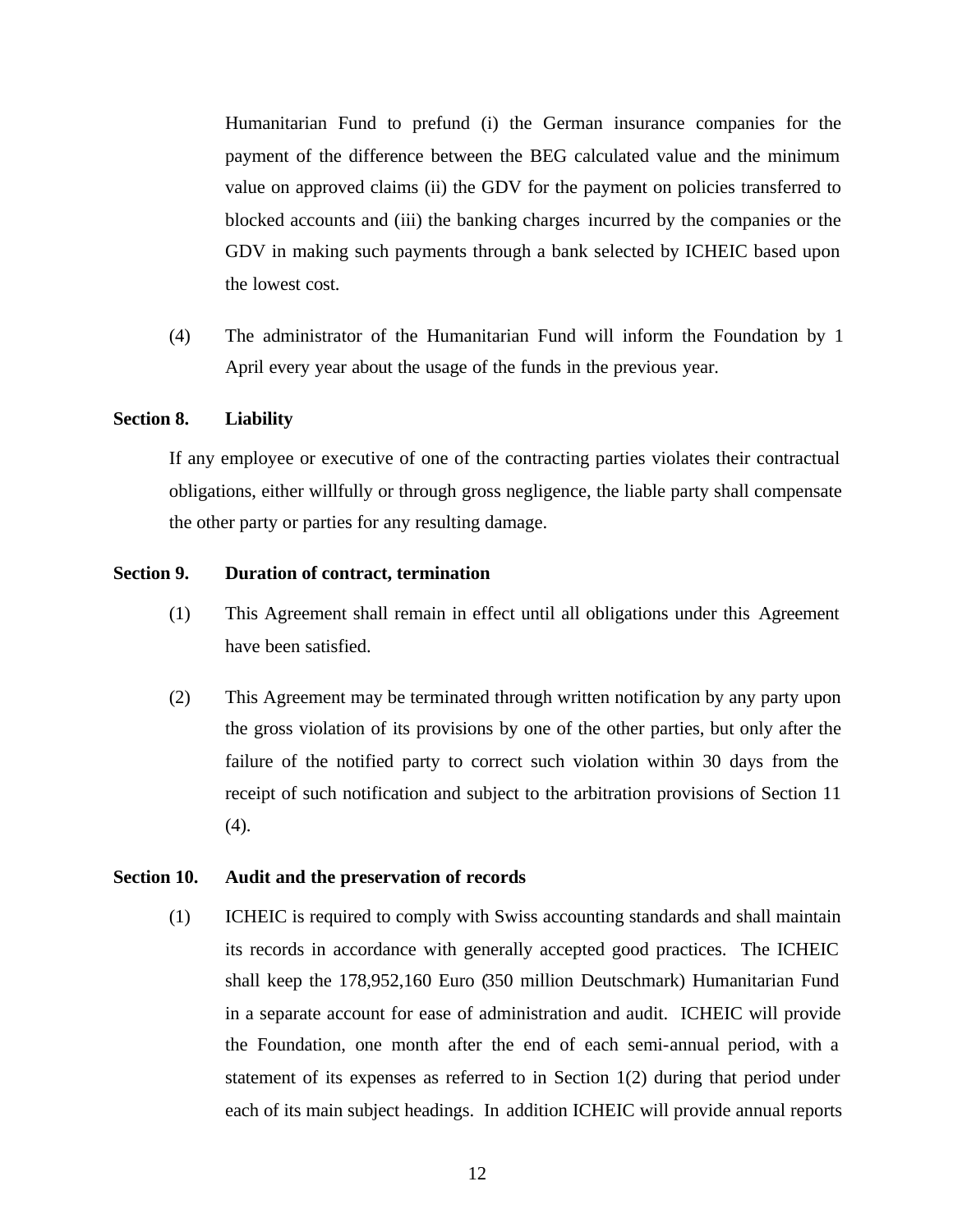Humanitarian Fund to prefund (i) the German insurance companies for the payment of the difference between the BEG calculated value and the minimum value on approved claims (ii) the GDV for the payment on policies transferred to blocked accounts and (iii) the banking charges incurred by the companies or the GDV in making such payments through a bank selected by ICHEIC based upon the lowest cost.

(4) The administrator of the Humanitarian Fund will inform the Foundation by 1 April every year about the usage of the funds in the previous year.

#### **Section 8. Liability**

If any employee or executive of one of the contracting parties violates their contractual obligations, either willfully or through gross negligence, the liable party shall compensate the other party or parties for any resulting damage.

## **Section 9. Duration of contract, termination**

- (1) This Agreement shall remain in effect until all obligations under this Agreement have been satisfied.
- (2) This Agreement may be terminated through written notification by any party upon the gross violation of its provisions by one of the other parties, but only after the failure of the notified party to correct such violation within 30 days from the receipt of such notification and subject to the arbitration provisions of Section 11 (4).

#### **Section 10. Audit and the preservation of records**

(1) ICHEIC is required to comply with Swiss accounting standards and shall maintain its records in accordance with generally accepted good practices. The ICHEIC shall keep the 178,952,160 Euro (350 million Deutschmark) Humanitarian Fund in a separate account for ease of administration and audit. ICHEIC will provide the Foundation, one month after the end of each semi-annual period, with a statement of its expenses as referred to in Section 1(2) during that period under each of its main subject headings. In addition ICHEIC will provide annual reports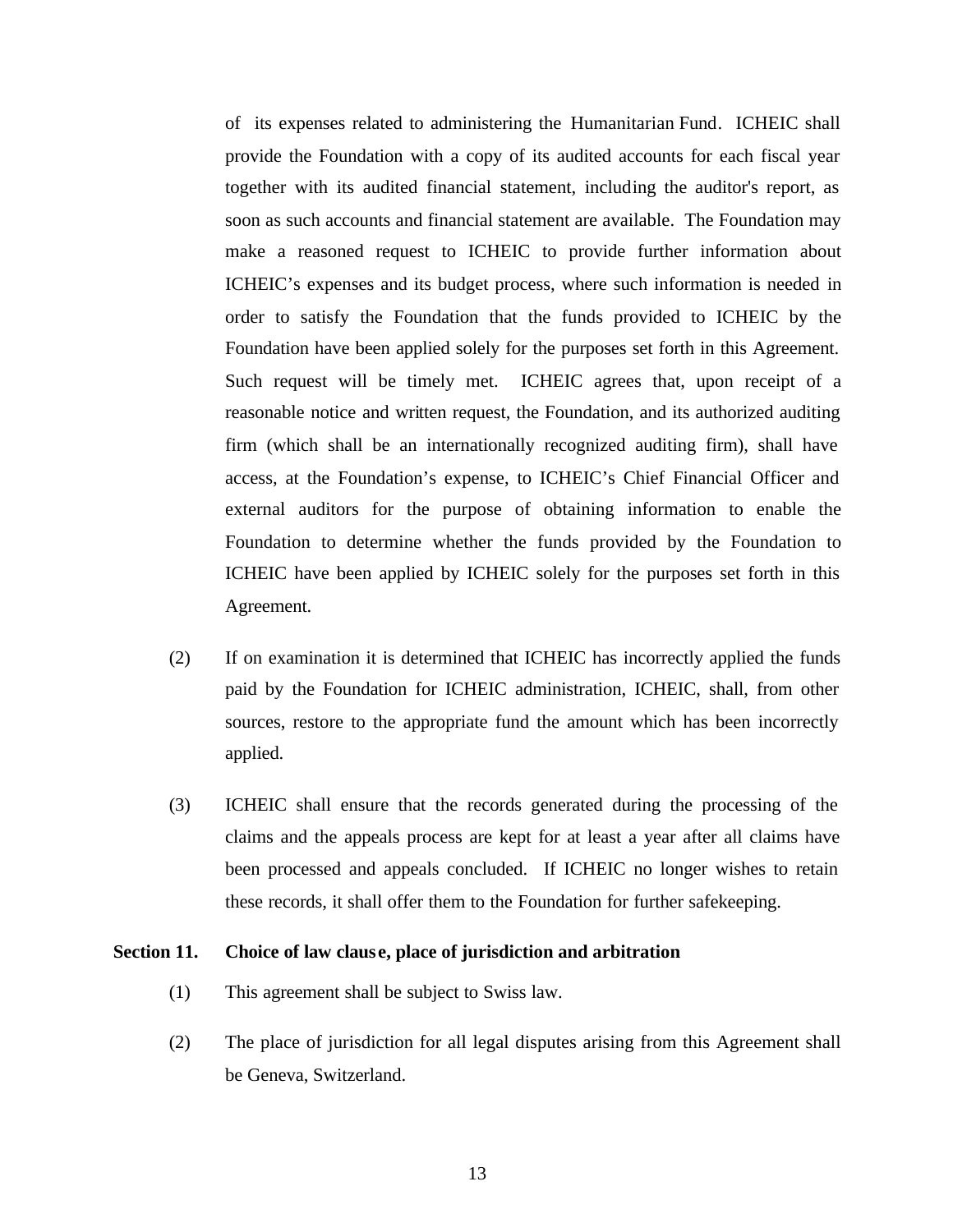of its expenses related to administering the Humanitarian Fund. ICHEIC shall provide the Foundation with a copy of its audited accounts for each fiscal year together with its audited financial statement, including the auditor's report, as soon as such accounts and financial statement are available. The Foundation may make a reasoned request to ICHEIC to provide further information about ICHEIC's expenses and its budget process, where such information is needed in order to satisfy the Foundation that the funds provided to ICHEIC by the Foundation have been applied solely for the purposes set forth in this Agreement. Such request will be timely met. ICHEIC agrees that, upon receipt of a reasonable notice and written request, the Foundation, and its authorized auditing firm (which shall be an internationally recognized auditing firm), shall have access, at the Foundation's expense, to ICHEIC's Chief Financial Officer and external auditors for the purpose of obtaining information to enable the Foundation to determine whether the funds provided by the Foundation to ICHEIC have been applied by ICHEIC solely for the purposes set forth in this Agreement.

- (2) If on examination it is determined that ICHEIC has incorrectly applied the funds paid by the Foundation for ICHEIC administration, ICHEIC, shall, from other sources, restore to the appropriate fund the amount which has been incorrectly applied.
- (3) ICHEIC shall ensure that the records generated during the processing of the claims and the appeals process are kept for at least a year after all claims have been processed and appeals concluded. If ICHEIC no longer wishes to retain these records, it shall offer them to the Foundation for further safekeeping.

#### **Section 11. Choice of law claus e, place of jurisdiction and arbitration**

- (1) This agreement shall be subject to Swiss law.
- (2) The place of jurisdiction for all legal disputes arising from this Agreement shall be Geneva, Switzerland.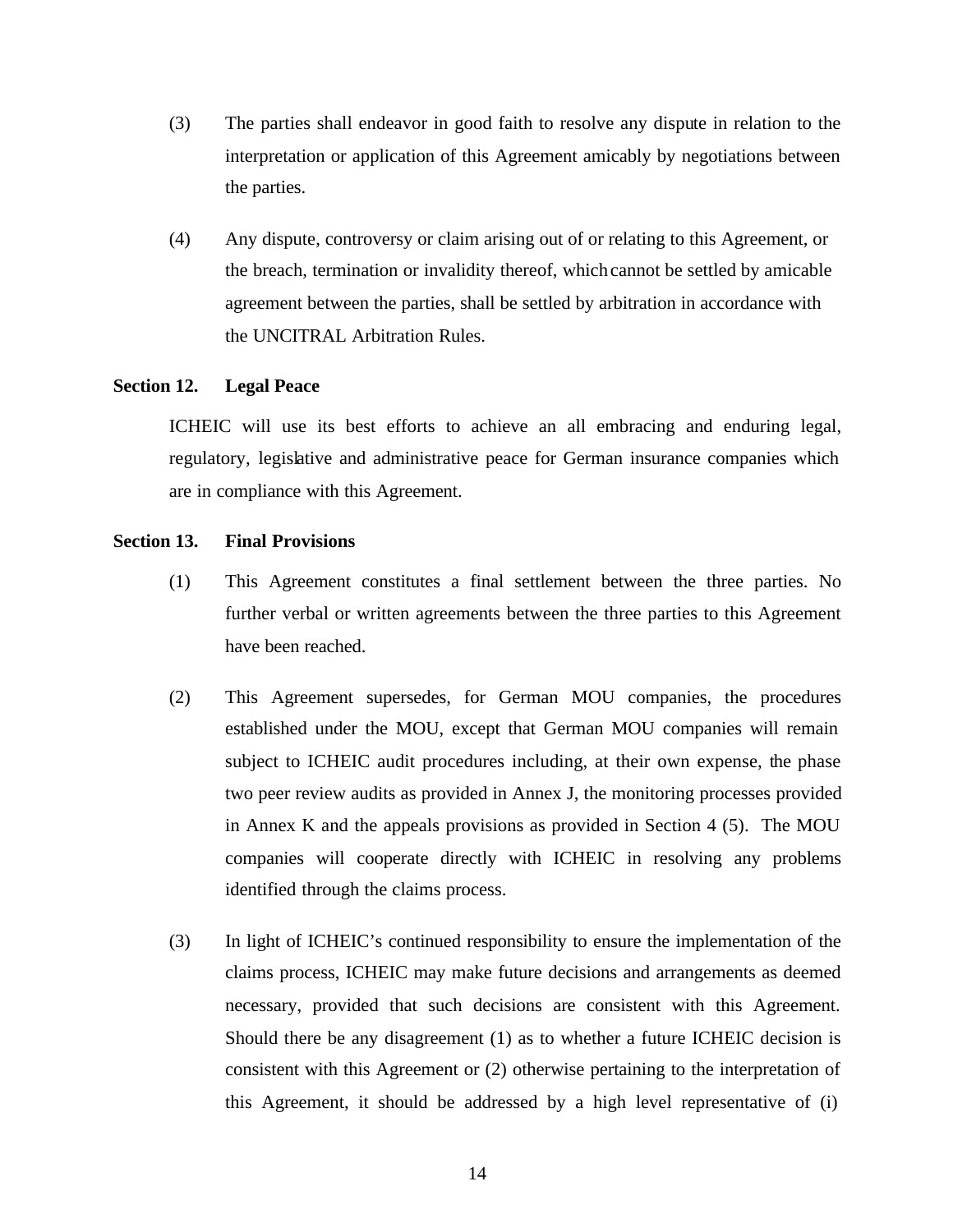- (3) The parties shall endeavor in good faith to resolve any dispute in relation to the interpretation or application of this Agreement amicably by negotiations between the parties.
- (4) Any dispute, controversy or claim arising out of or relating to this Agreement, or the breach, termination or invalidity thereof, which cannot be settled by amicable agreement between the parties, shall be settled by arbitration in accordance with the UNCITRAL Arbitration Rules.

# **Section 12. Legal Peace**

ICHEIC will use its best efforts to achieve an all embracing and enduring legal, regulatory, legislative and administrative peace for German insurance companies which are in compliance with this Agreement.

# **Section 13. Final Provisions**

- (1) This Agreement constitutes a final settlement between the three parties. No further verbal or written agreements between the three parties to this Agreement have been reached.
- (2) This Agreement supersedes, for German MOU companies, the procedures established under the MOU, except that German MOU companies will remain subject to ICHEIC audit procedures including, at their own expense, the phase two peer review audits as provided in Annex J, the monitoring processes provided in Annex K and the appeals provisions as provided in Section 4 (5). The MOU companies will cooperate directly with ICHEIC in resolving any problems identified through the claims process.
- (3) In light of ICHEIC's continued responsibility to ensure the implementation of the claims process, ICHEIC may make future decisions and arrangements as deemed necessary, provided that such decisions are consistent with this Agreement. Should there be any disagreement (1) as to whether a future ICHEIC decision is consistent with this Agreement or (2) otherwise pertaining to the interpretation of this Agreement, it should be addressed by a high level representative of (i)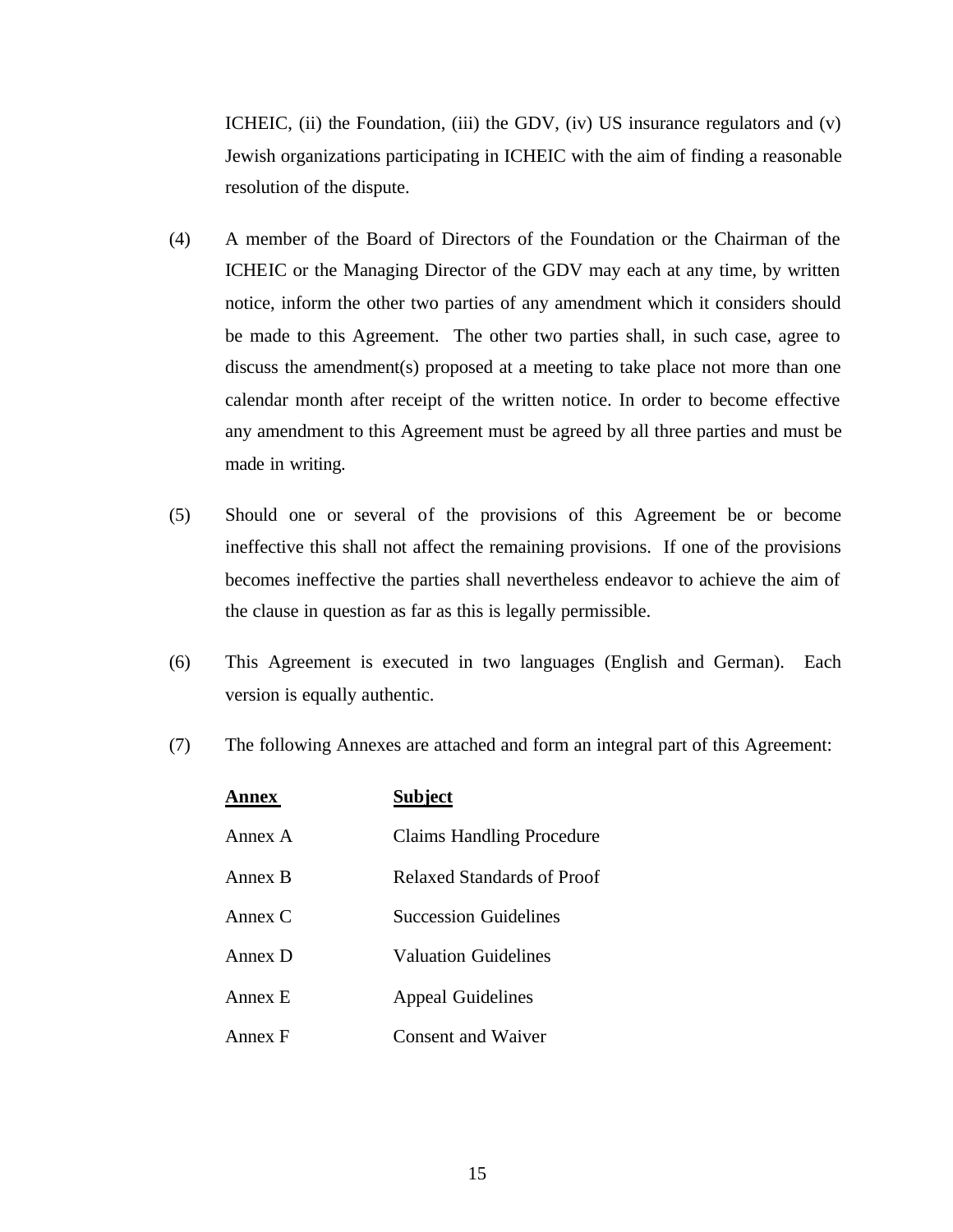ICHEIC, (ii) the Foundation, (iii) the GDV, (iv) US insurance regulators and  $(v)$ Jewish organizations participating in ICHEIC with the aim of finding a reasonable resolution of the dispute.

- (4) A member of the Board of Directors of the Foundation or the Chairman of the ICHEIC or the Managing Director of the GDV may each at any time, by written notice, inform the other two parties of any amendment which it considers should be made to this Agreement. The other two parties shall, in such case, agree to discuss the amendment(s) proposed at a meeting to take place not more than one calendar month after receipt of the written notice. In order to become effective any amendment to this Agreement must be agreed by all three parties and must be made in writing.
- (5) Should one or several of the provisions of this Agreement be or become ineffective this shall not affect the remaining provisions. If one of the provisions becomes ineffective the parties shall nevertheless endeavor to achieve the aim of the clause in question as far as this is legally permissible.
- (6) This Agreement is executed in two languages (English and German). Each version is equally authentic.
- (7) The following Annexes are attached and form an integral part of this Agreement:

| Annex     | <b>Subject</b>                   |
|-----------|----------------------------------|
| Annex A   | <b>Claims Handling Procedure</b> |
| Annex B   | Relaxed Standards of Proof       |
| Annex $C$ | <b>Succession Guidelines</b>     |
| Annex D   | Valuation Guidelines             |
| Annex E   | Appeal Guidelines                |
| Annex F   | <b>Consent and Waiver</b>        |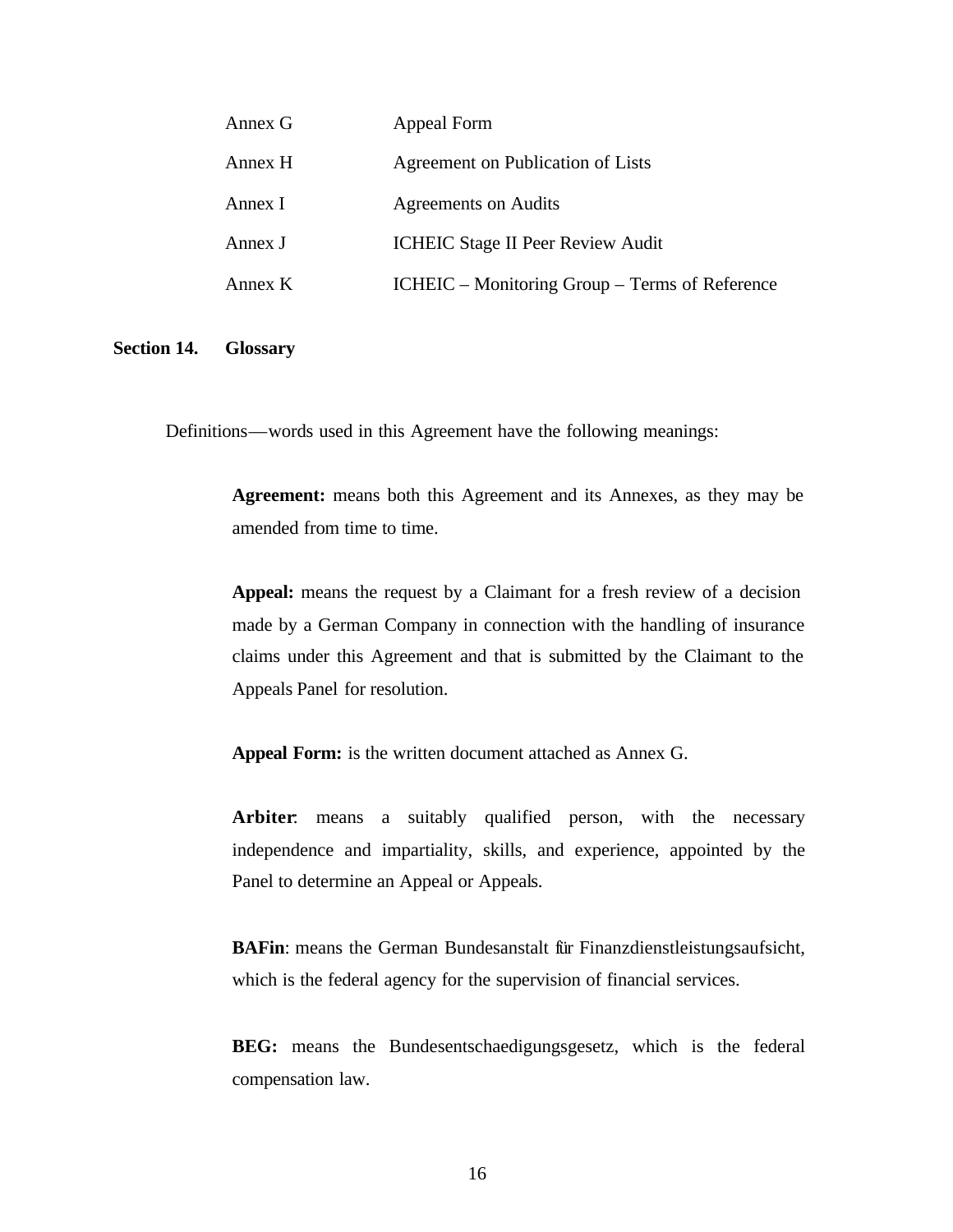| Annex G | Appeal Form                                    |  |
|---------|------------------------------------------------|--|
| Annex H | Agreement on Publication of Lists              |  |
| Annex I | Agreements on Audits                           |  |
| Annex J | <b>ICHEIC Stage II Peer Review Audit</b>       |  |
| Annex K | ICHEIC – Monitoring Group – Terms of Reference |  |

#### **Section 14. Glossary**

Definitions—words used in this Agreement have the following meanings:

**Agreement:** means both this Agreement and its Annexes, as they may be amended from time to time.

**Appeal:** means the request by a Claimant for a fresh review of a decision made by a German Company in connection with the handling of insurance claims under this Agreement and that is submitted by the Claimant to the Appeals Panel for resolution.

**Appeal Form:** is the written document attached as Annex G.

**Arbiter**: means a suitably qualified person, with the necessary independence and impartiality, skills, and experience, appointed by the Panel to determine an Appeal or Appeals.

**BAFin**: means the German Bundesanstalt für Finanzdienstleistungsaufsicht, which is the federal agency for the supervision of financial services.

**BEG:** means the Bundesentschaedigungsgesetz, which is the federal compensation law.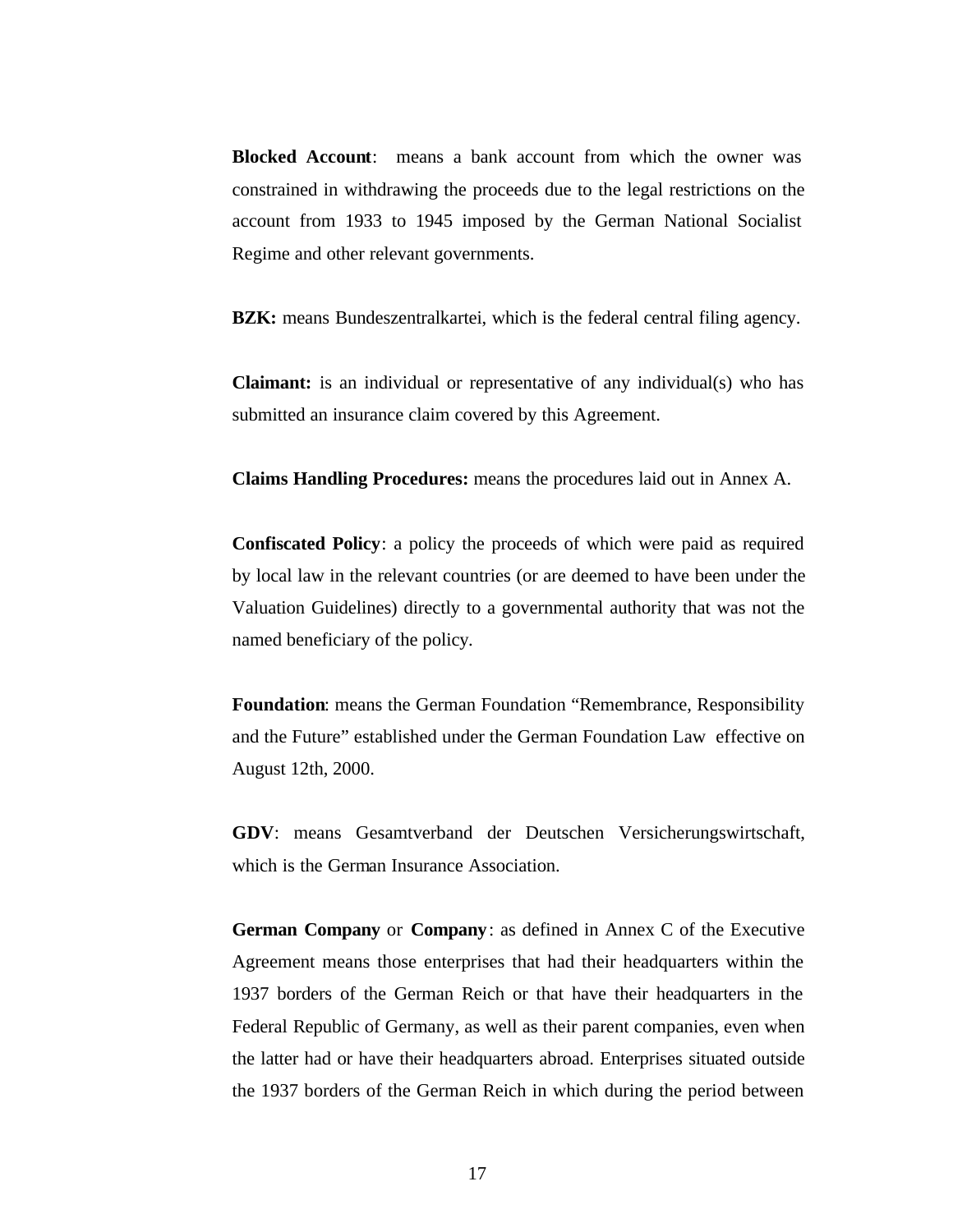**Blocked Account**: means a bank account from which the owner was constrained in withdrawing the proceeds due to the legal restrictions on the account from 1933 to 1945 imposed by the German National Socialist Regime and other relevant governments.

**BZK:** means Bundeszentralkartei, which is the federal central filing agency.

**Claimant:** is an individual or representative of any individual(s) who has submitted an insurance claim covered by this Agreement.

**Claims Handling Procedures:** means the procedures laid out in Annex A.

**Confiscated Policy**: a policy the proceeds of which were paid as required by local law in the relevant countries (or are deemed to have been under the Valuation Guidelines) directly to a governmental authority that was not the named beneficiary of the policy.

**Foundation**: means the German Foundation "Remembrance, Responsibility and the Future" established under the German Foundation Law effective on August 12th, 2000.

**GDV**: means Gesamtverband der Deutschen Versicherungswirtschaft, which is the German Insurance Association.

**German Company** or **Company**: as defined in Annex C of the Executive Agreement means those enterprises that had their headquarters within the 1937 borders of the German Reich or that have their headquarters in the Federal Republic of Germany, as well as their parent companies, even when the latter had or have their headquarters abroad. Enterprises situated outside the 1937 borders of the German Reich in which during the period between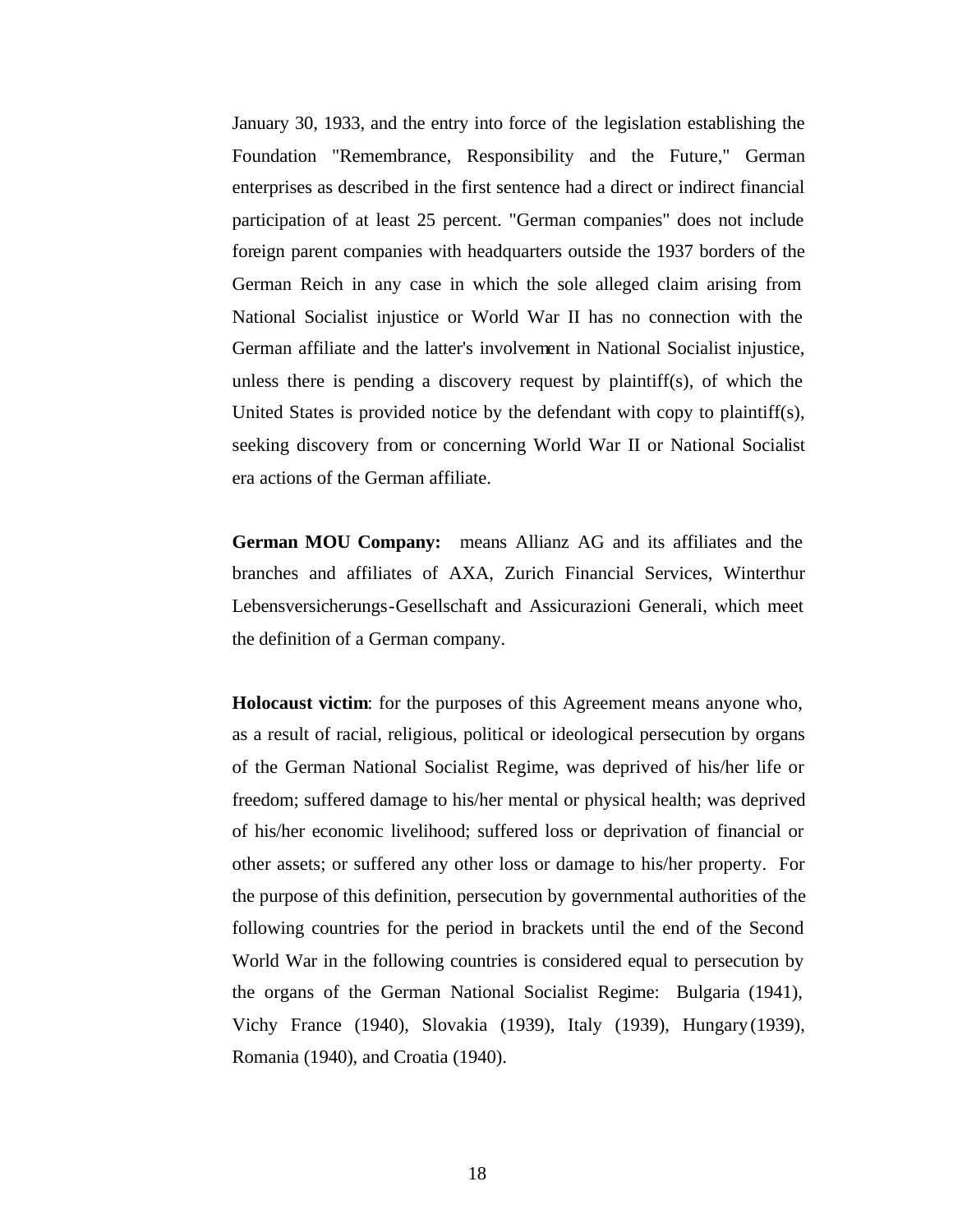January 30, 1933, and the entry into force of the legislation establishing the Foundation "Remembrance, Responsibility and the Future," German enterprises as described in the first sentence had a direct or indirect financial participation of at least 25 percent. "German companies" does not include foreign parent companies with headquarters outside the 1937 borders of the German Reich in any case in which the sole alleged claim arising from National Socialist injustice or World War II has no connection with the German affiliate and the latter's involvement in National Socialist injustice, unless there is pending a discovery request by plaintiff(s), of which the United States is provided notice by the defendant with copy to plaintiff(s), seeking discovery from or concerning World War II or National Socialist era actions of the German affiliate.

**German MOU Company:** means Allianz AG and its affiliates and the branches and affiliates of AXA, Zurich Financial Services, Winterthur Lebensversicherungs-Gesellschaft and Assicurazioni Generali, which meet the definition of a German company.

**Holocaust victim**: for the purposes of this Agreement means anyone who, as a result of racial, religious, political or ideological persecution by organs of the German National Socialist Regime, was deprived of his/her life or freedom; suffered damage to his/her mental or physical health; was deprived of his/her economic livelihood; suffered loss or deprivation of financial or other assets; or suffered any other loss or damage to his/her property. For the purpose of this definition, persecution by governmental authorities of the following countries for the period in brackets until the end of the Second World War in the following countries is considered equal to persecution by the organs of the German National Socialist Regime: Bulgaria (1941), Vichy France (1940), Slovakia (1939), Italy (1939), Hungary (1939), Romania (1940), and Croatia (1940).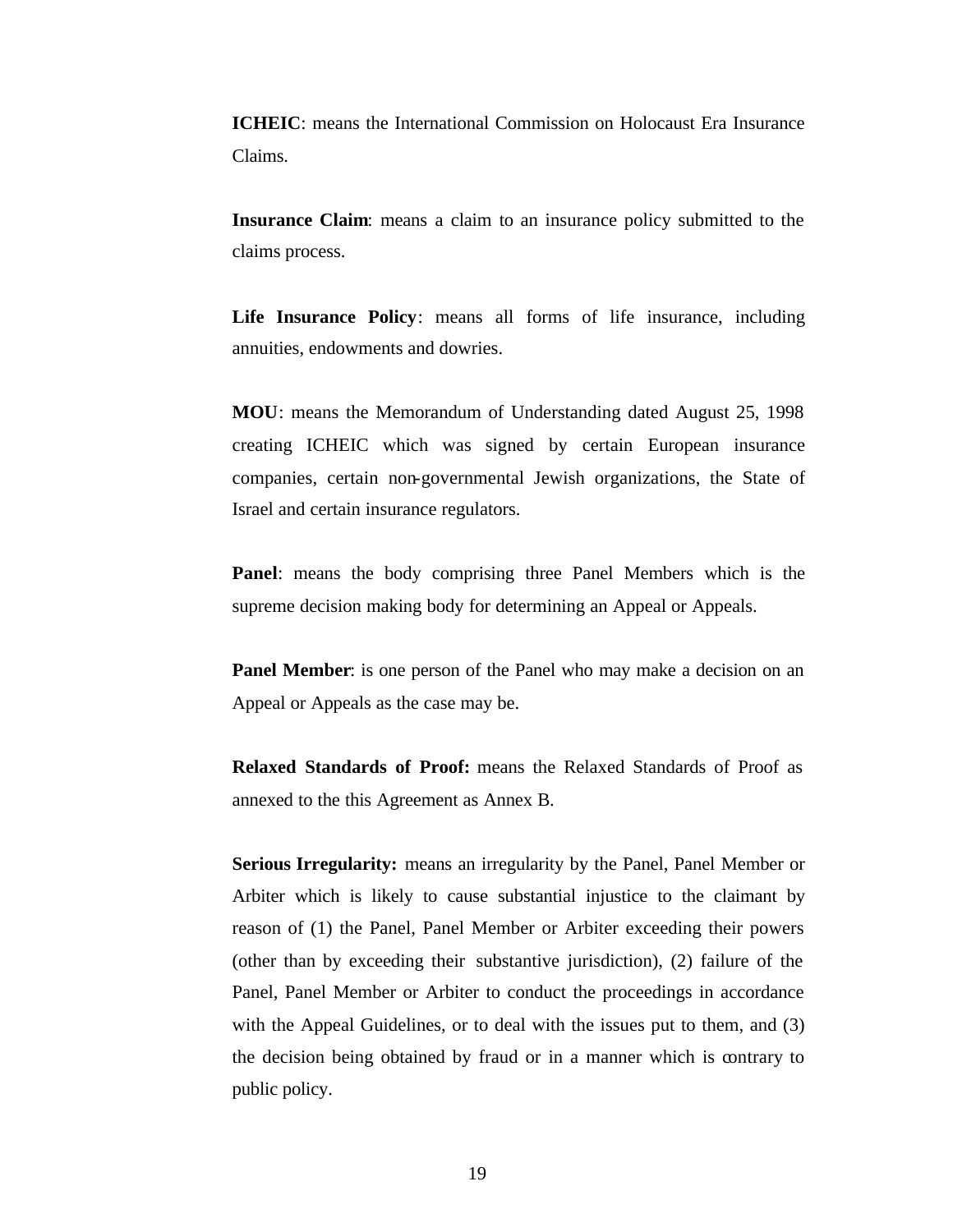**ICHEIC**: means the International Commission on Holocaust Era Insurance Claims.

**Insurance Claim**: means a claim to an insurance policy submitted to the claims process.

**Life Insurance Policy**: means all forms of life insurance, including annuities, endowments and dowries.

**MOU**: means the Memorandum of Understanding dated August 25, 1998 creating ICHEIC which was signed by certain European insurance companies, certain non-governmental Jewish organizations, the State of Israel and certain insurance regulators.

**Panel**: means the body comprising three Panel Members which is the supreme decision making body for determining an Appeal or Appeals.

**Panel Member:** is one person of the Panel who may make a decision on an Appeal or Appeals as the case may be.

**Relaxed Standards of Proof:** means the Relaxed Standards of Proof as annexed to the this Agreement as Annex B.

**Serious Irregularity:** means an irregularity by the Panel, Panel Member or Arbiter which is likely to cause substantial injustice to the claimant by reason of (1) the Panel, Panel Member or Arbiter exceeding their powers (other than by exceeding their substantive jurisdiction), (2) failure of the Panel, Panel Member or Arbiter to conduct the proceedings in accordance with the Appeal Guidelines, or to deal with the issues put to them, and (3) the decision being obtained by fraud or in a manner which is contrary to public policy.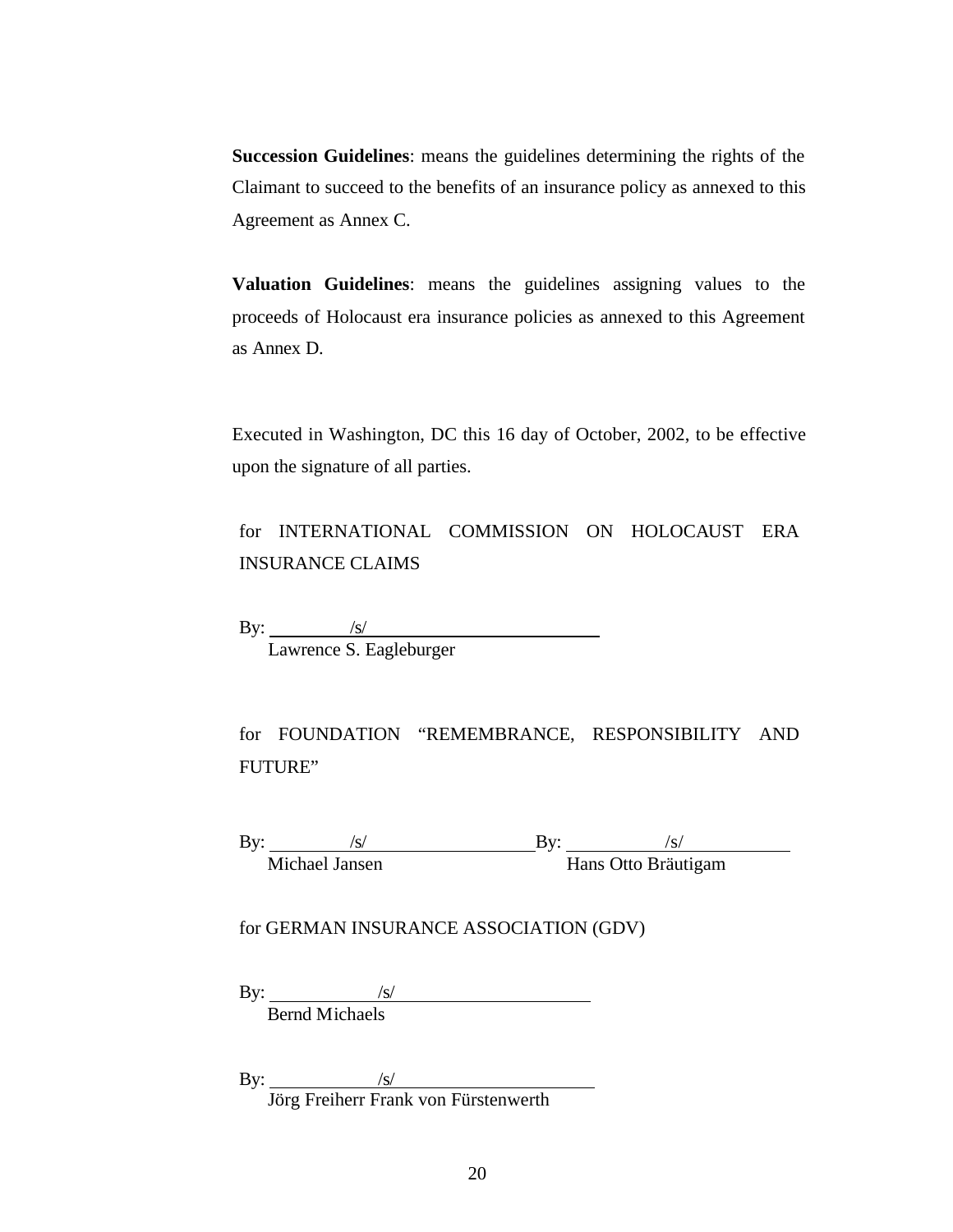**Succession Guidelines**: means the guidelines determining the rights of the Claimant to succeed to the benefits of an insurance policy as annexed to this Agreement as Annex C.

**Valuation Guidelines**: means the guidelines assigning values to the proceeds of Holocaust era insurance policies as annexed to this Agreement as Annex D.

Executed in Washington, DC this 16 day of October, 2002, to be effective upon the signature of all parties.

for INTERNATIONAL COMMISSION ON HOLOCAUST ERA INSURANCE CLAIMS

By:  $\frac{1}{s}$ Lawrence S. Eagleburger

for FOUNDATION "REMEMBRANCE, RESPONSIBILITY AND FUTURE"

By:  $\qquad \qquad$  /s/  $\qquad \qquad$  By:  $\qquad \qquad$  /s/ Michael Jansen Hans Otto Bräutigam

for GERMAN INSURANCE ASSOCIATION (GDV)

By:  $\frac{|s|}{|s|}$ Bernd Michaels

By:  $/$ s/ Jörg Freiherr Frank von Fürstenwerth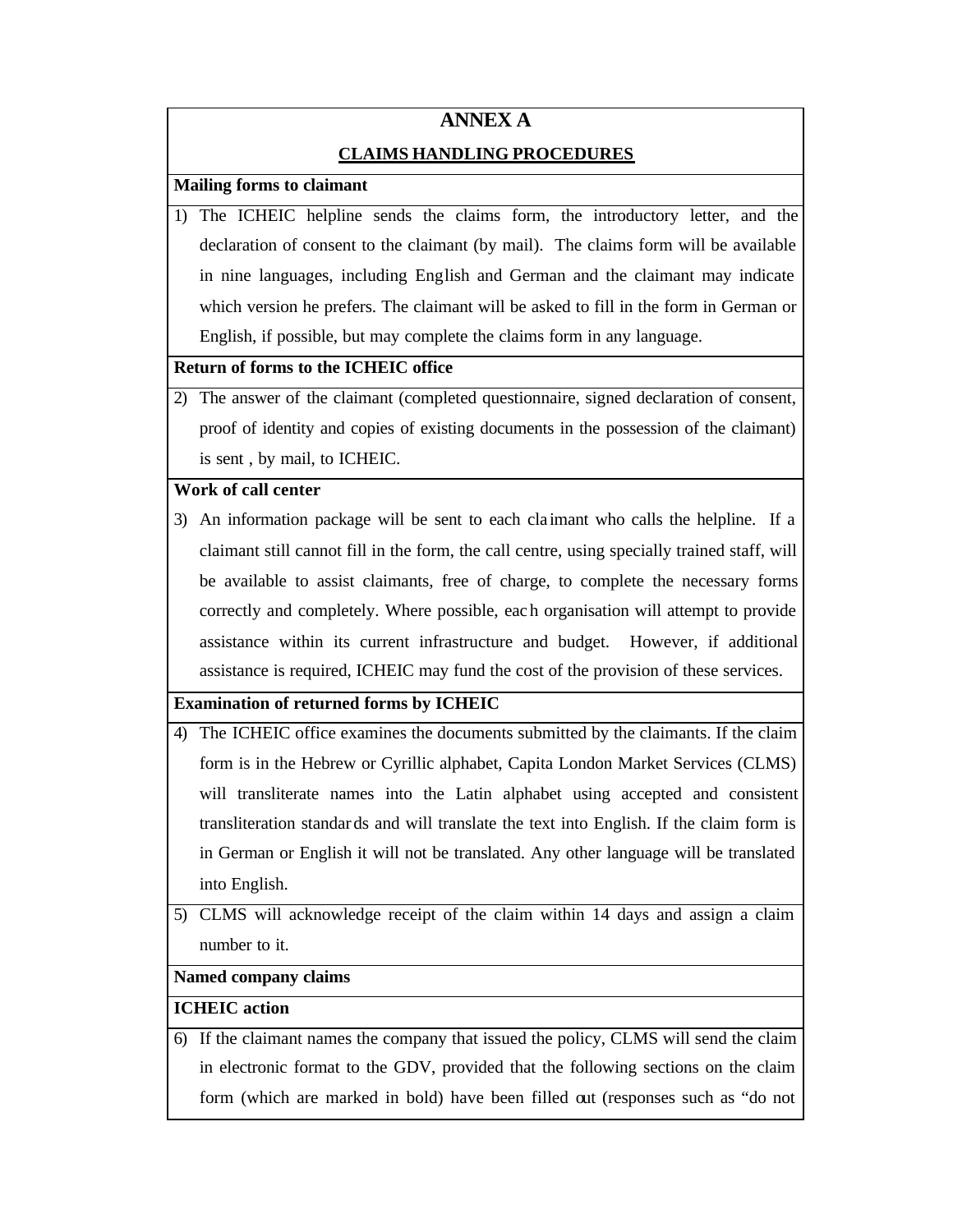# **ANNEX A**

# **CLAIMS HANDLING PROCEDURES**

#### **Mailing forms to claimant**

1) The ICHEIC helpline sends the claims form, the introductory letter, and the declaration of consent to the claimant (by mail). The claims form will be available in nine languages, including English and German and the claimant may indicate which version he prefers. The claimant will be asked to fill in the form in German or English, if possible, but may complete the claims form in any language.

# **Return of forms to the ICHEIC office**

2) The answer of the claimant (completed questionnaire, signed declaration of consent, proof of identity and copies of existing documents in the possession of the claimant) is sent , by mail, to ICHEIC.

#### **Work of call center**

3) An information package will be sent to each cla imant who calls the helpline. If a claimant still cannot fill in the form, the call centre, using specially trained staff, will be available to assist claimants, free of charge, to complete the necessary forms correctly and completely. Where possible, eac h organisation will attempt to provide assistance within its current infrastructure and budget. However, if additional assistance is required, ICHEIC may fund the cost of the provision of these services.

#### **Examination of returned forms by ICHEIC**

- 4) The ICHEIC office examines the documents submitted by the claimants. If the claim form is in the Hebrew or Cyrillic alphabet, Capita London Market Services (CLMS) will transliterate names into the Latin alphabet using accepted and consistent transliteration standar ds and will translate the text into English. If the claim form is in German or English it will not be translated. Any other language will be translated into English.
- 5) CLMS will acknowledge receipt of the claim within 14 days and assign a claim number to it.

# **Named company claims**

#### **ICHEIC action**

6) If the claimant names the company that issued the policy, CLMS will send the claim in electronic format to the GDV, provided that the following sections on the claim form (which are marked in bold) have been filled out (responses such as "do not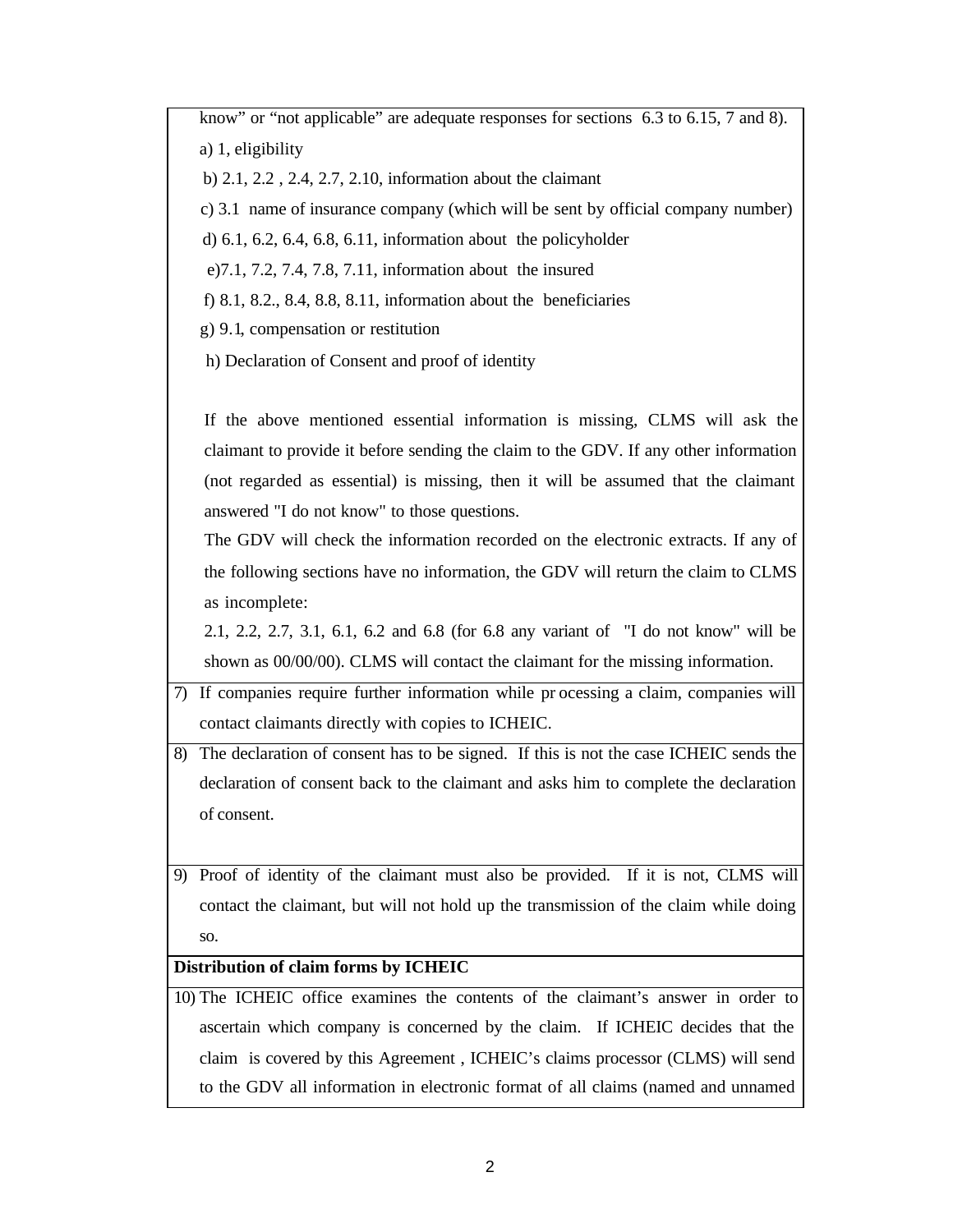know" or "not applicable" are adequate responses for sections 6.3 to 6.15, 7 and 8). a) 1, eligibility

b) 2.1, 2.2 , 2.4, 2.7, 2.10, information about the claimant

c) 3.1 name of insurance company (which will be sent by official company number)

d) 6.1, 6.2, 6.4, 6.8, 6.11, information about the policyholder

e)7.1, 7.2, 7.4, 7.8, 7.11, information about the insured

f) 8.1, 8.2., 8.4, 8.8, 8.11, information about the beneficiaries

g) 9.1, compensation or restitution

h) Declaration of Consent and proof of identity

If the above mentioned essential information is missing, CLMS will ask the claimant to provide it before sending the claim to the GDV. If any other information (not regarded as essential) is missing, then it will be assumed that the claimant answered "I do not know" to those questions.

The GDV will check the information recorded on the electronic extracts. If any of the following sections have no information, the GDV will return the claim to CLMS as incomplete:

2.1, 2.2, 2.7, 3.1, 6.1, 6.2 and 6.8 (for 6.8 any variant of "I do not know" will be shown as 00/00/00). CLMS will contact the claimant for the missing information.

- 7) If companies require further information while pr ocessing a claim, companies will contact claimants directly with copies to ICHEIC.
- 8) The declaration of consent has to be signed. If this is not the case ICHEIC sends the declaration of consent back to the claimant and asks him to complete the declaration of consent.

9) Proof of identity of the claimant must also be provided. If it is not, CLMS will contact the claimant, but will not hold up the transmission of the claim while doing so.

# **Distribution of claim forms by ICHEIC**

10) The ICHEIC office examines the contents of the claimant's answer in order to ascertain which company is concerned by the claim. If ICHEIC decides that the claim is covered by this Agreement , ICHEIC's claims processor (CLMS) will send to the GDV all information in electronic format of all claims (named and unnamed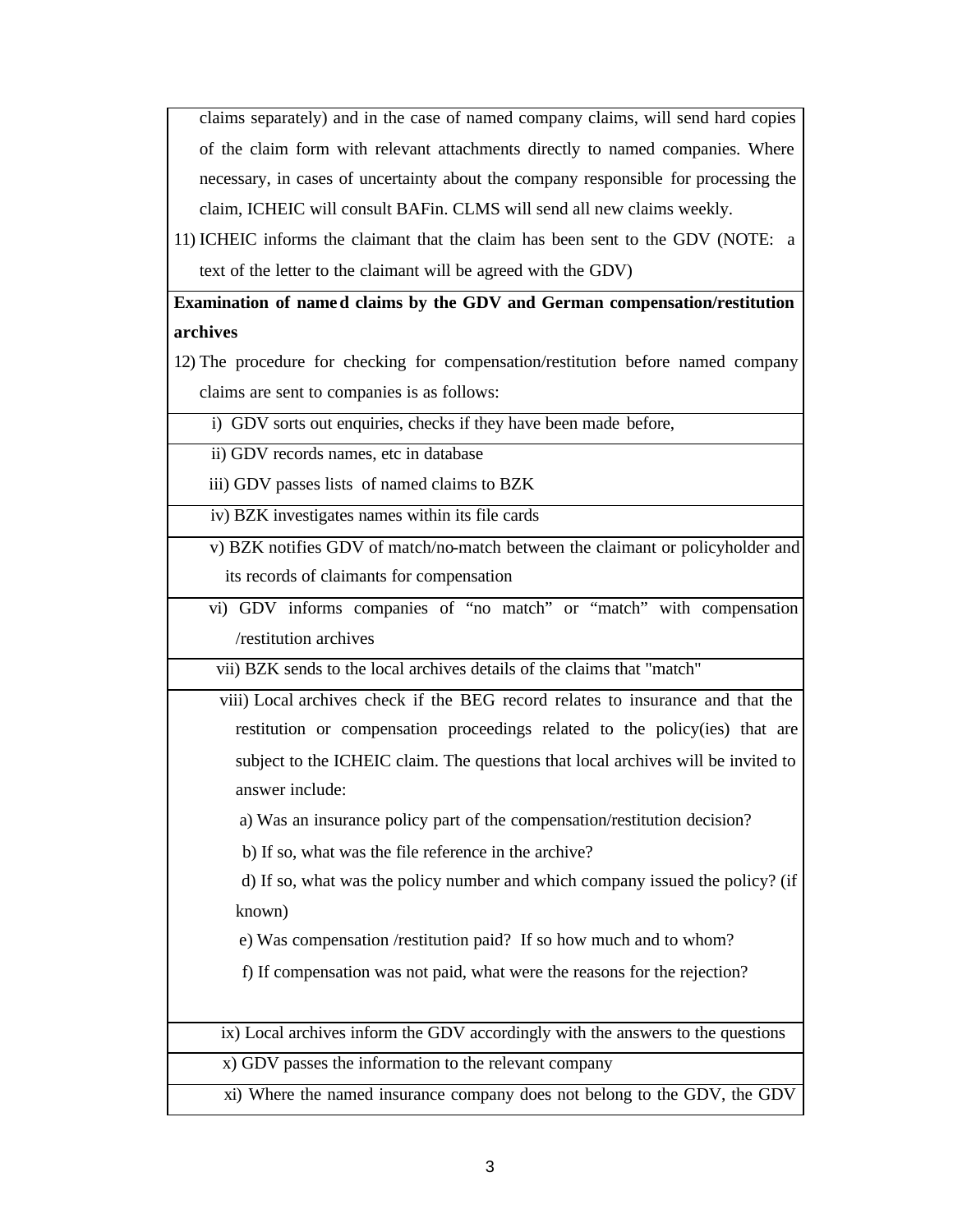claims separately) and in the case of named company claims, will send hard copies of the claim form with relevant attachments directly to named companies. Where necessary, in cases of uncertainty about the company responsible for processing the claim, ICHEIC will consult BAFin. CLMS will send all new claims weekly.

11) ICHEIC informs the claimant that the claim has been sent to the GDV (NOTE: a text of the letter to the claimant will be agreed with the GDV)

**Examination of named claims by the GDV and German compensation/restitution archives**

12) The procedure for checking for compensation/restitution before named company claims are sent to companies is as follows:

i) GDV sorts out enquiries, checks if they have been made before,

ii) GDV records names, etc in database

iii) GDV passes lists of named claims to BZK

iv) BZK investigates names within its file cards

 v) BZK notifies GDV of match/no-match between the claimant or policyholder and its records of claimants for compensation

 vi) GDV informs companies of "no match" or "match" with compensation /restitution archives

vii) BZK sends to the local archives details of the claims that "match"

 viii) Local archives check if the BEG record relates to insurance and that the restitution or compensation proceedings related to the policy(ies) that are subject to the ICHEIC claim. The questions that local archives will be invited to answer include:

a) Was an insurance policy part of the compensation/restitution decision?

b) If so, what was the file reference in the archive?

 d) If so, what was the policy number and which company issued the policy? (if known)

e) Was compensation /restitution paid? If so how much and to whom?

f) If compensation was not paid, what were the reasons for the rejection?

ix) Local archives inform the GDV accordingly with the answers to the questions

x) GDV passes the information to the relevant company

xi) Where the named insurance company does not belong to the GDV, the GDV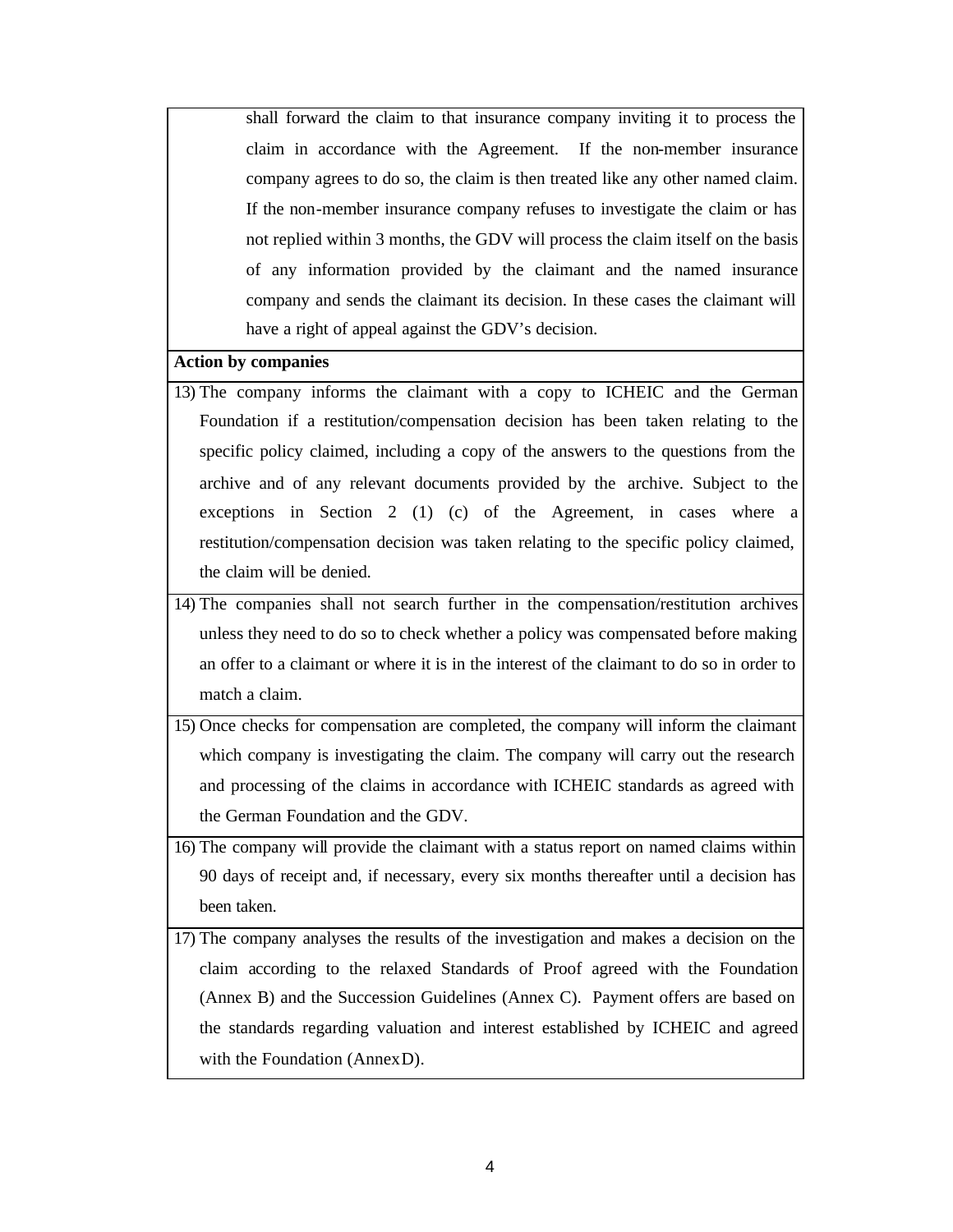shall forward the claim to that insurance company inviting it to process the claim in accordance with the Agreement. If the non-member insurance company agrees to do so, the claim is then treated like any other named claim. If the non-member insurance company refuses to investigate the claim or has not replied within 3 months, the GDV will process the claim itself on the basis of any information provided by the claimant and the named insurance company and sends the claimant its decision. In these cases the claimant will have a right of appeal against the GDV's decision.

#### **Action by companies**

- 13) The company informs the claimant with a copy to ICHEIC and the German Foundation if a restitution/compensation decision has been taken relating to the specific policy claimed, including a copy of the answers to the questions from the archive and of any relevant documents provided by the archive. Subject to the exceptions in Section 2 (1) (c) of the Agreement, in cases where a restitution/compensation decision was taken relating to the specific policy claimed, the claim will be denied.
- 14) The companies shall not search further in the compensation/restitution archives unless they need to do so to check whether a policy was compensated before making an offer to a claimant or where it is in the interest of the claimant to do so in order to match a claim.
- 15) Once checks for compensation are completed, the company will inform the claimant which company is investigating the claim. The company will carry out the research and processing of the claims in accordance with ICHEIC standards as agreed with the German Foundation and the GDV.
- 16) The company will provide the claimant with a status report on named claims within 90 days of receipt and, if necessary, every six months thereafter until a decision has been taken.
- 17) The company analyses the results of the investigation and makes a decision on the claim according to the relaxed Standards of Proof agreed with the Foundation (Annex B) and the Succession Guidelines (Annex C). Payment offers are based on the standards regarding valuation and interest established by ICHEIC and agreed with the Foundation (Annex D).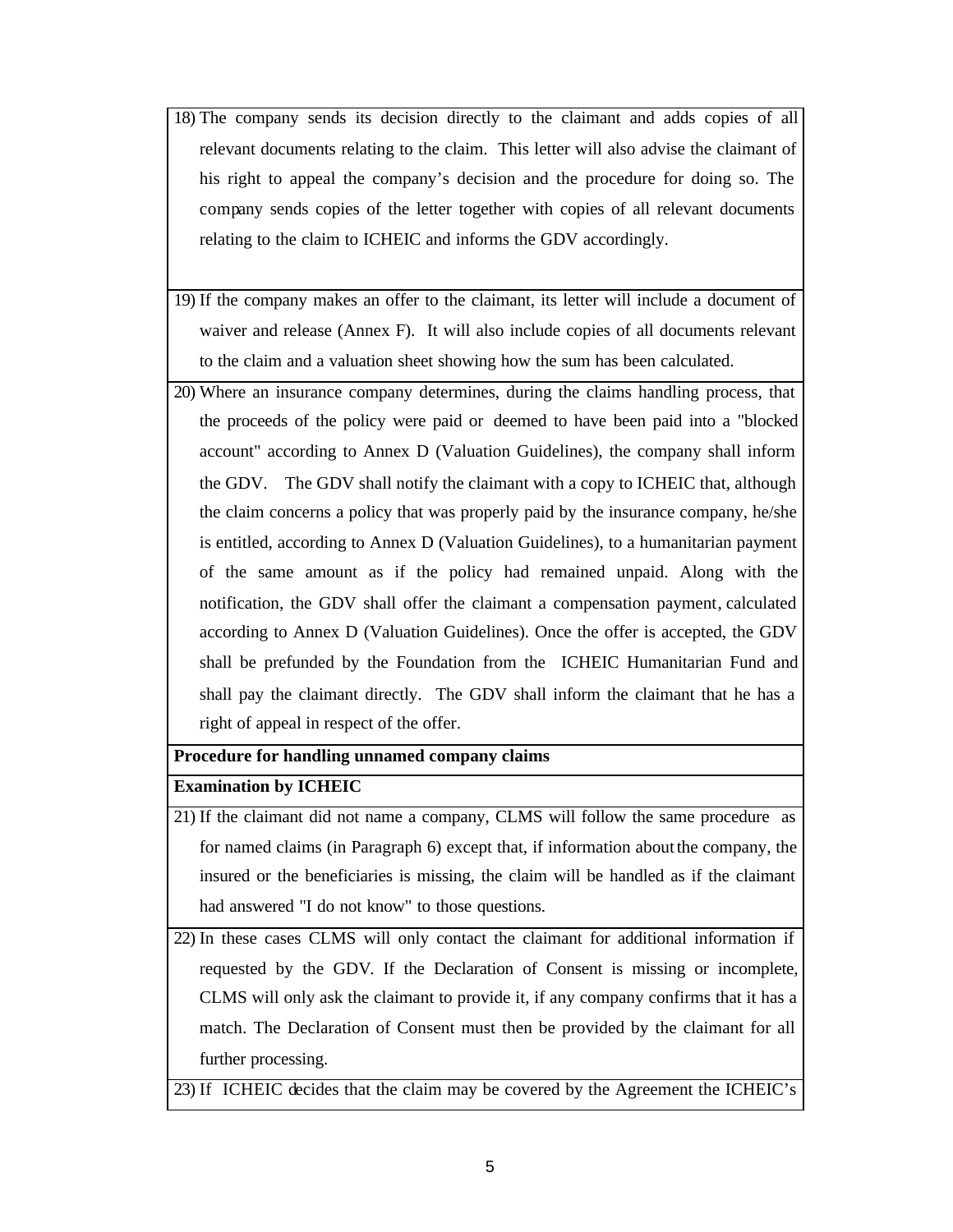- 18) The company sends its decision directly to the claimant and adds copies of all relevant documents relating to the claim. This letter will also advise the claimant of his right to appeal the company's decision and the procedure for doing so. The company sends copies of the letter together with copies of all relevant documents relating to the claim to ICHEIC and informs the GDV accordingly.
- 19) If the company makes an offer to the claimant, its letter will include a document of waiver and release (Annex F). It will also include copies of all documents relevant to the claim and a valuation sheet showing how the sum has been calculated.
- 20) Where an insurance company determines, during the claims handling process, that the proceeds of the policy were paid or deemed to have been paid into a "blocked account" according to Annex D (Valuation Guidelines), the company shall inform the GDV. The GDV shall notify the claimant with a copy to ICHEIC that, although the claim concerns a policy that was properly paid by the insurance company, he/she is entitled, according to Annex D (Valuation Guidelines), to a humanitarian payment of the same amount as if the policy had remained unpaid. Along with the notification, the GDV shall offer the claimant a compensation payment, calculated according to Annex D (Valuation Guidelines). Once the offer is accepted, the GDV shall be prefunded by the Foundation from the ICHEIC Humanitarian Fund and shall pay the claimant directly. The GDV shall inform the claimant that he has a right of appeal in respect of the offer.

#### **Procedure for handling unnamed company claims**

#### **Examination by ICHEIC**

- 21) If the claimant did not name a company, CLMS will follow the same procedure as for named claims (in Paragraph 6) except that, if information about the company, the insured or the beneficiaries is missing, the claim will be handled as if the claimant had answered "I do not know" to those questions.
- 22) In these cases CLMS will only contact the claimant for additional information if requested by the GDV. If the Declaration of Consent is missing or incomplete, CLMS will only ask the claimant to provide it, if any company confirms that it has a match. The Declaration of Consent must then be provided by the claimant for all further processing.
- 23) If ICHEIC decides that the claim may be covered by the Agreement the ICHEIC's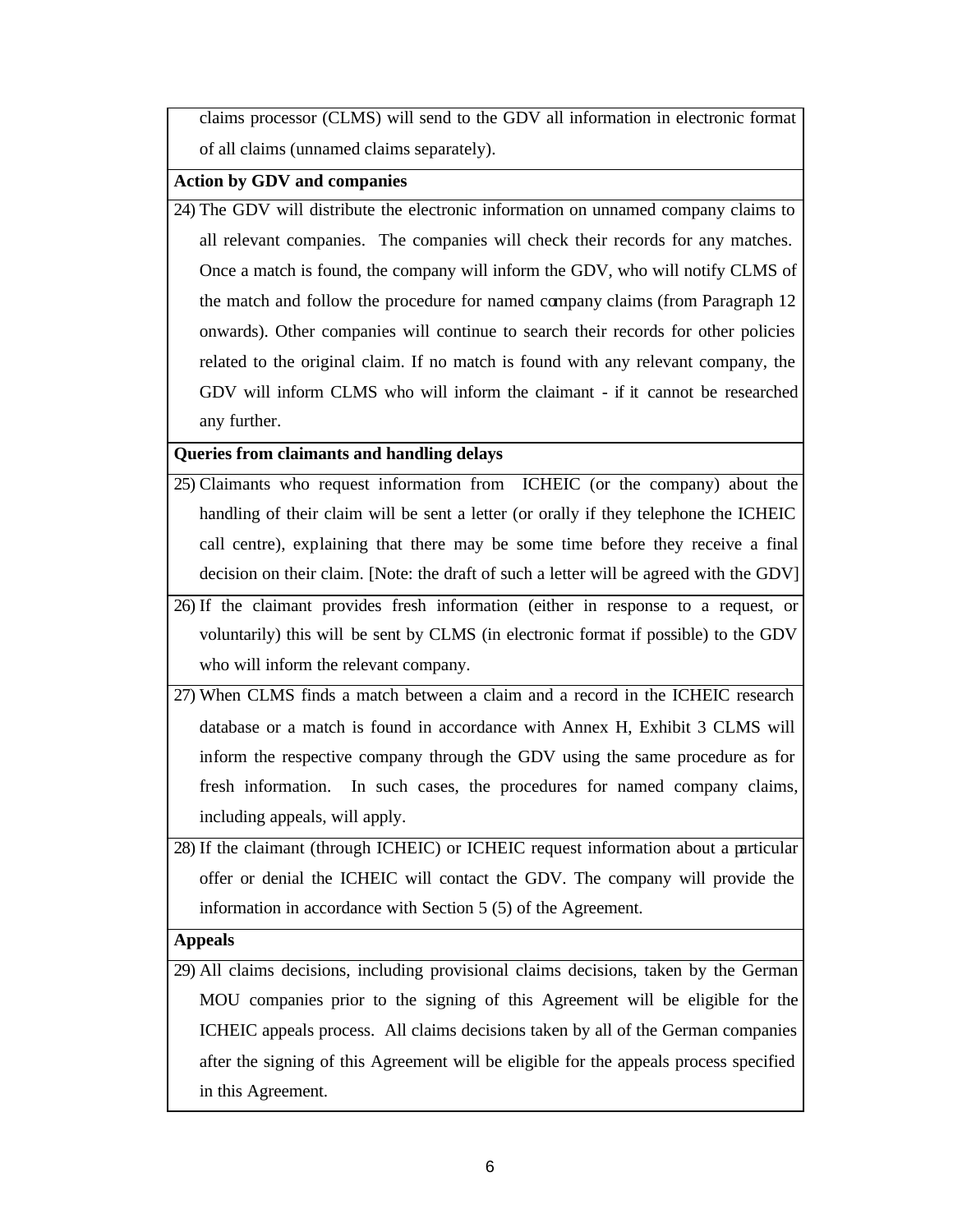claims processor (CLMS) will send to the GDV all information in electronic format of all claims (unnamed claims separately).

# **Action by GDV and companies**

24) The GDV will distribute the electronic information on unnamed company claims to all relevant companies. The companies will check their records for any matches. Once a match is found, the company will inform the GDV, who will notify CLMS of the match and follow the procedure for named company claims (from Paragraph 12 onwards). Other companies will continue to search their records for other policies related to the original claim. If no match is found with any relevant company, the GDV will inform CLMS who will inform the claimant - if it cannot be researched any further.

# **Queries from claimants and handling delays**

- 25) Claimants who request information from ICHEIC (or the company) about the handling of their claim will be sent a letter (or orally if they telephone the ICHEIC call centre), explaining that there may be some time before they receive a final decision on their claim. [Note: the draft of such a letter will be agreed with the GDV]
- 26) If the claimant provides fresh information (either in response to a request, or voluntarily) this will be sent by CLMS (in electronic format if possible) to the GDV who will inform the relevant company.
- 27) When CLMS finds a match between a claim and a record in the ICHEIC research database or a match is found in accordance with Annex H, Exhibit 3 CLMS will inform the respective company through the GDV using the same procedure as for fresh information. In such cases, the procedures for named company claims, including appeals, will apply.
- 28) If the claimant (through ICHEIC) or ICHEIC request information about a particular offer or denial the ICHEIC will contact the GDV. The company will provide the information in accordance with Section 5 (5) of the Agreement.

#### **Appeals**

29) All claims decisions, including provisional claims decisions, taken by the German MOU companies prior to the signing of this Agreement will be eligible for the ICHEIC appeals process. All claims decisions taken by all of the German companies after the signing of this Agreement will be eligible for the appeals process specified in this Agreement.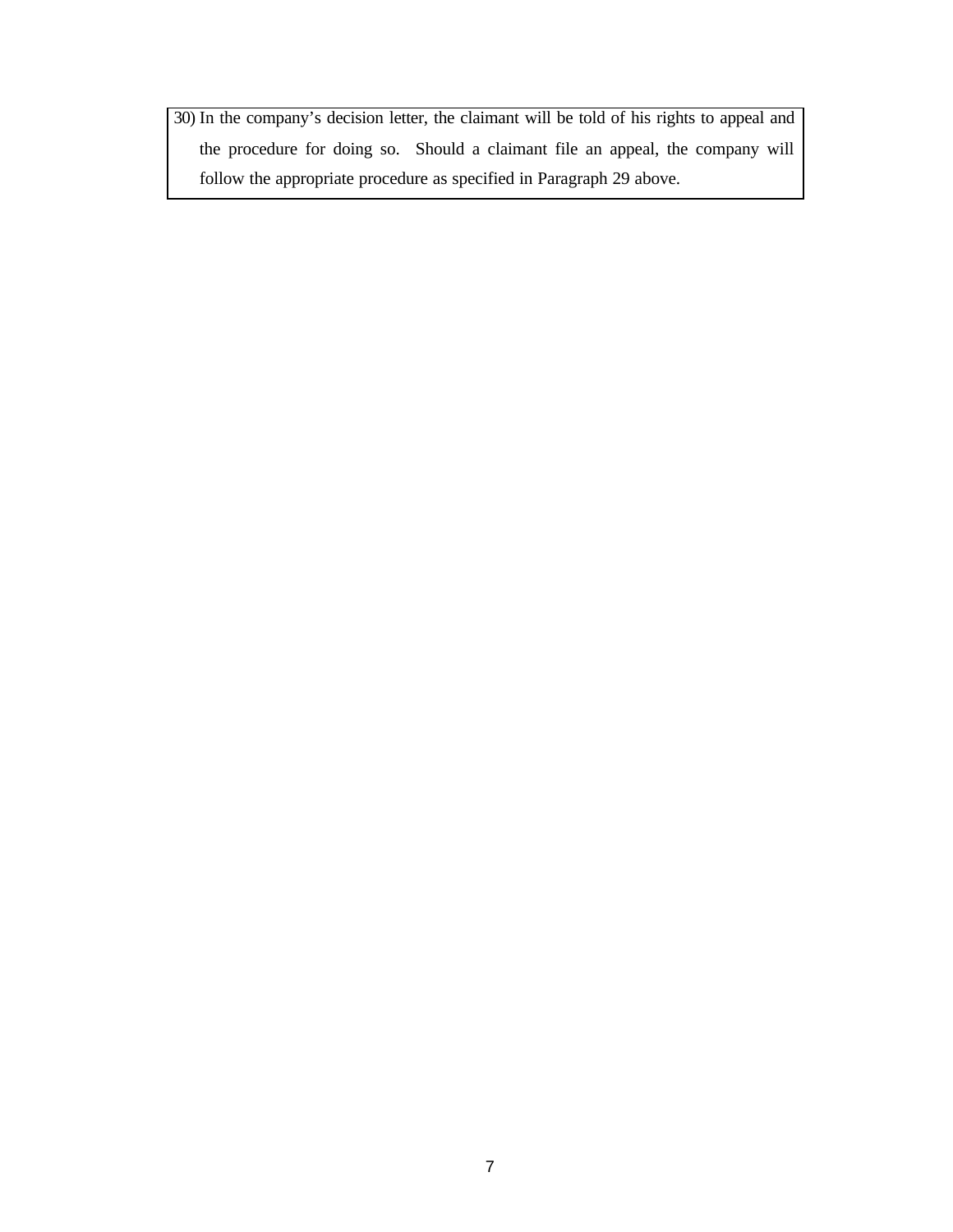30) In the company's decision letter, the claimant will be told of his rights to appeal and the procedure for doing so. Should a claimant file an appeal, the company will follow the appropriate procedure as specified in Paragraph 29 above.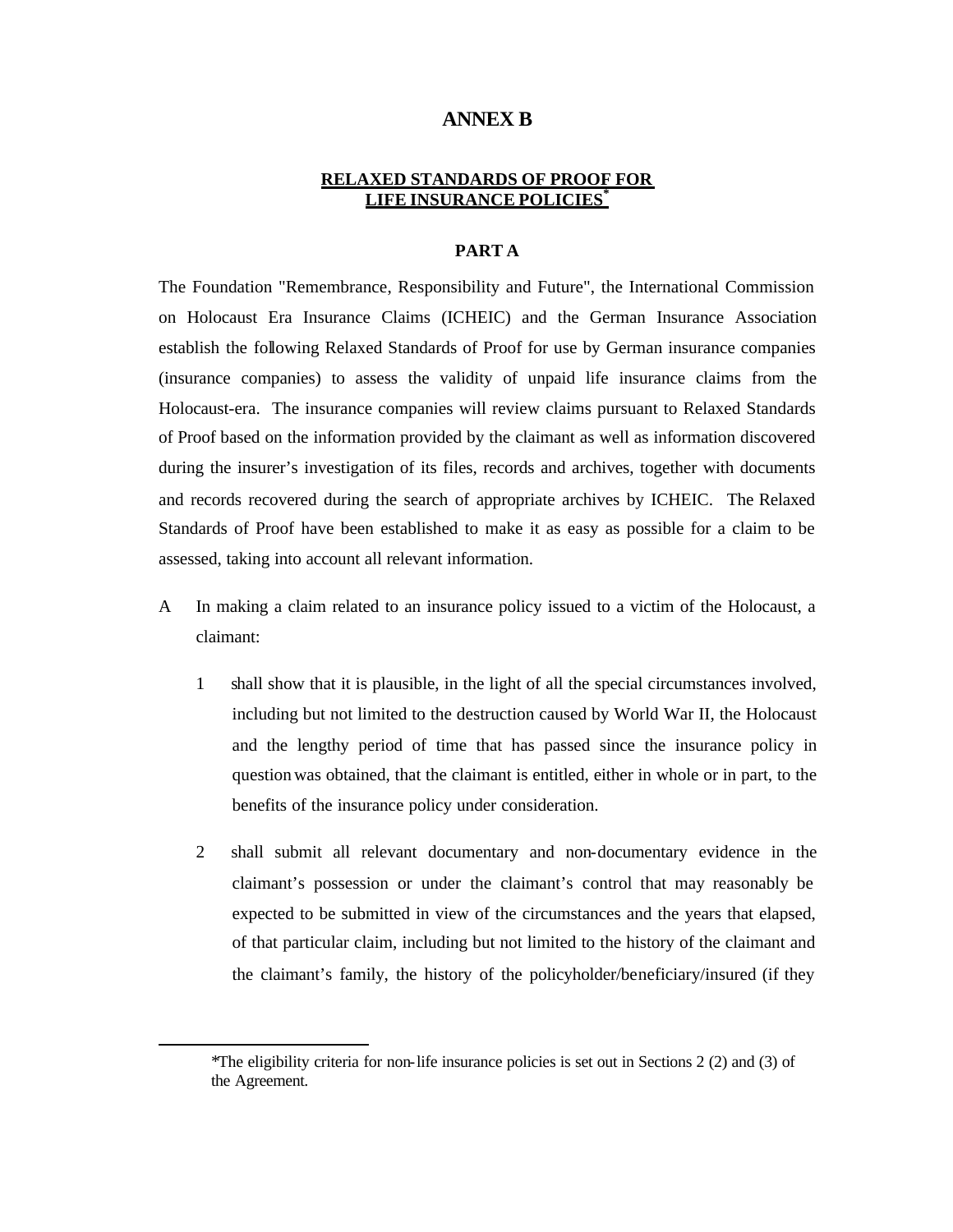# **ANNEX B**

#### **RELAXED STANDARDS OF PROOF FOR LIFE INSURANCE POLICIES\***

#### **PART A**

The Foundation "Remembrance, Responsibility and Future", the International Commission on Holocaust Era Insurance Claims (ICHEIC) and the German Insurance Association establish the following Relaxed Standards of Proof for use by German insurance companies (insurance companies) to assess the validity of unpaid life insurance claims from the Holocaust-era. The insurance companies will review claims pursuant to Relaxed Standards of Proof based on the information provided by the claimant as well as information discovered during the insurer's investigation of its files, records and archives, together with documents and records recovered during the search of appropriate archives by ICHEIC. The Relaxed Standards of Proof have been established to make it as easy as possible for a claim to be assessed, taking into account all relevant information.

- A In making a claim related to an insurance policy issued to a victim of the Holocaust, a claimant:
	- 1 shall show that it is plausible, in the light of all the special circumstances involved, including but not limited to the destruction caused by World War II, the Holocaust and the lengthy period of time that has passed since the insurance policy in question was obtained, that the claimant is entitled, either in whole or in part, to the benefits of the insurance policy under consideration.
	- 2 shall submit all relevant documentary and non-documentary evidence in the claimant's possession or under the claimant's control that may reasonably be expected to be submitted in view of the circumstances and the years that elapsed, of that particular claim, including but not limited to the history of the claimant and the claimant's family, the history of the policyholder/beneficiary/insured (if they

 $\overline{a}$ 

<sup>\*</sup>The eligibility criteria for non-life insurance policies is set out in Sections 2 (2) and (3) of the Agreement.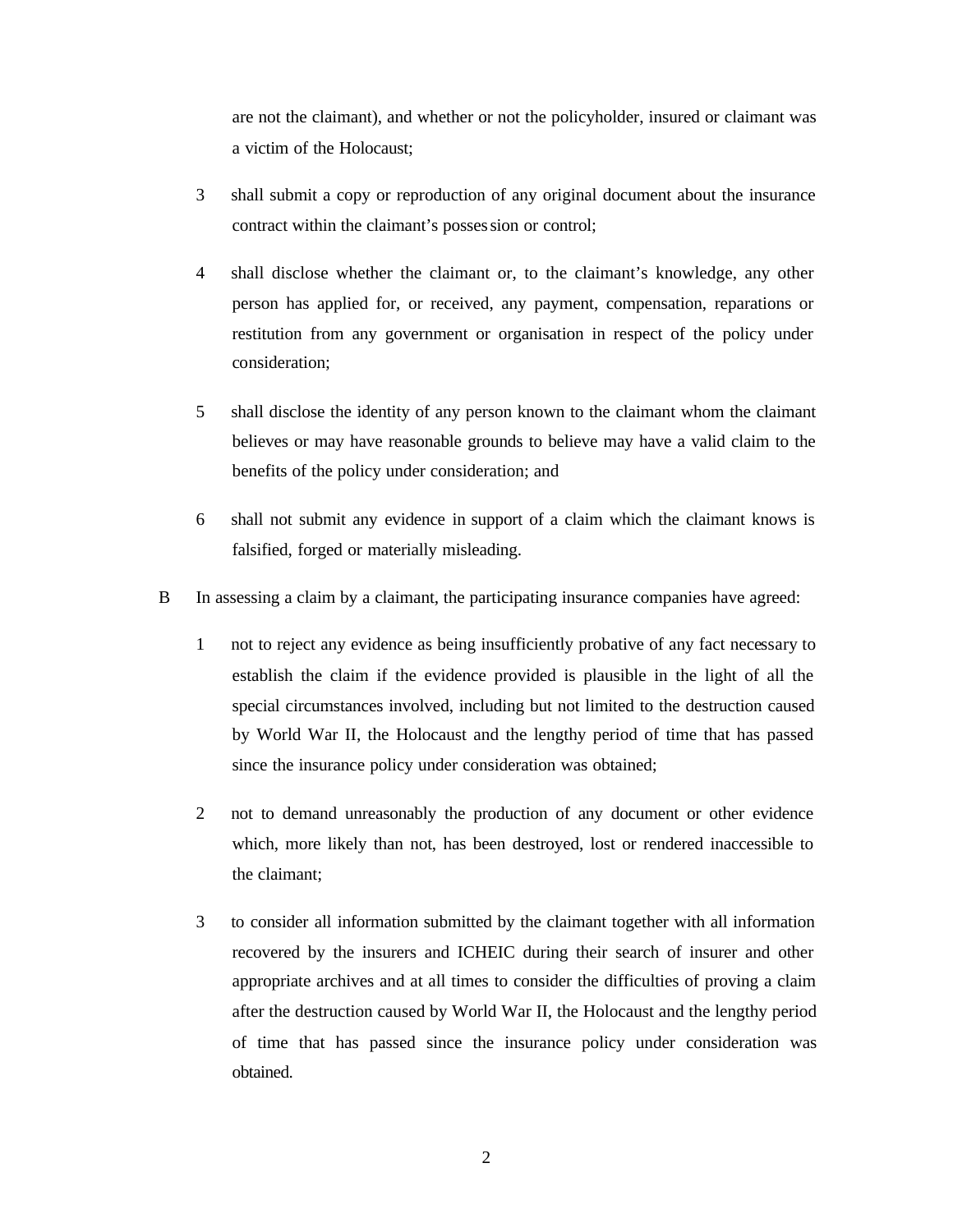are not the claimant), and whether or not the policyholder, insured or claimant was a victim of the Holocaust;

- 3 shall submit a copy or reproduction of any original document about the insurance contract within the claimant's possession or control;
- 4 shall disclose whether the claimant or, to the claimant's knowledge, any other person has applied for, or received, any payment, compensation, reparations or restitution from any government or organisation in respect of the policy under consideration;
- 5 shall disclose the identity of any person known to the claimant whom the claimant believes or may have reasonable grounds to believe may have a valid claim to the benefits of the policy under consideration; and
- 6 shall not submit any evidence in support of a claim which the claimant knows is falsified, forged or materially misleading.
- B In assessing a claim by a claimant, the participating insurance companies have agreed:
	- 1 not to reject any evidence as being insufficiently probative of any fact necessary to establish the claim if the evidence provided is plausible in the light of all the special circumstances involved, including but not limited to the destruction caused by World War II, the Holocaust and the lengthy period of time that has passed since the insurance policy under consideration was obtained;
	- 2 not to demand unreasonably the production of any document or other evidence which, more likely than not, has been destroyed, lost or rendered inaccessible to the claimant;
	- 3 to consider all information submitted by the claimant together with all information recovered by the insurers and ICHEIC during their search of insurer and other appropriate archives and at all times to consider the difficulties of proving a claim after the destruction caused by World War II, the Holocaust and the lengthy period of time that has passed since the insurance policy under consideration was obtained.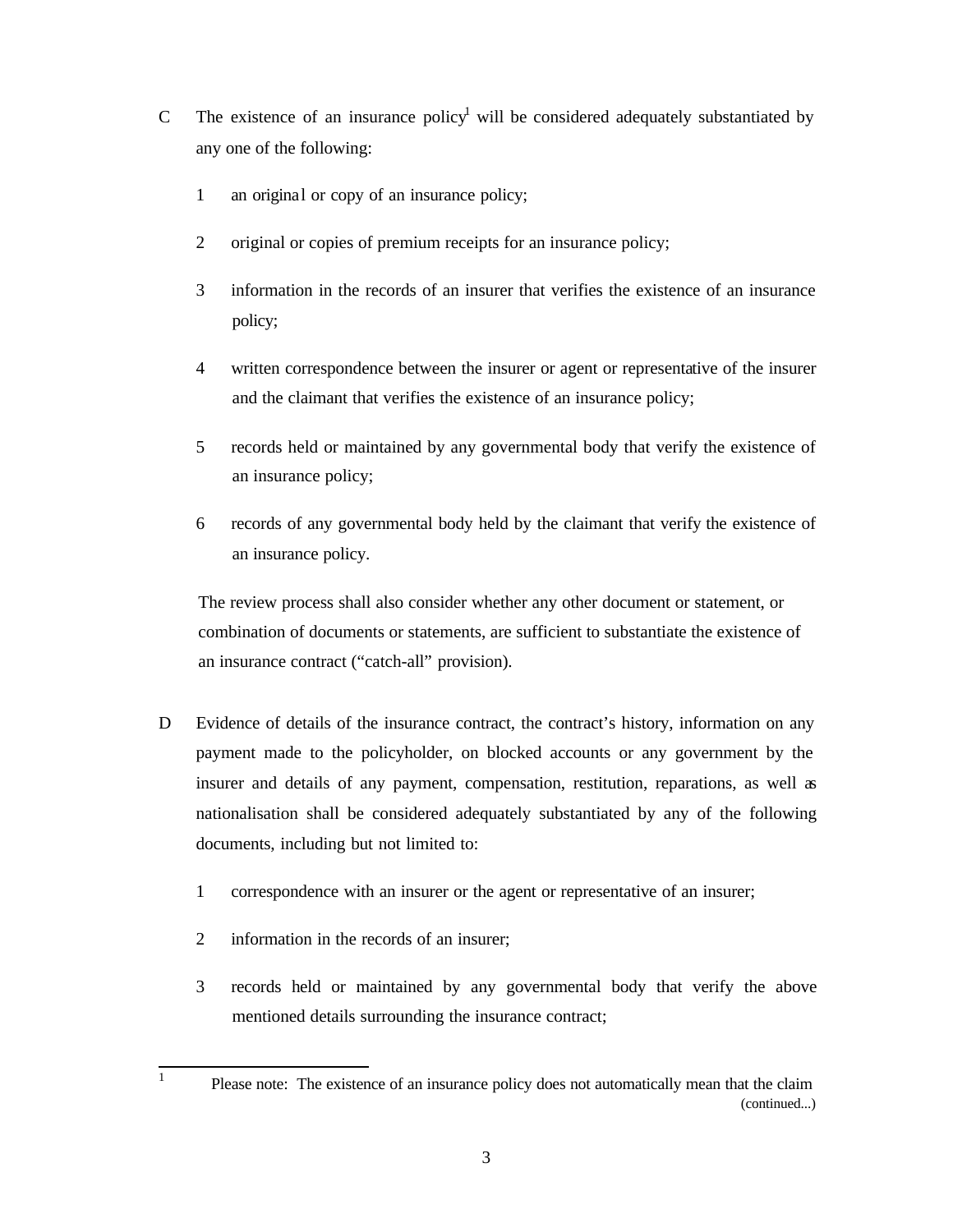- C The existence of an insurance policy<sup>1</sup> will be considered adequately substantiated by any one of the following:
	- 1 an original or copy of an insurance policy;
	- 2 original or copies of premium receipts for an insurance policy;
	- 3 information in the records of an insurer that verifies the existence of an insurance policy;
	- 4 written correspondence between the insurer or agent or representative of the insurer and the claimant that verifies the existence of an insurance policy;
	- 5 records held or maintained by any governmental body that verify the existence of an insurance policy;
	- 6 records of any governmental body held by the claimant that verify the existence of an insurance policy.

The review process shall also consider whether any other document or statement, or combination of documents or statements, are sufficient to substantiate the existence of an insurance contract ("catch-all" provision).

- D Evidence of details of the insurance contract, the contract's history, information on any payment made to the policyholder, on blocked accounts or any government by the insurer and details of any payment, compensation, restitution, reparations, as well as nationalisation shall be considered adequately substantiated by any of the following documents, including but not limited to:
	- 1 correspondence with an insurer or the agent or representative of an insurer;
	- 2 information in the records of an insurer;

 $\frac{1}{1}$ 

3 records held or maintained by any governmental body that verify the above mentioned details surrounding the insurance contract;

Please note: The existence of an insurance policy does not automatically mean that the claim (continued...)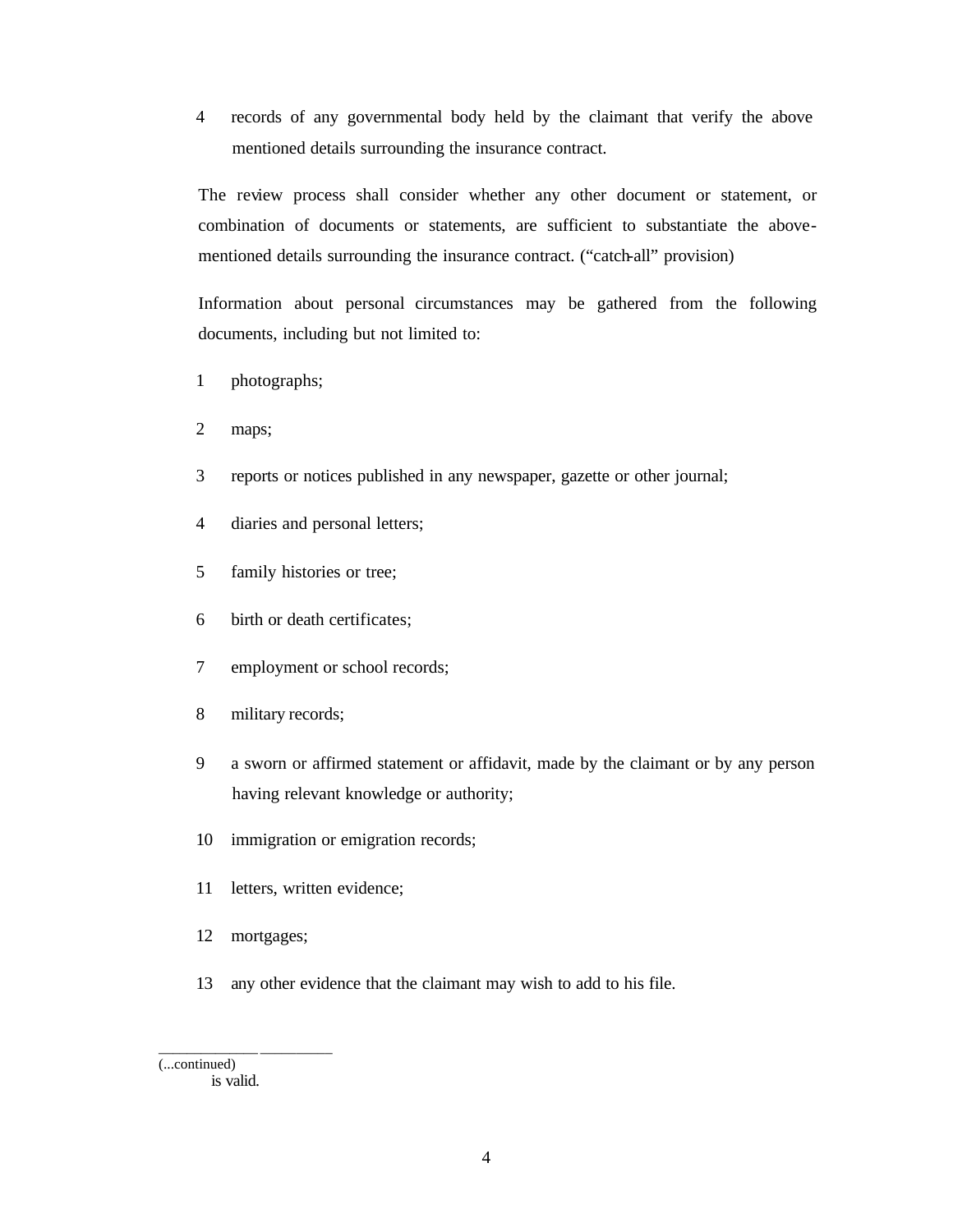4 records of any governmental body held by the claimant that verify the above mentioned details surrounding the insurance contract.

The review process shall consider whether any other document or statement, or combination of documents or statements, are sufficient to substantiate the abovementioned details surrounding the insurance contract. ("catch-all" provision)

Information about personal circumstances may be gathered from the following documents, including but not limited to:

- 1 photographs;
- 2 maps;
- 3 reports or notices published in any newspaper, gazette or other journal;
- 4 diaries and personal letters;
- 5 family histories or tree;
- 6 birth or death certificates;
- 7 employment or school records;
- 8 military records;
- 9 a sworn or affirmed statement or affidavit, made by the claimant or by any person having relevant knowledge or authority;
- 10 immigration or emigration records;
- 11 letters, written evidence;
- 12 mortgages;

\_\_\_\_\_\_\_\_\_\_\_\_\_\_ \_\_\_\_\_\_\_\_\_\_

13 any other evidence that the claimant may wish to add to his file.

(...continued) is valid.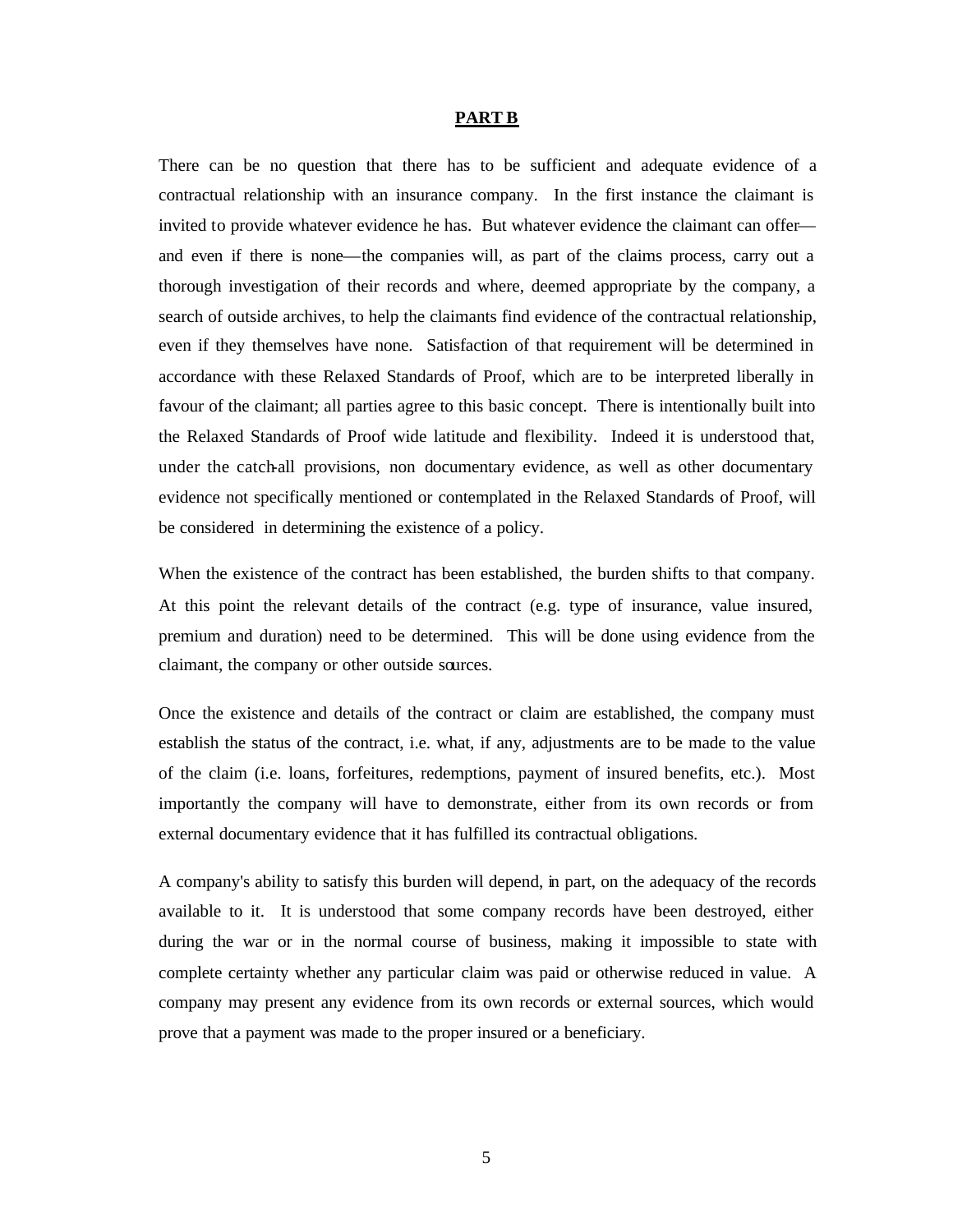#### **PART B**

There can be no question that there has to be sufficient and adequate evidence of a contractual relationship with an insurance company. In the first instance the claimant is invited to provide whatever evidence he has. But whatever evidence the claimant can offer and even if there is none—the companies will, as part of the claims process, carry out a thorough investigation of their records and where, deemed appropriate by the company, a search of outside archives, to help the claimants find evidence of the contractual relationship, even if they themselves have none. Satisfaction of that requirement will be determined in accordance with these Relaxed Standards of Proof, which are to be interpreted liberally in favour of the claimant; all parties agree to this basic concept. There is intentionally built into the Relaxed Standards of Proof wide latitude and flexibility. Indeed it is understood that, under the catch-all provisions, non documentary evidence, as well as other documentary evidence not specifically mentioned or contemplated in the Relaxed Standards of Proof, will be considered in determining the existence of a policy.

When the existence of the contract has been established, the burden shifts to that company. At this point the relevant details of the contract (e.g. type of insurance, value insured, premium and duration) need to be determined. This will be done using evidence from the claimant, the company or other outside sources.

Once the existence and details of the contract or claim are established, the company must establish the status of the contract, i.e. what, if any, adjustments are to be made to the value of the claim (i.e. loans, forfeitures, redemptions, payment of insured benefits, etc.). Most importantly the company will have to demonstrate, either from its own records or from external documentary evidence that it has fulfilled its contractual obligations.

A company's ability to satisfy this burden will depend, in part, on the adequacy of the records available to it. It is understood that some company records have been destroyed, either during the war or in the normal course of business, making it impossible to state with complete certainty whether any particular claim was paid or otherwise reduced in value. A company may present any evidence from its own records or external sources, which would prove that a payment was made to the proper insured or a beneficiary.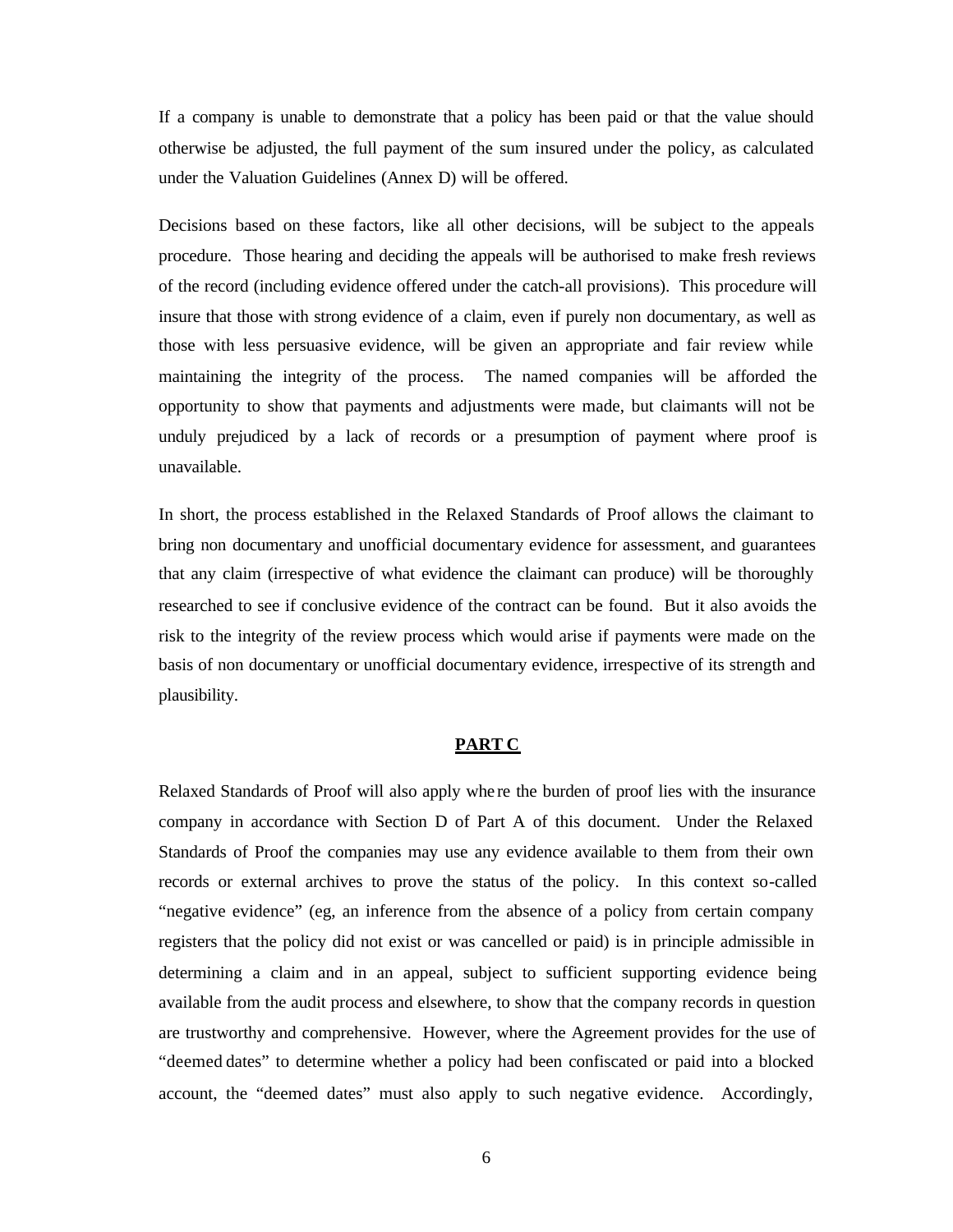If a company is unable to demonstrate that a policy has been paid or that the value should otherwise be adjusted, the full payment of the sum insured under the policy, as calculated under the Valuation Guidelines (Annex D) will be offered.

Decisions based on these factors, like all other decisions, will be subject to the appeals procedure. Those hearing and deciding the appeals will be authorised to make fresh reviews of the record (including evidence offered under the catch-all provisions). This procedure will insure that those with strong evidence of a claim, even if purely non documentary, as well as those with less persuasive evidence, will be given an appropriate and fair review while maintaining the integrity of the process. The named companies will be afforded the opportunity to show that payments and adjustments were made, but claimants will not be unduly prejudiced by a lack of records or a presumption of payment where proof is unavailable.

In short, the process established in the Relaxed Standards of Proof allows the claimant to bring non documentary and unofficial documentary evidence for assessment, and guarantees that any claim (irrespective of what evidence the claimant can produce) will be thoroughly researched to see if conclusive evidence of the contract can be found. But it also avoids the risk to the integrity of the review process which would arise if payments were made on the basis of non documentary or unofficial documentary evidence, irrespective of its strength and plausibility.

#### **PART C**

Relaxed Standards of Proof will also apply whe re the burden of proof lies with the insurance company in accordance with Section D of Part A of this document. Under the Relaxed Standards of Proof the companies may use any evidence available to them from their own records or external archives to prove the status of the policy. In this context so-called "negative evidence" (eg, an inference from the absence of a policy from certain company registers that the policy did not exist or was cancelled or paid) is in principle admissible in determining a claim and in an appeal, subject to sufficient supporting evidence being available from the audit process and elsewhere, to show that the company records in question are trustworthy and comprehensive. However, where the Agreement provides for the use of "deemed dates" to determine whether a policy had been confiscated or paid into a blocked account, the "deemed dates" must also apply to such negative evidence. Accordingly,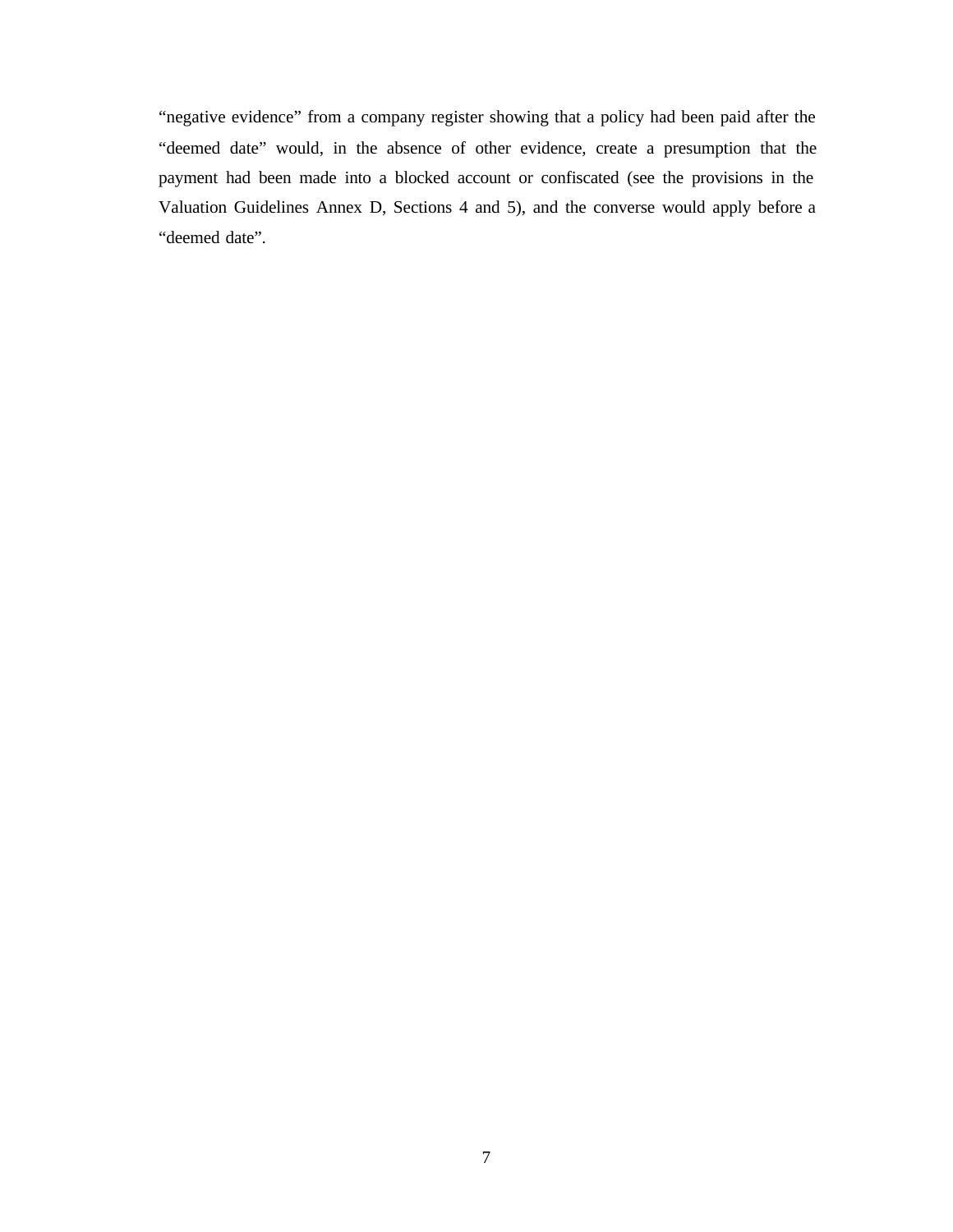"negative evidence" from a company register showing that a policy had been paid after the "deemed date" would, in the absence of other evidence, create a presumption that the payment had been made into a blocked account or confiscated (see the provisions in the Valuation Guidelines Annex D, Sections 4 and 5), and the converse would apply before a "deemed date".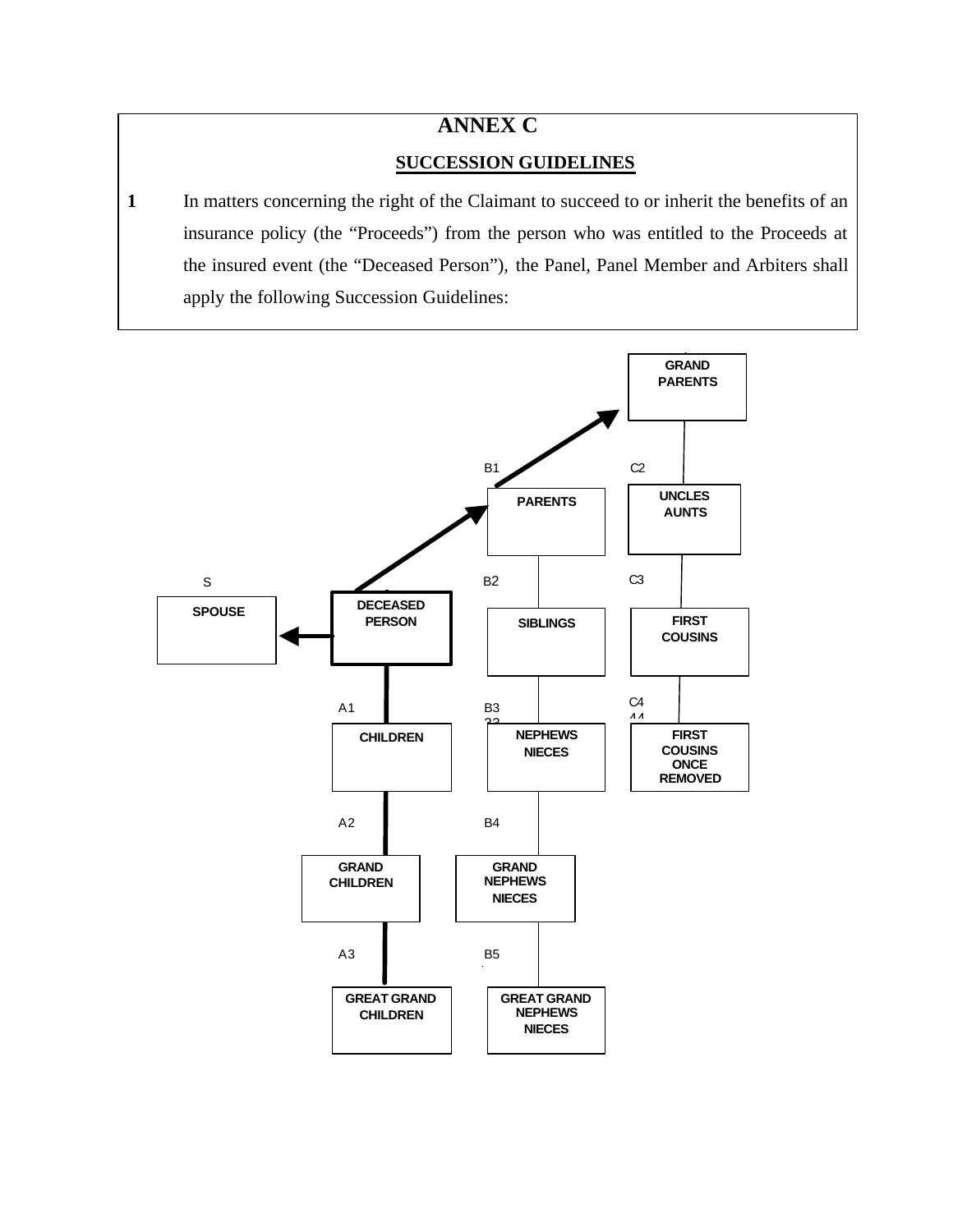# **ANNEX C**

# **SUCCESSION GUIDELINES**

**1** In matters concerning the right of the Claimant to succeed to or inherit the benefits of an insurance policy (the "Proceeds") from the person who was entitled to the Proceeds at the insured event (the "Deceased Person"), the Panel, Panel Member and Arbiters shall apply the following Succession Guidelines:

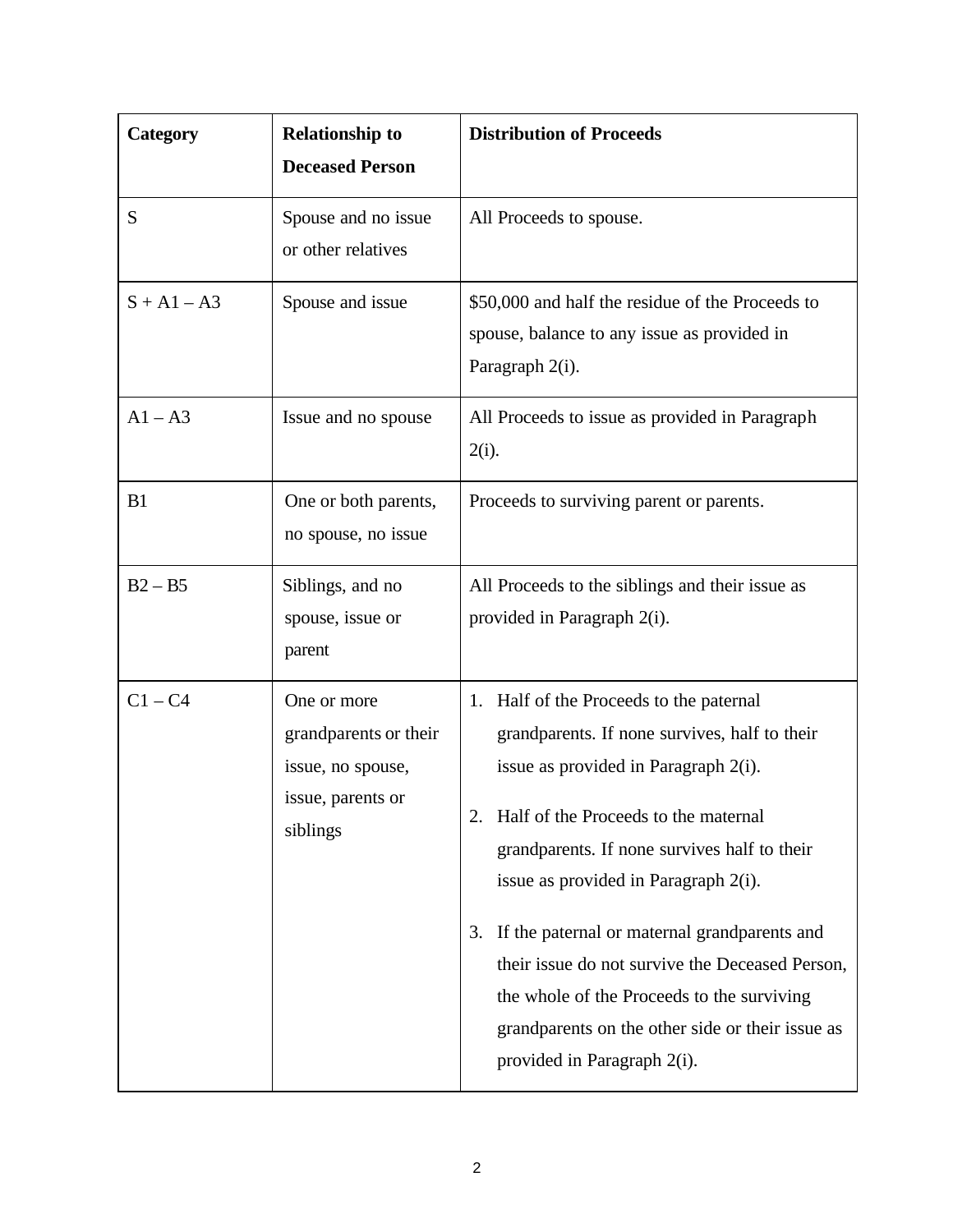| Category      | <b>Relationship to</b><br><b>Deceased Person</b>                                           | <b>Distribution of Proceeds</b>                                                                                                                                                                                                                                                                                                                                                                                                                                                                               |
|---------------|--------------------------------------------------------------------------------------------|---------------------------------------------------------------------------------------------------------------------------------------------------------------------------------------------------------------------------------------------------------------------------------------------------------------------------------------------------------------------------------------------------------------------------------------------------------------------------------------------------------------|
| S             | Spouse and no issue<br>or other relatives                                                  | All Proceeds to spouse.                                                                                                                                                                                                                                                                                                                                                                                                                                                                                       |
| $S + A1 - A3$ | Spouse and issue                                                                           | \$50,000 and half the residue of the Proceeds to<br>spouse, balance to any issue as provided in<br>Paragraph 2(i).                                                                                                                                                                                                                                                                                                                                                                                            |
| $A1 - A3$     | Issue and no spouse                                                                        | All Proceeds to issue as provided in Paragraph<br>$2(i)$ .                                                                                                                                                                                                                                                                                                                                                                                                                                                    |
| B1            | One or both parents,<br>no spouse, no issue                                                | Proceeds to surviving parent or parents.                                                                                                                                                                                                                                                                                                                                                                                                                                                                      |
| $B2 - B5$     | Siblings, and no<br>spouse, issue or<br>parent                                             | All Proceeds to the siblings and their issue as<br>provided in Paragraph 2(i).                                                                                                                                                                                                                                                                                                                                                                                                                                |
| $C1 - C4$     | One or more<br>grandparents or their<br>issue, no spouse,<br>issue, parents or<br>siblings | 1. Half of the Proceeds to the paternal<br>grandparents. If none survives, half to their<br>issue as provided in Paragraph 2(i).<br>2. Half of the Proceeds to the maternal<br>grandparents. If none survives half to their<br>issue as provided in Paragraph 2(i).<br>If the paternal or maternal grandparents and<br>3.<br>their issue do not survive the Deceased Person,<br>the whole of the Proceeds to the surviving<br>grandparents on the other side or their issue as<br>provided in Paragraph 2(i). |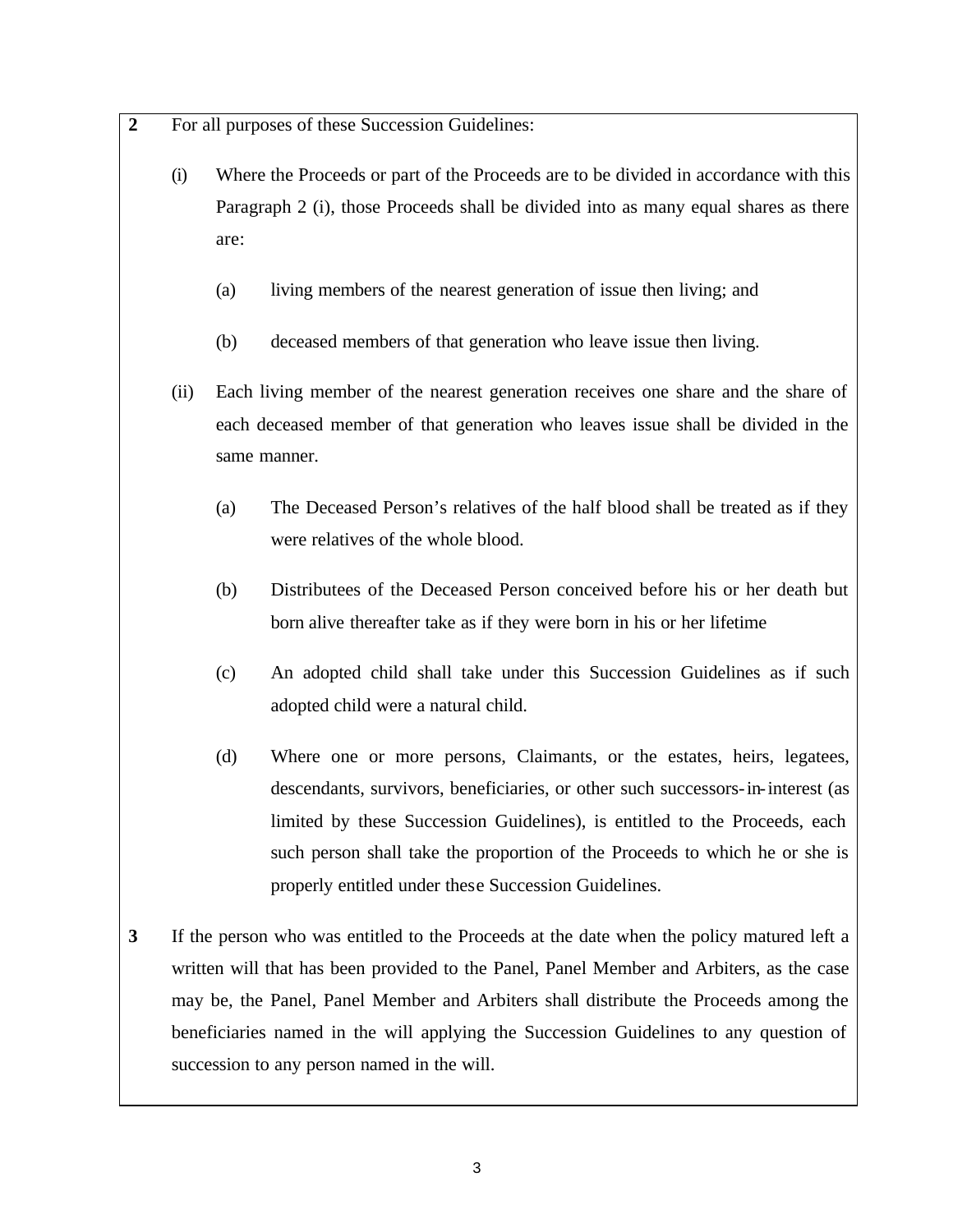**2** For all purposes of these Succession Guidelines:

- (i) Where the Proceeds or part of the Proceeds are to be divided in accordance with this Paragraph 2 (i), those Proceeds shall be divided into as many equal shares as there are:
	- (a) living members of the nearest generation of issue then living; and
	- (b) deceased members of that generation who leave issue then living.
- (ii) Each living member of the nearest generation receives one share and the share of each deceased member of that generation who leaves issue shall be divided in the same manner.
	- (a) The Deceased Person's relatives of the half blood shall be treated as if they were relatives of the whole blood.
	- (b) Distributees of the Deceased Person conceived before his or her death but born alive thereafter take as if they were born in his or her lifetime
	- (c) An adopted child shall take under this Succession Guidelines as if such adopted child were a natural child.
	- (d) Where one or more persons, Claimants, or the estates, heirs, legatees, descendants, survivors, beneficiaries, or other such successors-in-interest (as limited by these Succession Guidelines), is entitled to the Proceeds, each such person shall take the proportion of the Proceeds to which he or she is properly entitled under these Succession Guidelines.
- **3** If the person who was entitled to the Proceeds at the date when the policy matured left a written will that has been provided to the Panel, Panel Member and Arbiters, as the case may be, the Panel, Panel Member and Arbiters shall distribute the Proceeds among the beneficiaries named in the will applying the Succession Guidelines to any question of succession to any person named in the will.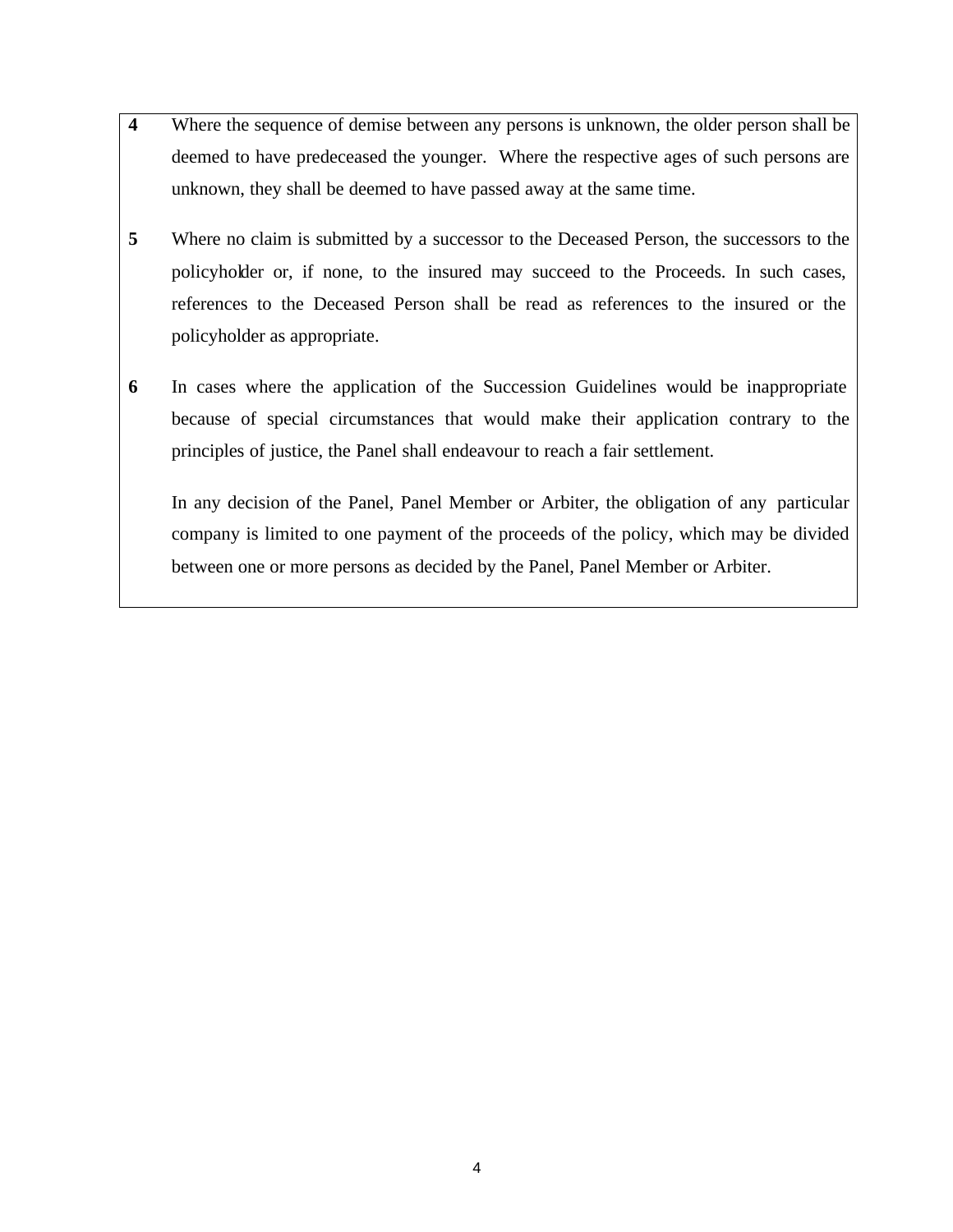- **4** Where the sequence of demise between any persons is unknown, the older person shall be deemed to have predeceased the younger. Where the respective ages of such persons are unknown, they shall be deemed to have passed away at the same time.
- **5** Where no claim is submitted by a successor to the Deceased Person, the successors to the policyholder or, if none, to the insured may succeed to the Proceeds. In such cases, references to the Deceased Person shall be read as references to the insured or the policyholder as appropriate.
- **6** In cases where the application of the Succession Guidelines would be inappropriate because of special circumstances that would make their application contrary to the principles of justice, the Panel shall endeavour to reach a fair settlement.

In any decision of the Panel, Panel Member or Arbiter, the obligation of any particular company is limited to one payment of the proceeds of the policy, which may be divided between one or more persons as decided by the Panel, Panel Member or Arbiter.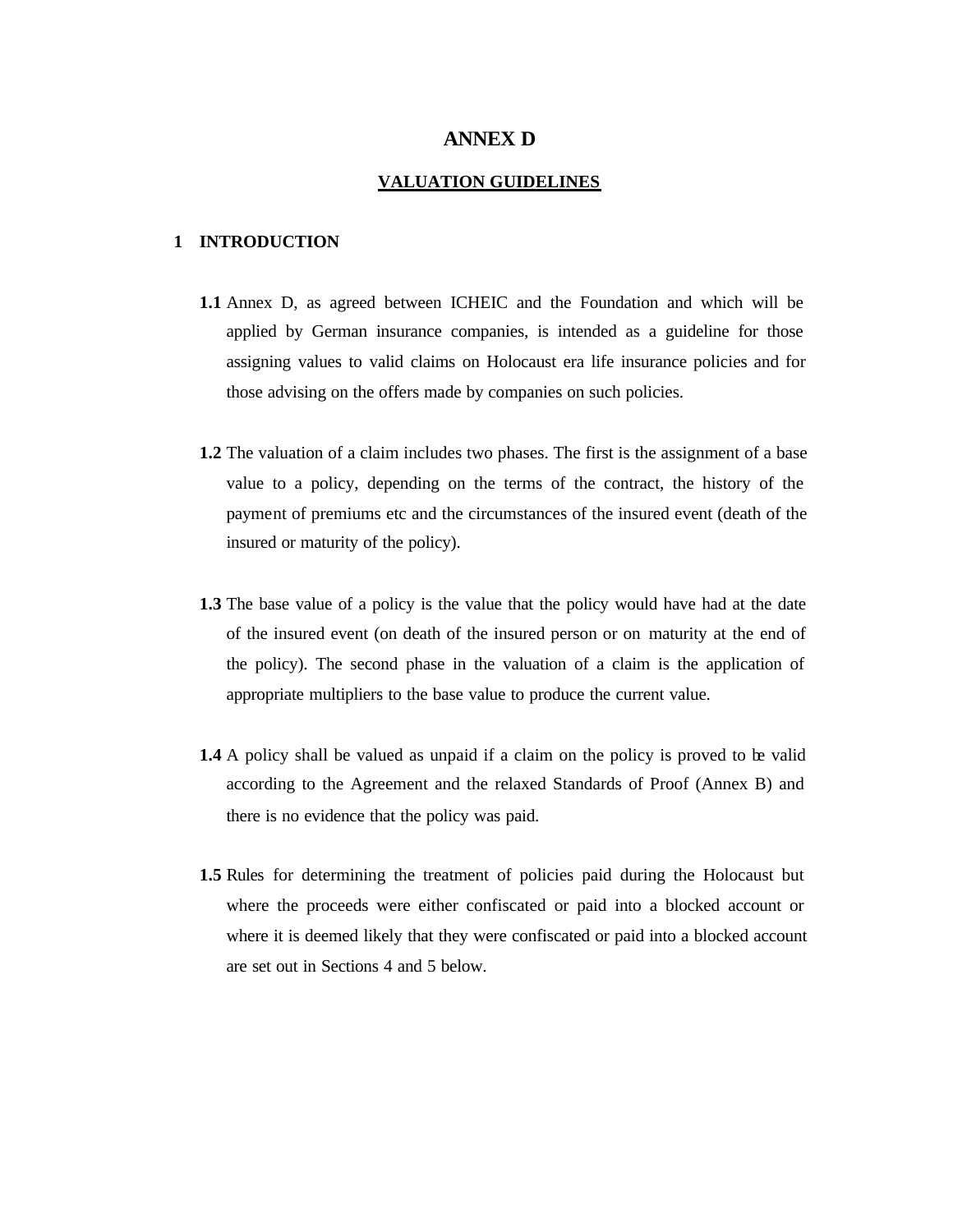## **ANNEX D**

### **VALUATION GUIDELINES**

### **1 INTRODUCTION**

- **1.1** Annex D, as agreed between ICHEIC and the Foundation and which will be applied by German insurance companies, is intended as a guideline for those assigning values to valid claims on Holocaust era life insurance policies and for those advising on the offers made by companies on such policies.
- **1.2** The valuation of a claim includes two phases. The first is the assignment of a base value to a policy, depending on the terms of the contract, the history of the payment of premiums etc and the circumstances of the insured event (death of the insured or maturity of the policy).
- **1.3** The base value of a policy is the value that the policy would have had at the date of the insured event (on death of the insured person or on maturity at the end of the policy). The second phase in the valuation of a claim is the application of appropriate multipliers to the base value to produce the current value.
- **1.4** A policy shall be valued as unpaid if a claim on the policy is proved to be valid according to the Agreement and the relaxed Standards of Proof (Annex B) and there is no evidence that the policy was paid.
- **1.5** Rules for determining the treatment of policies paid during the Holocaust but where the proceeds were either confiscated or paid into a blocked account or where it is deemed likely that they were confiscated or paid into a blocked account are set out in Sections 4 and 5 below.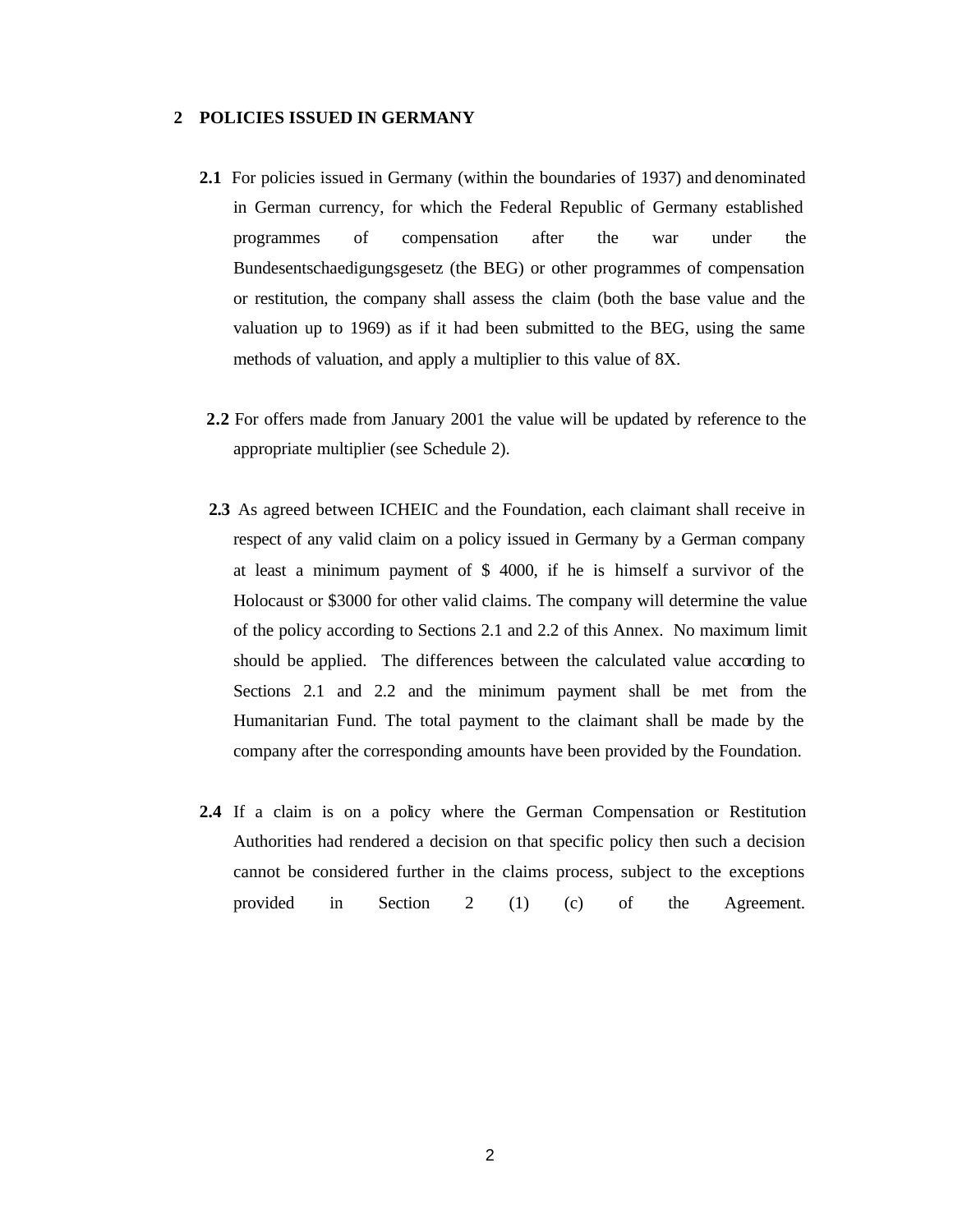### **2 POLICIES ISSUED IN GERMANY**

- **2.1** For policies issued in Germany (within the boundaries of 1937) and denominated in German currency, for which the Federal Republic of Germany established programmes of compensation after the war under the Bundesentschaedigungsgesetz (the BEG) or other programmes of compensation or restitution, the company shall assess the claim (both the base value and the valuation up to 1969) as if it had been submitted to the BEG, using the same methods of valuation, and apply a multiplier to this value of 8X.
- **2.2** For offers made from January 2001 the value will be updated by reference to the appropriate multiplier (see Schedule 2).
- **2.3** As agreed between ICHEIC and the Foundation, each claimant shall receive in respect of any valid claim on a policy issued in Germany by a German company at least a minimum payment of \$ 4000, if he is himself a survivor of the Holocaust or \$3000 for other valid claims. The company will determine the value of the policy according to Sections 2.1 and 2.2 of this Annex. No maximum limit should be applied. The differences between the calculated value according to Sections 2.1 and 2.2 and the minimum payment shall be met from the Humanitarian Fund. The total payment to the claimant shall be made by the company after the corresponding amounts have been provided by the Foundation.
- **2.4** If a claim is on a policy where the German Compensation or Restitution Authorities had rendered a decision on that specific policy then such a decision cannot be considered further in the claims process, subject to the exceptions provided in Section 2 (1) (c) of the Agreement.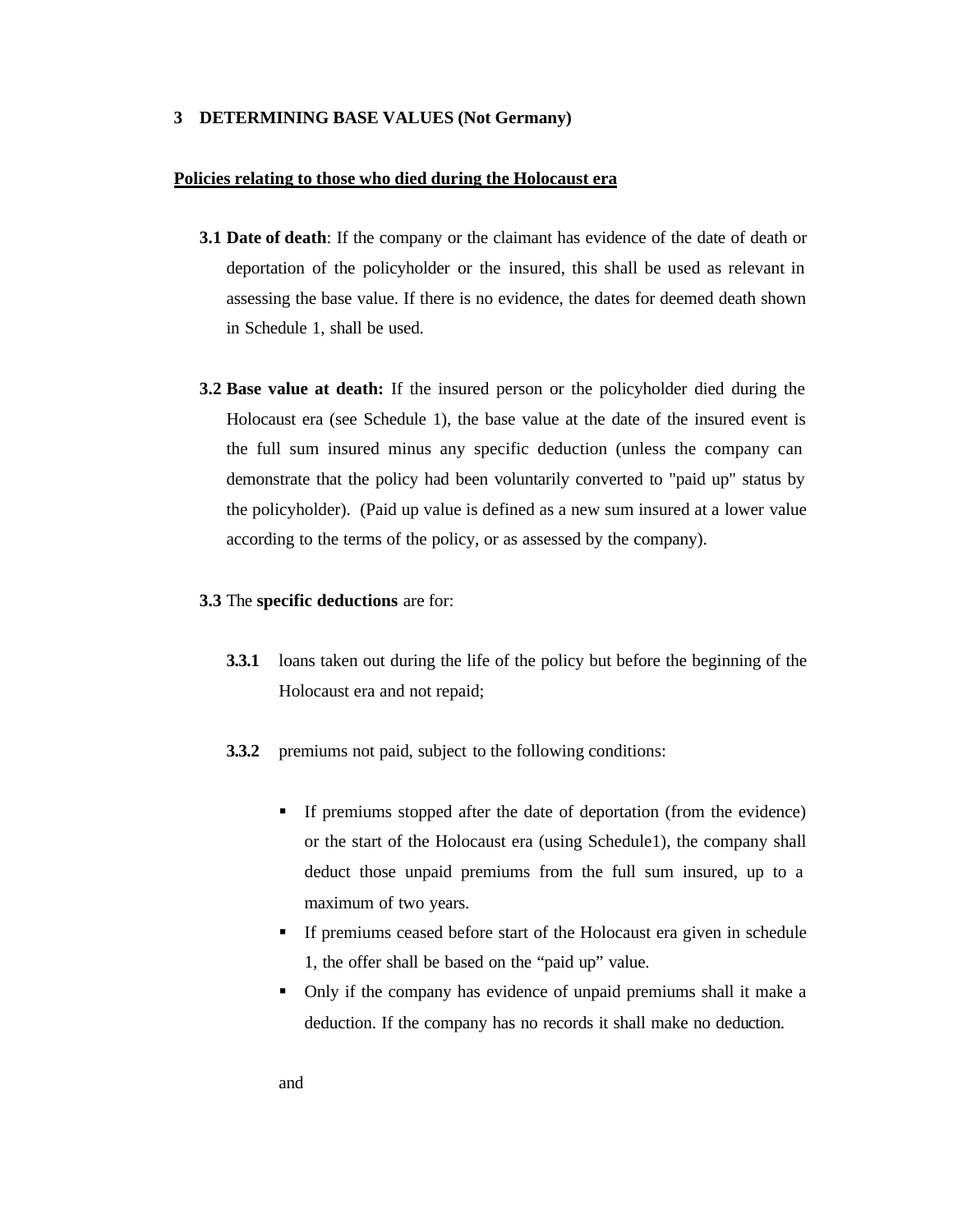### **3 DETERMINING BASE VALUES (Not Germany)**

### **Policies relating to those who died during the Holocaust era**

- **3.1 Date of death**: If the company or the claimant has evidence of the date of death or deportation of the policyholder or the insured, this shall be used as relevant in assessing the base value. If there is no evidence, the dates for deemed death shown in Schedule 1, shall be used.
- **3.2 Base value at death:** If the insured person or the policyholder died during the Holocaust era (see Schedule 1), the base value at the date of the insured event is the full sum insured minus any specific deduction (unless the company can demonstrate that the policy had been voluntarily converted to "paid up" status by the policyholder). (Paid up value is defined as a new sum insured at a lower value according to the terms of the policy, or as assessed by the company).

### **3.3** The **specific deductions** are for:

- **3.3.1** loans taken out during the life of the policy but before the beginning of the Holocaust era and not repaid;
- **3.3.2** premiums not paid, subject to the following conditions:
	- If premiums stopped after the date of deportation (from the evidence) or the start of the Holocaust era (using Schedule1), the company shall deduct those unpaid premiums from the full sum insured, up to a maximum of two years.
	- If premiums ceased before start of the Holocaust era given in schedule 1, the offer shall be based on the "paid up" value.
	- Only if the company has evidence of unpaid premiums shall it make a deduction. If the company has no records it shall make no deduction.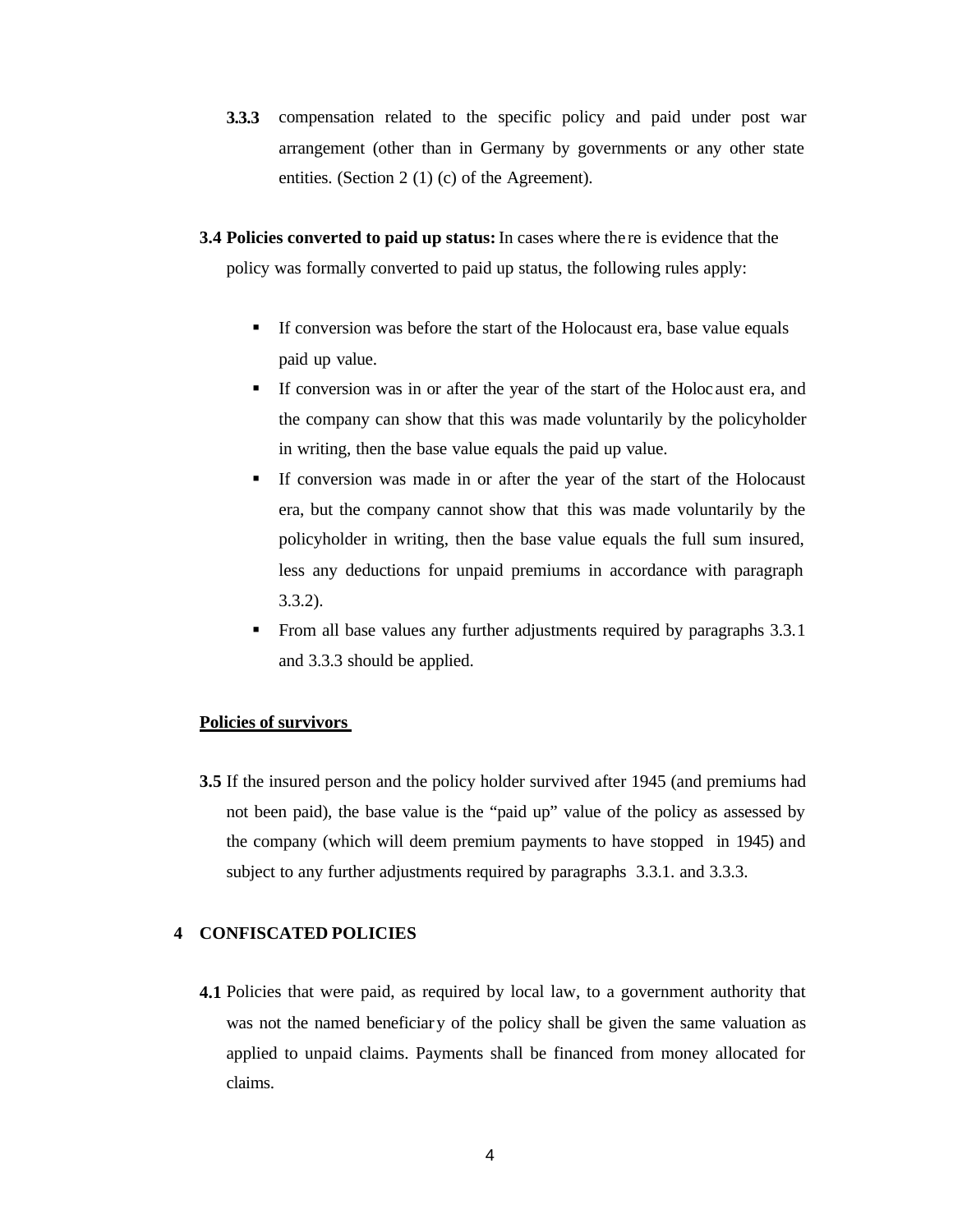- **3.3.3** compensation related to the specific policy and paid under post war arrangement (other than in Germany by governments or any other state entities. (Section 2 (1) (c) of the Agreement).
- **3.4 Policies converted to paid up status:** In cases where the re is evidence that the policy was formally converted to paid up status, the following rules apply:
	- If conversion was before the start of the Holocaust era, base value equals paid up value.
	- ß If conversion was in or after the year of the start of the Holoc aust era, and the company can show that this was made voluntarily by the policyholder in writing, then the base value equals the paid up value.
	- ß If conversion was made in or after the year of the start of the Holocaust era, but the company cannot show that this was made voluntarily by the policyholder in writing, then the base value equals the full sum insured, less any deductions for unpaid premiums in accordance with paragraph 3.3.2).
	- ß From all base values any further adjustments required by paragraphs 3.3.1 and 3.3.3 should be applied.

### **Policies of survivors**

**3.5** If the insured person and the policy holder survived after 1945 (and premiums had not been paid), the base value is the "paid up" value of the policy as assessed by the company (which will deem premium payments to have stopped in 1945) and subject to any further adjustments required by paragraphs 3.3.1. and 3.3.3.

## **4 CONFISCATED POLICIES**

**4.1** Policies that were paid, as required by local law, to a government authority that was not the named beneficiary of the policy shall be given the same valuation as applied to unpaid claims. Payments shall be financed from money allocated for claims.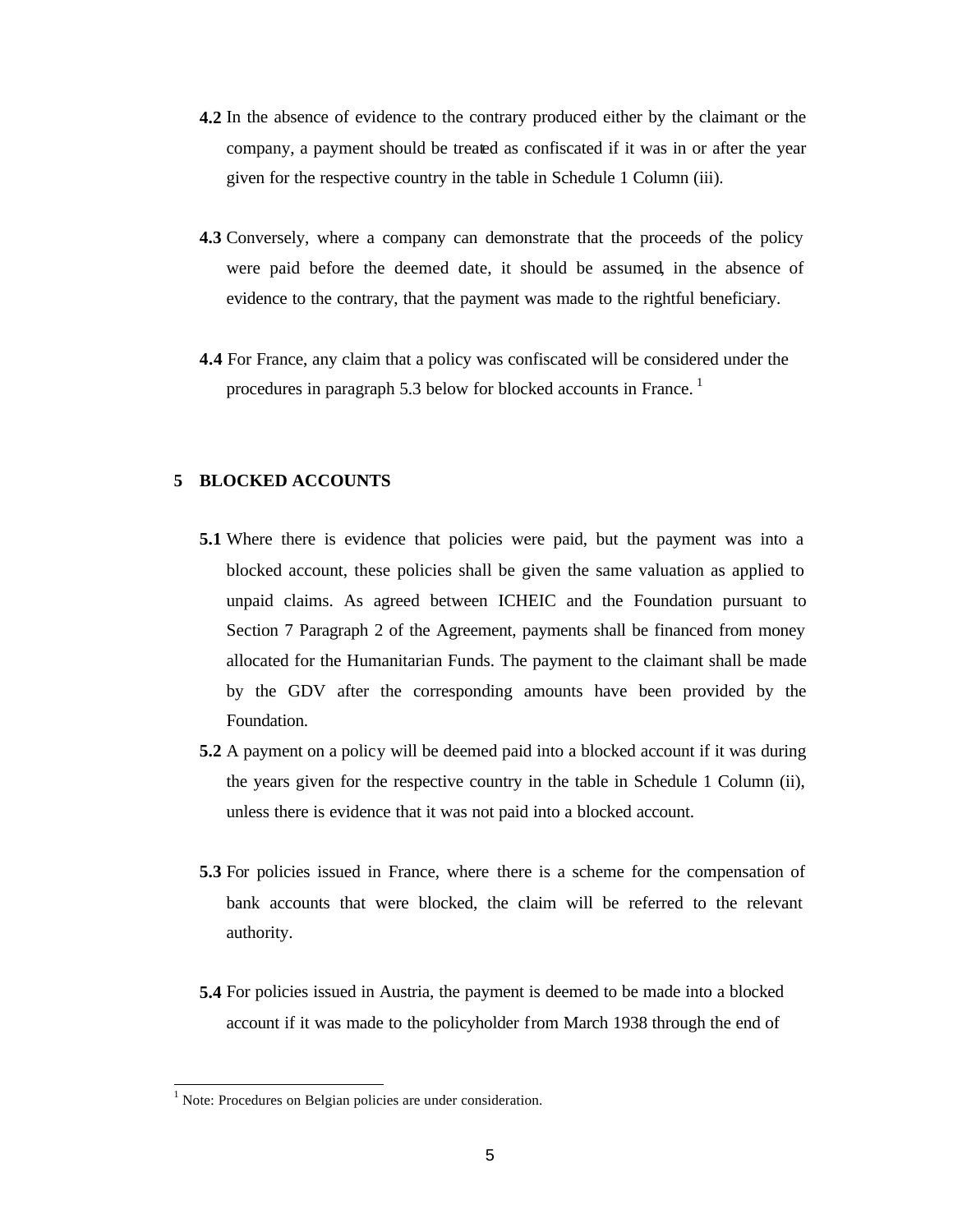- **4.2** In the absence of evidence to the contrary produced either by the claimant or the company, a payment should be treated as confiscated if it was in or after the year given for the respective country in the table in Schedule 1 Column (iii).
- **4.3** Conversely, where a company can demonstrate that the proceeds of the policy were paid before the deemed date, it should be assumed, in the absence of evidence to the contrary, that the payment was made to the rightful beneficiary.
- **4.4** For France, any claim that a policy was confiscated will be considered under the procedures in paragraph 5.3 below for blocked accounts in France.<sup>1</sup>

## **5 BLOCKED ACCOUNTS**

- **5.1** Where there is evidence that policies were paid, but the payment was into a blocked account, these policies shall be given the same valuation as applied to unpaid claims. As agreed between ICHEIC and the Foundation pursuant to Section 7 Paragraph 2 of the Agreement, payments shall be financed from money allocated for the Humanitarian Funds. The payment to the claimant shall be made by the GDV after the corresponding amounts have been provided by the Foundation.
- **5.2** A payment on a policy will be deemed paid into a blocked account if it was during the years given for the respective country in the table in Schedule 1 Column (ii), unless there is evidence that it was not paid into a blocked account.
- **5.3** For policies issued in France, where there is a scheme for the compensation of bank accounts that were blocked, the claim will be referred to the relevant authority.
- **5.4** For policies issued in Austria, the payment is deemed to be made into a blocked account if it was made to the policyholder from March 1938 through the end of

 $\overline{\phantom{a}}$ 

 $<sup>1</sup>$  Note: Procedures on Belgian policies are under consideration.</sup>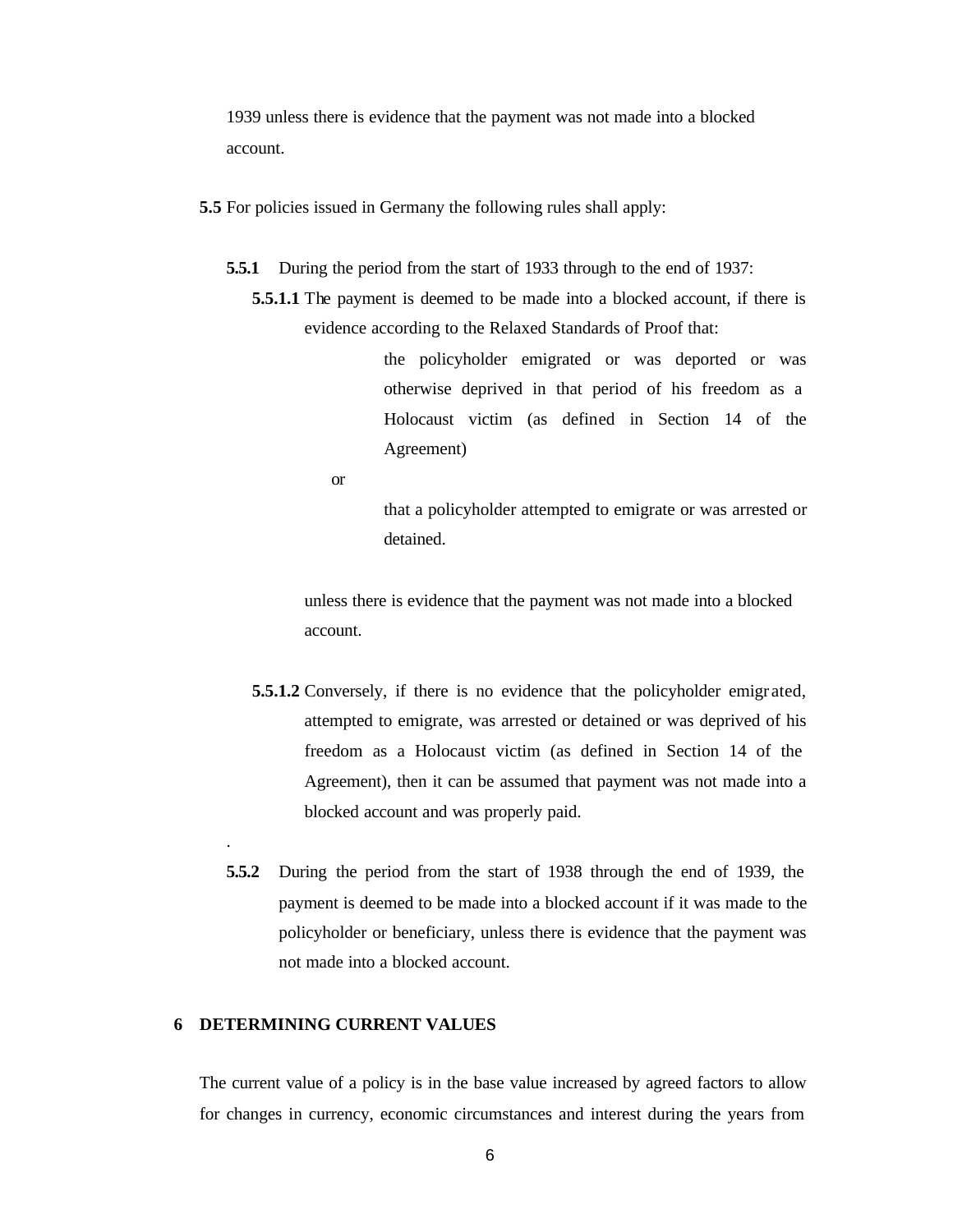1939 unless there is evidence that the payment was not made into a blocked account.

**5.5** For policies issued in Germany the following rules shall apply:

**5.5.1** During the period from the start of 1933 through to the end of 1937:

**5.5.1.1** The payment is deemed to be made into a blocked account, if there is evidence according to the Relaxed Standards of Proof that:

> the policyholder emigrated or was deported or was otherwise deprived in that period of his freedom as a Holocaust victim (as defined in Section 14 of the Agreement)

or

that a policyholder attempted to emigrate or was arrested or detained.

unless there is evidence that the payment was not made into a blocked account.

- **5.5.1.2** Conversely, if there is no evidence that the policyholder emigrated, attempted to emigrate, was arrested or detained or was deprived of his freedom as a Holocaust victim (as defined in Section 14 of the Agreement), then it can be assumed that payment was not made into a blocked account and was properly paid.
- **5.5.2** During the period from the start of 1938 through the end of 1939, the payment is deemed to be made into a blocked account if it was made to the policyholder or beneficiary, unless there is evidence that the payment was not made into a blocked account.

## **6 DETERMINING CURRENT VALUES**

.

The current value of a policy is in the base value increased by agreed factors to allow for changes in currency, economic circumstances and interest during the years from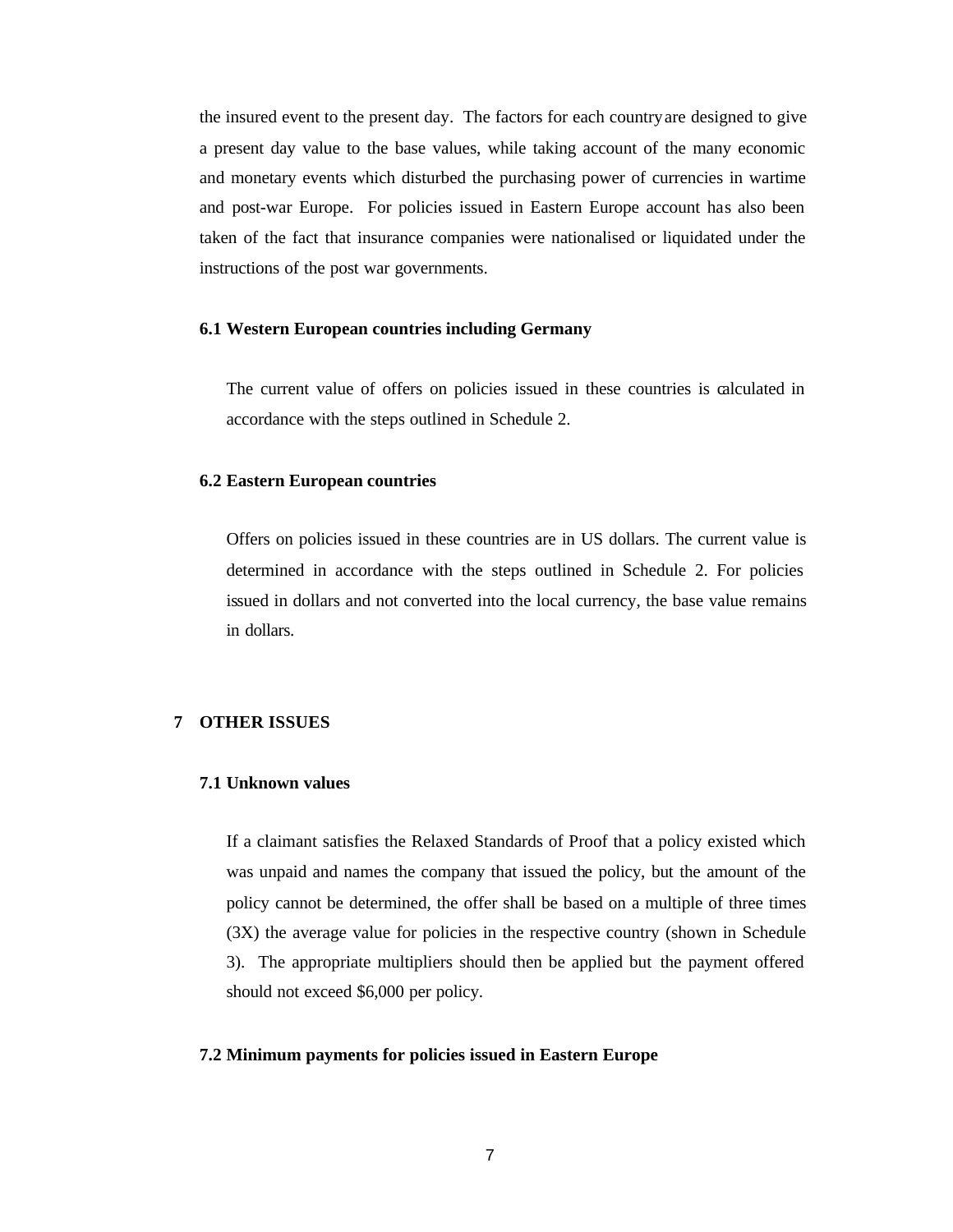the insured event to the present day. The factors for each country are designed to give a present day value to the base values, while taking account of the many economic and monetary events which disturbed the purchasing power of currencies in wartime and post-war Europe. For policies issued in Eastern Europe account has also been taken of the fact that insurance companies were nationalised or liquidated under the instructions of the post war governments.

### **6.1 Western European countries including Germany**

The current value of offers on policies issued in these countries is calculated in accordance with the steps outlined in Schedule 2.

### **6.2 Eastern European countries**

Offers on policies issued in these countries are in US dollars. The current value is determined in accordance with the steps outlined in Schedule 2. For policies issued in dollars and not converted into the local currency, the base value remains in dollars.

### **7 OTHER ISSUES**

### **7.1 Unknown values**

If a claimant satisfies the Relaxed Standards of Proof that a policy existed which was unpaid and names the company that issued the policy, but the amount of the policy cannot be determined, the offer shall be based on a multiple of three times (3X) the average value for policies in the respective country (shown in Schedule 3). The appropriate multipliers should then be applied but the payment offered should not exceed \$6,000 per policy.

### **7.2 Minimum payments for policies issued in Eastern Europe**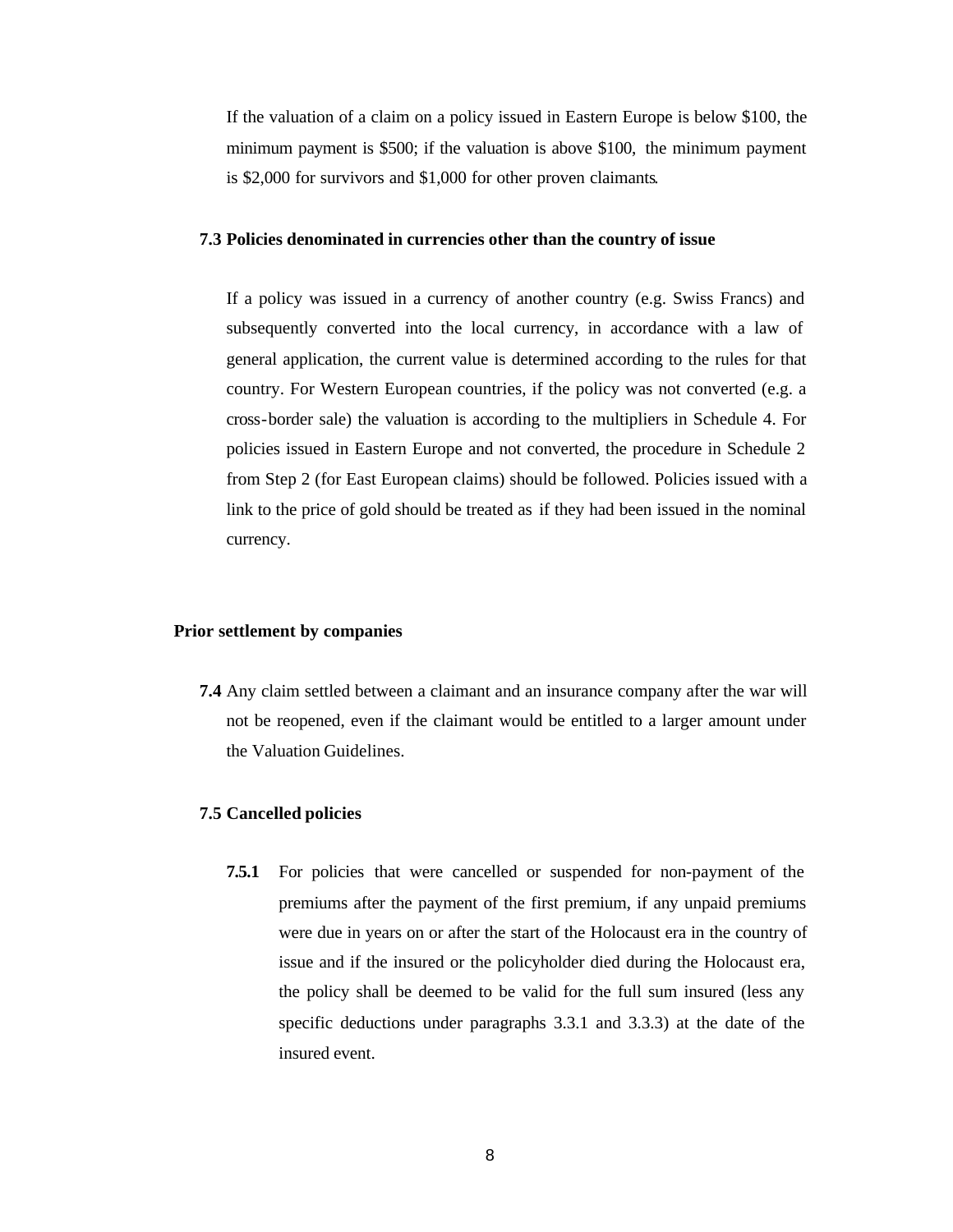If the valuation of a claim on a policy issued in Eastern Europe is below \$100, the minimum payment is \$500; if the valuation is above \$100, the minimum payment is \$2,000 for survivors and \$1,000 for other proven claimants*.*

## **7.3 Policies denominated in currencies other than the country of issue**

If a policy was issued in a currency of another country (e.g. Swiss Francs) and subsequently converted into the local currency, in accordance with a law of general application, the current value is determined according to the rules for that country. For Western European countries, if the policy was not converted (e.g. a cross-border sale) the valuation is according to the multipliers in Schedule 4. For policies issued in Eastern Europe and not converted, the procedure in Schedule 2 from Step 2 (for East European claims) should be followed. Policies issued with a link to the price of gold should be treated as if they had been issued in the nominal currency.

### **Prior settlement by companies**

**7.4** Any claim settled between a claimant and an insurance company after the war will not be reopened, even if the claimant would be entitled to a larger amount under the Valuation Guidelines.

### **7.5 Cancelled policies**

**7.5.1** For policies that were cancelled or suspended for non-payment of the premiums after the payment of the first premium, if any unpaid premiums were due in years on or after the start of the Holocaust era in the country of issue and if the insured or the policyholder died during the Holocaust era, the policy shall be deemed to be valid for the full sum insured (less any specific deductions under paragraphs 3.3.1 and 3.3.3) at the date of the insured event.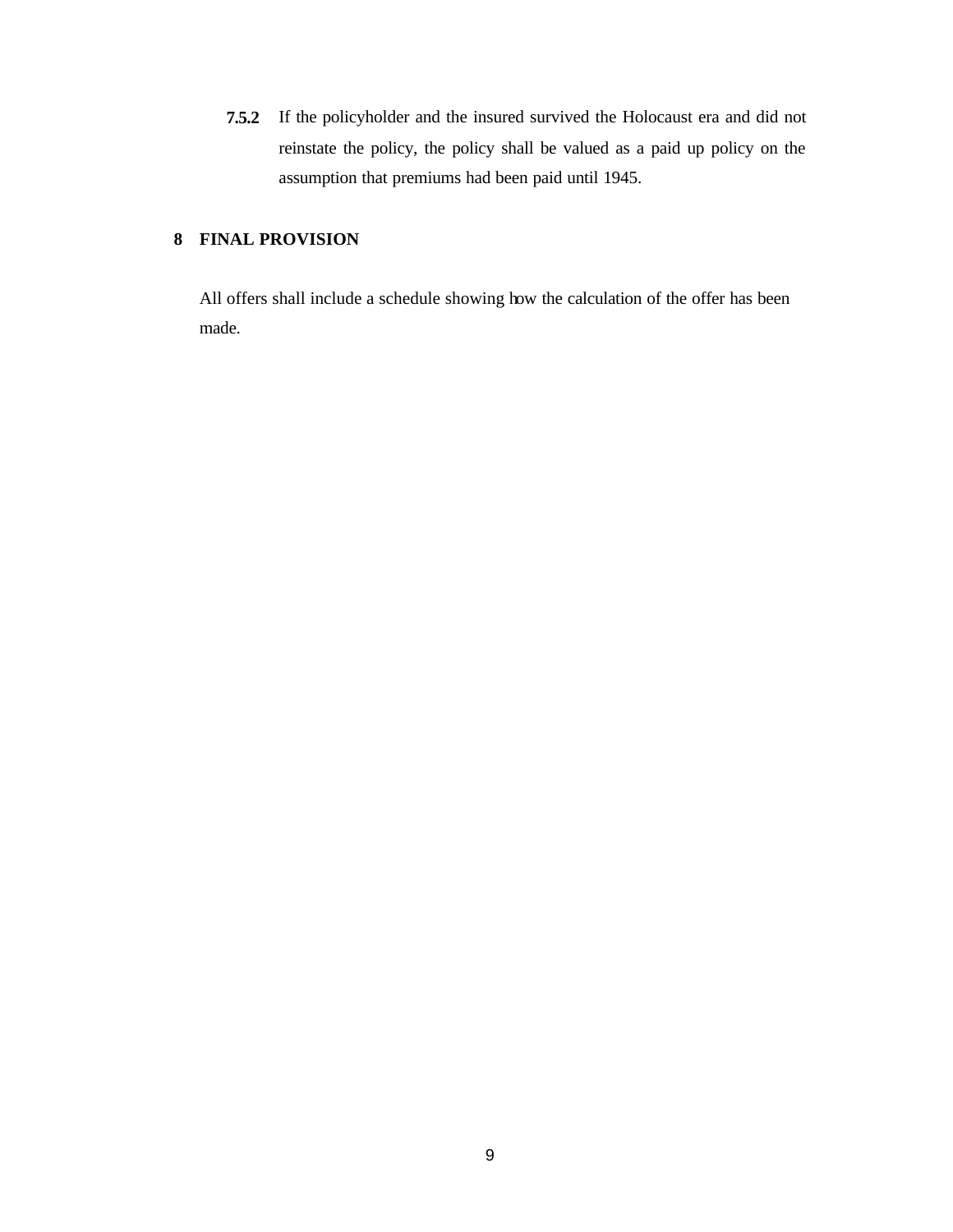**7.5.2** If the policyholder and the insured survived the Holocaust era and did not reinstate the policy, the policy shall be valued as a paid up policy on the assumption that premiums had been paid until 1945.

# **8 FINAL PROVISION**

All offers shall include a schedule showing how the calculation of the offer has been made.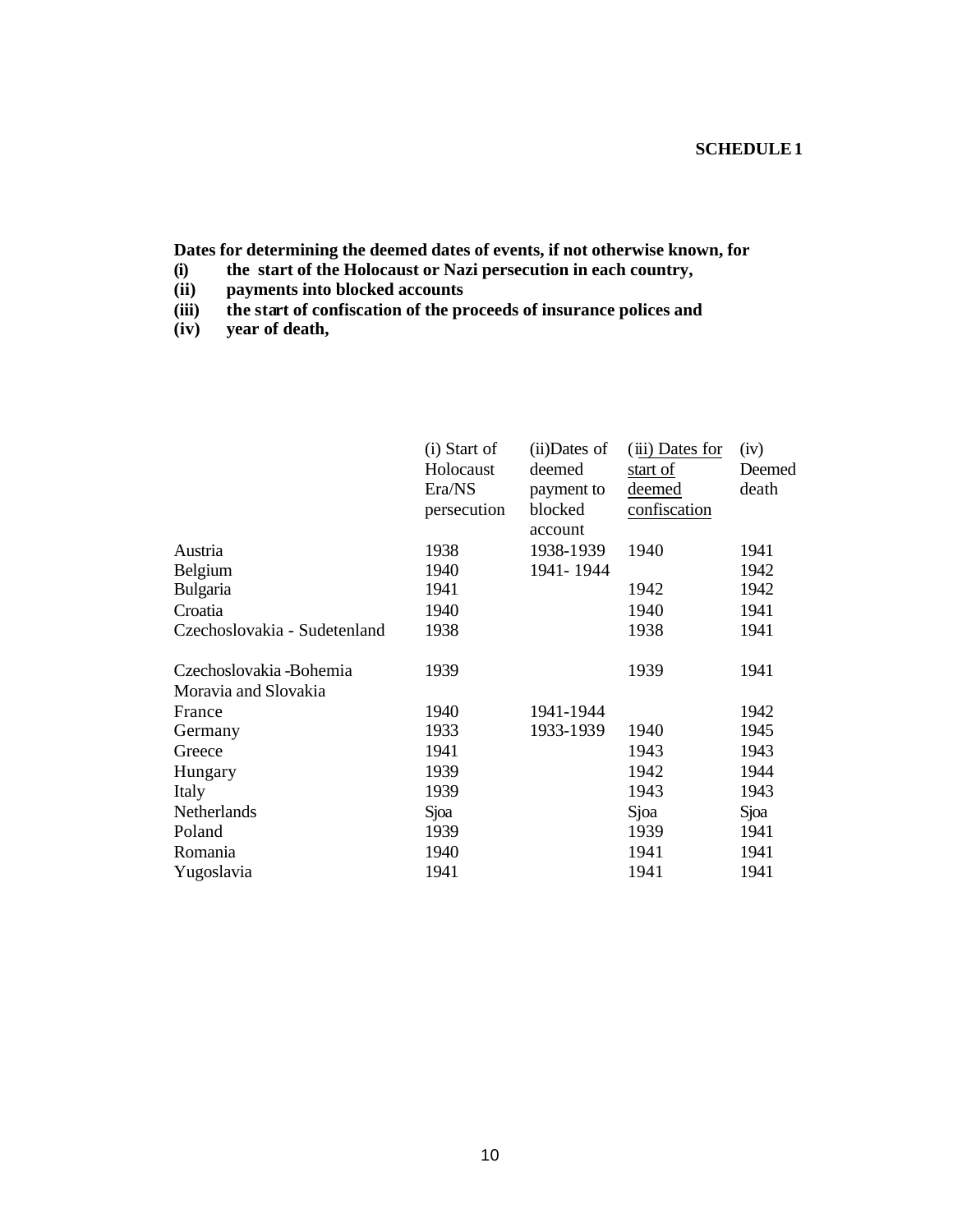**Dates for determining the deemed dates of events, if not otherwise known, for** 

- **(i) the start of the Holocaust or Nazi persecution in each country,**
- **(ii) payments into blocked accounts**
- **(iii) the start of confiscation of the proceeds of insurance polices and**
- **(iv) year of death,**

|                              | (i) Start of | (ii)Dates of | (iii) Dates for | (iv)   |
|------------------------------|--------------|--------------|-----------------|--------|
|                              | Holocaust    | deemed       | start of        | Deemed |
|                              | Era/NS       | payment to   | deemed          | death  |
|                              | persecution  | blocked      | confiscation    |        |
|                              |              | account      |                 |        |
| Austria                      | 1938         | 1938-1939    | 1940            | 1941   |
| Belgium                      | 1940         | 1941-1944    |                 | 1942   |
| <b>Bulgaria</b>              | 1941         |              | 1942            | 1942   |
| Croatia                      | 1940         |              | 1940            | 1941   |
| Czechoslovakia - Sudetenland | 1938         |              | 1938            | 1941   |
|                              |              |              |                 |        |
| Czechoslovakia - Bohemia     | 1939         |              | 1939            | 1941   |
| Moravia and Slovakia         |              |              |                 |        |
| France                       | 1940         | 1941-1944    |                 | 1942   |
| Germany                      | 1933         | 1933-1939    | 1940            | 1945   |
| Greece                       | 1941         |              | 1943            | 1943   |
| Hungary                      | 1939         |              | 1942            | 1944   |
| Italy                        | 1939         |              | 1943            | 1943   |
| Netherlands                  | Sjoa         |              | Sjoa            | Sjoa   |
| Poland                       | 1939         |              | 1939            | 1941   |
| Romania                      | 1940         |              | 1941            | 1941   |
| Yugoslavia                   | 1941         |              | 1941            | 1941   |
|                              |              |              |                 |        |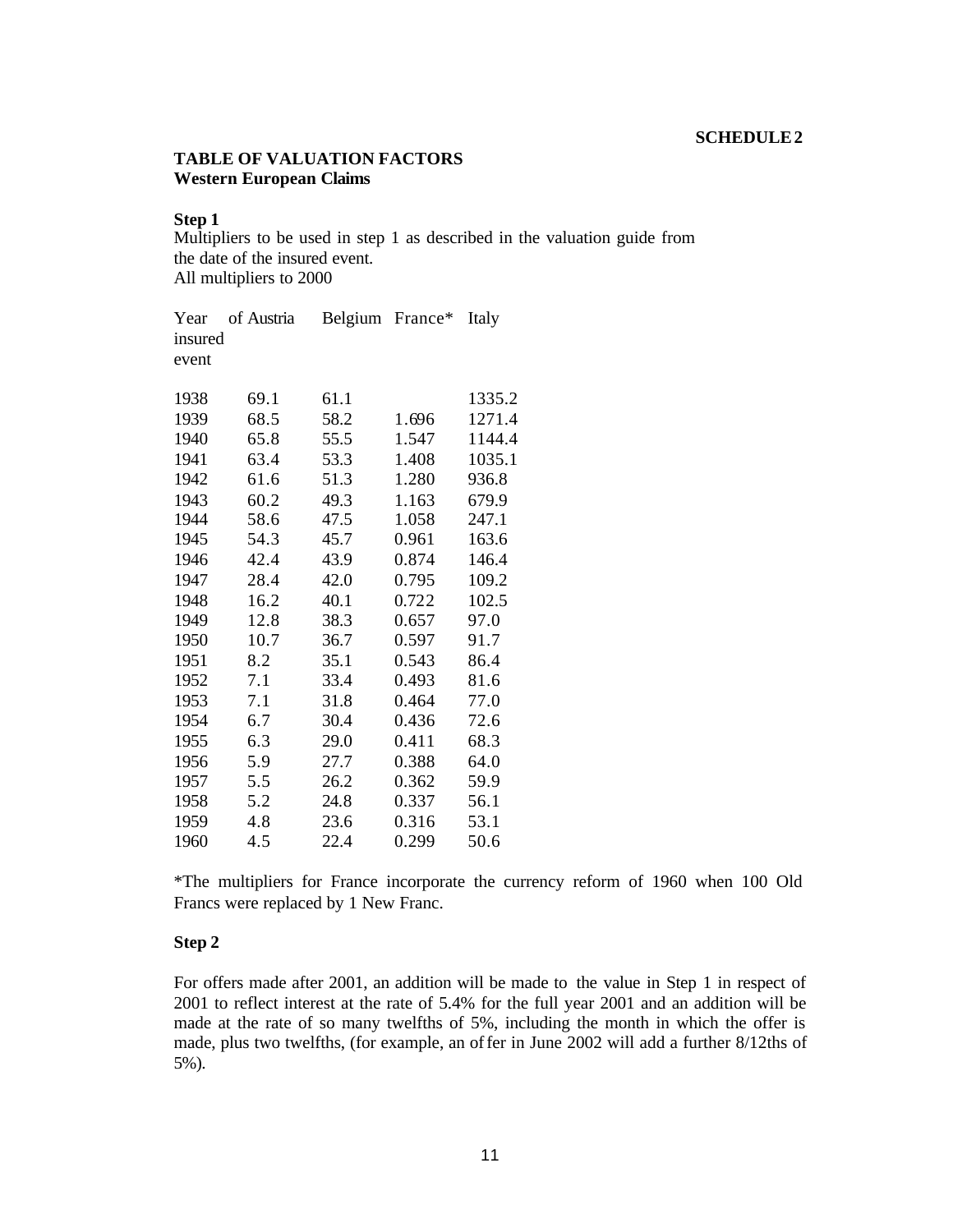## **SCHEDULE 2**

### **TABLE OF VALUATION FACTORS Western European Claims**

### **Step 1**

Multipliers to be used in step 1 as described in the valuation guide from the date of the insured event. All multipliers to 2000

| Year<br>insured | of Austria |      | Belgium France* | Italy  |
|-----------------|------------|------|-----------------|--------|
| event           |            |      |                 |        |
|                 |            |      |                 |        |
| 1938            | 69.1       | 61.1 |                 | 1335.2 |
| 1939            | 68.5       | 58.2 | 1.696           | 1271.4 |
| 1940            | 65.8       | 55.5 | 1.547           | 1144.4 |
| 1941            | 63.4       | 53.3 | 1.408           | 1035.1 |
| 1942            | 61.6       | 51.3 | 1.280           | 936.8  |
| 1943            | 60.2       | 49.3 | 1.163           | 679.9  |
| 1944            | 58.6       | 47.5 | 1.058           | 247.1  |
| 1945            | 54.3       | 45.7 | 0.961           | 163.6  |
| 1946            | 42.4       | 43.9 | 0.874           | 146.4  |
| 1947            | 28.4       | 42.0 | 0.795           | 109.2  |
| 1948            | 16.2       | 40.1 | 0.722           | 102.5  |
| 1949            | 12.8       | 38.3 | 0.657           | 97.0   |
| 1950            | 10.7       | 36.7 | 0.597           | 91.7   |
| 1951            | 8.2        | 35.1 | 0.543           | 86.4   |
| 1952            | 7.1        | 33.4 | 0.493           | 81.6   |
| 1953            | 7.1        | 31.8 | 0.464           | 77.0   |
| 1954            | 6.7        | 30.4 | 0.436           | 72.6   |
| 1955            | 6.3        | 29.0 | 0.411           | 68.3   |
| 1956            | 5.9        | 27.7 | 0.388           | 64.0   |
| 1957            | 5.5        | 26.2 | 0.362           | 59.9   |
| 1958            | 5.2        | 24.8 | 0.337           | 56.1   |
| 1959            | 4.8        | 23.6 | 0.316           | 53.1   |
| 1960            | 4.5        | 22.4 | 0.299           | 50.6   |

\*The multipliers for France incorporate the currency reform of 1960 when 100 Old Francs were replaced by 1 New Franc.

## **Step 2**

For offers made after 2001, an addition will be made to the value in Step 1 in respect of 2001 to reflect interest at the rate of 5.4% for the full year 2001 and an addition will be made at the rate of so many twelfths of 5%, including the month in which the offer is made, plus two twelfths, (for example, an offer in June 2002 will add a further 8/12ths of 5%).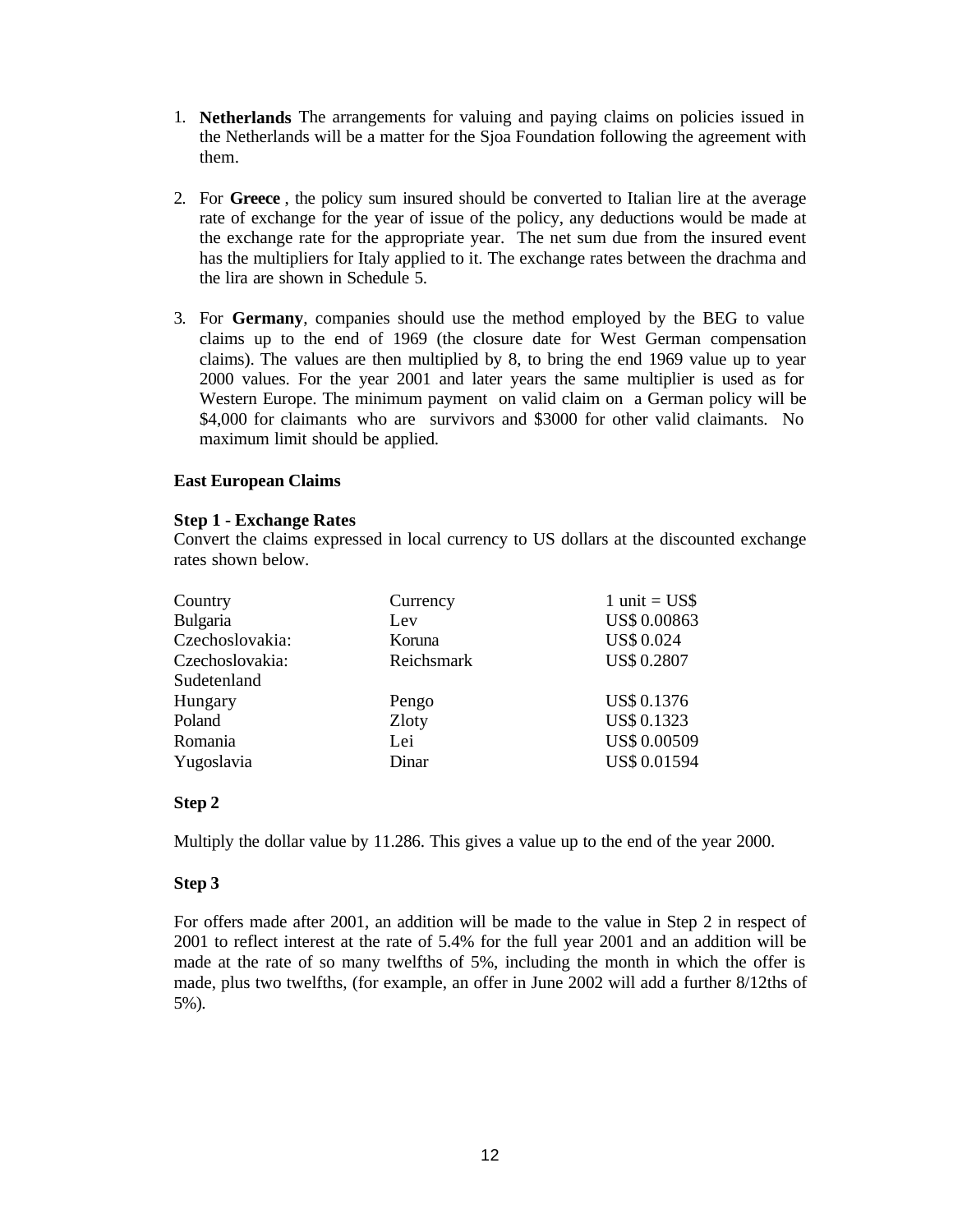- 1. **Netherlands** The arrangements for valuing and paying claims on policies issued in the Netherlands will be a matter for the Sjoa Foundation following the agreement with them.
- 2. For **Greece** , the policy sum insured should be converted to Italian lire at the average rate of exchange for the year of issue of the policy, any deductions would be made at the exchange rate for the appropriate year. The net sum due from the insured event has the multipliers for Italy applied to it. The exchange rates between the drachma and the lira are shown in Schedule 5.
- 3. For **Germany**, companies should use the method employed by the BEG to value claims up to the end of 1969 (the closure date for West German compensation claims). The values are then multiplied by 8, to bring the end 1969 value up to year 2000 values. For the year 2001 and later years the same multiplier is used as for Western Europe. The minimum payment on valid claim on a German policy will be \$4,000 for claimants who are survivors and \$3000 for other valid claimants. No maximum limit should be applied.

### **East European Claims**

### **Step 1 - Exchange Rates**

Convert the claims expressed in local currency to US dollars at the discounted exchange rates shown below.

| Country         | Currency   | 1 unit = $US$$     |
|-----------------|------------|--------------------|
| <b>Bulgaria</b> | Lev        | US\$ 0.00863       |
| Czechoslovakia: | Koruna     | <b>US\$ 0.024</b>  |
| Czechoslovakia: | Reichsmark | <b>US\$ 0.2807</b> |
| Sudetenland     |            |                    |
| Hungary         | Pengo      | US\$ 0.1376        |
| Poland          | Zloty      | US\$ 0.1323        |
| Romania         | Lei        | US\$ 0.00509       |
| Yugoslavia      | Dinar      | US\$ 0.01594       |

### **Step 2**

Multiply the dollar value by 11.286. This gives a value up to the end of the year 2000.

### **Step 3**

For offers made after 2001, an addition will be made to the value in Step 2 in respect of 2001 to reflect interest at the rate of 5.4% for the full year 2001 and an addition will be made at the rate of so many twelfths of 5%, including the month in which the offer is made, plus two twelfths, (for example, an offer in June 2002 will add a further 8/12ths of 5%).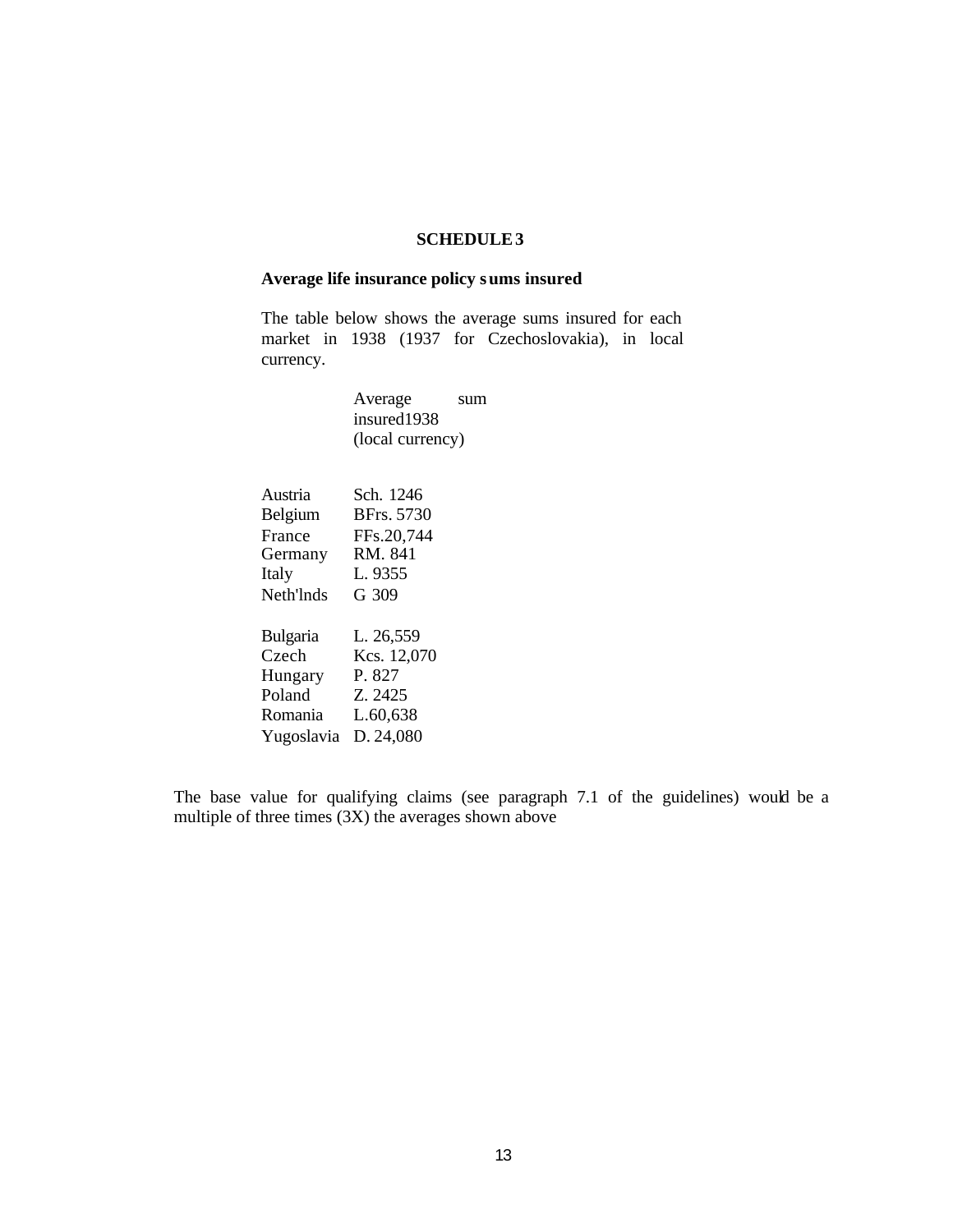### **SCHEDULE 3**

### **Average life insurance policy sums insured**

The table below shows the average sums insured for each market in 1938 (1937 for Czechoslovakia), in local currency.

> Average sum insured1938 (local currency)

| Austria   | Sch. 1246         |
|-----------|-------------------|
| Belgium   | <b>BFrs.</b> 5730 |
| France    | FFs.20,744        |
| Germany   | RM 841            |
| Italy     | L. 9355           |
| Neth'Inds | G.309             |
|           |                   |
|           |                   |
| Bulgaria  | L. 26,559         |
| Czech     | Kcs. 12,070       |
| Hungary   | P. 827            |
| Poland    | Z. 2425           |
| Romania   | L.60,638          |

The base value for qualifying claims (see paragraph 7.1 of the guidelines) would be a multiple of three times  $(X)$  the averages shown above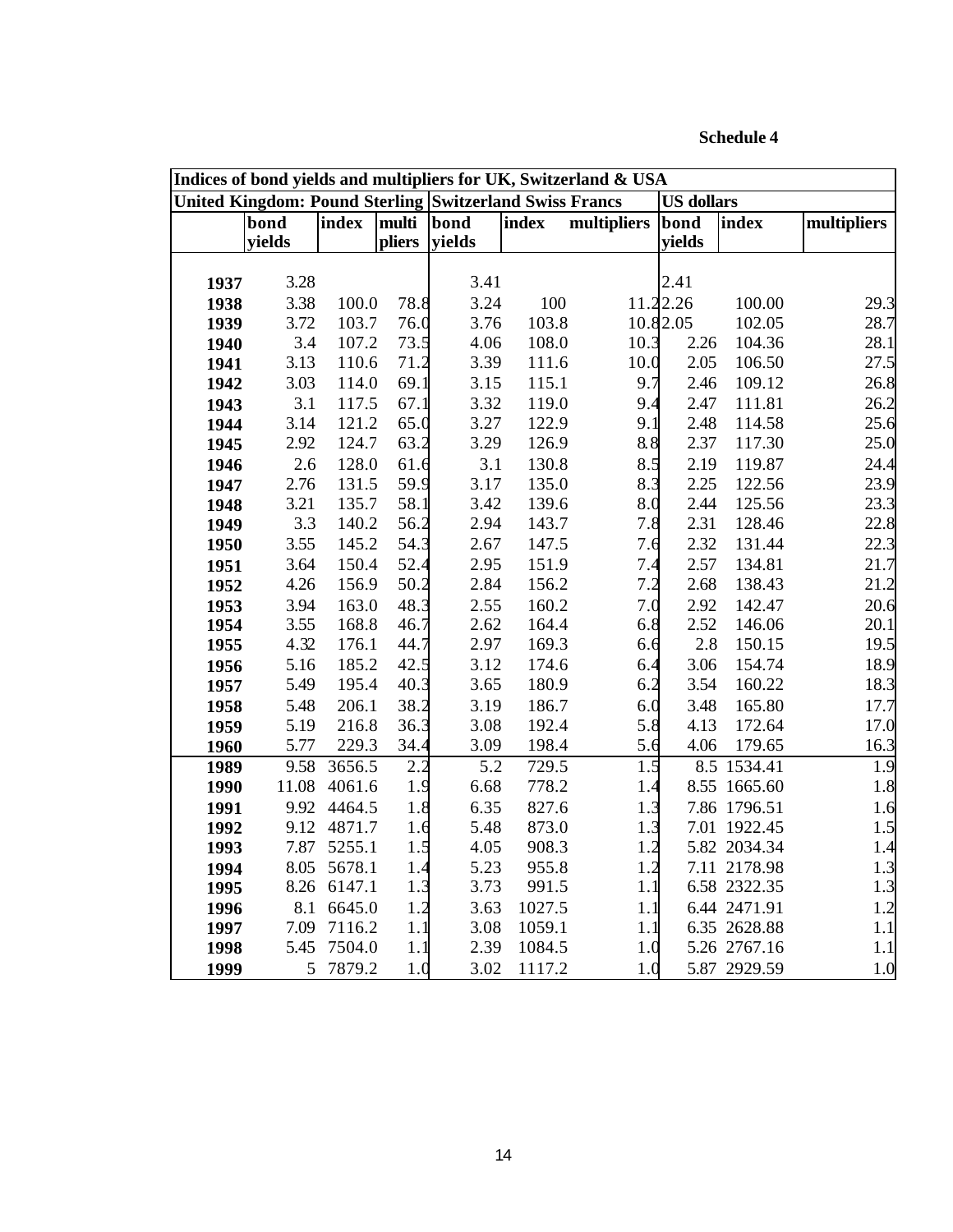# **Schedule 4**

| Indices of bond yields and multipliers for UK, Switzerland & USA |                |                  |                 |                                                         |                |             |                   |                              |             |
|------------------------------------------------------------------|----------------|------------------|-----------------|---------------------------------------------------------|----------------|-------------|-------------------|------------------------------|-------------|
|                                                                  |                |                  |                 | United Kingdom: Pound Sterling Switzerland Swiss Francs |                |             | <b>US</b> dollars |                              |             |
|                                                                  | bond<br>vields | index            | multi<br>pliers | bond<br>yields                                          | index          | multipliers | bond<br>vields    | index                        | multipliers |
|                                                                  |                |                  |                 |                                                         |                |             |                   |                              |             |
| 1937                                                             | 3.28           |                  |                 | 3.41                                                    |                |             | 2.41              |                              |             |
| 1938                                                             | 3.38           | 100.0            | 78.8            | 3.24                                                    | 100            |             | 11.22.26          | 100.00                       | 29.3        |
| 1939                                                             | 3.72           | 103.7            | 76.0            | 3.76                                                    | 103.8          |             | 10.82.05          | 102.05                       | 28.7        |
| 1940                                                             | 3.4            | 107.2            | 73.5            | 4.06                                                    | 108.0          | 10.3        | 2.26              | 104.36                       | 28.1        |
| 1941                                                             | 3.13           | 110.6            | 71.2            | 3.39                                                    | 111.6          | 10.0        | 2.05              | 106.50                       | 27.5        |
| 1942                                                             | 3.03           | 114.0            | 69.1            | 3.15                                                    | 115.1          | 9.7         | 2.46              | 109.12                       | 26.8        |
| 1943                                                             | 3.1            | 117.5            | 67.1            | 3.32                                                    | 119.0          | 9.4         | 2.47              | 111.81                       | 26.2        |
| 1944                                                             | 3.14           | 121.2            | 65.0            | 3.27                                                    | 122.9          | 9.1         | 2.48              | 114.58                       | 25.6        |
| 1945                                                             | 2.92           | 124.7            | 63.2            | 3.29                                                    | 126.9          | 8.8         | 2.37              | 117.30                       | 25.0        |
| 1946                                                             | 2.6            | 128.0            | 61.6            | 3.1                                                     | 130.8          | 8.5         | 2.19              | 119.87                       | 24.4        |
| 1947                                                             | 2.76           | 131.5            | 59.9            | 3.17                                                    | 135.0          | 8.3         | 2.25              | 122.56                       | 23.9        |
| 1948                                                             | 3.21           | 135.7            | 58.1            | 3.42                                                    | 139.6          | 8.0         | 2.44              | 125.56                       | 23.3        |
| 1949                                                             | 3.3            | 140.2            | 56.2            | 2.94                                                    | 143.7          | 7.8         | 2.31              | 128.46                       | 22.8        |
| 1950                                                             | 3.55           | 145.2            | 54.3            | 2.67                                                    | 147.5          | 7.6         | 2.32              | 131.44                       | 22.3        |
| 1951                                                             | 3.64           | 150.4            | 52.4            | 2.95                                                    | 151.9          | 7.4         | 2.57              | 134.81                       | 21.7        |
| 1952                                                             | 4.26           | 156.9            | 50.2            | 2.84                                                    | 156.2          | 7.2         | 2.68              | 138.43                       | 21.2        |
| 1953                                                             | 3.94           | 163.0            | 48.3            | 2.55                                                    | 160.2          | 7.0         | 2.92              | 142.47                       | 20.6        |
| 1954                                                             | 3.55           | 168.8            | 46.7            | 2.62                                                    | 164.4          | 6.8         | 2.52              | 146.06                       | 20.1        |
| 1955                                                             | 4.32           | 176.1            | 44.7            | 2.97                                                    | 169.3          | 6.6         | 2.8               | 150.15                       | 19.5        |
| 1956                                                             | 5.16           | 185.2            | 42.5            | 3.12                                                    | 174.6          | 6.4         | 3.06              | 154.74                       | 18.9        |
| 1957                                                             | 5.49           | 195.4            | 40.3            | 3.65                                                    | 180.9          | 6.2         | 3.54              | 160.22                       | 18.3        |
| 1958                                                             | 5.48           | 206.1            | 38.2            | 3.19                                                    | 186.7          | 6.0         | 3.48              | 165.80                       | 17.7        |
| 1959                                                             | 5.19           | 216.8            | 36.3            | 3.08                                                    | 192.4          | 5.8         | 4.13              | 172.64                       | 17.0        |
| 1960                                                             | 5.77           | 229.3            | 34.4            | 3.09                                                    | 198.4          | 5.6         | 4.06              | 179.65                       | 16.3        |
| 1989                                                             | 9.58           | 3656.5           | 2.2             | 5.2                                                     | 729.5          | 1.5         |                   | 8.5 1534.41                  | 1.9         |
| 1990                                                             | 11.08          | 4061.6           | 1.9             | 6.68                                                    | 778.2          | 1.4         |                   | 8.55 1665.60                 | 1.8         |
| 1991                                                             | 9.92<br>9.12   | 4464.5<br>4871.7 | 1.8<br>1.6      | 6.35<br>5.48                                            | 827.6<br>873.0 | 1.3<br>1.3  |                   | 7.86 1796.51<br>7.01 1922.45 | 1.6<br>1.5  |
| 1992<br>1993                                                     | 7.87           | 5255.1           | 1.5             | 4.05                                                    | 908.3          | 1.2         |                   | 5.82 2034.34                 | 1.4         |
| 1994                                                             | 8.05           | 5678.1           | 1.4             | 5.23                                                    | 955.8          | 1.2         |                   | 7.11 2178.98                 | 1.3         |
| 1995                                                             | 8.26           | 6147.1           | 1.3             | 3.73                                                    | 991.5          | 1.1         |                   | 6.58 2322.35                 | 1.3         |
| 1996                                                             | 8.1            | 6645.0           | 1.2             | 3.63                                                    | 1027.5         | 1.1         |                   | 6.44 2471.91                 | 1.2         |
| 1997                                                             | 7.09           | 7116.2           | 1.1             | 3.08                                                    | 1059.1         | 1.1         |                   | 6.35 2628.88                 | 1.1         |
| 1998                                                             | 5.45           | 7504.0           | 1.1             | 2.39                                                    | 1084.5         | 1.0         |                   | 5.26 2767.16                 | 1.1         |
| 1999                                                             | 5              | 7879.2           | 1.0             | 3.02                                                    | 1117.2         | 1.0         |                   | 5.87 2929.59                 | 1.0         |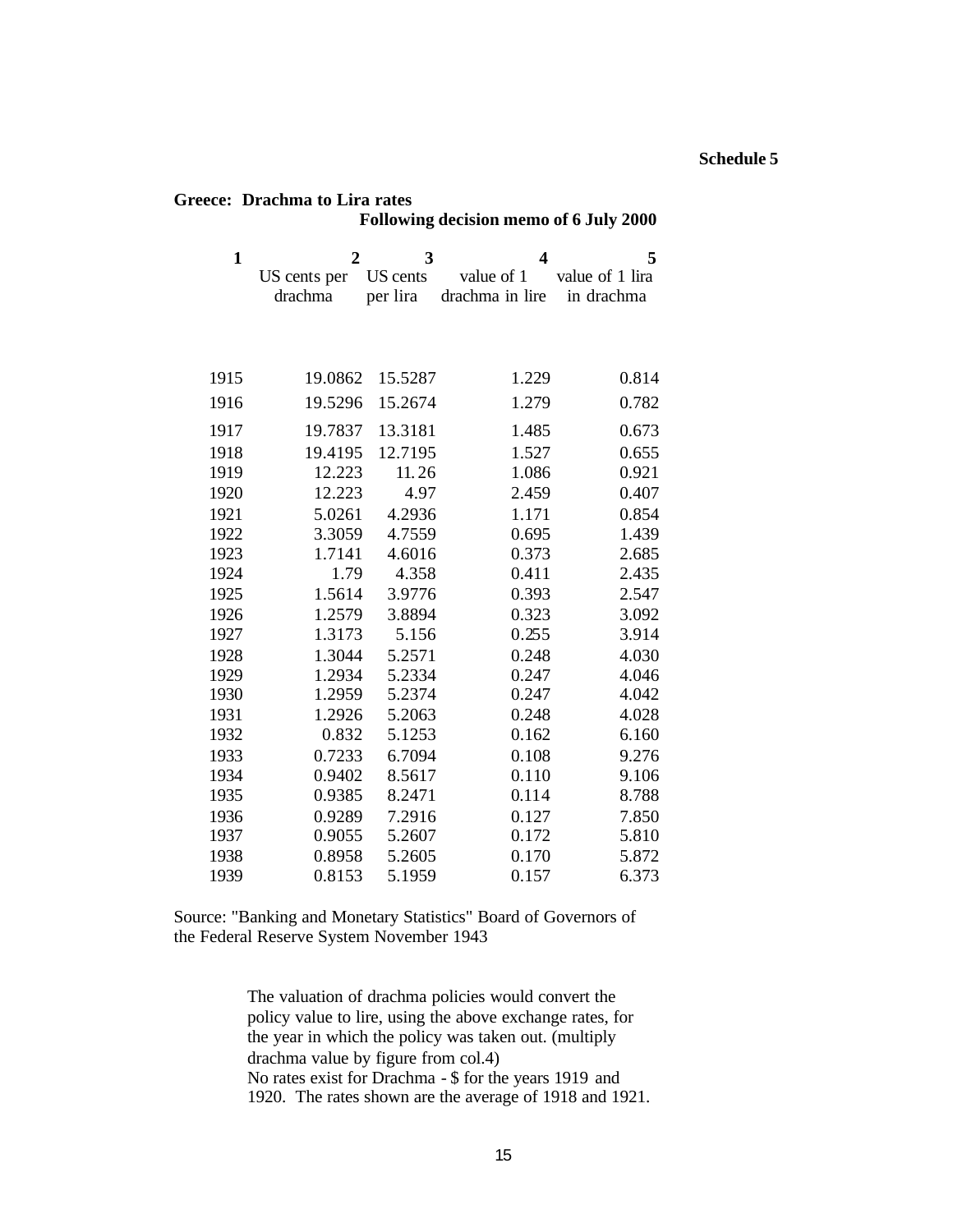## **Schedule 5**

# **Greece: Drachma to Lira rates**

|              | Following decision memo of 6 July 2000    |                           |                                                          |                                    |  |  |  |  |
|--------------|-------------------------------------------|---------------------------|----------------------------------------------------------|------------------------------------|--|--|--|--|
| $\mathbf{1}$ | $\overline{2}$<br>US cents per<br>drachma | 3<br>US cents<br>per lira | $\overline{\mathbf{4}}$<br>value of 1<br>drachma in lire | 5<br>value of 1 lira<br>in drachma |  |  |  |  |
|              |                                           |                           |                                                          |                                    |  |  |  |  |
| 1915         | 19.0862                                   | 15.5287                   | 1.229                                                    | 0.814                              |  |  |  |  |
| 1916         | 19.5296                                   | 15.2674                   | 1.279                                                    | 0.782                              |  |  |  |  |
| 1917         | 19.7837                                   | 13.3181                   | 1.485                                                    | 0.673                              |  |  |  |  |
| 1918         | 19.4195                                   | 12.7195                   | 1.527                                                    | 0.655                              |  |  |  |  |
| 1919         | 12.223                                    | 11.26                     | 1.086                                                    | 0.921                              |  |  |  |  |
| 1920         | 12.223                                    | 4.97                      | 2.459                                                    | 0.407                              |  |  |  |  |
| 1921         | 5.0261                                    | 4.2936                    | 1.171                                                    | 0.854                              |  |  |  |  |
| 1922         | 3.3059                                    | 4.7559                    | 0.695                                                    | 1.439                              |  |  |  |  |
| 1923         | 1.7141                                    | 4.6016                    | 0.373                                                    | 2.685                              |  |  |  |  |
| 1924         | 1.79                                      | 4.358                     | 0.411                                                    | 2.435                              |  |  |  |  |
| 1925         | 1.5614                                    | 3.9776                    | 0.393                                                    | 2.547                              |  |  |  |  |
| 1926         | 1.2579                                    | 3.8894                    | 0.323                                                    | 3.092                              |  |  |  |  |
| 1927         | 1.3173                                    | 5.156                     | 0.255                                                    | 3.914                              |  |  |  |  |
| 1928         | 1.3044                                    | 5.2571                    | 0.248                                                    | 4.030                              |  |  |  |  |
| 1929         | 1.2934                                    | 5.2334                    | 0.247                                                    | 4.046                              |  |  |  |  |
| 1930         | 1.2959                                    | 5.2374                    | 0.247                                                    | 4.042                              |  |  |  |  |
| 1931         | 1.2926                                    | 5.2063                    | 0.248                                                    | 4.028                              |  |  |  |  |
| 1932         | 0.832                                     | 5.1253                    | 0.162                                                    | 6.160                              |  |  |  |  |
| 1933         | 0.7233                                    | 6.7094                    | 0.108                                                    | 9.276                              |  |  |  |  |
| 1934         | 0.9402                                    | 8.5617                    | 0.110                                                    | 9.106                              |  |  |  |  |
| 1935         | 0.9385                                    | 8.2471                    | 0.114                                                    | 8.788                              |  |  |  |  |
| 1936         | 0.9289                                    | 7.2916                    | 0.127                                                    | 7.850                              |  |  |  |  |
| 1937         | 0.9055                                    | 5.2607                    | 0.172                                                    | 5.810                              |  |  |  |  |
| 1938         | 0.8958                                    | 5.2605                    | 0.170                                                    | 5.872                              |  |  |  |  |
| 1939         | 0.8153                                    | 5.1959                    | 0.157                                                    | 6.373                              |  |  |  |  |

Source: "Banking and Monetary Statistics" Board of Governors of the Federal Reserve System November 1943

> The valuation of drachma policies would convert the policy value to lire, using the above exchange rates, for the year in which the policy was taken out. (multiply drachma value by figure from col.4) No rates exist for Drachma - \$ for the years 1919 and 1920. The rates shown are the average of 1918 and 1921.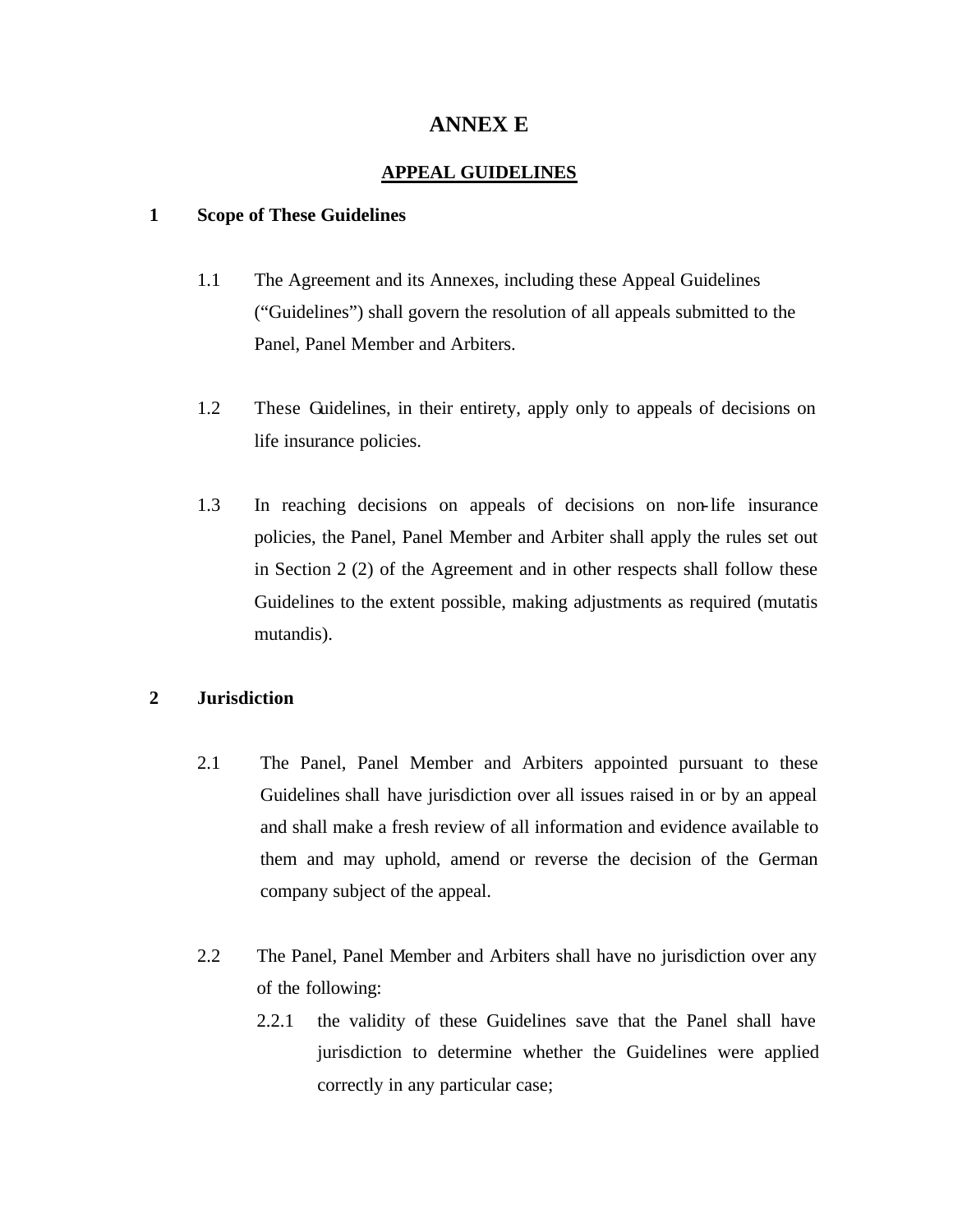# **ANNEX E**

# **APPEAL GUIDELINES**

# **1 Scope of These Guidelines**

- 1.1 The Agreement and its Annexes, including these Appeal Guidelines ("Guidelines") shall govern the resolution of all appeals submitted to the Panel, Panel Member and Arbiters.
- 1.2 These Guidelines, in their entirety, apply only to appeals of decisions on life insurance policies.
- 1.3 In reaching decisions on appeals of decisions on non-life insurance policies, the Panel, Panel Member and Arbiter shall apply the rules set out in Section 2 (2) of the Agreement and in other respects shall follow these Guidelines to the extent possible, making adjustments as required (mutatis mutandis).

# **2 Jurisdiction**

- 2.1 The Panel, Panel Member and Arbiters appointed pursuant to these Guidelines shall have jurisdiction over all issues raised in or by an appeal and shall make a fresh review of all information and evidence available to them and may uphold, amend or reverse the decision of the German company subject of the appeal.
- 2.2 The Panel, Panel Member and Arbiters shall have no jurisdiction over any of the following:
	- 2.2.1 the validity of these Guidelines save that the Panel shall have jurisdiction to determine whether the Guidelines were applied correctly in any particular case;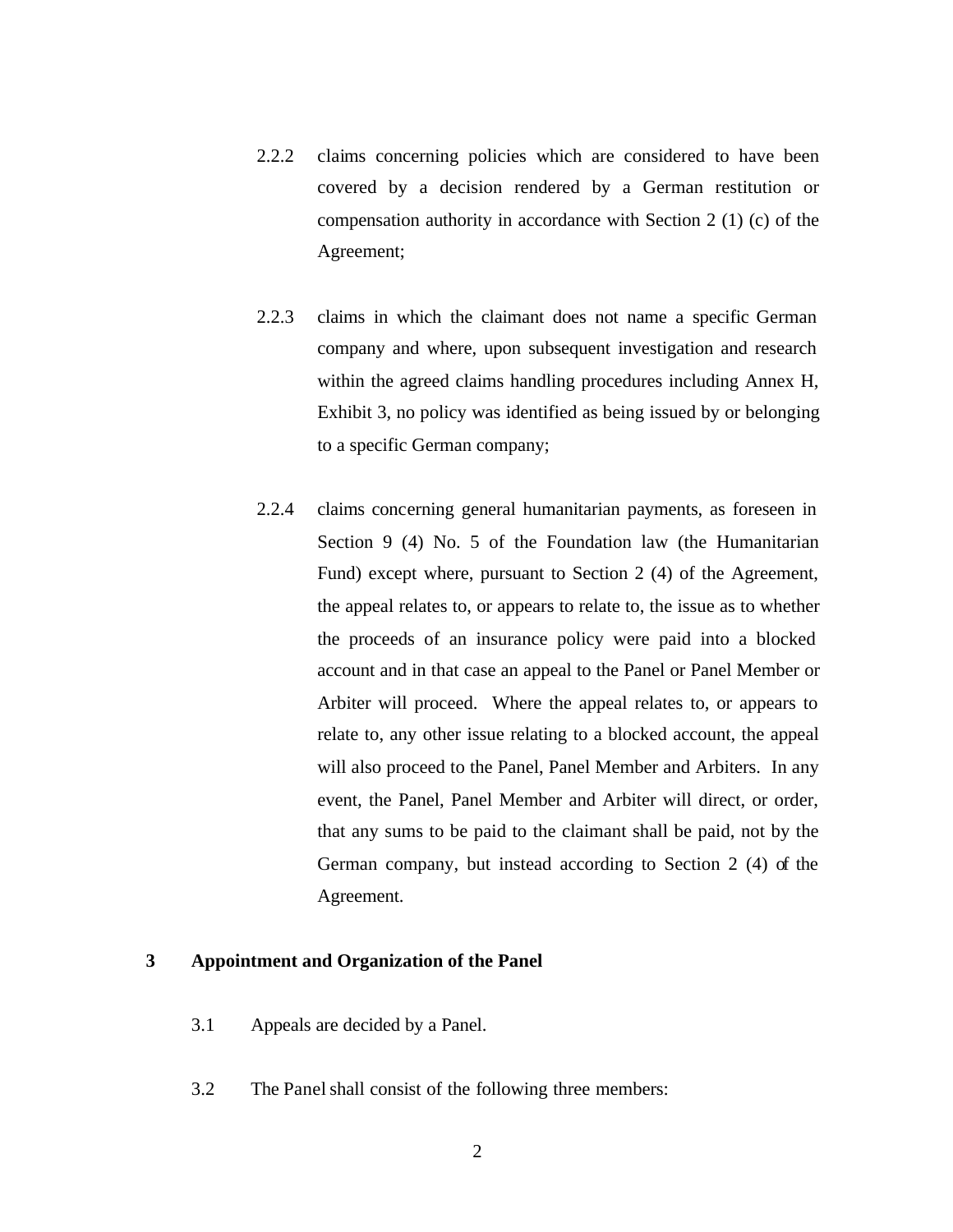- 2.2.2 claims concerning policies which are considered to have been covered by a decision rendered by a German restitution or compensation authority in accordance with Section 2 (1) (c) of the Agreement;
- 2.2.3 claims in which the claimant does not name a specific German company and where, upon subsequent investigation and research within the agreed claims handling procedures including Annex H, Exhibit 3, no policy was identified as being issued by or belonging to a specific German company;
- 2.2.4 claims concerning general humanitarian payments, as foreseen in Section 9 (4) No. 5 of the Foundation law (the Humanitarian Fund) except where, pursuant to Section 2 (4) of the Agreement, the appeal relates to, or appears to relate to, the issue as to whether the proceeds of an insurance policy were paid into a blocked account and in that case an appeal to the Panel or Panel Member or Arbiter will proceed. Where the appeal relates to, or appears to relate to, any other issue relating to a blocked account, the appeal will also proceed to the Panel, Panel Member and Arbiters.In any event, the Panel, Panel Member and Arbiter will direct, or order, that any sums to be paid to the claimant shall be paid, not by the German company, but instead according to Section 2 (4) of the Agreement.

## **3 Appointment and Organization of the Panel**

- 3.1 Appeals are decided by a Panel.
- 3.2 The Panel shall consist of the following three members: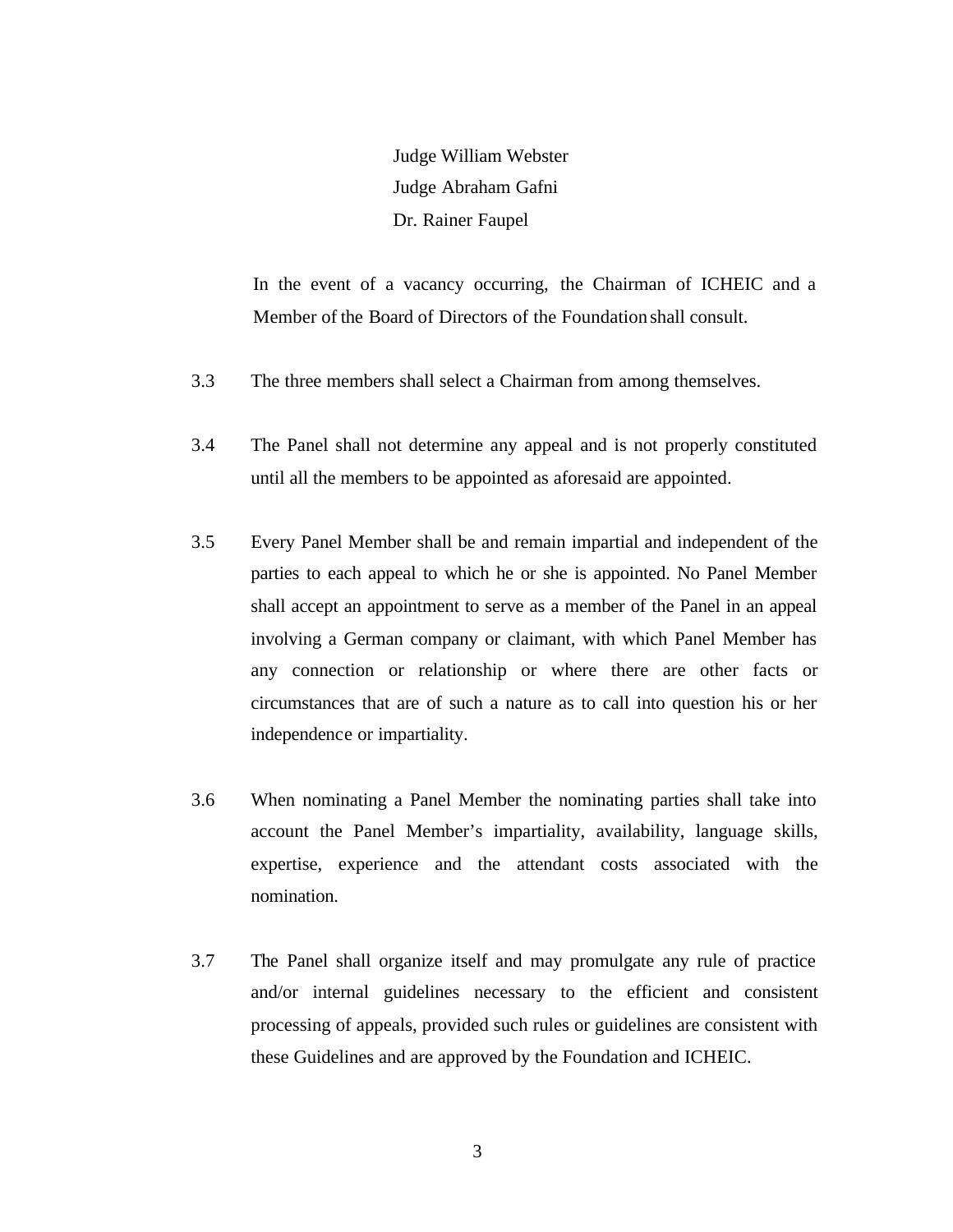Judge William Webster Judge Abraham Gafni Dr. Rainer Faupel

In the event of a vacancy occurring, the Chairman of ICHEIC and a Member of the Board of Directors of the Foundation shall consult.

- 3.3 The three members shall select a Chairman from among themselves.
- 3.4 The Panel shall not determine any appeal and is not properly constituted until all the members to be appointed as aforesaid are appointed.
- 3.5 Every Panel Member shall be and remain impartial and independent of the parties to each appeal to which he or she is appointed. No Panel Member shall accept an appointment to serve as a member of the Panel in an appeal involving a German company or claimant, with which Panel Member has any connection or relationship or where there are other facts or circumstances that are of such a nature as to call into question his or her independence or impartiality.
- 3.6 When nominating a Panel Member the nominating parties shall take into account the Panel Member's impartiality, availability, language skills, expertise, experience and the attendant costs associated with the nomination.
- 3.7 The Panel shall organize itself and may promulgate any rule of practice and/or internal guidelines necessary to the efficient and consistent processing of appeals, provided such rules or guidelines are consistent with these Guidelines and are approved by the Foundation and ICHEIC.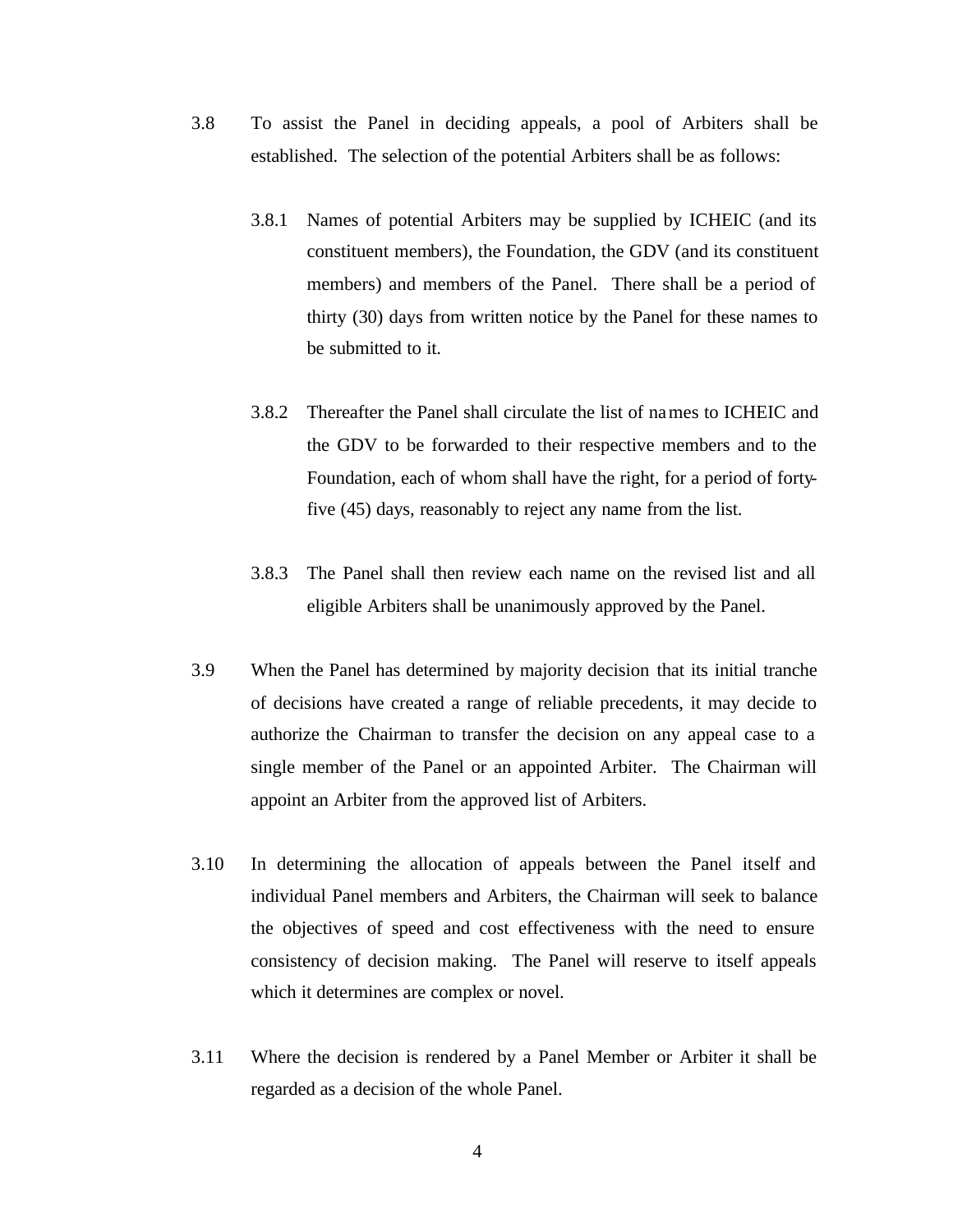- 3.8 To assist the Panel in deciding appeals, a pool of Arbiters shall be established. The selection of the potential Arbiters shall be as follows:
	- 3.8.1 Names of potential Arbiters may be supplied by ICHEIC (and its constituent members), the Foundation, the GDV (and its constituent members) and members of the Panel. There shall be a period of thirty (30) days from written notice by the Panel for these names to be submitted to it.
	- 3.8.2 Thereafter the Panel shall circulate the list of names to ICHEIC and the GDV to be forwarded to their respective members and to the Foundation, each of whom shall have the right, for a period of fortyfive (45) days, reasonably to reject any name from the list.
	- 3.8.3 The Panel shall then review each name on the revised list and all eligible Arbiters shall be unanimously approved by the Panel.
- 3.9 When the Panel has determined by majority decision that its initial tranche of decisions have created a range of reliable precedents, it may decide to authorize the Chairman to transfer the decision on any appeal case to a single member of the Panel or an appointed Arbiter. The Chairman will appoint an Arbiter from the approved list of Arbiters.
- 3.10 In determining the allocation of appeals between the Panel itself and individual Panel members and Arbiters, the Chairman will seek to balance the objectives of speed and cost effectiveness with the need to ensure consistency of decision making. The Panel will reserve to itself appeals which it determines are complex or novel.
- 3.11 Where the decision is rendered by a Panel Member or Arbiter it shall be regarded as a decision of the whole Panel.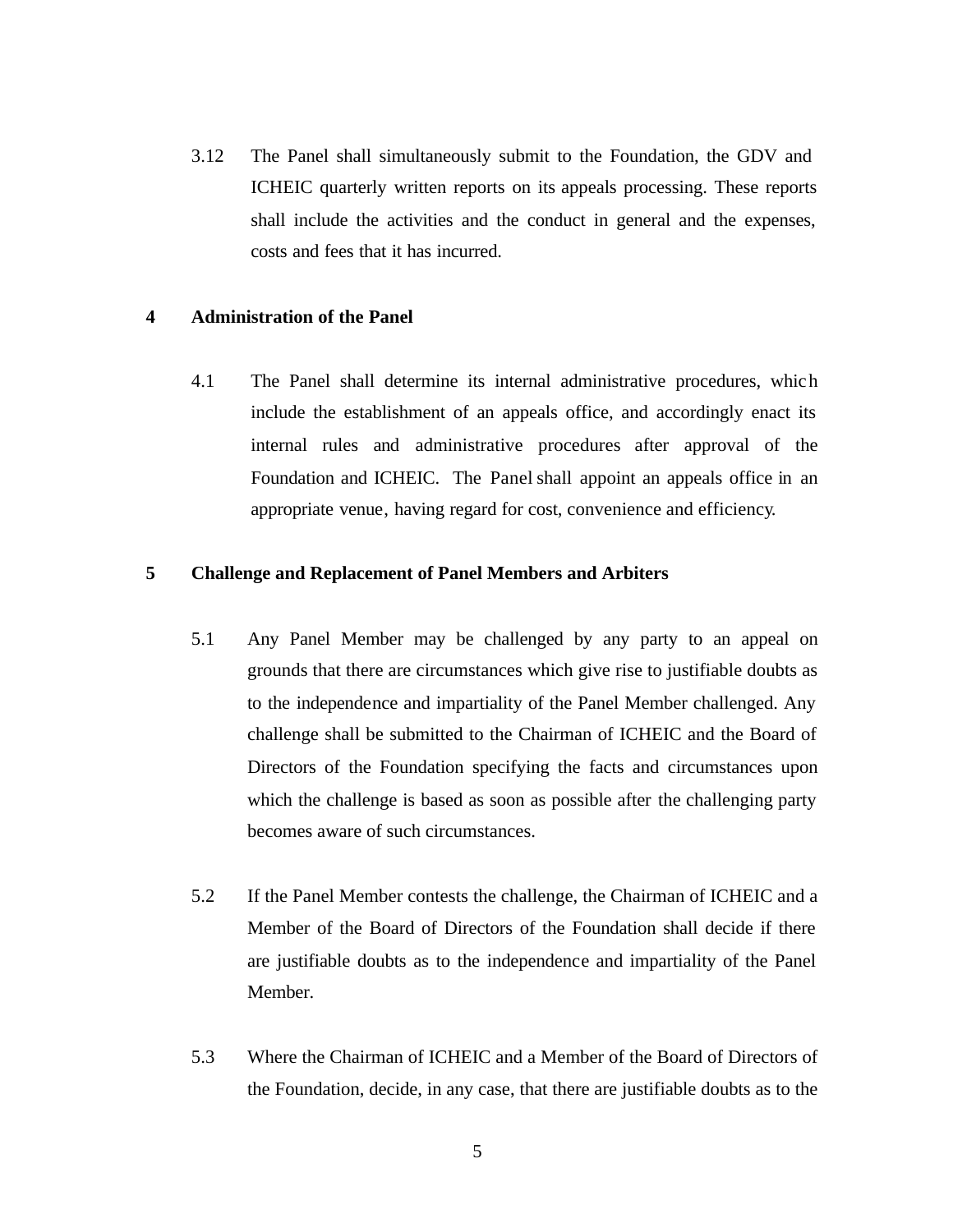3.12 The Panel shall simultaneously submit to the Foundation, the GDV and ICHEIC quarterly written reports on its appeals processing. These reports shall include the activities and the conduct in general and the expenses, costs and fees that it has incurred.

## **4 Administration of the Panel**

4.1 The Panel shall determine its internal administrative procedures, which include the establishment of an appeals office, and accordingly enact its internal rules and administrative procedures after approval of the Foundation and ICHEIC. The Panel shall appoint an appeals office in an appropriate venue, having regard for cost, convenience and efficiency.

# **5 Challenge and Replacement of Panel Members and Arbiters**

- 5.1 Any Panel Member may be challenged by any party to an appeal on grounds that there are circumstances which give rise to justifiable doubts as to the independence and impartiality of the Panel Member challenged. Any challenge shall be submitted to the Chairman of ICHEIC and the Board of Directors of the Foundation specifying the facts and circumstances upon which the challenge is based as soon as possible after the challenging party becomes aware of such circumstances.
- 5.2 If the Panel Member contests the challenge, the Chairman of ICHEIC and a Member of the Board of Directors of the Foundation shall decide if there are justifiable doubts as to the independence and impartiality of the Panel Member.
- 5.3 Where the Chairman of ICHEIC and a Member of the Board of Directors of the Foundation, decide, in any case, that there are justifiable doubts as to the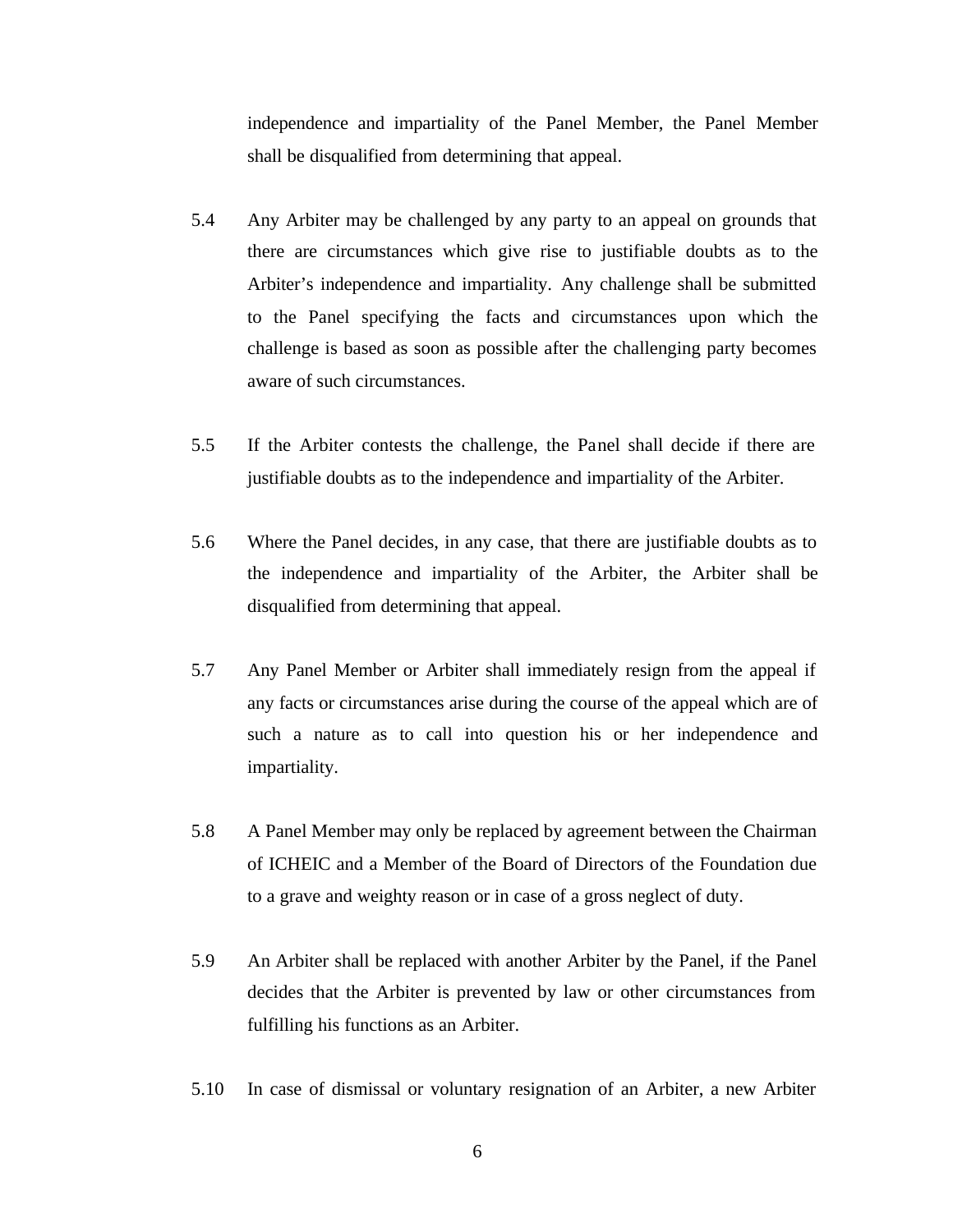independence and impartiality of the Panel Member, the Panel Member shall be disqualified from determining that appeal.

- 5.4 Any Arbiter may be challenged by any party to an appeal on grounds that there are circumstances which give rise to justifiable doubts as to the Arbiter's independence and impartiality. Any challenge shall be submitted to the Panel specifying the facts and circumstances upon which the challenge is based as soon as possible after the challenging party becomes aware of such circumstances.
- 5.5 If the Arbiter contests the challenge, the Panel shall decide if there are justifiable doubts as to the independence and impartiality of the Arbiter.
- 5.6 Where the Panel decides, in any case, that there are justifiable doubts as to the independence and impartiality of the Arbiter, the Arbiter shall be disqualified from determining that appeal.
- 5.7 Any Panel Member or Arbiter shall immediately resign from the appeal if any facts or circumstances arise during the course of the appeal which are of such a nature as to call into question his or her independence and impartiality.
- 5.8 A Panel Member may only be replaced by agreement between the Chairman of ICHEIC and a Member of the Board of Directors of the Foundation due to a grave and weighty reason or in case of a gross neglect of duty.
- 5.9 An Arbiter shall be replaced with another Arbiter by the Panel, if the Panel decides that the Arbiter is prevented by law or other circumstances from fulfilling his functions as an Arbiter.
- 5.10 In case of dismissal or voluntary resignation of an Arbiter, a new Arbiter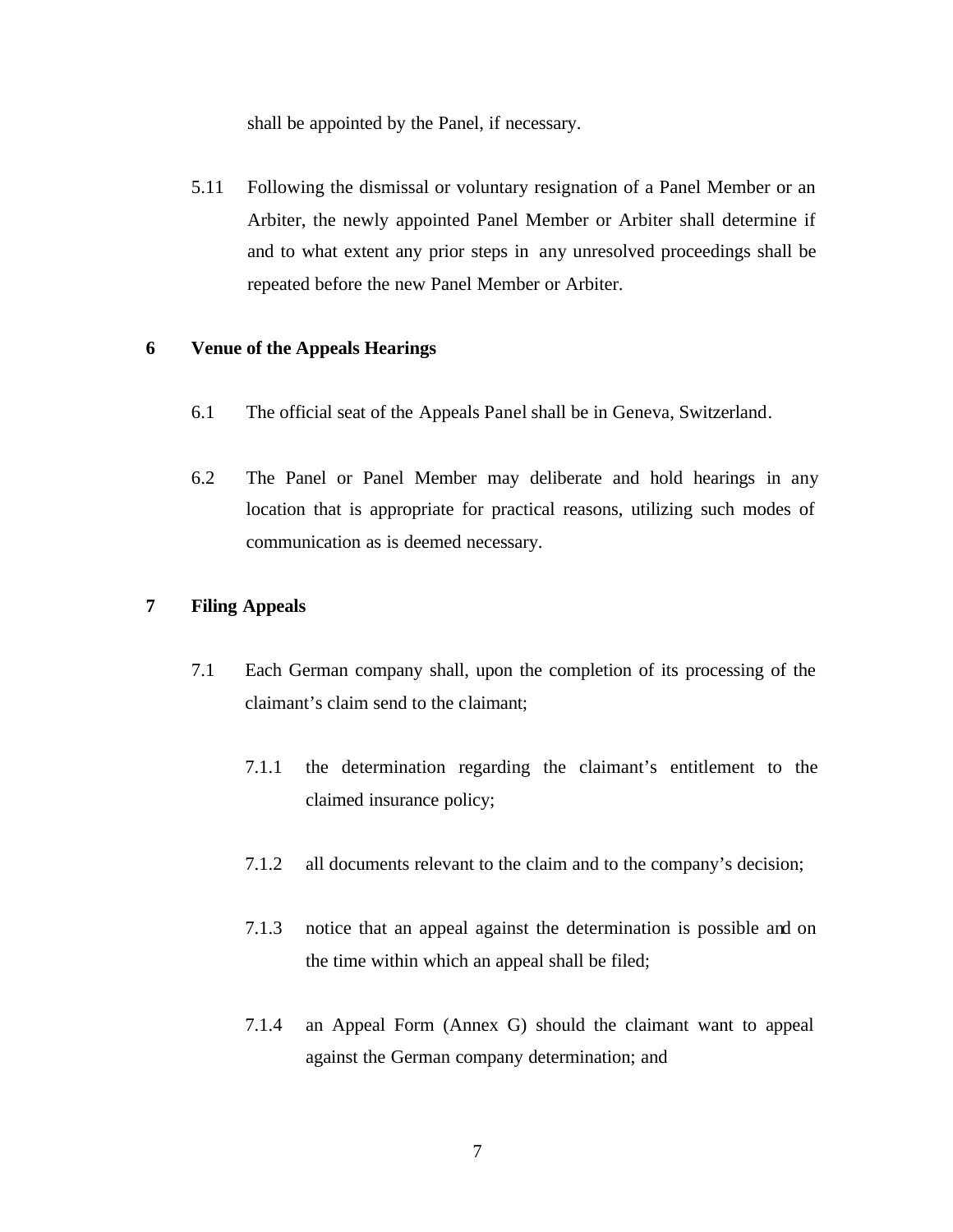shall be appointed by the Panel, if necessary.

5.11 Following the dismissal or voluntary resignation of a Panel Member or an Arbiter, the newly appointed Panel Member or Arbiter shall determine if and to what extent any prior steps in any unresolved proceedings shall be repeated before the new Panel Member or Arbiter.

## **6 Venue of the Appeals Hearings**

- 6.1 The official seat of the Appeals Panel shall be in Geneva, Switzerland.
- 6.2 The Panel or Panel Member may deliberate and hold hearings in any location that is appropriate for practical reasons, utilizing such modes of communication as is deemed necessary.

# **7 Filing Appeals**

- 7.1 Each German company shall, upon the completion of its processing of the claimant's claim send to the claimant;
	- 7.1.1 the determination regarding the claimant's entitlement to the claimed insurance policy;
	- 7.1.2 all documents relevant to the claim and to the company's decision;
	- 7.1.3 notice that an appeal against the determination is possible and on the time within which an appeal shall be filed;
	- 7.1.4 an Appeal Form (Annex G) should the claimant want to appeal against the German company determination; and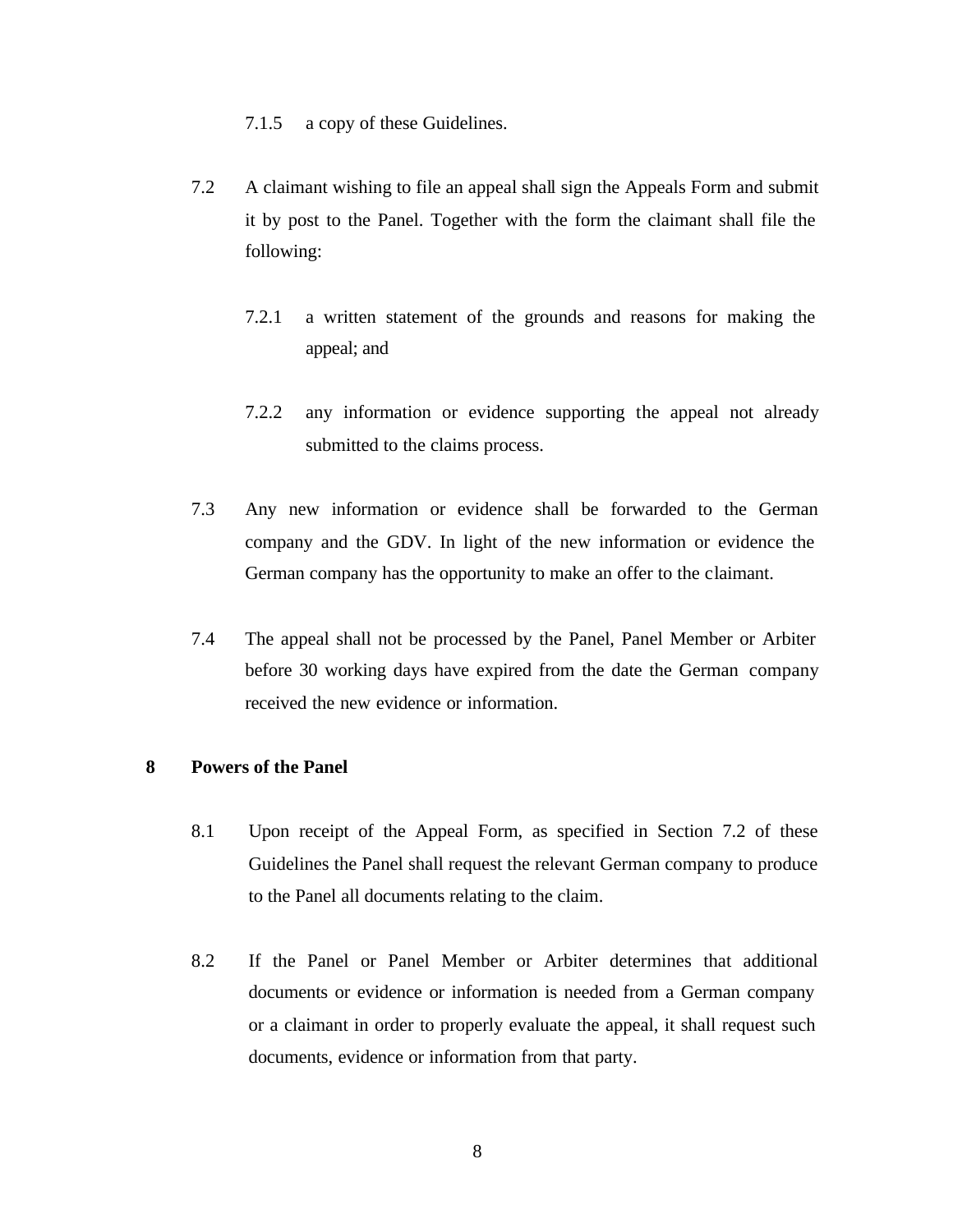- 7.1.5 a copy of these Guidelines.
- 7.2 A claimant wishing to file an appeal shall sign the Appeals Form and submit it by post to the Panel. Together with the form the claimant shall file the following:
	- 7.2.1 a written statement of the grounds and reasons for making the appeal; and
	- 7.2.2 any information or evidence supporting the appeal not already submitted to the claims process.
- 7.3 Any new information or evidence shall be forwarded to the German company and the GDV. In light of the new information or evidence the German company has the opportunity to make an offer to the claimant.
- 7.4 The appeal shall not be processed by the Panel, Panel Member or Arbiter before 30 working days have expired from the date the German company received the new evidence or information.

# **8 Powers of the Panel**

- 8.1 Upon receipt of the Appeal Form, as specified in Section 7.2 of these Guidelines the Panel shall request the relevant German company to produce to the Panel all documents relating to the claim.
- 8.2 If the Panel or Panel Member or Arbiter determines that additional documents or evidence or information is needed from a German company or a claimant in order to properly evaluate the appeal, it shall request such documents, evidence or information from that party.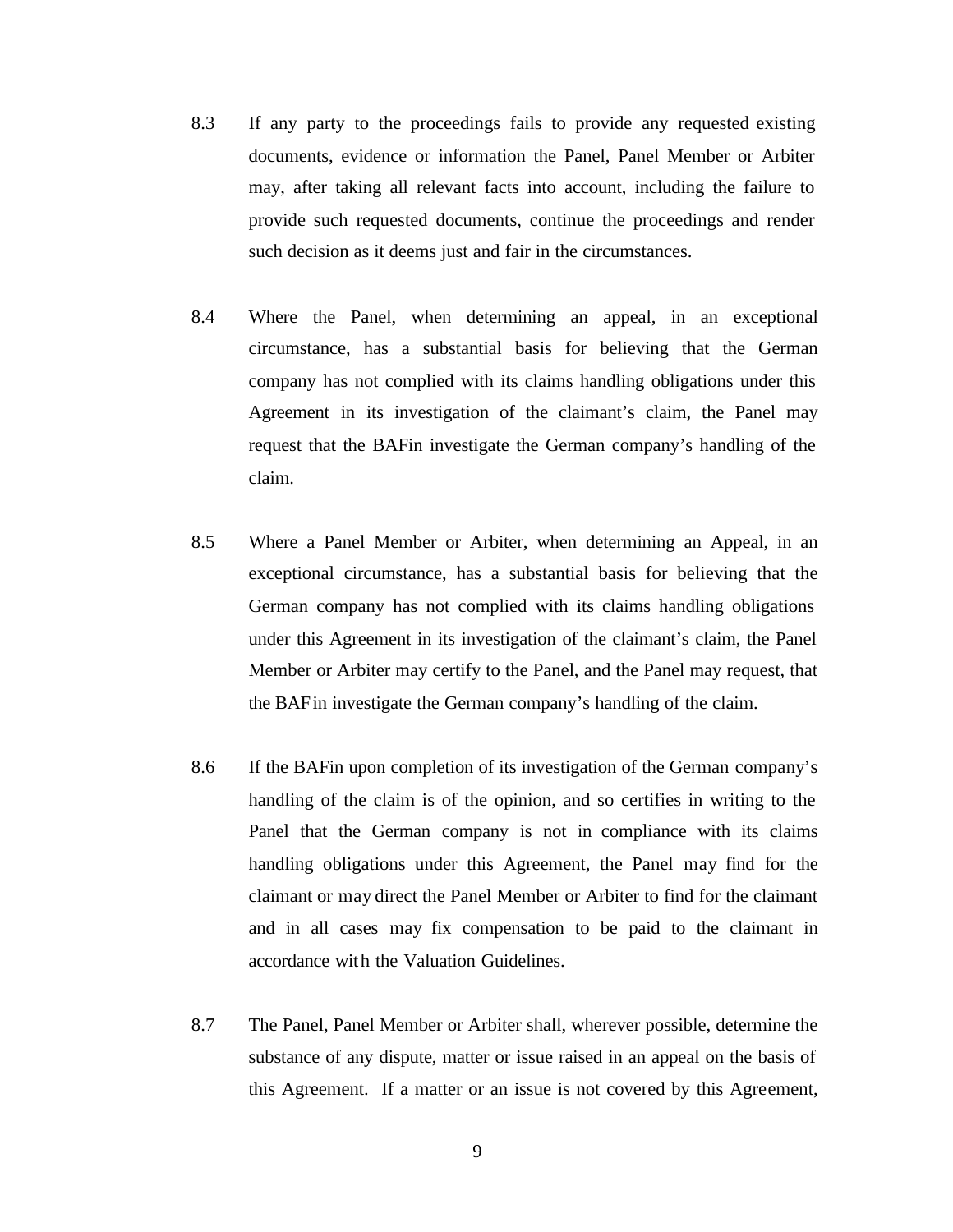- 8.3 If any party to the proceedings fails to provide any requested existing documents, evidence or information the Panel, Panel Member or Arbiter may, after taking all relevant facts into account, including the failure to provide such requested documents, continue the proceedings and render such decision as it deems just and fair in the circumstances.
- 8.4 Where the Panel, when determining an appeal, in an exceptional circumstance, has a substantial basis for believing that the German company has not complied with its claims handling obligations under this Agreement in its investigation of the claimant's claim, the Panel may request that the BAFin investigate the German company's handling of the claim.
- 8.5 Where a Panel Member or Arbiter, when determining an Appeal, in an exceptional circumstance, has a substantial basis for believing that the German company has not complied with its claims handling obligations under this Agreement in its investigation of the claimant's claim, the Panel Member or Arbiter may certify to the Panel, and the Panel may request, that the BAFin investigate the German company's handling of the claim.
- 8.6 If the BAFin upon completion of its investigation of the German company's handling of the claim is of the opinion, and so certifies in writing to the Panel that the German company is not in compliance with its claims handling obligations under this Agreement, the Panel may find for the claimant or may direct the Panel Member or Arbiter to find for the claimant and in all cases may fix compensation to be paid to the claimant in accordance with the Valuation Guidelines.
- 8.7 The Panel, Panel Member or Arbiter shall, wherever possible, determine the substance of any dispute, matter or issue raised in an appeal on the basis of this Agreement. If a matter or an issue is not covered by this Agreement,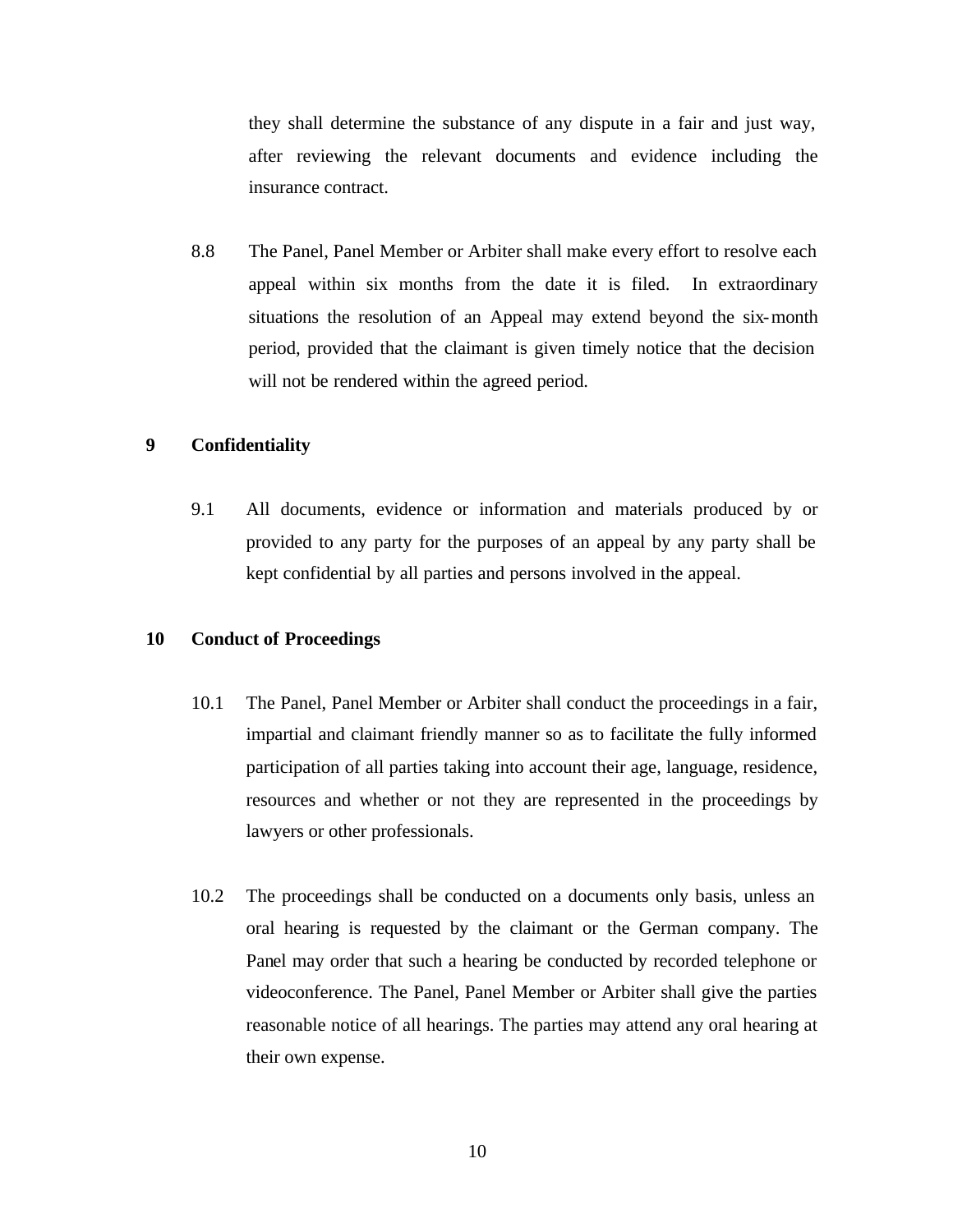they shall determine the substance of any dispute in a fair and just way, after reviewing the relevant documents and evidence including the insurance contract.

8.8 The Panel, Panel Member or Arbiter shall make every effort to resolve each appeal within six months from the date it is filed. In extraordinary situations the resolution of an Appeal may extend beyond the six-month period, provided that the claimant is given timely notice that the decision will not be rendered within the agreed period.

## **9 Confidentiality**

9.1 All documents, evidence or information and materials produced by or provided to any party for the purposes of an appeal by any party shall be kept confidential by all parties and persons involved in the appeal.

## **10 Conduct of Proceedings**

- 10.1 The Panel, Panel Member or Arbiter shall conduct the proceedings in a fair, impartial and claimant friendly manner so as to facilitate the fully informed participation of all parties taking into account their age, language, residence, resources and whether or not they are represented in the proceedings by lawyers or other professionals.
- 10.2 The proceedings shall be conducted on a documents only basis, unless an oral hearing is requested by the claimant or the German company. The Panel may order that such a hearing be conducted by recorded telephone or videoconference. The Panel, Panel Member or Arbiter shall give the parties reasonable notice of all hearings. The parties may attend any oral hearing at their own expense.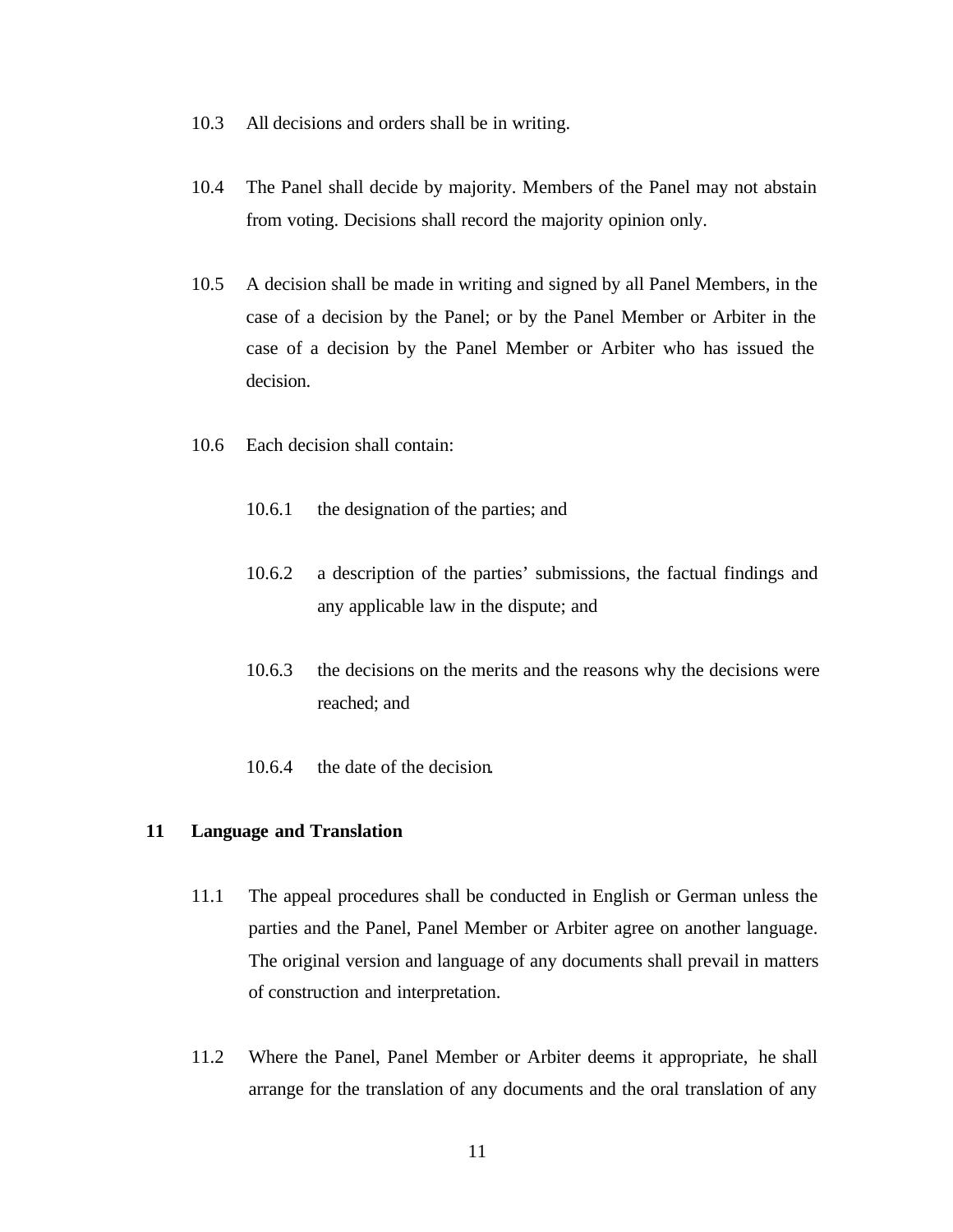- 10.3 All decisions and orders shall be in writing.
- 10.4 The Panel shall decide by majority. Members of the Panel may not abstain from voting. Decisions shall record the majority opinion only.
- 10.5 A decision shall be made in writing and signed by all Panel Members, in the case of a decision by the Panel; or by the Panel Member or Arbiter in the case of a decision by the Panel Member or Arbiter who has issued the decision.
- 10.6 Each decision shall contain:
	- 10.6.1 the designation of the parties; and
	- 10.6.2 a description of the parties' submissions, the factual findings and any applicable law in the dispute; and
	- 10.6.3 the decisions on the merits and the reasons why the decisions were reached; and
	- 10.6.4 the date of the decision.

## **11 Language and Translation**

- 11.1 The appeal procedures shall be conducted in English or German unless the parties and the Panel, Panel Member or Arbiter agree on another language. The original version and language of any documents shall prevail in matters of construction and interpretation.
- 11.2 Where the Panel, Panel Member or Arbiter deems it appropriate, he shall arrange for the translation of any documents and the oral translation of any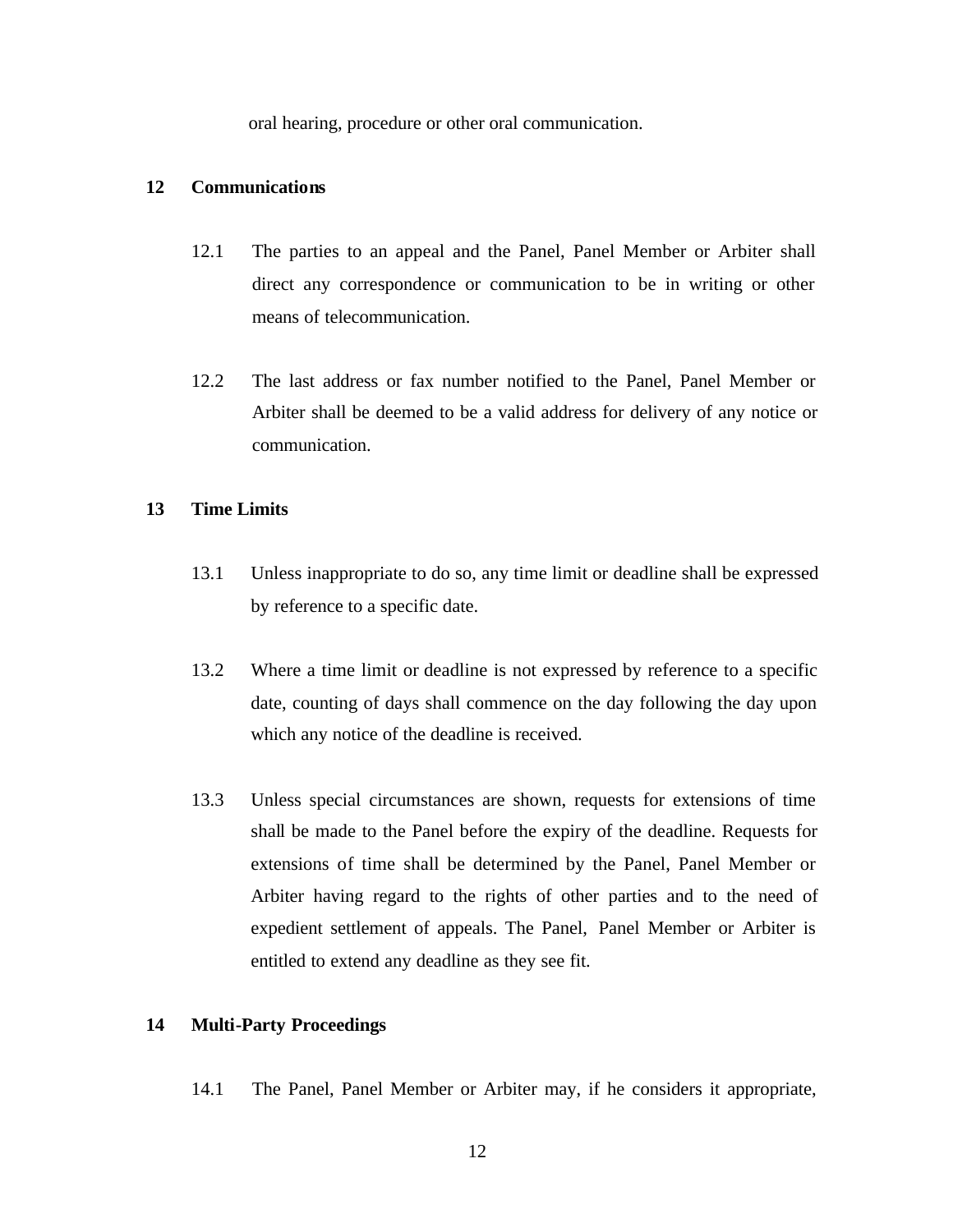oral hearing, procedure or other oral communication.

## **12 Communications**

- 12.1 The parties to an appeal and the Panel, Panel Member or Arbiter shall direct any correspondence or communication to be in writing or other means of telecommunication.
- 12.2 The last address or fax number notified to the Panel, Panel Member or Arbiter shall be deemed to be a valid address for delivery of any notice or communication.

# **13 Time Limits**

- 13.1 Unless inappropriate to do so, any time limit or deadline shall be expressed by reference to a specific date.
- 13.2 Where a time limit or deadline is not expressed by reference to a specific date, counting of days shall commence on the day following the day upon which any notice of the deadline is received.
- 13.3 Unless special circumstances are shown, requests for extensions of time shall be made to the Panel before the expiry of the deadline. Requests for extensions of time shall be determined by the Panel, Panel Member or Arbiter having regard to the rights of other parties and to the need of expedient settlement of appeals. The Panel, Panel Member or Arbiter is entitled to extend any deadline as they see fit.

## **14 Multi-Party Proceedings**

14.1 The Panel, Panel Member or Arbiter may, if he considers it appropriate,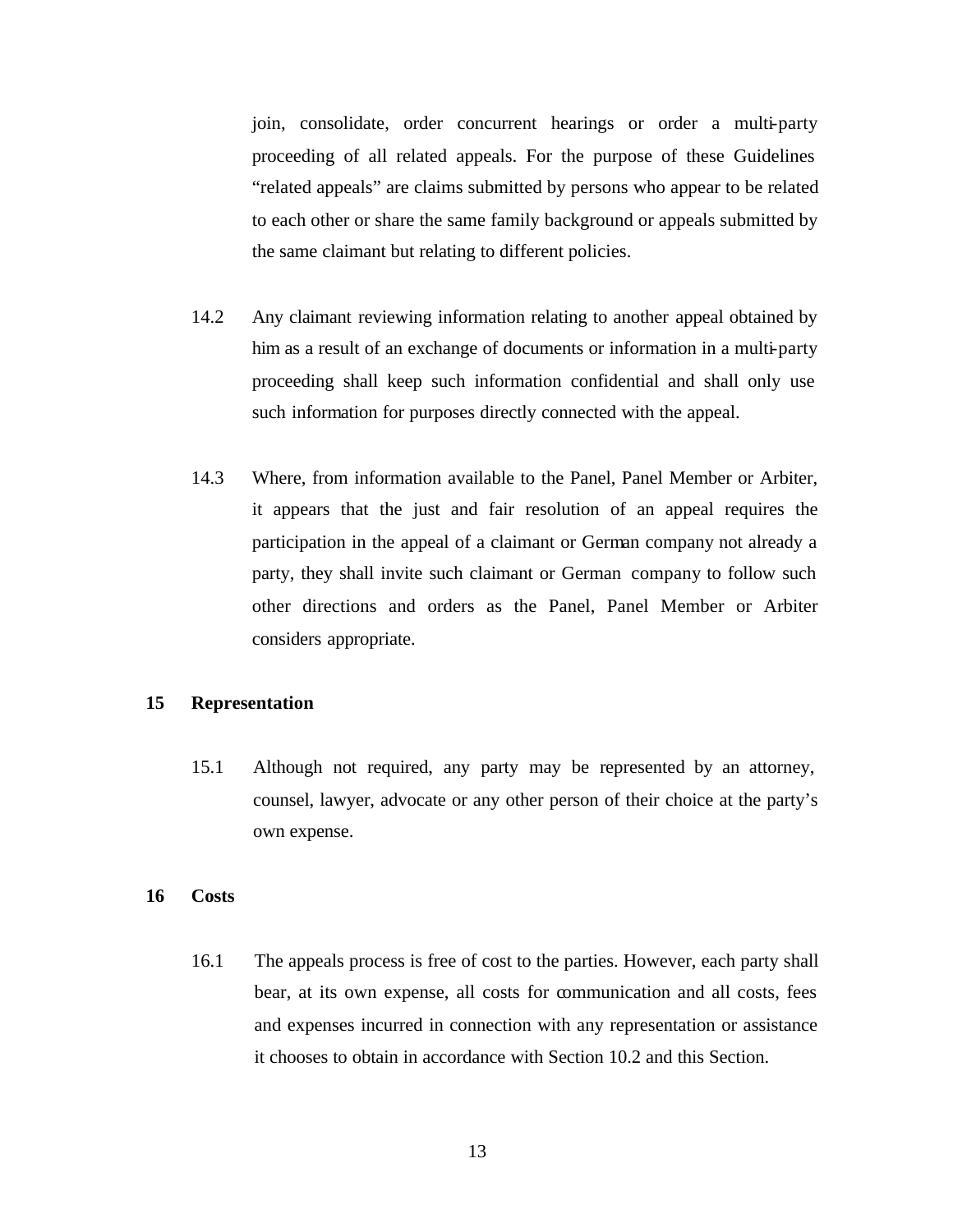join, consolidate, order concurrent hearings or order a multi-party proceeding of all related appeals. For the purpose of these Guidelines "related appeals" are claims submitted by persons who appear to be related to each other or share the same family background or appeals submitted by the same claimant but relating to different policies.

- 14.2 Any claimant reviewing information relating to another appeal obtained by him as a result of an exchange of documents or information in a multi-party proceeding shall keep such information confidential and shall only use such information for purposes directly connected with the appeal.
- 14.3 Where, from information available to the Panel, Panel Member or Arbiter, it appears that the just and fair resolution of an appeal requires the participation in the appeal of a claimant or German company not already a party, they shall invite such claimant or German company to follow such other directions and orders as the Panel, Panel Member or Arbiter considers appropriate.

## **15 Representation**

15.1 Although not required, any party may be represented by an attorney, counsel, lawyer, advocate or any other person of their choice at the party's own expense.

### **16 Costs**

16.1 The appeals process is free of cost to the parties. However, each party shall bear, at its own expense, all costs for communication and all costs, fees and expenses incurred in connection with any representation or assistance it chooses to obtain in accordance with Section 10.2 and this Section.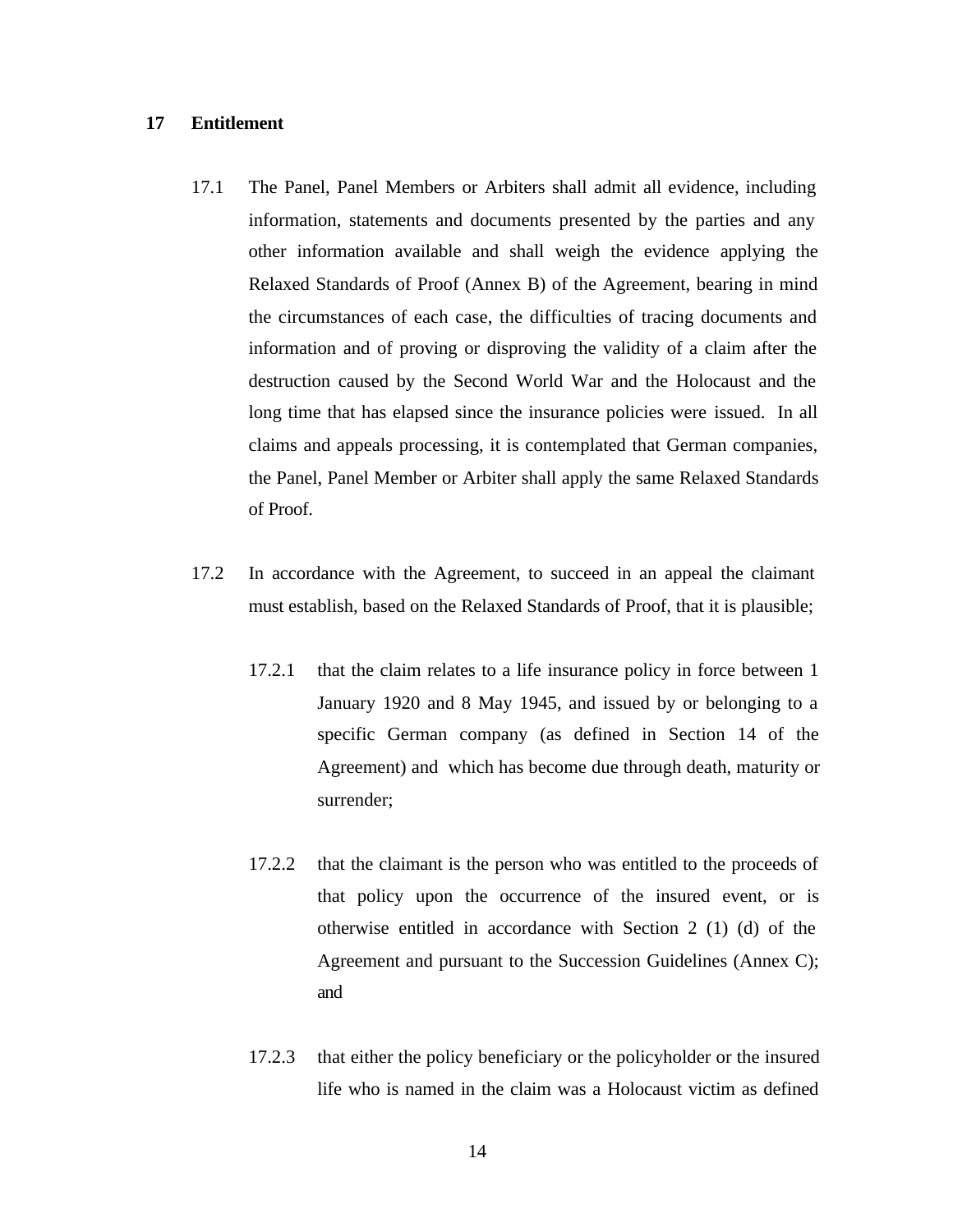## **17 Entitlement**

- 17.1 The Panel, Panel Members or Arbiters shall admit all evidence, including information, statements and documents presented by the parties and any other information available and shall weigh the evidence applying the Relaxed Standards of Proof (Annex B) of the Agreement, bearing in mind the circumstances of each case, the difficulties of tracing documents and information and of proving or disproving the validity of a claim after the destruction caused by the Second World War and the Holocaust and the long time that has elapsed since the insurance policies were issued. In all claims and appeals processing, it is contemplated that German companies, the Panel, Panel Member or Arbiter shall apply the same Relaxed Standards of Proof.
- 17.2 In accordance with the Agreement, to succeed in an appeal the claimant must establish, based on the Relaxed Standards of Proof, that it is plausible;
	- 17.2.1 that the claim relates to a life insurance policy in force between 1 January 1920 and 8 May 1945, and issued by or belonging to a specific German company (as defined in Section 14 of the Agreement) and which has become due through death, maturity or surrender;
	- 17.2.2 that the claimant is the person who was entitled to the proceeds of that policy upon the occurrence of the insured event, or is otherwise entitled in accordance with Section 2 (1) (d) of the Agreement and pursuant to the Succession Guidelines (Annex C); and
	- 17.2.3 that either the policy beneficiary or the policyholder or the insured life who is named in the claim was a Holocaust victim as defined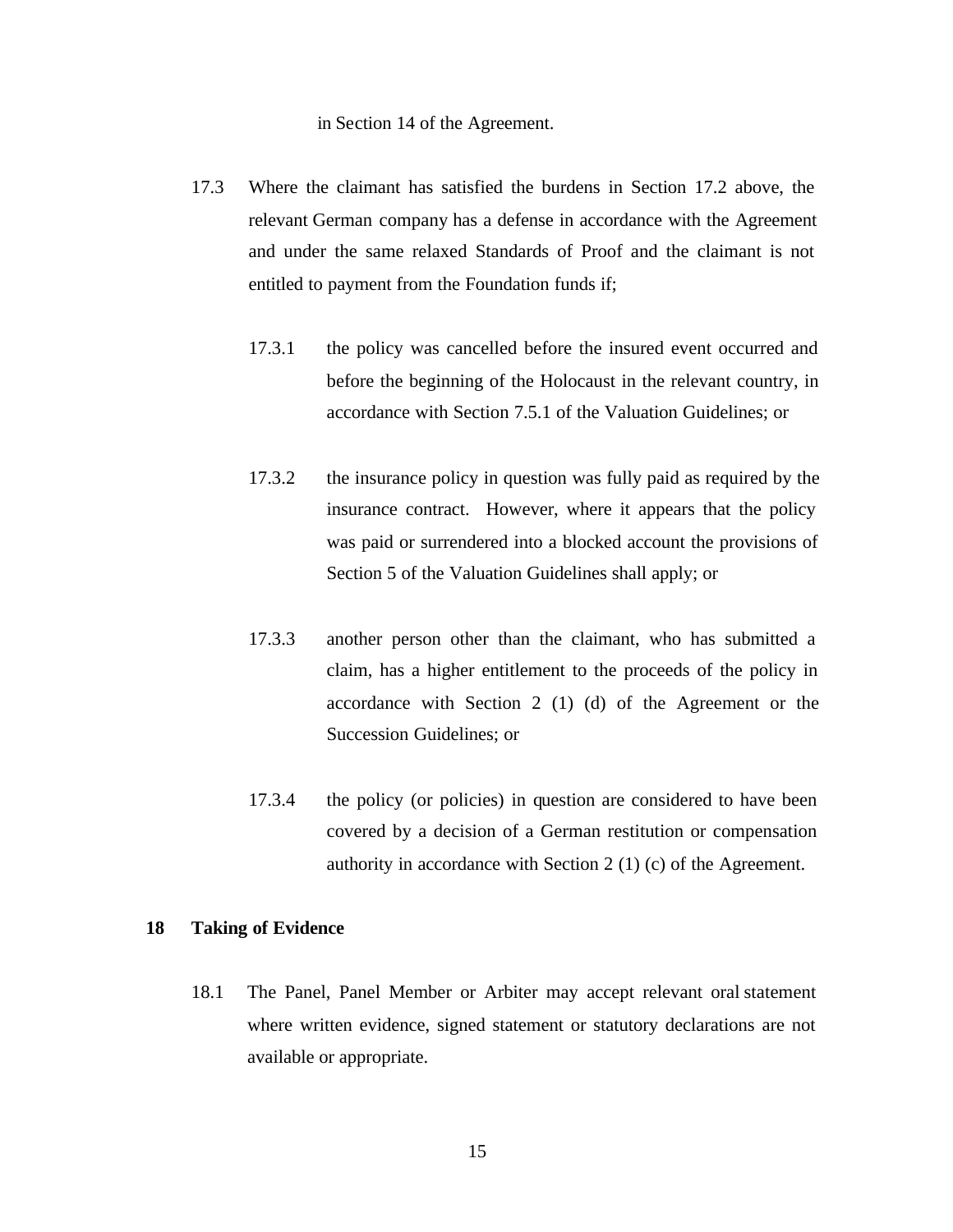### in Section 14 of the Agreement.

- 17.3 Where the claimant has satisfied the burdens in Section 17.2 above, the relevant German company has a defense in accordance with the Agreement and under the same relaxed Standards of Proof and the claimant is not entitled to payment from the Foundation funds if;
	- 17.3.1 the policy was cancelled before the insured event occurred and before the beginning of the Holocaust in the relevant country, in accordance with Section 7.5.1 of the Valuation Guidelines; or
	- 17.3.2 the insurance policy in question was fully paid as required by the insurance contract. However, where it appears that the policy was paid or surrendered into a blocked account the provisions of Section 5 of the Valuation Guidelines shall apply; or
	- 17.3.3 another person other than the claimant, who has submitted a claim, has a higher entitlement to the proceeds of the policy in accordance with Section 2 (1) (d) of the Agreement or the Succession Guidelines; or
	- 17.3.4 the policy (or policies) in question are considered to have been covered by a decision of a German restitution or compensation authority in accordance with Section 2 (1) (c) of the Agreement.

## **18 Taking of Evidence**

18.1 The Panel, Panel Member or Arbiter may accept relevant oral statement where written evidence, signed statement or statutory declarations are not available or appropriate.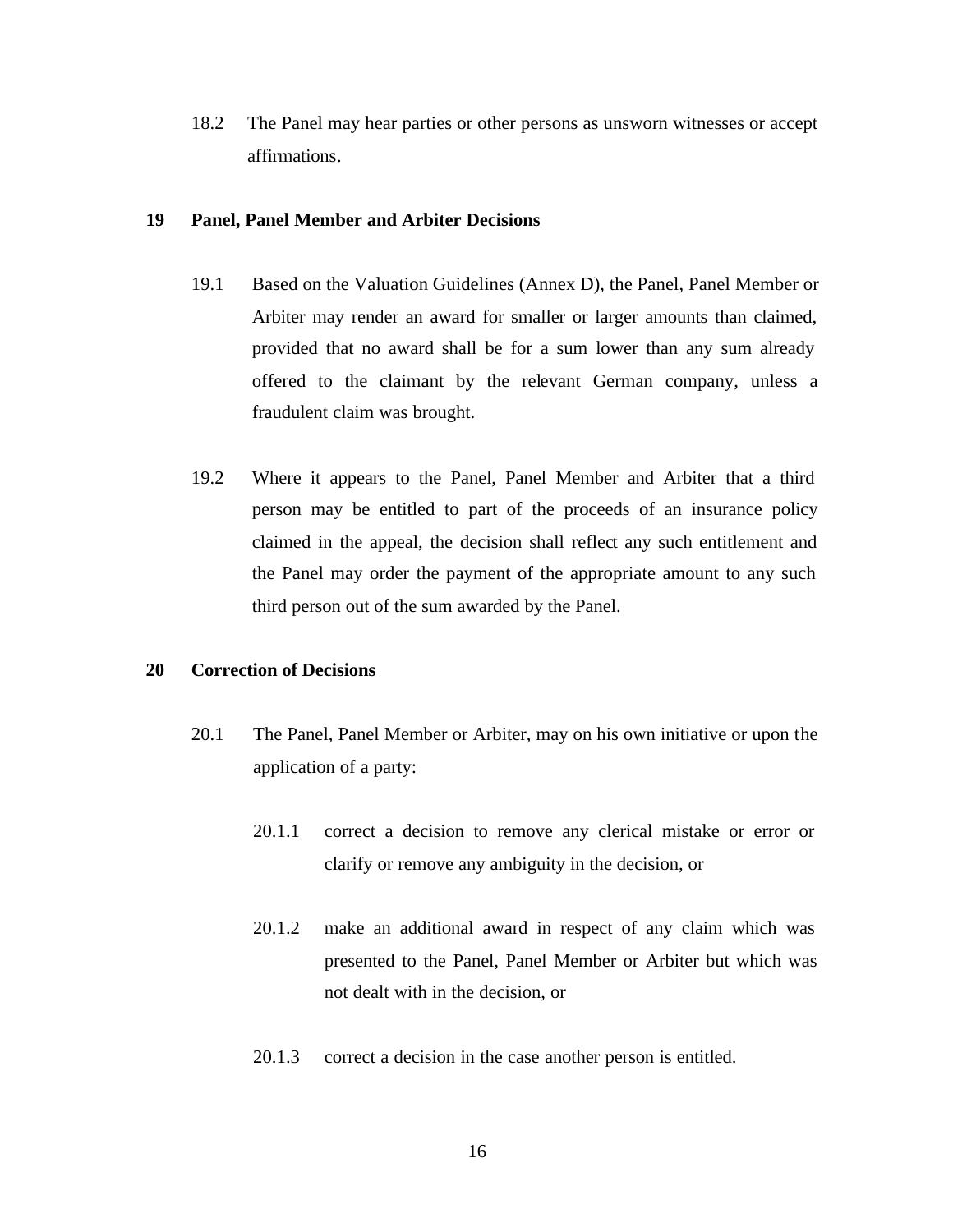18.2 The Panel may hear parties or other persons as unsworn witnesses or accept affirmations*.*

### **19 Panel, Panel Member and Arbiter Decisions**

- 19.1 Based on the Valuation Guidelines (Annex D), the Panel, Panel Member or Arbiter may render an award for smaller or larger amounts than claimed, provided that no award shall be for a sum lower than any sum already offered to the claimant by the relevant German company, unless a fraudulent claim was brought.
- 19.2 Where it appears to the Panel, Panel Member and Arbiter that a third person may be entitled to part of the proceeds of an insurance policy claimed in the appeal, the decision shall reflect any such entitlement and the Panel may order the payment of the appropriate amount to any such third person out of the sum awarded by the Panel.

# **20 Correction of Decisions**

- 20.1 The Panel, Panel Member or Arbiter, may on his own initiative or upon the application of a party:
	- 20.1.1 correct a decision to remove any clerical mistake or error or clarify or remove any ambiguity in the decision, or
	- 20.1.2 make an additional award in respect of any claim which was presented to the Panel, Panel Member or Arbiter but which was not dealt with in the decision, or
	- 20.1.3 correct a decision in the case another person is entitled.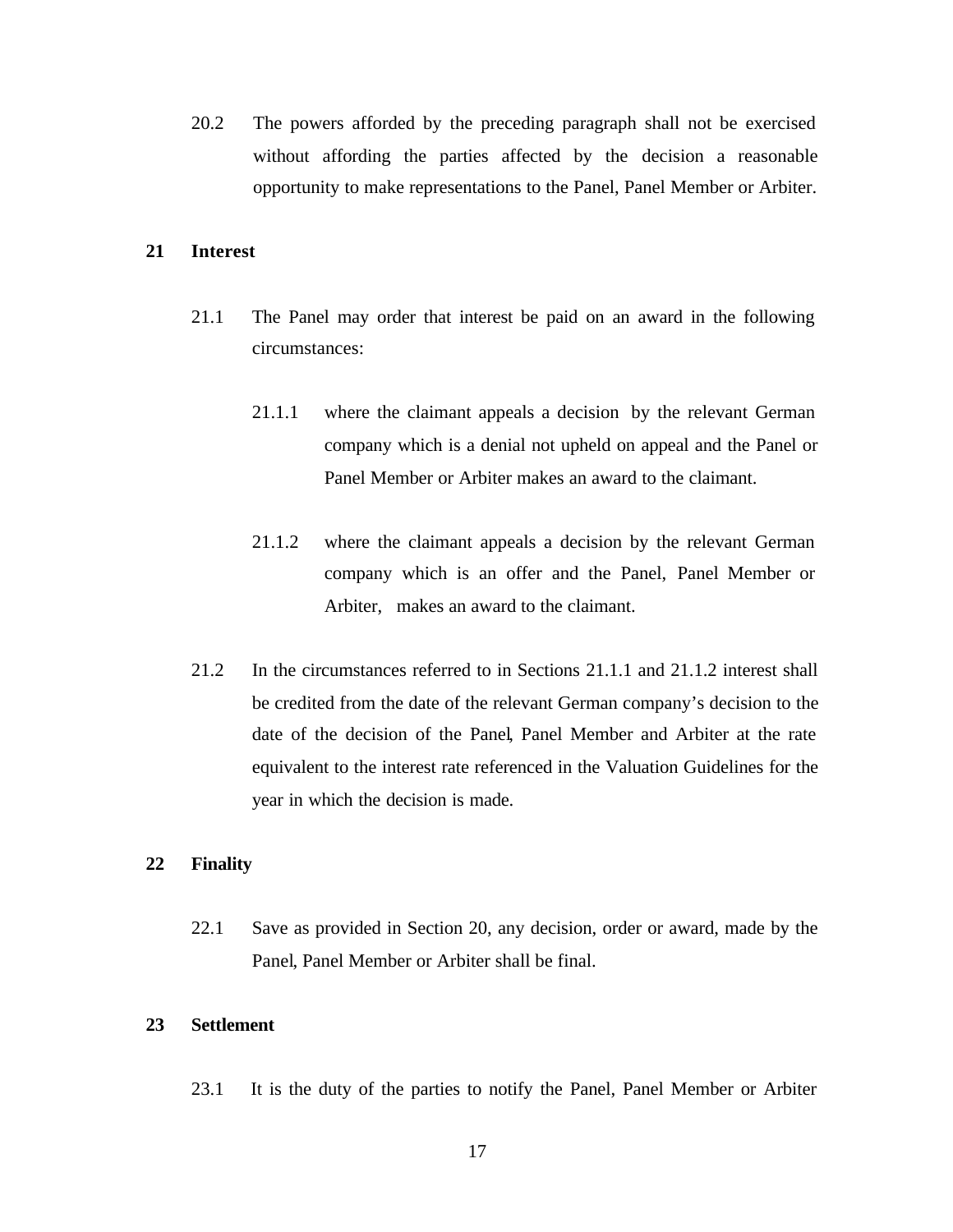20.2 The powers afforded by the preceding paragraph shall not be exercised without affording the parties affected by the decision a reasonable opportunity to make representations to the Panel, Panel Member or Arbiter.

## **21 Interest**

- 21.1 The Panel may order that interest be paid on an award in the following circumstances:
	- 21.1.1 where the claimant appeals a decision by the relevant German company which is a denial not upheld on appeal and the Panel or Panel Member or Arbiter makes an award to the claimant.
	- 21.1.2 where the claimant appeals a decision by the relevant German company which is an offer and the Panel, Panel Member or Arbiter, makes an award to the claimant.
- 21.2 In the circumstances referred to in Sections 21.1.1 and 21.1.2 interest shall be credited from the date of the relevant German company's decision to the date of the decision of the Panel, Panel Member and Arbiter at the rate equivalent to the interest rate referenced in the Valuation Guidelines for the year in which the decision is made.

# **22 Finality**

22.1 Save as provided in Section 20, any decision, order or award, made by the Panel, Panel Member or Arbiter shall be final.

## **23 Settlement**

23.1 It is the duty of the parties to notify the Panel, Panel Member or Arbiter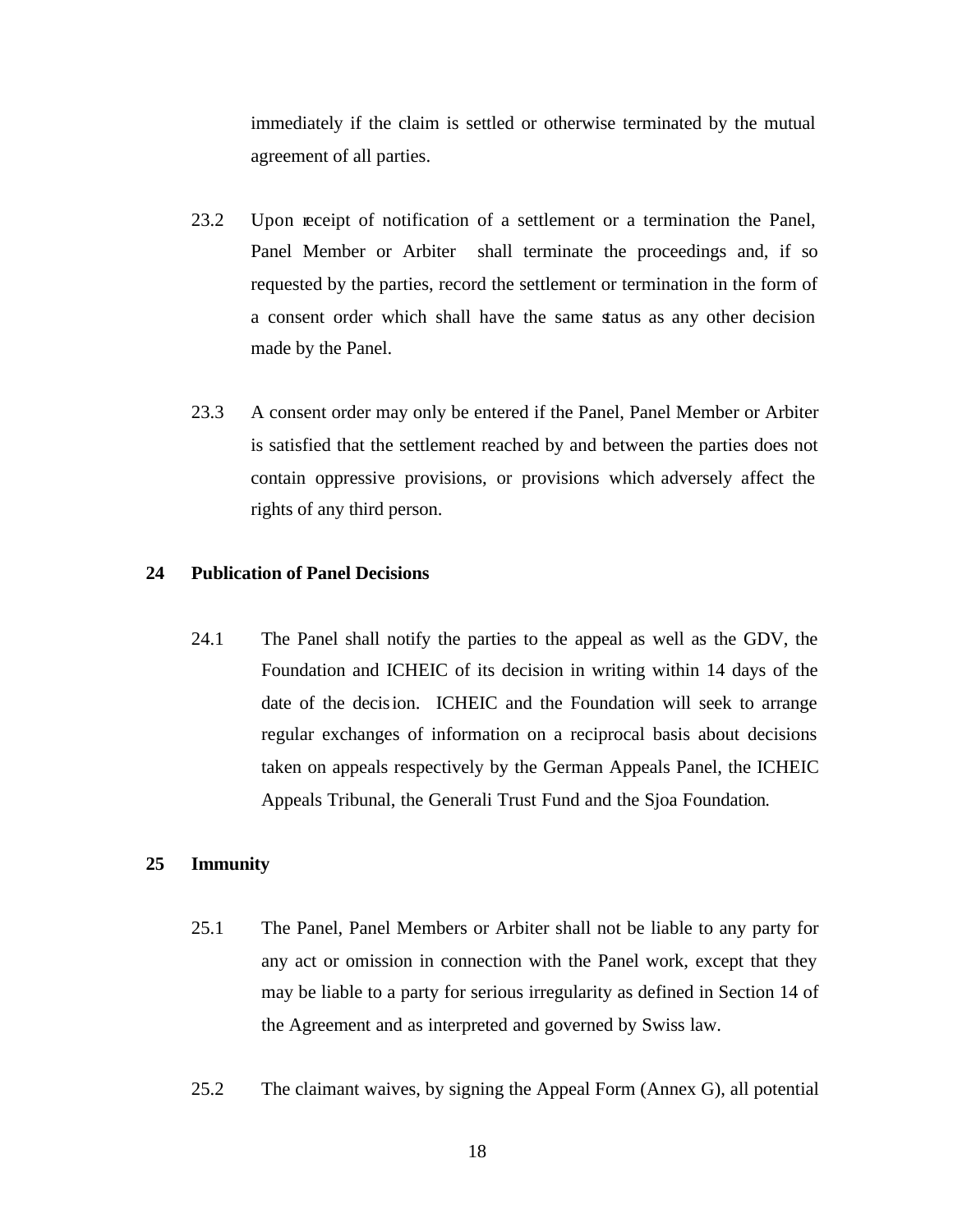immediately if the claim is settled or otherwise terminated by the mutual agreement of all parties.

- 23.2 Upon receipt of notification of a settlement or a termination the Panel, Panel Member or Arbiter shall terminate the proceedings and, if so requested by the parties, record the settlement or termination in the form of a consent order which shall have the same status as any other decision made by the Panel.
- 23.3 A consent order may only be entered if the Panel, Panel Member or Arbiter is satisfied that the settlement reached by and between the parties does not contain oppressive provisions, or provisions which adversely affect the rights of any third person.

## **24 Publication of Panel Decisions**

24.1 The Panel shall notify the parties to the appeal as well as the GDV, the Foundation and ICHEIC of its decision in writing within 14 days of the date of the decision. ICHEIC and the Foundation will seek to arrange regular exchanges of information on a reciprocal basis about decisions taken on appeals respectively by the German Appeals Panel, the ICHEIC Appeals Tribunal, the Generali Trust Fund and the Sjoa Foundation.

## **25 Immunity**

- 25.1 The Panel, Panel Members or Arbiter shall not be liable to any party for any act or omission in connection with the Panel work, except that they may be liable to a party for serious irregularity as defined in Section 14 of the Agreement and as interpreted and governed by Swiss law.
- 25.2 The claimant waives, by signing the Appeal Form (Annex G), all potential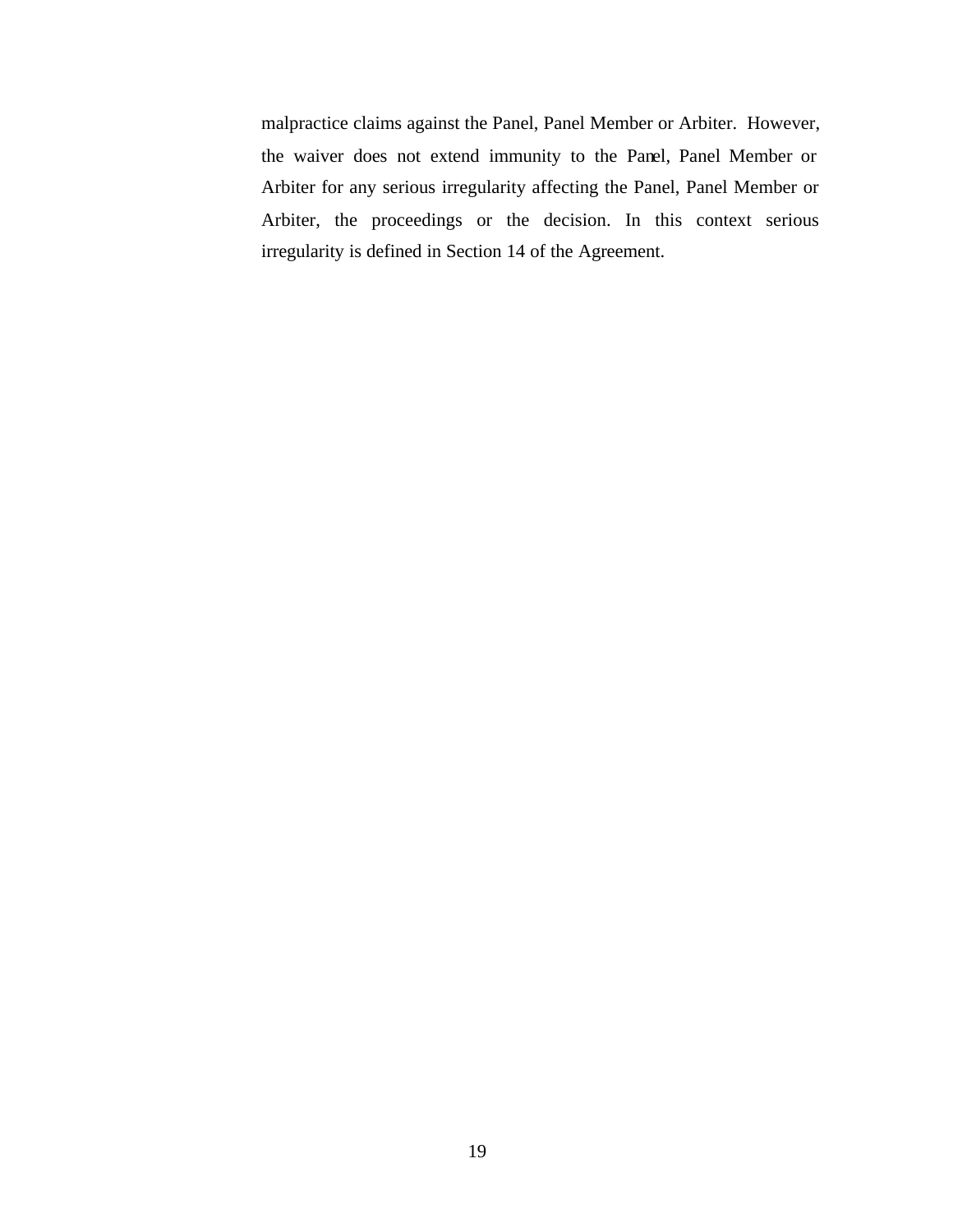malpractice claims against the Panel, Panel Member or Arbiter. However, the waiver does not extend immunity to the Panel, Panel Member or Arbiter for any serious irregularity affecting the Panel, Panel Member or Arbiter, the proceedings or the decision. In this context serious irregularity is defined in Section 14 of the Agreement.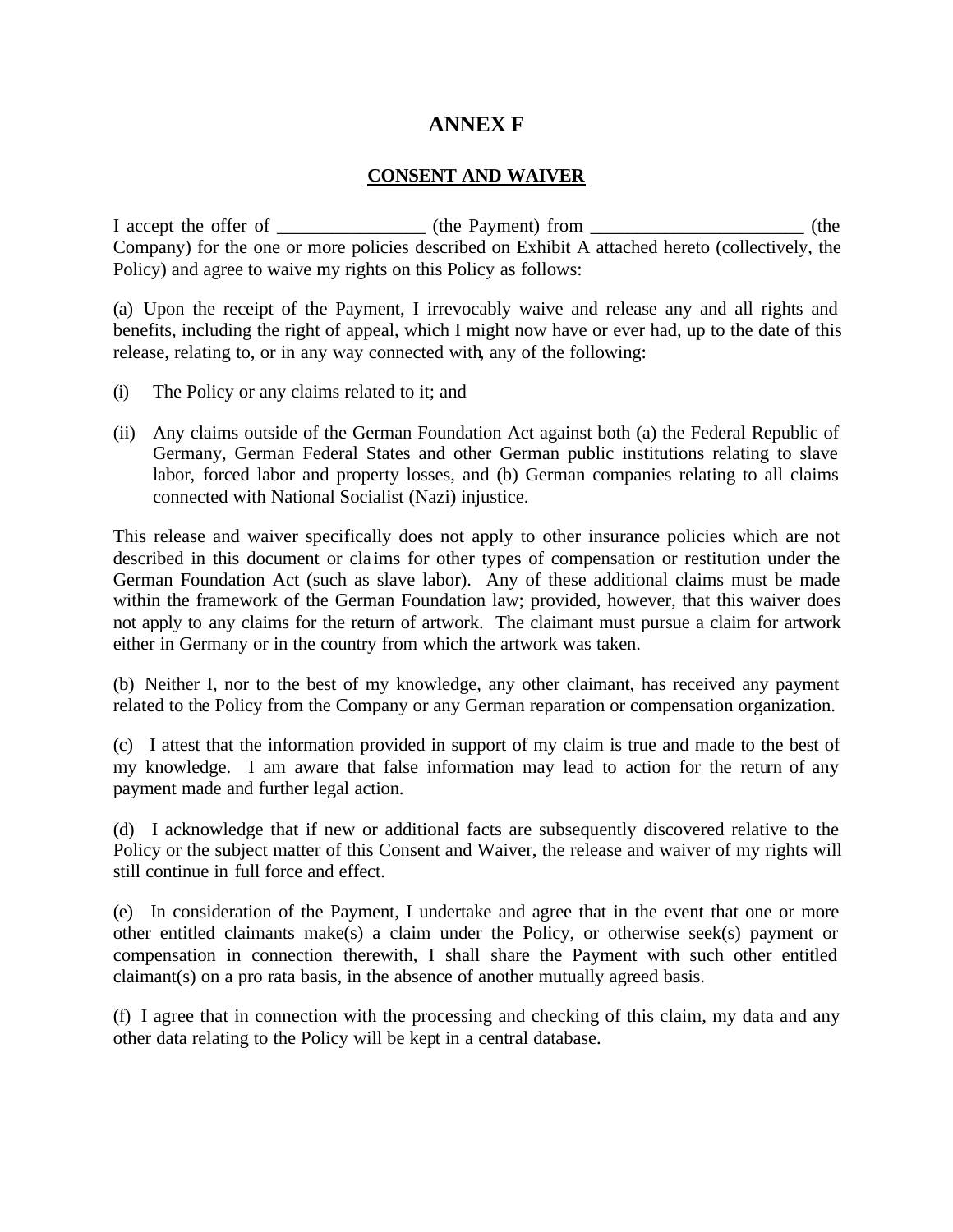# **ANNEX F**

## **CONSENT AND WAIVER**

I accept the offer of \_\_\_\_\_\_\_\_\_\_\_\_\_\_ (the Payment) from \_\_\_\_\_\_\_\_\_\_\_\_\_\_\_\_\_\_\_\_\_ (the Company) for the one or more policies described on Exhibit A attached hereto (collectively, the Policy) and agree to waive my rights on this Policy as follows:

(a) Upon the receipt of the Payment, I irrevocably waive and release any and all rights and benefits, including the right of appeal, which I might now have or ever had, up to the date of this release, relating to, or in any way connected with, any of the following:

- (i) The Policy or any claims related to it; and
- (ii) Any claims outside of the German Foundation Act against both (a) the Federal Republic of Germany, German Federal States and other German public institutions relating to slave labor, forced labor and property losses, and (b) German companies relating to all claims connected with National Socialist (Nazi) injustice.

This release and waiver specifically does not apply to other insurance policies which are not described in this document or cla ims for other types of compensation or restitution under the German Foundation Act (such as slave labor). Any of these additional claims must be made within the framework of the German Foundation law; provided, however, that this waiver does not apply to any claims for the return of artwork. The claimant must pursue a claim for artwork either in Germany or in the country from which the artwork was taken.

(b) Neither I, nor to the best of my knowledge, any other claimant, has received any payment related to the Policy from the Company or any German reparation or compensation organization.

(c) I attest that the information provided in support of my claim is true and made to the best of my knowledge. I am aware that false information may lead to action for the return of any payment made and further legal action.

(d) I acknowledge that if new or additional facts are subsequently discovered relative to the Policy or the subject matter of this Consent and Waiver, the release and waiver of my rights will still continue in full force and effect.

(e) In consideration of the Payment, I undertake and agree that in the event that one or more other entitled claimants make(s) a claim under the Policy, or otherwise seek(s) payment or compensation in connection therewith, I shall share the Payment with such other entitled claimant(s) on a pro rata basis, in the absence of another mutually agreed basis.

(f) I agree that in connection with the processing and checking of this claim, my data and any other data relating to the Policy will be kept in a central database.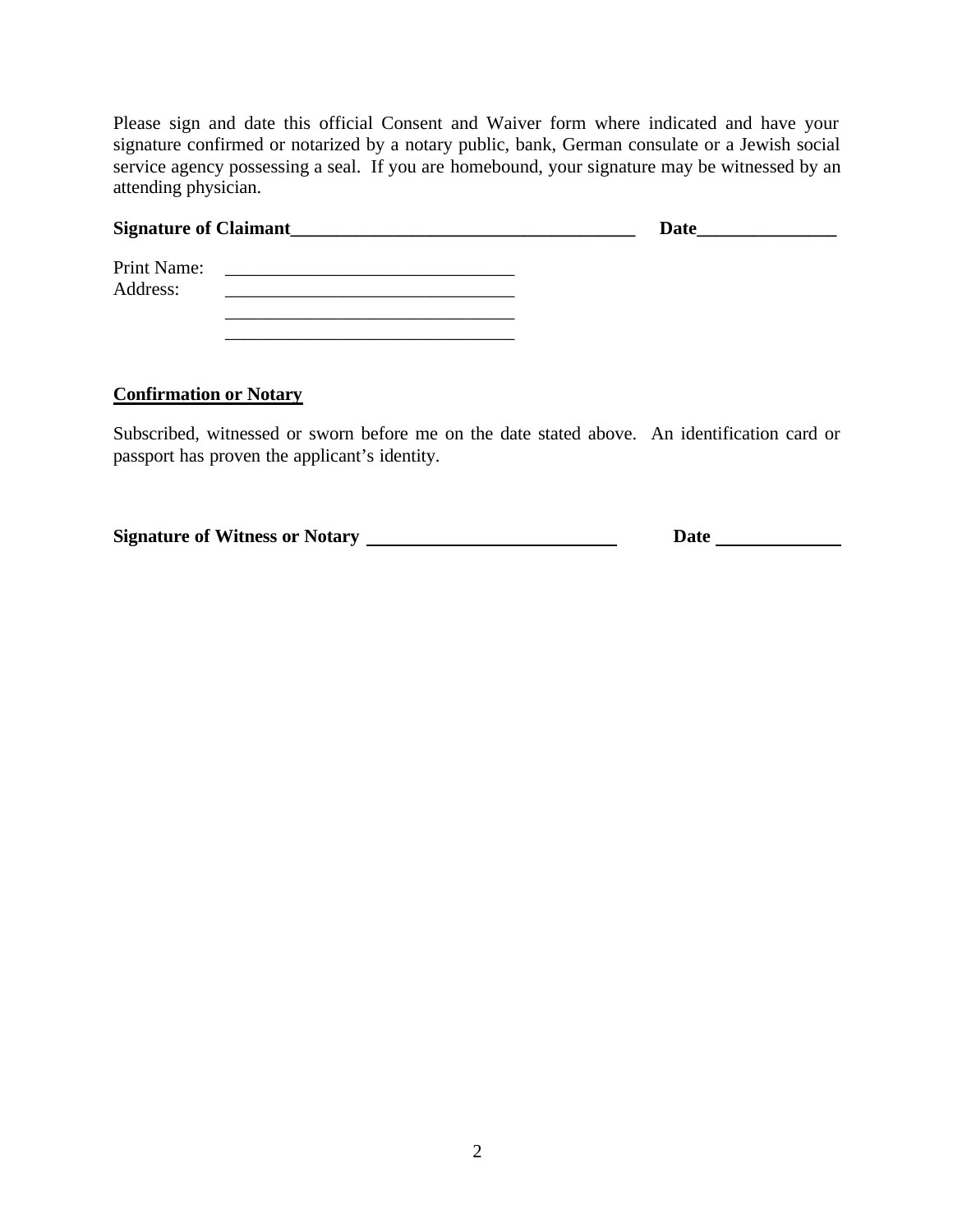Please sign and date this official Consent and Waiver form where indicated and have your signature confirmed or notarized by a notary public, bank, German consulate or a Jewish social service agency possessing a seal. If you are homebound, your signature may be witnessed by an attending physician.

| <b>Signature of Claimant</b> | <u> 1989 - John Stoff, deutscher Stoff, der Stoff, der Stoff, der Stoff, der Stoff, der Stoff, der Stoff, der Sto</u> | Date |  |
|------------------------------|-----------------------------------------------------------------------------------------------------------------------|------|--|
| Print Name:<br>Address:      |                                                                                                                       |      |  |

## **Confirmation or Notary**

Subscribed, witnessed or sworn before me on the date stated above. An identification card or passport has proven the applicant's identity.

| <b>Signature of Witness or Notary</b> | Date |  |
|---------------------------------------|------|--|
|                                       |      |  |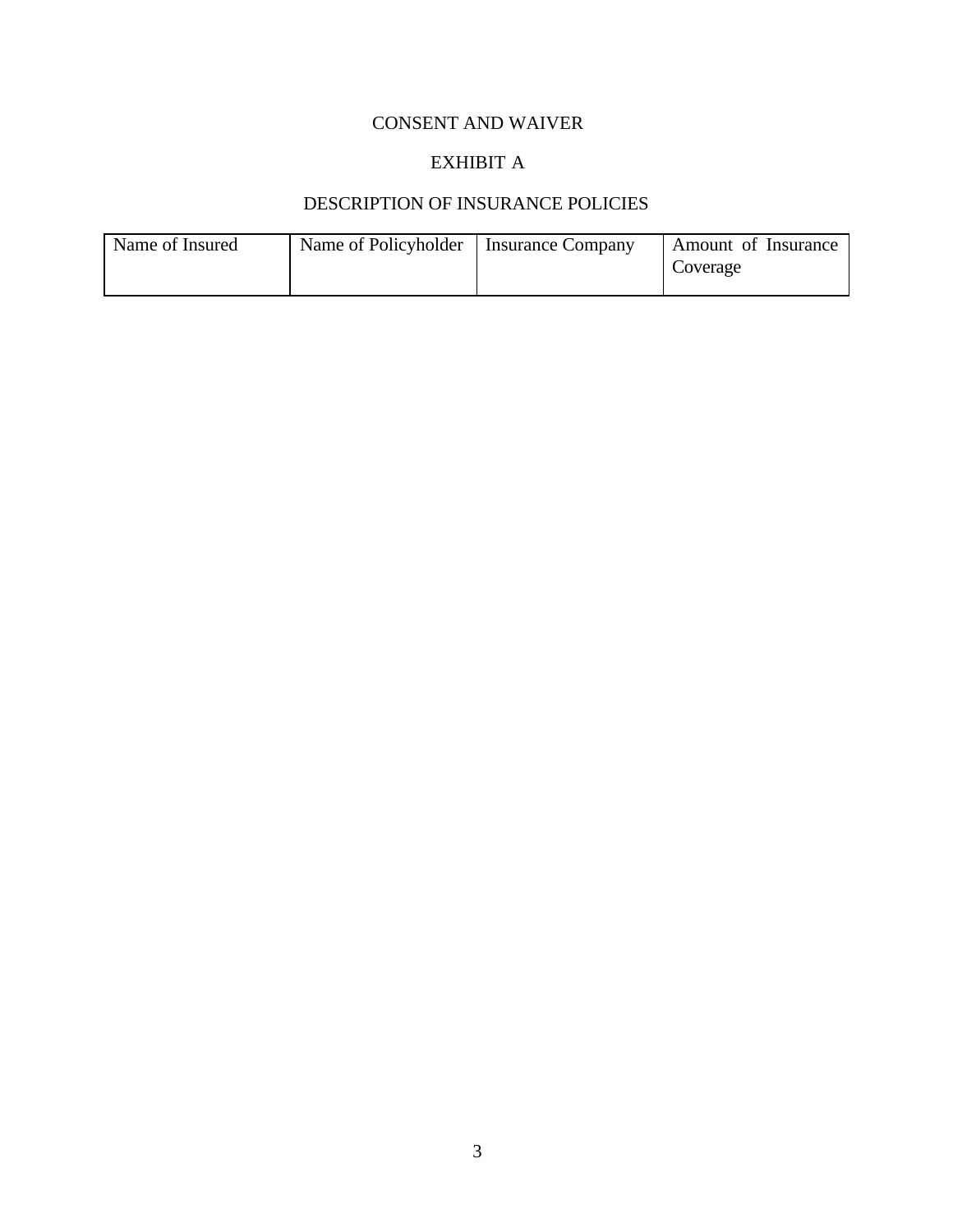# CONSENT AND WAIVER

# EXHIBIT A

# DESCRIPTION OF INSURANCE POLICIES

| Name of Insured | Name of Policyholder   Insurance Company | Amount of Insurance |
|-----------------|------------------------------------------|---------------------|
|                 |                                          | Coverage            |
|                 |                                          |                     |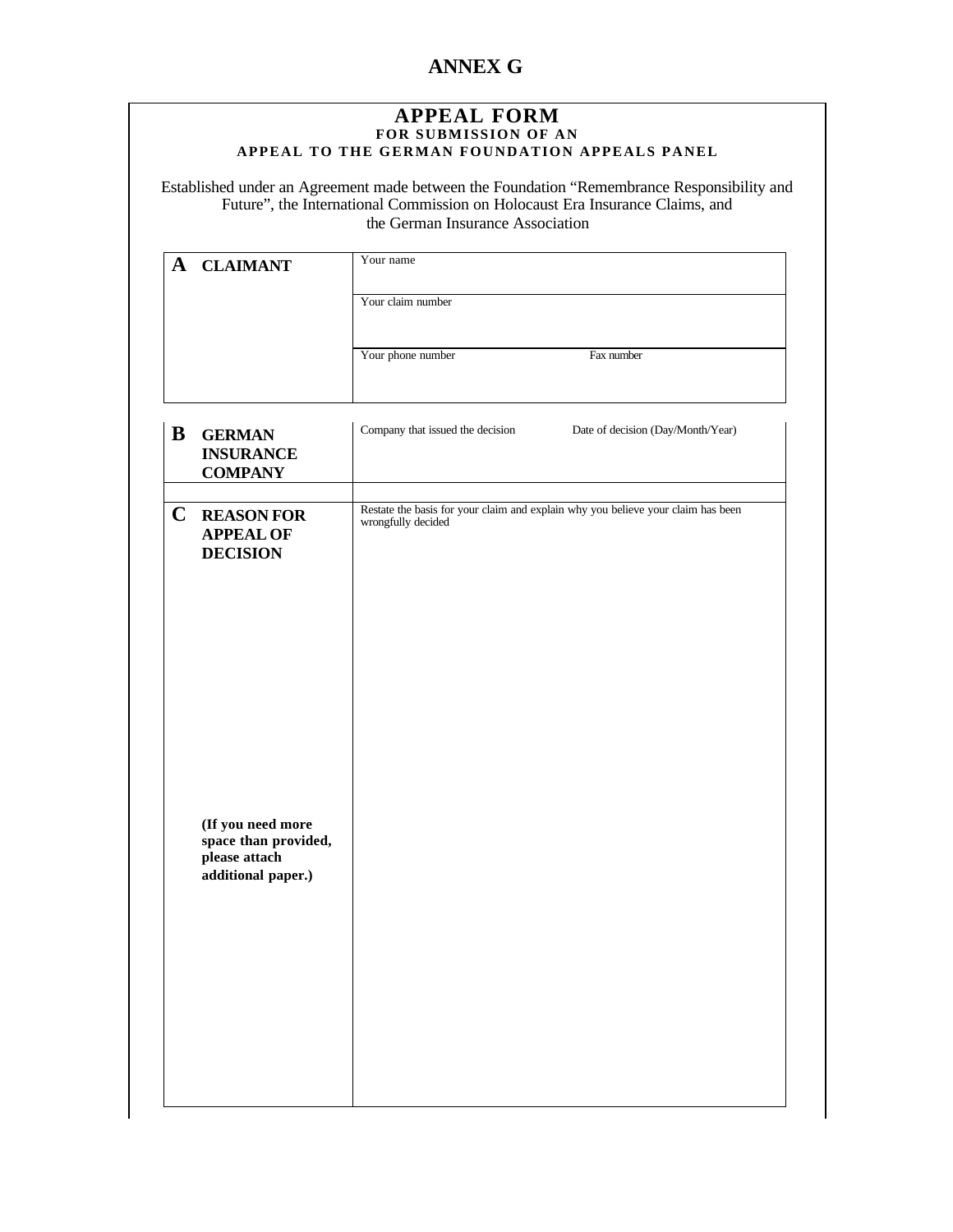# **ANNEX G**

#### **APPEAL FORM FOR SUBMISSION OF AN APPEAL TO THE GERMAN FOUNDATION APPEALS PANEL**

Established under an Agreement made between the Foundation "Remembrance Responsibility and Future", the International Commission on Holocaust Era Insurance Claims, and the German Insurance Association

| A CLAIMANT                                                                       | Your name                                                                                              |
|----------------------------------------------------------------------------------|--------------------------------------------------------------------------------------------------------|
|                                                                                  | Your claim number                                                                                      |
|                                                                                  | Your phone number<br>Fax number                                                                        |
| <b>B</b> GERMAN<br><b>INSURANCE</b><br><b>COMPANY</b>                            | Company that issued the decision<br>Date of decision (Day/Month/Year)                                  |
| C REASON FOR<br><b>APPEAL OF</b><br><b>DECISION</b>                              | Restate the basis for your claim and explain why you believe your claim has been<br>wrongfully decided |
| (If you need more<br>space than provided,<br>please attach<br>additional paper.) |                                                                                                        |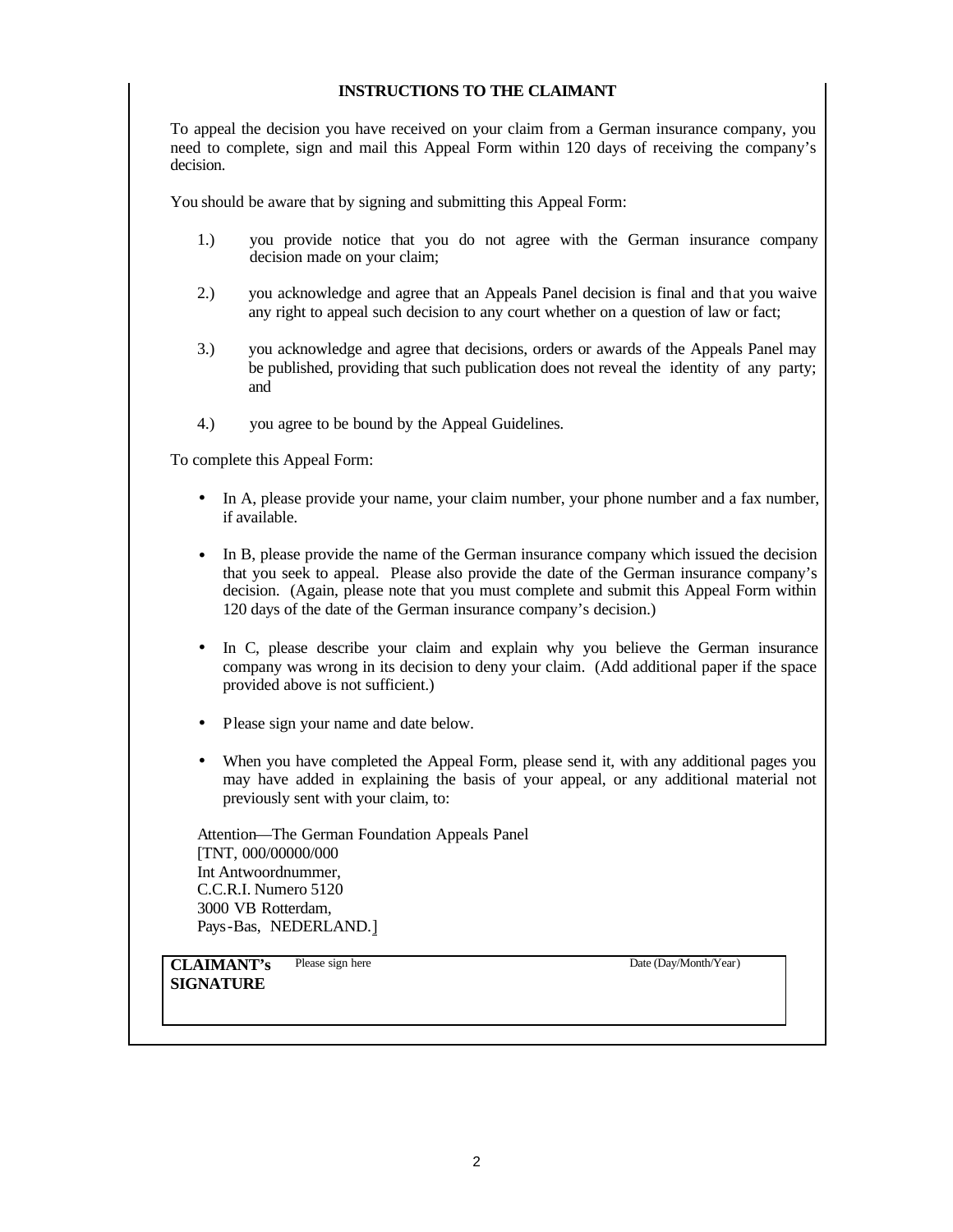#### **INSTRUCTIONS TO THE CLAIMANT**

To appeal the decision you have received on your claim from a German insurance company, you need to complete, sign and mail this Appeal Form within 120 days of receiving the company's decision.

You should be aware that by signing and submitting this Appeal Form:

- 1.) you provide notice that you do not agree with the German insurance company decision made on your claim;
- 2.) you acknowledge and agree that an Appeals Panel decision is final and that you waive any right to appeal such decision to any court whether on a question of law or fact;
- 3.) you acknowledge and agree that decisions, orders or awards of the Appeals Panel may be published, providing that such publication does not reveal the identity of any party; and
- 4.) you agree to be bound by the Appeal Guidelines.

To complete this Appeal Form:

- In A, please provide your name, your claim number, your phone number and a fax number, if available.
- In B, please provide the name of the German insurance company which issued the decision that you seek to appeal. Please also provide the date of the German insurance company's decision. (Again, please note that you must complete and submit this Appeal Form within 120 days of the date of the German insurance company's decision.)
- In C, please describe your claim and explain why you believe the German insurance company was wrong in its decision to deny your claim. (Add additional paper if the space provided above is not sufficient.)
- Please sign your name and date below.
- When you have completed the Appeal Form, please send it, with any additional pages you may have added in explaining the basis of your appeal, or any additional material not previously sent with your claim, to:

Attention—The German Foundation Appeals Panel [TNT, 000/00000/000 Int Antwoordnummer, C.C.R.I. Numero 5120 3000 VB Rotterdam, Pays-Bas, NEDERLAND.]

**CLAIMANT's SIGNATURE**

Please sign here Date (Day/Month/Year)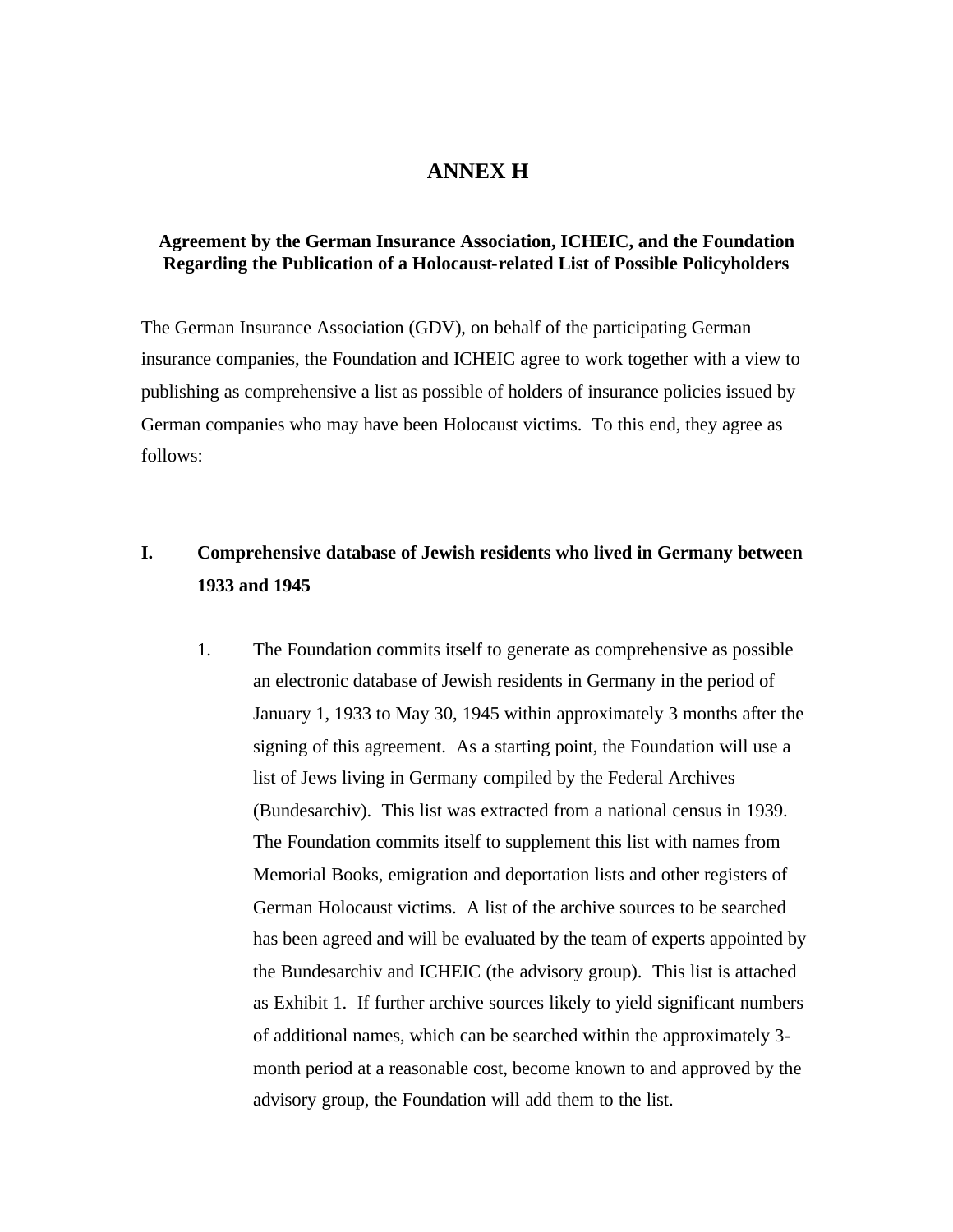## **ANNEX H**

## **Agreement by the German Insurance Association, ICHEIC, and the Foundation Regarding the Publication of a Holocaust-related List of Possible Policyholders**

The German Insurance Association (GDV), on behalf of the participating German insurance companies, the Foundation and ICHEIC agree to work together with a view to publishing as comprehensive a list as possible of holders of insurance policies issued by German companies who may have been Holocaust victims. To this end, they agree as follows:

# **I. Comprehensive database of Jewish residents who lived in Germany between 1933 and 1945**

1. The Foundation commits itself to generate as comprehensive as possible an electronic database of Jewish residents in Germany in the period of January 1, 1933 to May 30, 1945 within approximately 3 months after the signing of this agreement. As a starting point, the Foundation will use a list of Jews living in Germany compiled by the Federal Archives (Bundesarchiv). This list was extracted from a national census in 1939. The Foundation commits itself to supplement this list with names from Memorial Books, emigration and deportation lists and other registers of German Holocaust victims. A list of the archive sources to be searched has been agreed and will be evaluated by the team of experts appointed by the Bundesarchiv and ICHEIC (the advisory group). This list is attached as Exhibit 1. If further archive sources likely to yield significant numbers of additional names, which can be searched within the approximately 3 month period at a reasonable cost, become known to and approved by the advisory group, the Foundation will add them to the list.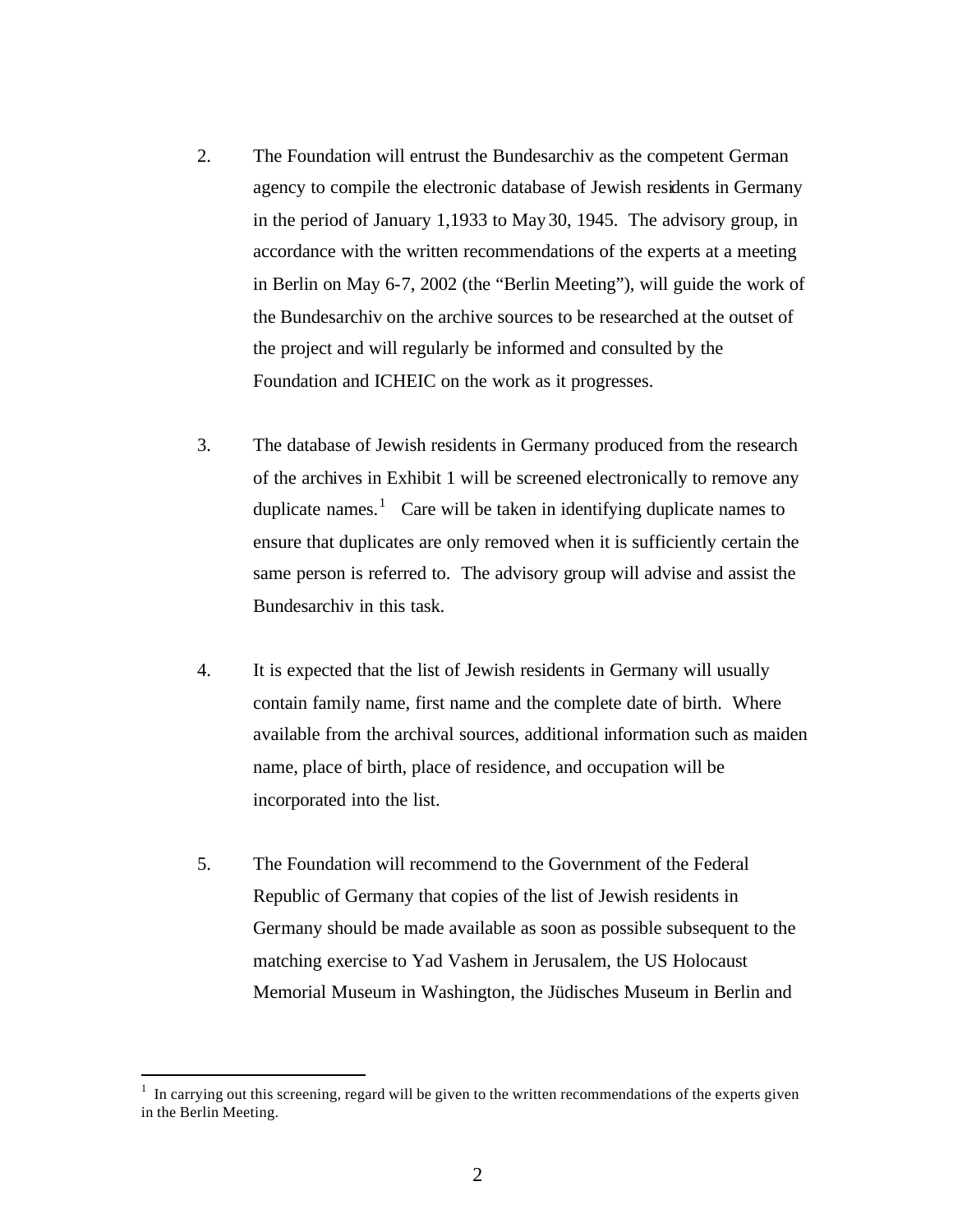- 2. The Foundation will entrust the Bundesarchiv as the competent German agency to compile the electronic database of Jewish residents in Germany in the period of January 1,1933 to May30, 1945. The advisory group, in accordance with the written recommendations of the experts at a meeting in Berlin on May 6-7, 2002 (the "Berlin Meeting"), will guide the work of the Bundesarchiv on the archive sources to be researched at the outset of the project and will regularly be informed and consulted by the Foundation and ICHEIC on the work as it progresses.
- 3. The database of Jewish residents in Germany produced from the research of the archives in Exhibit 1 will be screened electronically to remove any duplicate names.<sup>1</sup> Care will be taken in identifying duplicate names to ensure that duplicates are only removed when it is sufficiently certain the same person is referred to. The advisory group will advise and assist the Bundesarchiv in this task.
- 4. It is expected that the list of Jewish residents in Germany will usually contain family name, first name and the complete date of birth. Where available from the archival sources, additional information such as maiden name, place of birth, place of residence, and occupation will be incorporated into the list.
- 5. The Foundation will recommend to the Government of the Federal Republic of Germany that copies of the list of Jewish residents in Germany should be made available as soon as possible subsequent to the matching exercise to Yad Vashem in Jerusalem, the US Holocaust Memorial Museum in Washington, the Jüdisches Museum in Berlin and

l

 $<sup>1</sup>$  In carrying out this screening, regard will be given to the written recommendations of the experts given</sup> in the Berlin Meeting.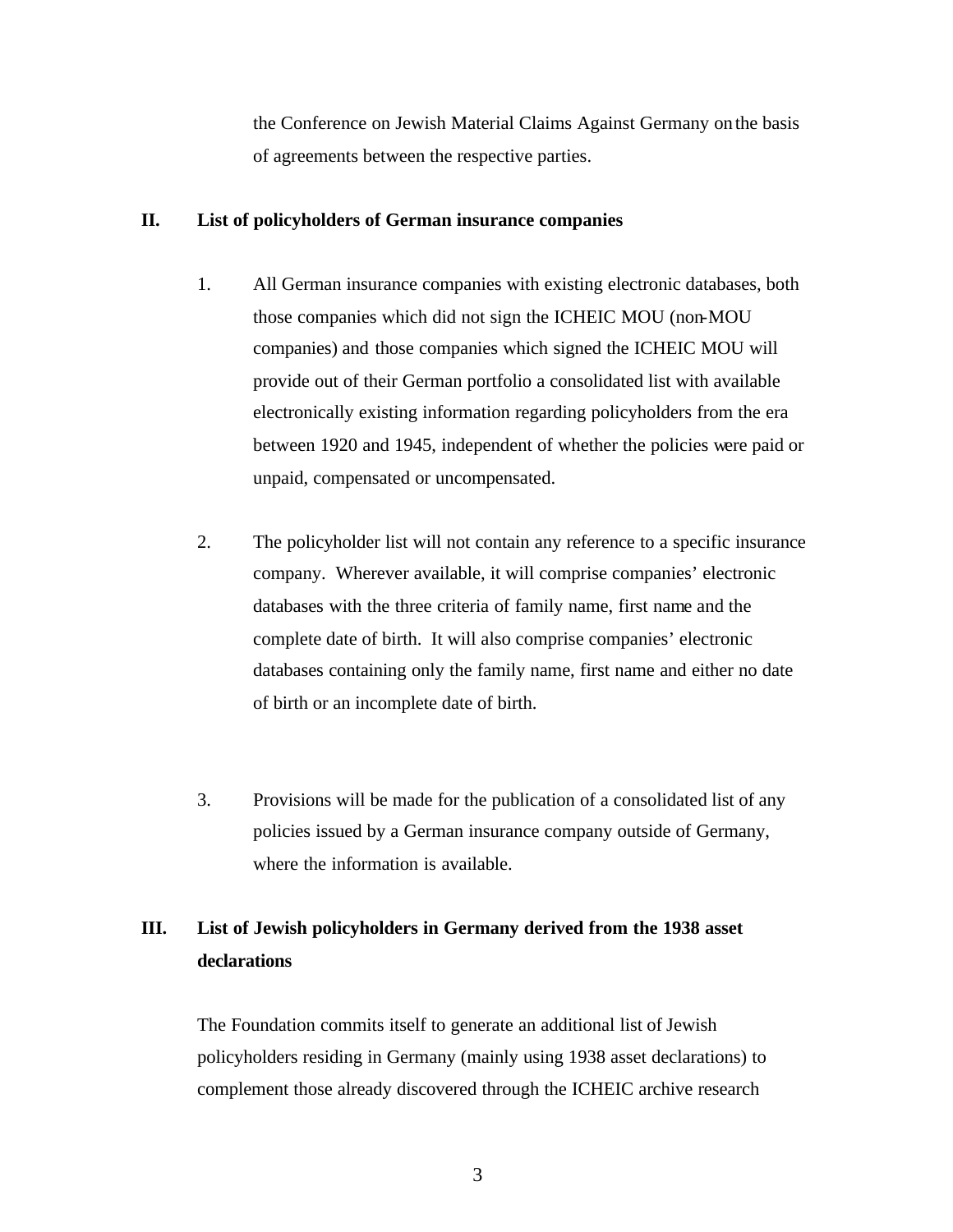the Conference on Jewish Material Claims Against Germany on the basis of agreements between the respective parties.

#### **II. List of policyholders of German insurance companies**

- 1. All German insurance companies with existing electronic databases, both those companies which did not sign the ICHEIC MOU (non-MOU companies) and those companies which signed the ICHEIC MOU will provide out of their German portfolio a consolidated list with available electronically existing information regarding policyholders from the era between 1920 and 1945, independent of whether the policies were paid or unpaid, compensated or uncompensated.
- 2. The policyholder list will not contain any reference to a specific insurance company. Wherever available, it will comprise companies' electronic databases with the three criteria of family name, first name and the complete date of birth. It will also comprise companies' electronic databases containing only the family name, first name and either no date of birth or an incomplete date of birth.
- 3. Provisions will be made for the publication of a consolidated list of any policies issued by a German insurance company outside of Germany, where the information is available.

# **III. List of Jewish policyholders in Germany derived from the 1938 asset declarations**

The Foundation commits itself to generate an additional list of Jewish policyholders residing in Germany (mainly using 1938 asset declarations) to complement those already discovered through the ICHEIC archive research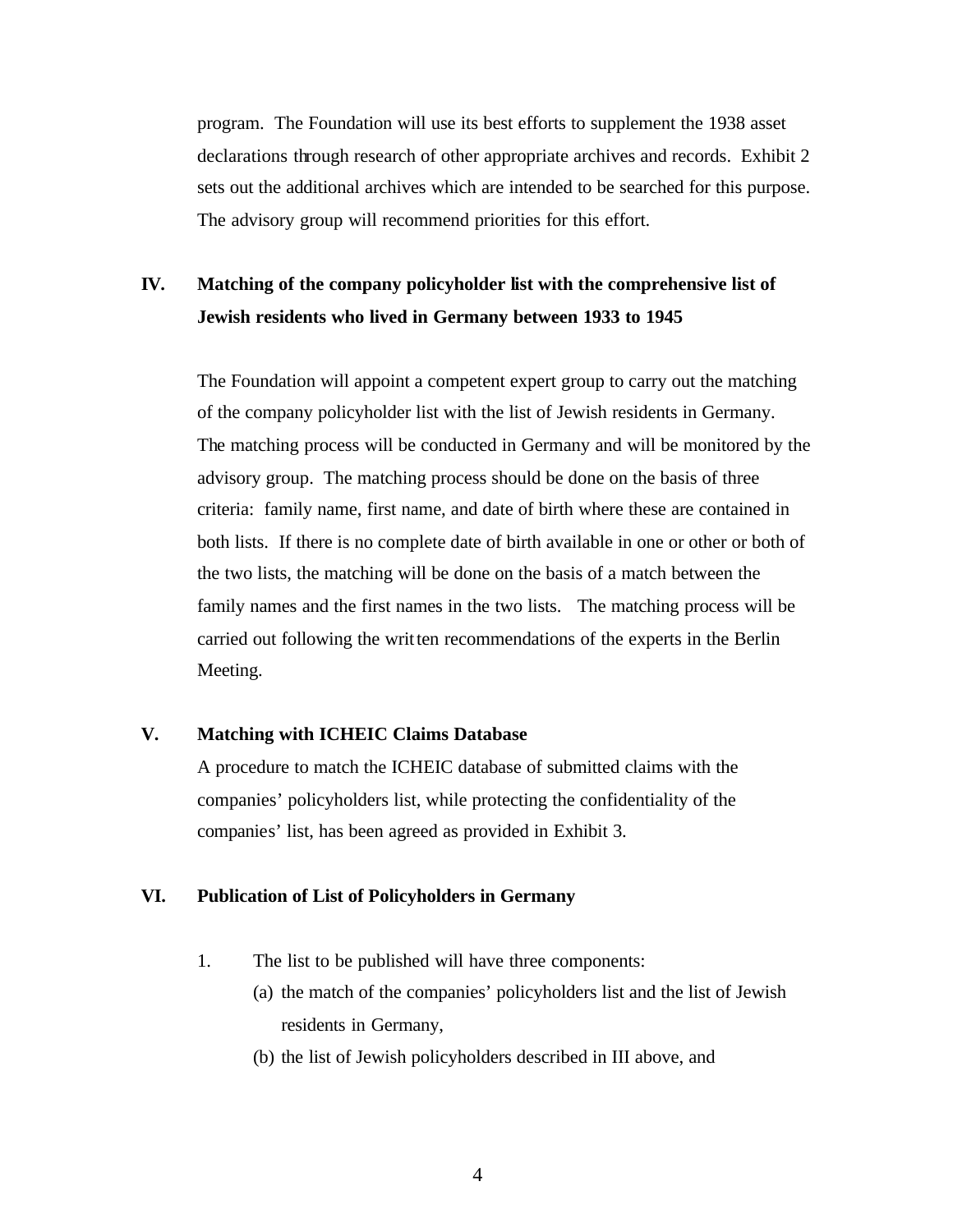program. The Foundation will use its best efforts to supplement the 1938 asset declarations through research of other appropriate archives and records. Exhibit 2 sets out the additional archives which are intended to be searched for this purpose. The advisory group will recommend priorities for this effort.

# **IV. Matching of the company policyholder list with the comprehensive list of Jewish residents who lived in Germany between 1933 to 1945**

The Foundation will appoint a competent expert group to carry out the matching of the company policyholder list with the list of Jewish residents in Germany. The matching process will be conducted in Germany and will be monitored by the advisory group. The matching process should be done on the basis of three criteria: family name, first name, and date of birth where these are contained in both lists. If there is no complete date of birth available in one or other or both of the two lists, the matching will be done on the basis of a match between the family names and the first names in the two lists. The matching process will be carried out following the written recommendations of the experts in the Berlin Meeting.

### **V. Matching with ICHEIC Claims Database**

A procedure to match the ICHEIC database of submitted claims with the companies' policyholders list, while protecting the confidentiality of the companies' list, has been agreed as provided in Exhibit 3.

#### **VI. Publication of List of Policyholders in Germany**

- 1. The list to be published will have three components:
	- (a) the match of the companies' policyholders list and the list of Jewish residents in Germany,
	- (b) the list of Jewish policyholders described in III above, and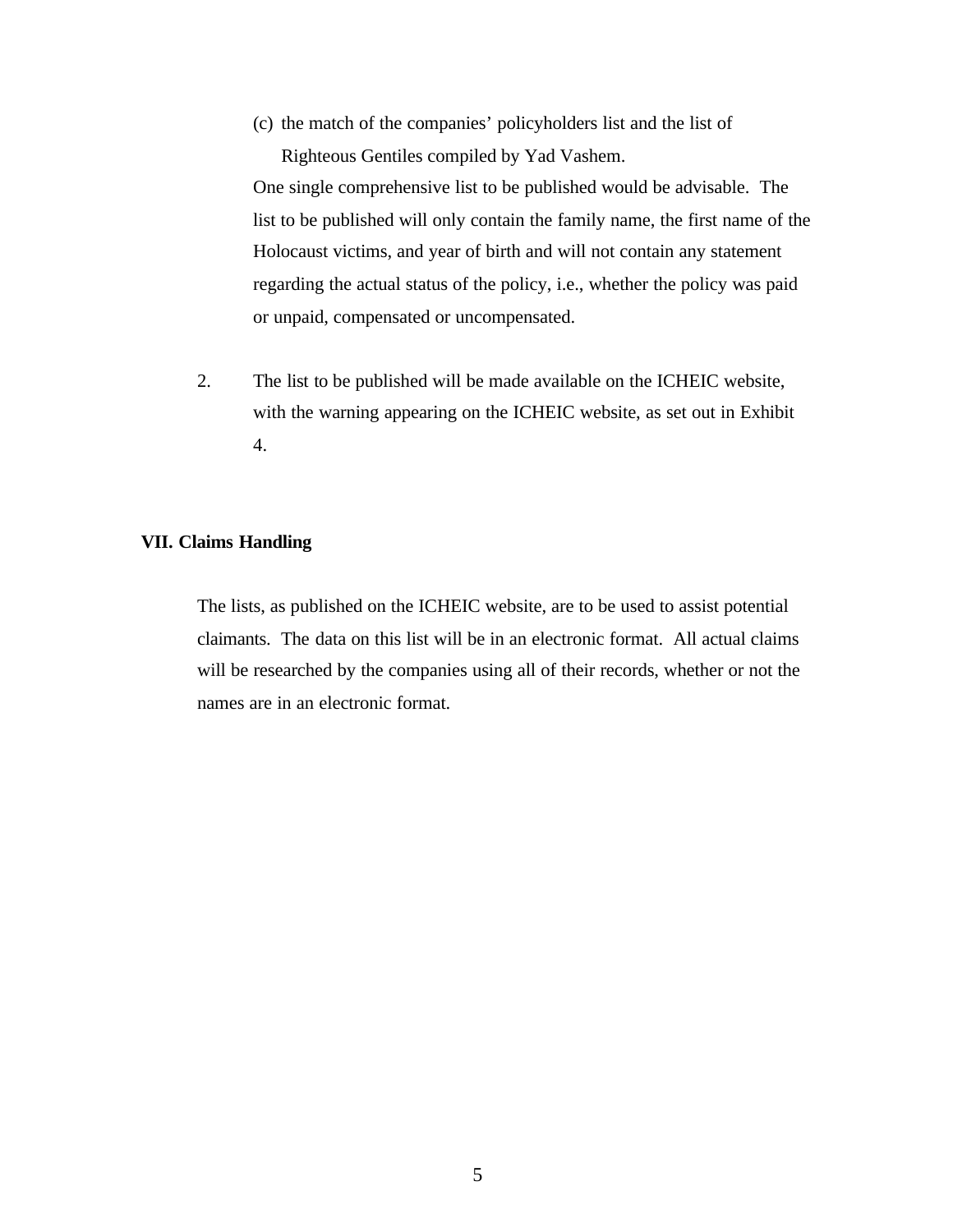(c) the match of the companies' policyholders list and the list of Righteous Gentiles compiled by Yad Vashem.

One single comprehensive list to be published would be advisable. The list to be published will only contain the family name, the first name of the Holocaust victims, and year of birth and will not contain any statement regarding the actual status of the policy, i.e., whether the policy was paid or unpaid, compensated or uncompensated.

2. The list to be published will be made available on the ICHEIC website, with the warning appearing on the ICHEIC website, as set out in Exhibit 4.

### **VII. Claims Handling**

The lists, as published on the ICHEIC website, are to be used to assist potential claimants. The data on this list will be in an electronic format. All actual claims will be researched by the companies using all of their records, whether or not the names are in an electronic format.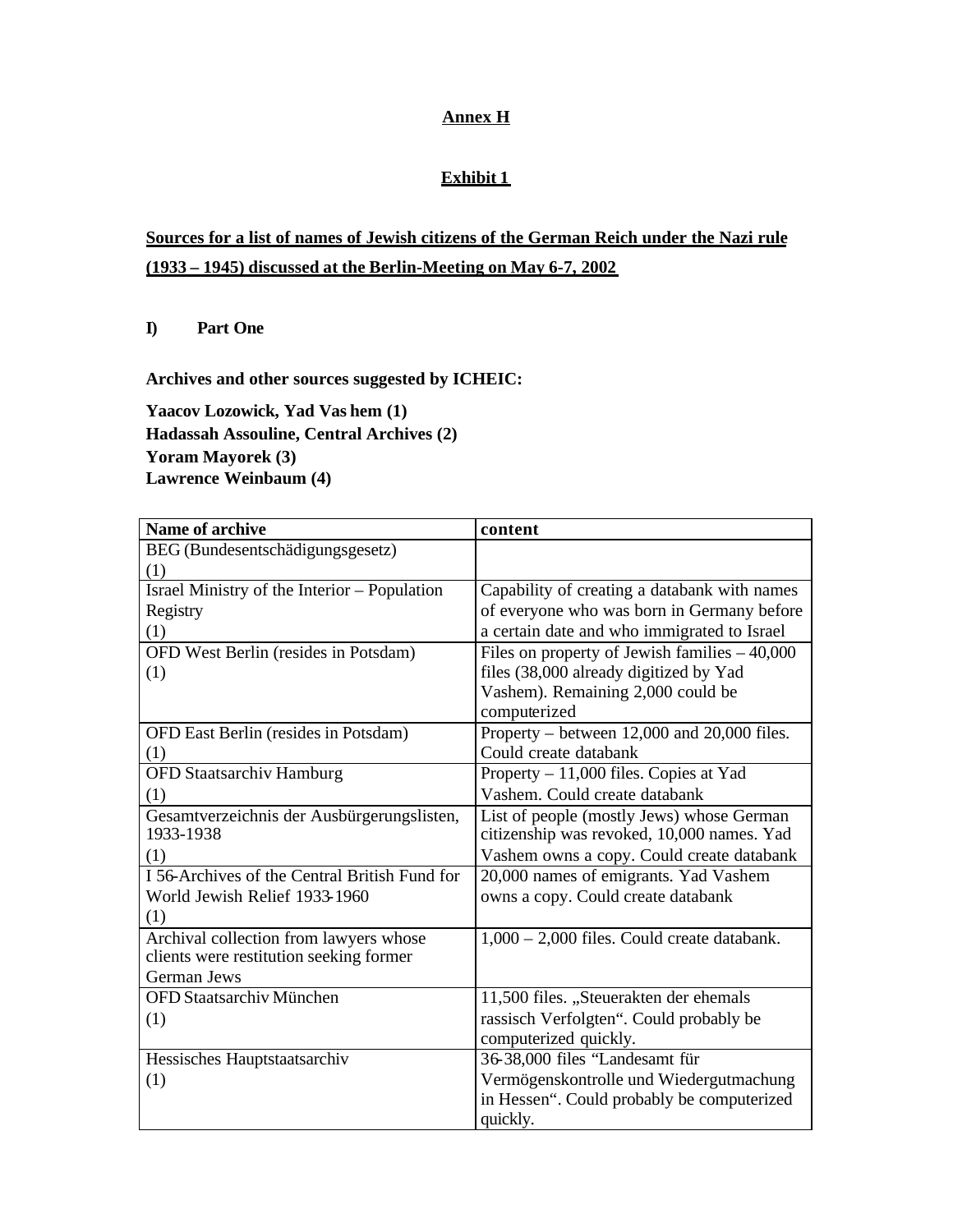### **Annex H**

## **Exhibit 1**

**Sources for a list of names of Jewish citizens of the German Reich under the Nazi rule (1933 – 1945) discussed at the Berlin-Meeting on May 6-7, 2002**

**I) Part One**

**Archives and other sources suggested by ICHEIC:**

**Yaacov Lozowick, Yad Vas hem (1) Hadassah Assouline, Central Archives (2) Yoram Mayorek (3) Lawrence Weinbaum (4)**

| <b>Name of archive</b>                        | content                                        |
|-----------------------------------------------|------------------------------------------------|
| BEG (Bundesentschädigungsgesetz)              |                                                |
| (1)                                           |                                                |
| Israel Ministry of the Interior - Population  | Capability of creating a databank with names   |
| Registry                                      | of everyone who was born in Germany before     |
| (1)                                           | a certain date and who immigrated to Israel    |
| OFD West Berlin (resides in Potsdam)          | Files on property of Jewish families $-40,000$ |
| (1)                                           | files (38,000 already digitized by Yad         |
|                                               | Vashem). Remaining 2,000 could be              |
|                                               | computerized                                   |
| OFD East Berlin (resides in Potsdam)          | Property – between 12,000 and 20,000 files.    |
| (1)                                           | Could create databank                          |
| <b>OFD Staatsarchiv Hamburg</b>               | Property $-11,000$ files. Copies at Yad        |
| (1)                                           | Vashem. Could create databank                  |
| Gesamtverzeichnis der Ausbürgerungslisten,    | List of people (mostly Jews) whose German      |
| 1933-1938                                     | citizenship was revoked, 10,000 names. Yad     |
| (1)                                           | Vashem owns a copy. Could create databank      |
| I 56-Archives of the Central British Fund for | 20,000 names of emigrants. Yad Vashem          |
| World Jewish Relief 1933-1960                 | owns a copy. Could create databank             |
| (1)                                           |                                                |
| Archival collection from lawyers whose        | $1,000 - 2,000$ files. Could create databank.  |
| clients were restitution seeking former       |                                                |
| German Jews                                   |                                                |
| OFD Staatsarchiv München                      | 11,500 files. "Steuerakten der ehemals         |
| (1)                                           | rassisch Verfolgten". Could probably be        |
|                                               | computerized quickly.                          |
| Hessisches Hauptstaatsarchiv                  | 36-38,000 files "Landesamt für                 |
| (1)                                           | Vermögenskontrolle und Wiedergutmachung        |
|                                               | in Hessen". Could probably be computerized     |
|                                               | quickly.                                       |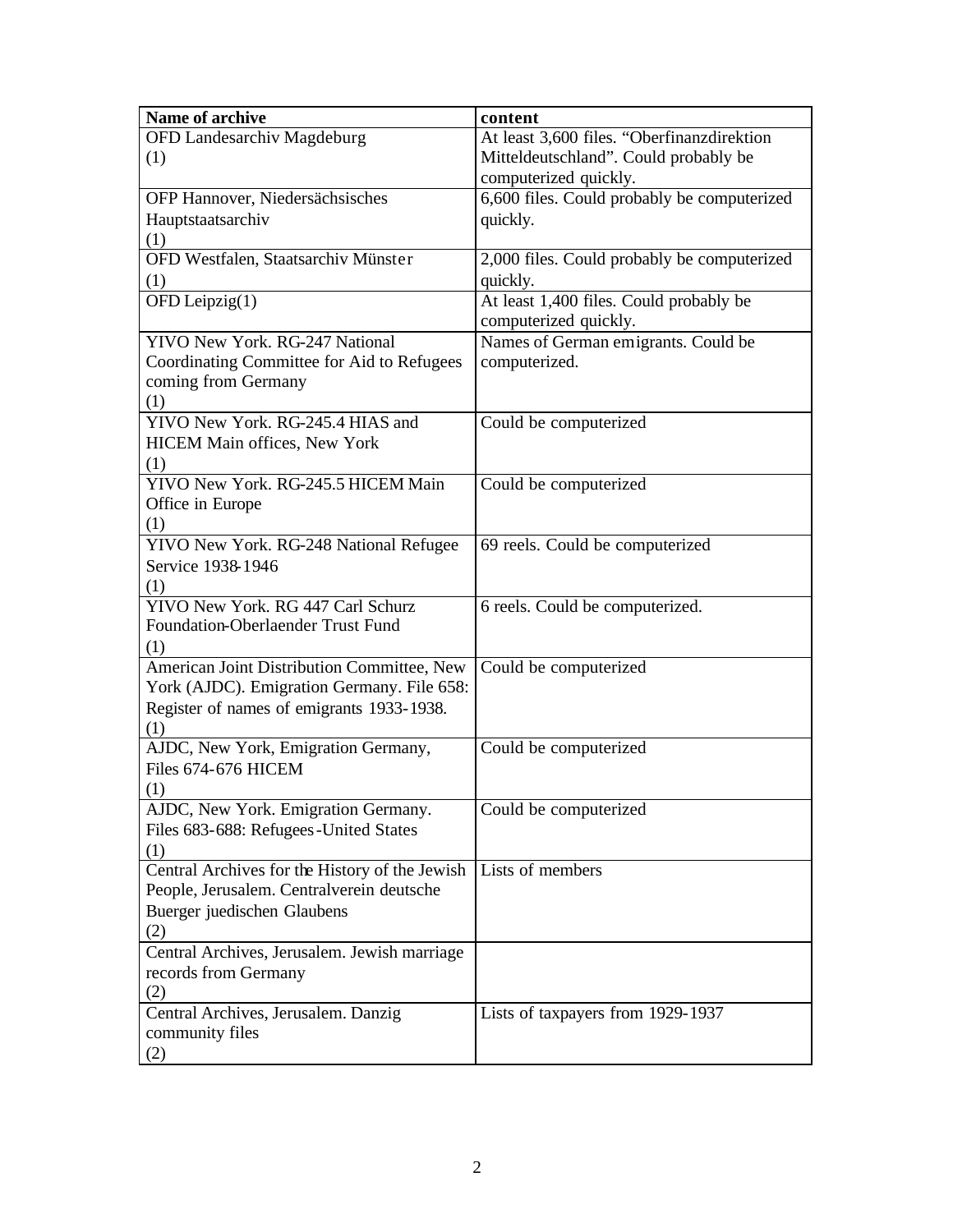| <b>Name of archive</b>                         | content                                              |
|------------------------------------------------|------------------------------------------------------|
| <b>OFD Landesarchiv Magdeburg</b>              | At least 3,600 files. "Oberfinanzdirektion           |
| (1)                                            | Mitteldeutschland". Could probably be                |
|                                                | computerized quickly.                                |
| OFP Hannover, Niedersächsisches                | 6,600 files. Could probably be computerized          |
| Hauptstaatsarchiv                              | quickly.                                             |
| (1)                                            |                                                      |
| OFD Westfalen, Staatsarchiv Münster            | 2,000 files. Could probably be computerized          |
| (1)                                            | quickly.                                             |
| OFD Leipzig(1)                                 | At least 1,400 files. Could probably be              |
| <b>YIVO New York, RG-247 National</b>          | computerized quickly.                                |
| Coordinating Committee for Aid to Refugees     | Names of German emigrants. Could be<br>computerized. |
| coming from Germany                            |                                                      |
| (1)                                            |                                                      |
| YIVO New York. RG-245.4 HIAS and               | Could be computerized                                |
| HICEM Main offices, New York                   |                                                      |
| (1)                                            |                                                      |
| YIVO New York. RG-245.5 HICEM Main             | Could be computerized                                |
| Office in Europe                               |                                                      |
| (1)                                            |                                                      |
| YIVO New York. RG-248 National Refugee         | 69 reels. Could be computerized                      |
| Service 1938-1946                              |                                                      |
| (1)                                            |                                                      |
| YIVO New York, RG 447 Carl Schurz              | 6 reels. Could be computerized.                      |
| <b>Foundation-Oberlaender Trust Fund</b>       |                                                      |
| (1)                                            |                                                      |
| American Joint Distribution Committee, New     | Could be computerized                                |
| York (AJDC). Emigration Germany. File 658:     |                                                      |
| Register of names of emigrants 1933-1938.      |                                                      |
| (1)<br>AJDC, New York, Emigration Germany,     | Could be computerized                                |
| Files 674-676 HICEM                            |                                                      |
| (1)                                            |                                                      |
| AJDC, New York. Emigration Germany.            | Could be computerized                                |
| Files 683-688: Refugees-United States          |                                                      |
| (1)                                            |                                                      |
| Central Archives for the History of the Jewish | Lists of members                                     |
| People, Jerusalem. Centralverein deutsche      |                                                      |
| Buerger juedischen Glaubens                    |                                                      |
| (2)                                            |                                                      |
| Central Archives, Jerusalem. Jewish marriage   |                                                      |
| records from Germany                           |                                                      |
| (2)                                            |                                                      |
| Central Archives, Jerusalem. Danzig            | Lists of taxpayers from 1929-1937                    |
| community files                                |                                                      |
| (2)                                            |                                                      |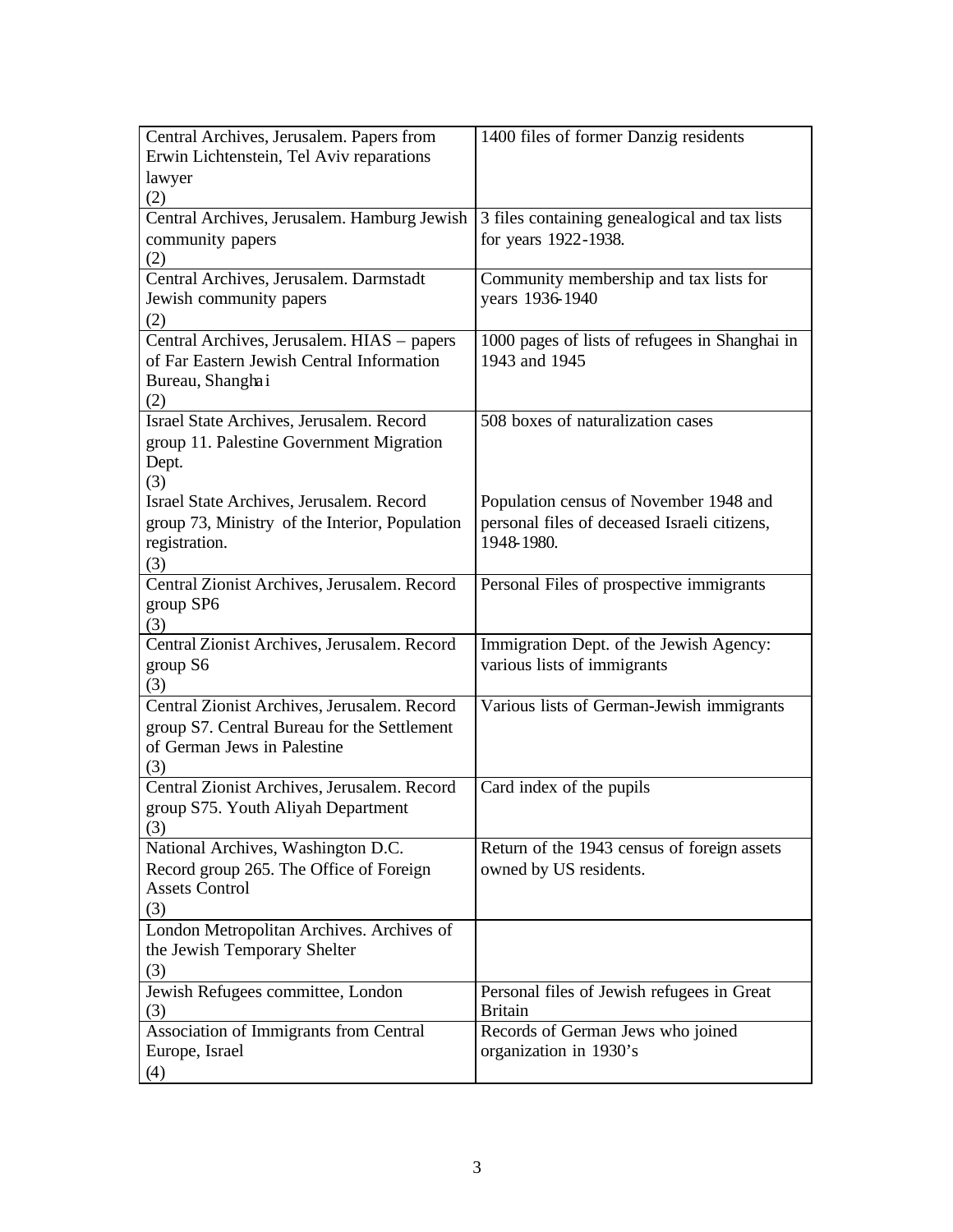| Central Archives, Jerusalem. Papers from<br>Erwin Lichtenstein, Tel Aviv reparations       | 1400 files of former Danzig residents          |
|--------------------------------------------------------------------------------------------|------------------------------------------------|
| lawyer<br>(2)                                                                              |                                                |
| Central Archives, Jerusalem. Hamburg Jewish                                                | 3 files containing genealogical and tax lists  |
| community papers<br>(2)                                                                    | for years 1922-1938.                           |
| Central Archives, Jerusalem. Darmstadt                                                     | Community membership and tax lists for         |
| Jewish community papers<br>(2)                                                             | years 1936-1940                                |
| Central Archives, Jerusalem. HIAS - papers                                                 | 1000 pages of lists of refugees in Shanghai in |
| of Far Eastern Jewish Central Information<br>Bureau, Shanghai                              | 1943 and 1945                                  |
| (2)                                                                                        |                                                |
| Israel State Archives, Jerusalem. Record                                                   | 508 boxes of naturalization cases              |
| group 11. Palestine Government Migration                                                   |                                                |
| Dept.                                                                                      |                                                |
| (3)<br>Israel State Archives, Jerusalem. Record                                            | Population census of November 1948 and         |
| group 73, Ministry of the Interior, Population                                             | personal files of deceased Israeli citizens,   |
| registration.                                                                              | 1948-1980.                                     |
| (3)                                                                                        |                                                |
| Central Zionist Archives, Jerusalem. Record                                                | Personal Files of prospective immigrants       |
| group SP6<br>(3)                                                                           |                                                |
| Central Zionist Archives, Jerusalem. Record                                                | Immigration Dept. of the Jewish Agency:        |
| group S6                                                                                   | various lists of immigrants                    |
| (3)                                                                                        |                                                |
| Central Zionist Archives, Jerusalem. Record<br>group S7. Central Bureau for the Settlement | Various lists of German-Jewish immigrants      |
| of German Jews in Palestine                                                                |                                                |
| (3)                                                                                        |                                                |
| Central Zionist Archives, Jerusalem. Record                                                | Card index of the pupils                       |
| group S75. Youth Aliyah Department                                                         |                                                |
| (3)<br>National Archives, Washington D.C.                                                  | Return of the 1943 census of foreign assets    |
| Record group 265. The Office of Foreign                                                    | owned by US residents.                         |
| <b>Assets Control</b>                                                                      |                                                |
| (3)                                                                                        |                                                |
| London Metropolitan Archives. Archives of                                                  |                                                |
| the Jewish Temporary Shelter<br>(3)                                                        |                                                |
| Jewish Refugees committee, London                                                          | Personal files of Jewish refugees in Great     |
| (3)                                                                                        | <b>Britain</b>                                 |
| Association of Immigrants from Central                                                     | Records of German Jews who joined              |
| Europe, Israel                                                                             | organization in 1930's                         |
| (4)                                                                                        |                                                |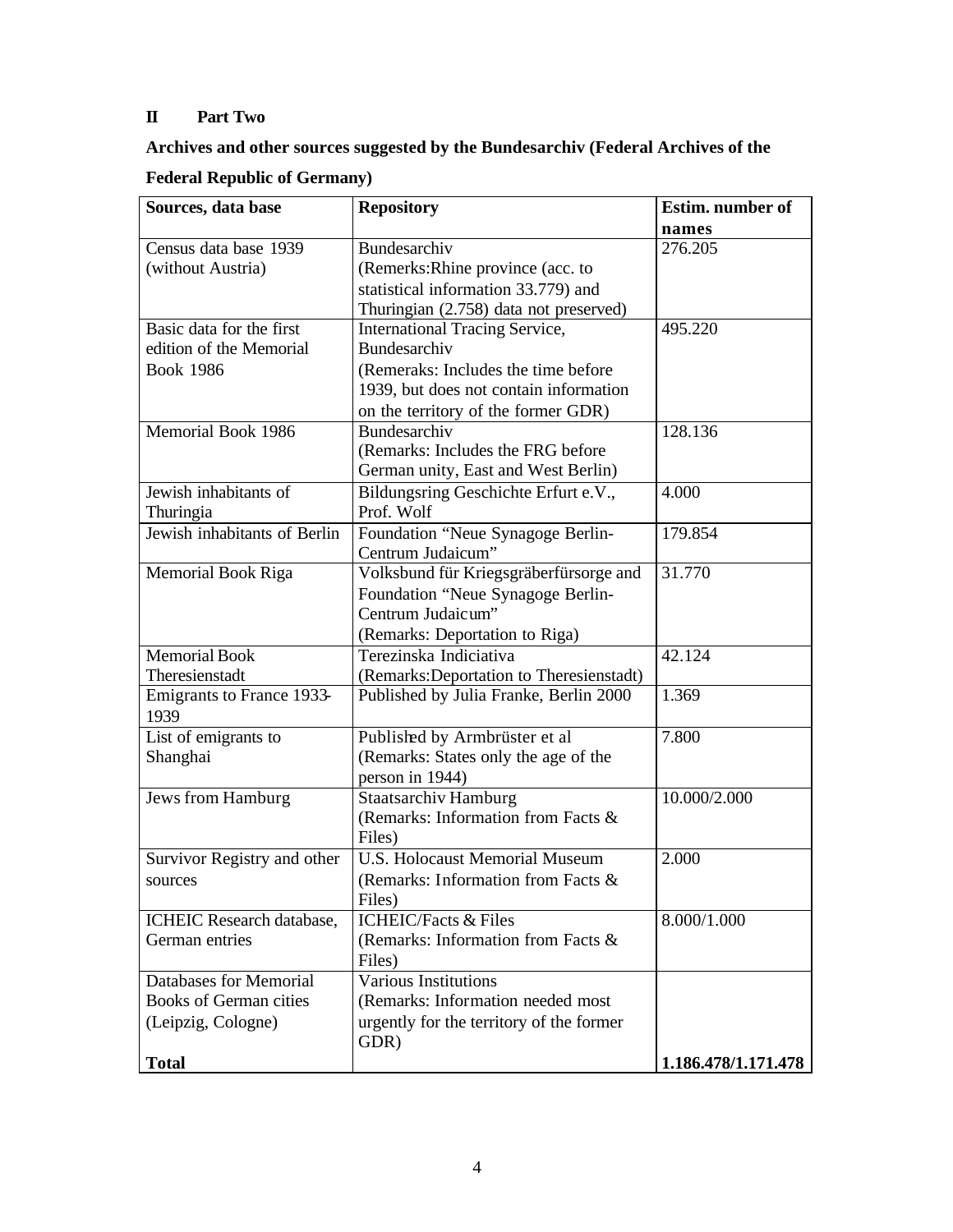# **II Part Two**

# **Archives and other sources suggested by the Bundesarchiv (Federal Archives of the**

| Sources, data base            | <b>Repository</b>                        | Estim. number of    |
|-------------------------------|------------------------------------------|---------------------|
|                               |                                          | names               |
| Census data base 1939         | <b>Bundesarchiv</b>                      | 276.205             |
| (without Austria)             | (Remerks: Rhine province (acc. to        |                     |
|                               | statistical information 33.779) and      |                     |
|                               | Thuringian (2.758) data not preserved)   |                     |
| Basic data for the first      | <b>International Tracing Service,</b>    | 495.220             |
| edition of the Memorial       | Bundesarchiv                             |                     |
| <b>Book 1986</b>              | (Remeraks: Includes the time before      |                     |
|                               | 1939, but does not contain information   |                     |
|                               | on the territory of the former GDR)      |                     |
| <b>Memorial Book 1986</b>     | Bundesarchiv                             | 128.136             |
|                               | (Remarks: Includes the FRG before)       |                     |
|                               | German unity, East and West Berlin)      |                     |
| Jewish inhabitants of         | Bildungsring Geschichte Erfurt e.V.,     | 4.000               |
| Thuringia                     | Prof. Wolf                               |                     |
| Jewish inhabitants of Berlin  | Foundation "Neue Synagoge Berlin-        | 179.854             |
|                               | Centrum Judaicum"                        |                     |
| Memorial Book Riga            | Volksbund für Kriegsgräberfürsorge and   | 31.770              |
|                               | Foundation "Neue Synagoge Berlin-        |                     |
|                               | Centrum Judaicum"                        |                     |
|                               | (Remarks: Deportation to Riga)           |                     |
| <b>Memorial Book</b>          | Terezinska Indiciativa                   | 42.124              |
| Theresienstadt                | (Remarks: Deportation to Theresienstadt) |                     |
| Emigrants to France 1933-     | Published by Julia Franke, Berlin 2000   | 1.369               |
| 1939                          |                                          |                     |
| List of emigrants to          | Published by Armbrüster et al            | 7.800               |
| Shanghai                      | (Remarks: States only the age of the     |                     |
|                               | person in 1944)                          |                     |
| Jews from Hamburg             | <b>Staatsarchiv Hamburg</b>              | 10.000/2.000        |
|                               | (Remarks: Information from Facts &       |                     |
|                               | Files)                                   |                     |
| Survivor Registry and other   | <b>U.S. Holocaust Memorial Museum</b>    | 2.000               |
| sources                       | (Remarks: Information from Facts &       |                     |
|                               | Files)                                   |                     |
| ICHEIC Research database,     | <b>ICHEIC/Facts &amp; Files</b>          | 8.000/1.000         |
| German entries                | (Remarks: Information from Facts &       |                     |
|                               | Files)                                   |                     |
| Databases for Memorial        | <b>Various Institutions</b>              |                     |
| <b>Books of German cities</b> | (Remarks: Information needed most        |                     |
| (Leipzig, Cologne)            | urgently for the territory of the former |                     |
|                               | GDR)                                     |                     |
| <b>Total</b>                  |                                          | 1.186.478/1.171.478 |

# **Federal Republic of Germany)**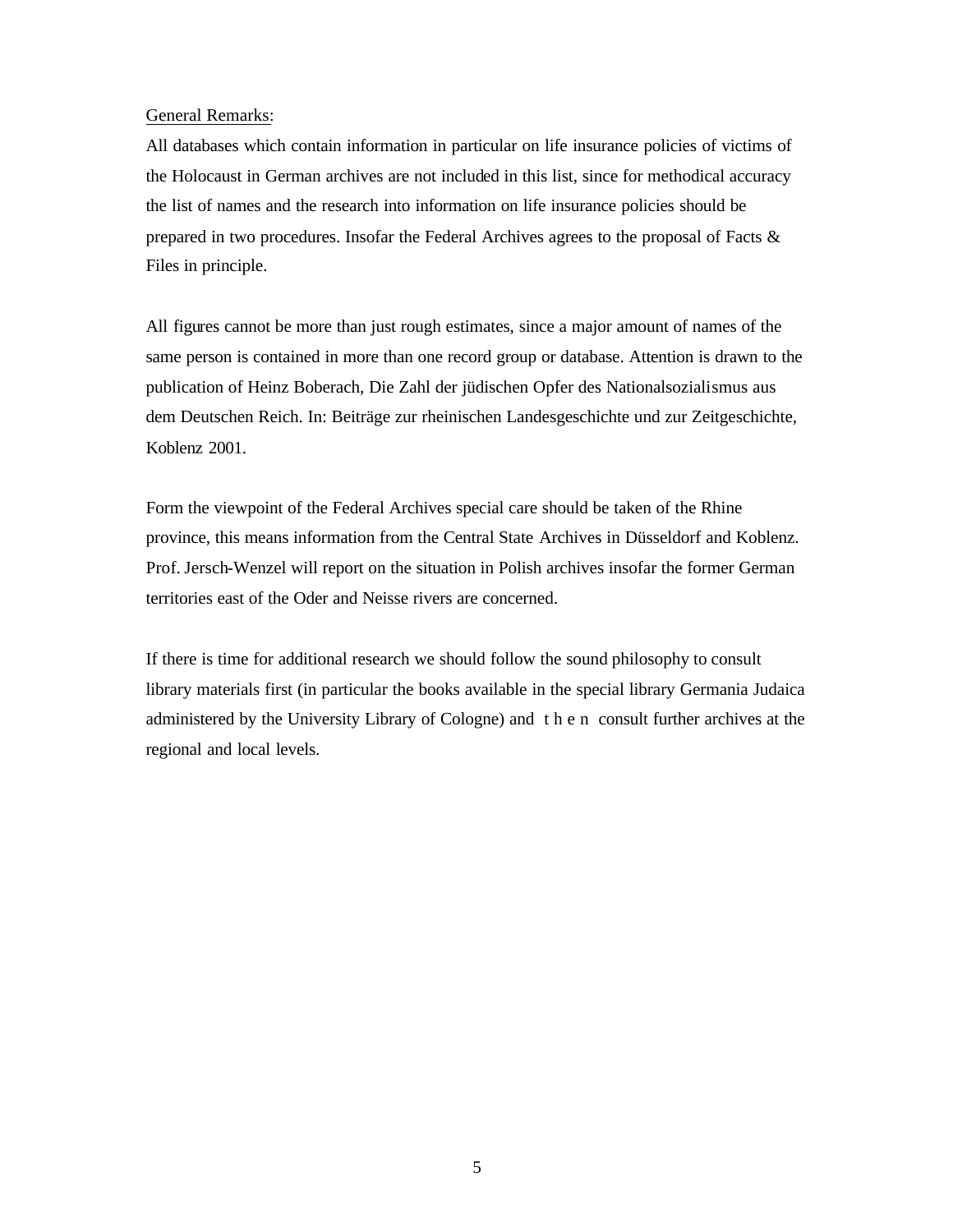#### General Remarks:

All databases which contain information in particular on life insurance policies of victims of the Holocaust in German archives are not included in this list, since for methodical accuracy the list of names and the research into information on life insurance policies should be prepared in two procedures. Insofar the Federal Archives agrees to the proposal of Facts & Files in principle.

All figures cannot be more than just rough estimates, since a major amount of names of the same person is contained in more than one record group or database. Attention is drawn to the publication of Heinz Boberach, Die Zahl der jüdischen Opfer des Nationalsozialismus aus dem Deutschen Reich. In: Beiträge zur rheinischen Landesgeschichte und zur Zeitgeschichte, Koblenz 2001.

Form the viewpoint of the Federal Archives special care should be taken of the Rhine province, this means information from the Central State Archives in Düsseldorf and Koblenz. Prof. Jersch-Wenzel will report on the situation in Polish archives insofar the former German territories east of the Oder and Neisse rivers are concerned.

If there is time for additional research we should follow the sound philosophy to consult library materials first (in particular the books available in the special library Germania Judaica administered by the University Library of Cologne) and t h e n consult further archives at the regional and local levels.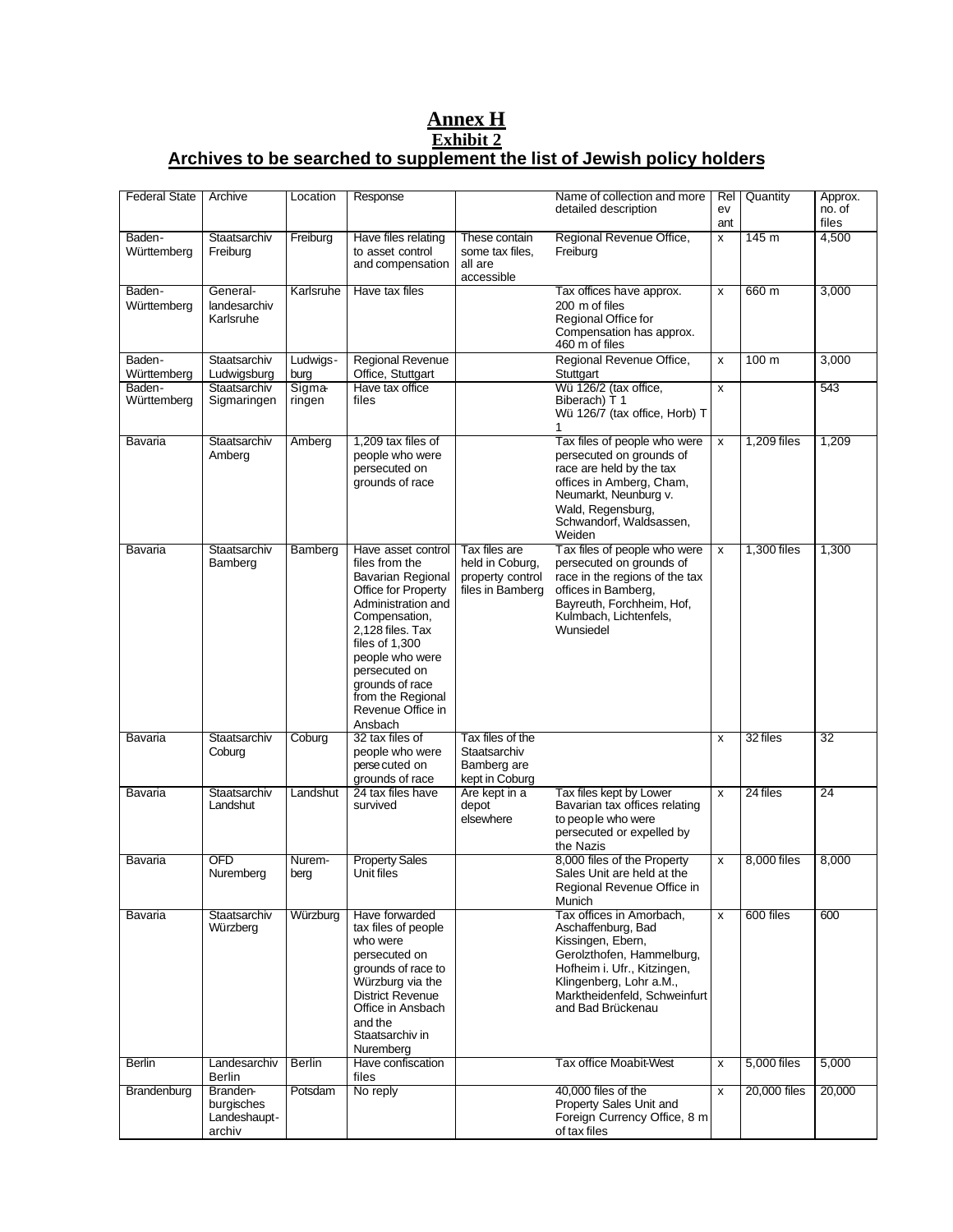### **Annex H Exhibit 2 Archives to be searched to supplement the list of Jewish policy holders**

| <b>Federal State</b>  | Archive                                                 | Location         | Response                                                                                                                                                                                                                                                                  |                                                                          | Name of collection and more                                                                                                                                                                                     | Rel                     | Quantity     | Approx. |
|-----------------------|---------------------------------------------------------|------------------|---------------------------------------------------------------------------------------------------------------------------------------------------------------------------------------------------------------------------------------------------------------------------|--------------------------------------------------------------------------|-----------------------------------------------------------------------------------------------------------------------------------------------------------------------------------------------------------------|-------------------------|--------------|---------|
|                       |                                                         |                  |                                                                                                                                                                                                                                                                           |                                                                          | detailed description                                                                                                                                                                                            | ev                      |              | no. of  |
|                       |                                                         |                  |                                                                                                                                                                                                                                                                           |                                                                          |                                                                                                                                                                                                                 | ant                     |              | files   |
| Baden-<br>Württemberg | Staatsarchiv<br>Freiburg                                | Freiburg         | Have files relating<br>to asset control<br>and compensation                                                                                                                                                                                                               | These contain<br>some tax files,<br>all are<br>accessible                | Regional Revenue Office,<br>Freiburg                                                                                                                                                                            | $\overline{\mathbf{x}}$ | 145 m        | 4,500   |
| Baden-                | General-                                                | Karlsruhe        | Have tax files                                                                                                                                                                                                                                                            |                                                                          | Tax offices have approx.                                                                                                                                                                                        | x                       | 660 m        | 3,000   |
| Württemberg           | landesarchiv<br>Karlsruhe                               |                  |                                                                                                                                                                                                                                                                           |                                                                          | 200 m of files<br>Regional Office for<br>Compensation has approx.<br>460 m of files                                                                                                                             |                         |              |         |
| Baden-<br>Württemberg | Staatsarchiv<br>Ludwigsburg                             | Ludwigs-<br>burg | <b>Regional Revenue</b><br>Office, Stuttgart                                                                                                                                                                                                                              |                                                                          | Regional Revenue Office,<br>Stuttgart                                                                                                                                                                           | X                       | 100 m        | 3,000   |
| Baden-<br>Württemberg | Staatsarchiv<br>Sigmaringen                             | Sigma<br>ringen  | Have tax office<br>files                                                                                                                                                                                                                                                  |                                                                          | Wü 126/2 (tax office,<br>Biberach) T 1<br>Wü 126/7 (tax office, Horb) T<br>$\mathbf{1}$                                                                                                                         | X                       |              | 543     |
| Bavaria               | Staatsarchiv<br>Amberg                                  | Amberg           | 1,209 tax files of<br>people who were<br>persecuted on<br>grounds of race                                                                                                                                                                                                 |                                                                          | Tax files of people who were<br>persecuted on grounds of<br>race are held by the tax<br>offices in Amberg, Cham,<br>Neumarkt, Neunburg v.<br>Wald, Regensburg,<br>Schwandorf, Waldsassen,<br>Weiden             | x                       | 1,209 files  | 1,209   |
| Bavaria               | Staatsarchiv<br>Bamberg                                 | Bamberg          | Have asset control<br>files from the<br>Bavarian Regional<br>Office for Property<br>Administration and<br>Compensation,<br>2.128 files. Tax<br>files of 1,300<br>people who were<br>persecuted on<br>grounds of race<br>from the Regional<br>Revenue Office in<br>Ansbach | Tax files are<br>held in Coburg,<br>property control<br>files in Bamberg | Tax files of people who were<br>persecuted on grounds of<br>race in the regions of the tax<br>offices in Bamberg,<br>Bayreuth, Forchheim, Hof,<br>Kulmbach, Lichtenfels,<br>Wunsiedel                           | x                       | 1,300 files  | 1,300   |
| Bavaria               | Staatsarchiv<br>Coburg                                  | Coburg           | 32 tax files of<br>people who were<br>perse cuted on<br>grounds of race                                                                                                                                                                                                   | Tax files of the<br>Staatsarchiv<br>Bamberg are<br>kept in Coburg        |                                                                                                                                                                                                                 | X                       | 32 files     | 32      |
| Bavaria               | Staatsarchiv<br>Landshut                                | Landshut         | 24 tax files have<br>survived                                                                                                                                                                                                                                             | Are kept in a<br>depot<br>elsewhere                                      | Tax files kept by Lower<br>Bavarian tax offices relating<br>to people who were<br>persecuted or expelled by<br>the Nazis                                                                                        | X                       | 24 files     | 24      |
| Bavaria               | OFD<br>Nuremberg                                        | Nurem-<br>berg   | <b>Property Sales</b><br>Unit files                                                                                                                                                                                                                                       |                                                                          | 8,000 files of the Property<br>Sales Unit are held at the<br>Regional Revenue Office in<br>Munich                                                                                                               | x                       | 8,000 files  | 8,000   |
| Bavaria               | Staatsarchiv<br>Würzberg                                | Würzburg         | Have forwarded<br>tax files of people<br>who were<br>persecuted on<br>grounds of race to<br>Würzburg via the<br><b>District Revenue</b><br>Office in Ansbach<br>and the<br>Staatsarchiv in<br>Nuremberg                                                                   |                                                                          | Tax offices in Amorbach.<br>Aschaffenburg, Bad<br>Kissingen, Ebern,<br>Gerolzthofen, Hammelburg,<br>Hofheim i. Ufr., Kitzingen,<br>Klingenberg, Lohr a.M.,<br>Marktheidenfeld, Schweinfurt<br>and Bad Brückenau | X                       | 600 files    | 600     |
| <b>Berlin</b>         | Landesarchiv<br>Berlin                                  | <b>Berlin</b>    | Have confiscation<br>files                                                                                                                                                                                                                                                |                                                                          | Tax office Moabit-West                                                                                                                                                                                          | x                       | 5,000 files  | 5,000   |
| Brandenburg           | <b>Branden-</b><br>burgisches<br>Landeshaupt-<br>archiv | Potsdam          | No reply                                                                                                                                                                                                                                                                  |                                                                          | 40,000 files of the<br>Property Sales Unit and<br>Foreign Currency Office, 8 m<br>of tax files                                                                                                                  | X                       | 20,000 files | 20,000  |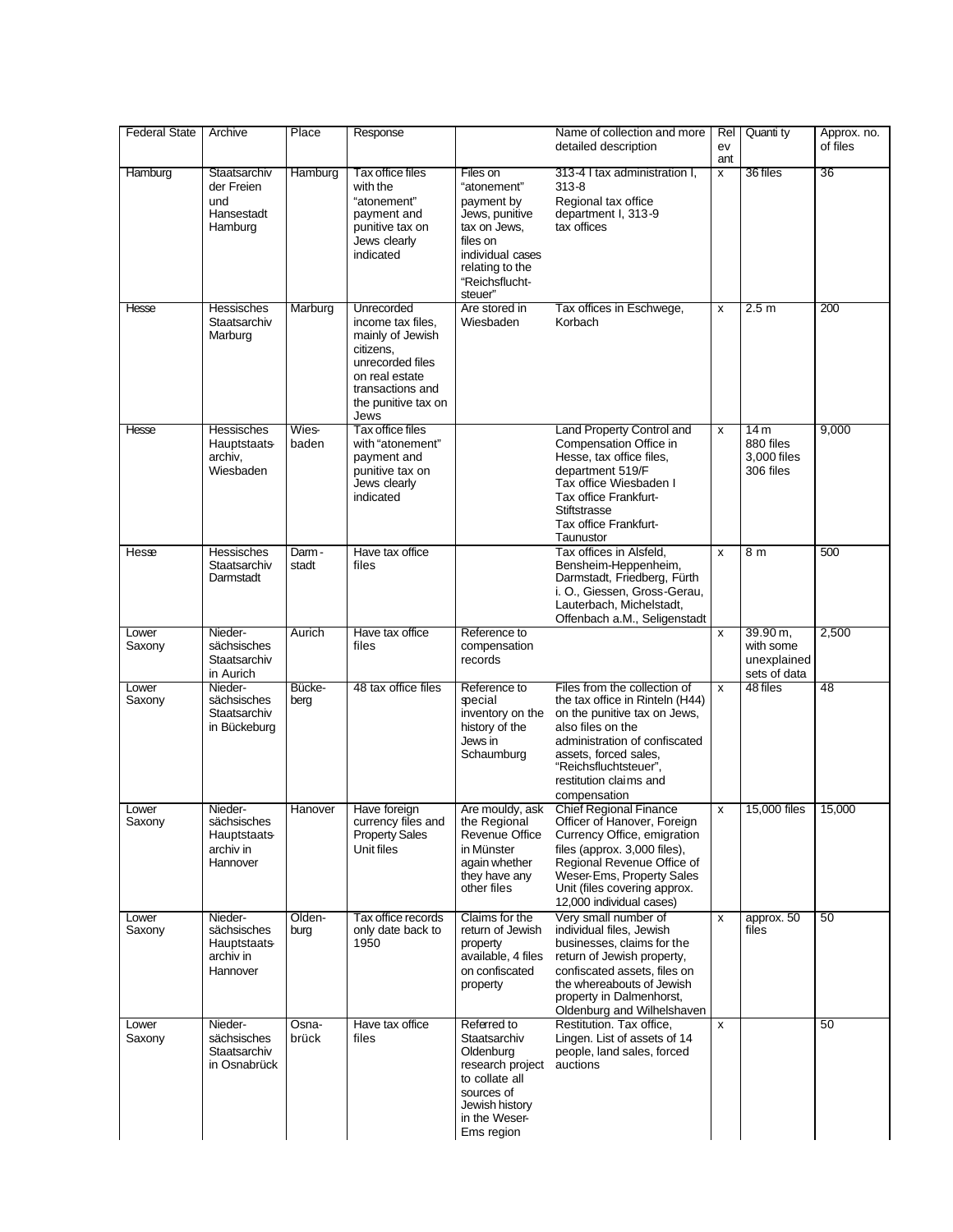| <b>Federal State</b> | Archive                           | Place          | Response                            |                                       | Name of collection and more                                     | Rel                       | Quanti ty                | Approx. no. |
|----------------------|-----------------------------------|----------------|-------------------------------------|---------------------------------------|-----------------------------------------------------------------|---------------------------|--------------------------|-------------|
|                      |                                   |                |                                     |                                       | detailed description                                            | ev<br>ant                 |                          | of files    |
| Hamburg              | Staatsarchiv                      | Hamburg        | Tax office files                    | Files on                              | 313-4 I tax administration I,                                   | x                         | 36 files                 | 36          |
|                      | der Freien                        |                | with the                            | "atonement"                           | $313 - 8$                                                       |                           |                          |             |
|                      | und<br>Hansestadt                 |                | "atonement"<br>payment and          | payment by<br>Jews, punitive          | Regional tax office<br>department I, 313-9                      |                           |                          |             |
|                      | Hamburg                           |                | punitive tax on                     | tax on Jews,                          | tax offices                                                     |                           |                          |             |
|                      |                                   |                | Jews clearly                        | files on                              |                                                                 |                           |                          |             |
|                      |                                   |                | indicated                           | individual cases<br>relating to the   |                                                                 |                           |                          |             |
|                      |                                   |                |                                     | "Reichsflucht-                        |                                                                 |                           |                          |             |
|                      |                                   |                |                                     | steuer"                               |                                                                 |                           |                          |             |
| Hesse                | Hessisches<br>Staatsarchiv        | Marburg        | Unrecorded<br>income tax files,     | Are stored in<br>Wiesbaden            | Tax offices in Eschwege,<br>Korbach                             | x                         | 2.5 m                    | 200         |
|                      | Marburg                           |                | mainly of Jewish                    |                                       |                                                                 |                           |                          |             |
|                      |                                   |                | citizens.                           |                                       |                                                                 |                           |                          |             |
|                      |                                   |                | unrecorded files                    |                                       |                                                                 |                           |                          |             |
|                      |                                   |                | on real estate<br>transactions and  |                                       |                                                                 |                           |                          |             |
|                      |                                   |                | the punitive tax on                 |                                       |                                                                 |                           |                          |             |
| Hesse                | <b>Hessisches</b>                 | Wies-          | Jews<br>Tax office files            |                                       |                                                                 |                           | 14 <sub>m</sub>          | 9,000       |
|                      | <b>Hauptstaats</b>                | baden          | with "atonement"                    |                                       | Land Property Control and<br>Compensation Office in             | X                         | 880 files                |             |
|                      | archiv,                           |                | payment and                         |                                       | Hesse, tax office files,                                        |                           | 3.000 files              |             |
|                      | Wiesbaden                         |                | punitive tax on<br>Jews clearly     |                                       | department 519/F<br>Tax office Wiesbaden I                      |                           | 306 files                |             |
|                      |                                   |                | indicated                           |                                       | Tax office Frankfurt-                                           |                           |                          |             |
|                      |                                   |                |                                     |                                       | Stiftstrasse                                                    |                           |                          |             |
|                      |                                   |                |                                     |                                       | Tax office Frankfurt-<br>Taunustor                              |                           |                          |             |
| Hesse                | <b>Hessisches</b>                 | Darm-          | Have tax office                     |                                       | Tax offices in Alsfeld,                                         | X                         | 8 m                      | 500         |
|                      | Staatsarchiv                      | stadt          | files                               |                                       | Bensheim-Heppenheim,                                            |                           |                          |             |
|                      | Darmstadt                         |                |                                     |                                       | Darmstadt, Friedberg, Fürth<br>i. O., Giessen, Gross-Gerau,     |                           |                          |             |
|                      |                                   |                |                                     |                                       | Lauterbach, Michelstadt,                                        |                           |                          |             |
|                      |                                   |                |                                     |                                       | Offenbach a.M., Seligenstadt                                    |                           |                          |             |
| Lower<br>Saxony      | Nieder-<br>sächsisches            | Aurich         | Have tax office<br>files            | Reference to<br>compensation          |                                                                 | x                         | 39.90 m.<br>with some    | 2,500       |
|                      | Staatsarchiv                      |                |                                     | records                               |                                                                 |                           | unexplained              |             |
|                      | in Aurich                         |                | 48 tax office files                 |                                       |                                                                 |                           | sets of data<br>48 files | 48          |
| Lower<br>Saxony      | Nieder-<br>sächsisches            | Bücke-<br>berg |                                     | Reference to<br>special               | Files from the collection of<br>the tax office in Rinteln (H44) | $\boldsymbol{\mathsf{x}}$ |                          |             |
|                      | Staatsarchiv                      |                |                                     | inventory on the                      | on the punitive tax on Jews,                                    |                           |                          |             |
|                      | in Bückeburg                      |                |                                     | history of the<br>Jews in             | also files on the<br>administration of confiscated              |                           |                          |             |
|                      |                                   |                |                                     | Schaumburg                            | assets, forced sales,                                           |                           |                          |             |
|                      |                                   |                |                                     |                                       | "Reichsfluchtsteuer",                                           |                           |                          |             |
|                      |                                   |                |                                     |                                       | restitution claims and<br>compensation                          |                           |                          |             |
| Lower                | Nieder-                           | Hanover        | Have foreign                        | Are mouldy, ask                       | <b>Chief Regional Finance</b>                                   | x                         | 15,000 files             | 15,000      |
| Saxony               | sächsisches<br><b>Hauptstaats</b> |                | currency files and                  | the Regional<br><b>Revenue Office</b> | Officer of Hanover, Foreign                                     |                           |                          |             |
|                      | archiv in                         |                | <b>Property Sales</b><br>Unit files | in Münster                            | Currency Office, emigration<br>files (approx. 3,000 files),     |                           |                          |             |
|                      | Hannover                          |                |                                     | again whether                         | Regional Revenue Office of                                      |                           |                          |             |
|                      |                                   |                |                                     | they have any<br>other files          | Weser-Ems, Property Sales<br>Unit (files covering approx.       |                           |                          |             |
|                      |                                   |                |                                     |                                       | 12,000 individual cases)                                        |                           |                          |             |
| Lower                | Nieder-                           | Olden-         | Tax office records                  | Claims for the                        | Very small number of                                            | X                         | approx. 50               | 50          |
| Saxony               | sächsisches<br>Hauptstaats-       | burg           | only date back to<br>1950           | return of Jewish<br>property          | individual files, Jewish<br>businesses, claims for the          |                           | files                    |             |
|                      | archiv in                         |                |                                     | available, 4 files                    | return of Jewish property,                                      |                           |                          |             |
|                      | Hannover                          |                |                                     | on confiscated                        | confiscated assets, files on                                    |                           |                          |             |
|                      |                                   |                |                                     | property                              | the whereabouts of Jewish<br>property in Dalmenhorst,           |                           |                          |             |
|                      |                                   |                |                                     |                                       | Oldenburg and Wilhelshaven                                      |                           |                          |             |
| Lower                | Nieder-                           | Osna-          | Have tax office                     | Referred to                           | Restitution. Tax office,                                        | x                         |                          | 50          |
| Saxony               | sächsisches<br>Staatsarchiv       | brück          | files                               | Staatsarchiv<br>Oldenburg             | Lingen. List of assets of 14<br>people, land sales, forced      |                           |                          |             |
|                      | in Osnabrück                      |                |                                     | research project                      | auctions                                                        |                           |                          |             |
|                      |                                   |                |                                     | to collate all                        |                                                                 |                           |                          |             |
|                      |                                   |                |                                     | sources of<br>Jewish history          |                                                                 |                           |                          |             |
|                      |                                   |                |                                     | in the Weser-                         |                                                                 |                           |                          |             |
|                      |                                   |                |                                     | Ems region                            |                                                                 |                           |                          |             |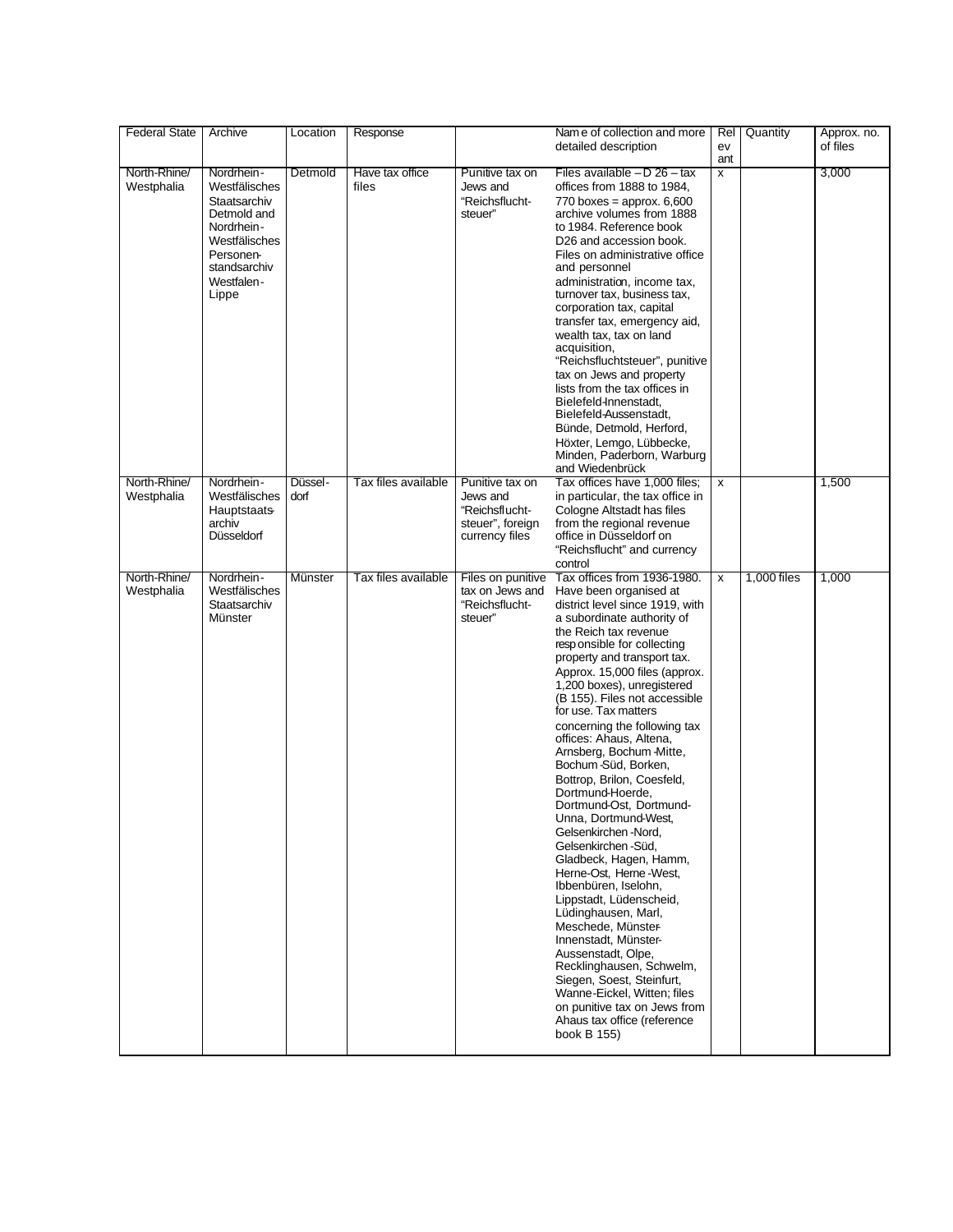| <b>Federal State</b>       | Archive                                                                                                                                       | Location        | Response                 |                                                                                     | Nam e of collection and more<br>detailed description                                                                                                                                                                                                                                                                                                                                                                                                                                                                                                                                                                                                                                                                                                                                                                                                                                                                                                                          | Rel<br>ev<br>ant | Quantity    | Approx. no.<br>of files |
|----------------------------|-----------------------------------------------------------------------------------------------------------------------------------------------|-----------------|--------------------------|-------------------------------------------------------------------------------------|-------------------------------------------------------------------------------------------------------------------------------------------------------------------------------------------------------------------------------------------------------------------------------------------------------------------------------------------------------------------------------------------------------------------------------------------------------------------------------------------------------------------------------------------------------------------------------------------------------------------------------------------------------------------------------------------------------------------------------------------------------------------------------------------------------------------------------------------------------------------------------------------------------------------------------------------------------------------------------|------------------|-------------|-------------------------|
| North-Rhine/<br>Westphalia | Nordrhein-<br>Westfälisches<br>Staatsarchiv<br>Detmold and<br>Nordrhein-<br>Westfälisches<br>Personen-<br>standsarchiv<br>Westfalen-<br>Lippe | Detmold         | Have tax office<br>files | Punitive tax on<br>Jews and<br>"Reichsflucht-<br>steuer"                            | Files available $-D$ 26 $-$ tax<br>offices from 1888 to 1984,<br>770 boxes = approx. $6,600$<br>archive volumes from 1888<br>to 1984. Reference book<br>D26 and accession book.<br>Files on administrative office<br>and personnel<br>administration, income tax,<br>turnover tax, business tax,<br>corporation tax, capital<br>transfer tax, emergency aid,<br>wealth tax, tax on land<br>acquisition,<br>"Reichsfluchtsteuer", punitive<br>tax on Jews and property<br>lists from the tax offices in<br>Bielefeld-Innenstadt,<br>Bielefeld-Aussenstadt,<br>Bünde, Detmold, Herford,<br>Höxter, Lemgo, Lübbecke,<br>Minden, Paderborn, Warburg<br>and Wiedenbrück                                                                                                                                                                                                                                                                                                            | x                |             | 3,000                   |
| North-Rhine/<br>Westphalia | Nordrhein-<br>Westfälisches<br>Hauptstaats<br>archiv<br>Düsseldorf                                                                            | Düssel-<br>dorf | Tax files available      | Punitive tax on<br>Jews and<br>"Reichsflucht-<br>steuer", foreign<br>currency files | Tax offices have 1,000 files;<br>in particular, the tax office in<br>Cologne Altstadt has files<br>from the regional revenue<br>office in Düsseldorf on<br>"Reichsflucht" and currency<br>control                                                                                                                                                                                                                                                                                                                                                                                                                                                                                                                                                                                                                                                                                                                                                                             | X                |             | 1,500                   |
| North-Rhine/<br>Westphalia | Nordrhein-<br>Westfälisches<br>Staatsarchiv<br>Münster                                                                                        | Münster         | Tax files available      | Files on punitive<br>tax on Jews and<br>"Reichsflucht-<br>steuer"                   | Tax offices from 1936-1980.<br>Have been organised at<br>district level since 1919, with<br>a subordinate authority of<br>the Reich tax revenue<br>responsible for collecting<br>property and transport tax.<br>Approx. 15,000 files (approx.<br>1,200 boxes), unregistered<br>(B 155). Files not accessible<br>for use. Tax matters<br>concerning the following tax<br>offices: Ahaus, Altena,<br>Arnsberg, Bochum Mitte,<br>Bochum-Süd, Borken,<br>Bottrop, Brilon, Coesfeld,<br>Dortmund-Hoerde,<br>Dortmund-Ost, Dortmund-<br>Unna, Dortmund-West,<br>Gelsenkirchen -Nord,<br>Gelsenkirchen -Süd.<br>Gladbeck, Hagen, Hamm,<br>Herne-Ost, Herne-West,<br>Ibbenbüren, Iselohn,<br>Lippstadt, Lüdenscheid,<br>Lüdinghausen, Marl,<br>Meschede, Münster-<br>Innenstadt, Münster-<br>Aussenstadt, Olpe,<br>Recklinghausen, Schwelm,<br>Siegen, Soest, Steinfurt,<br>Wanne-Eickel, Witten; files<br>on punitive tax on Jews from<br>Ahaus tax office (reference<br>book B 155) | X                | 1,000 files | 1,000                   |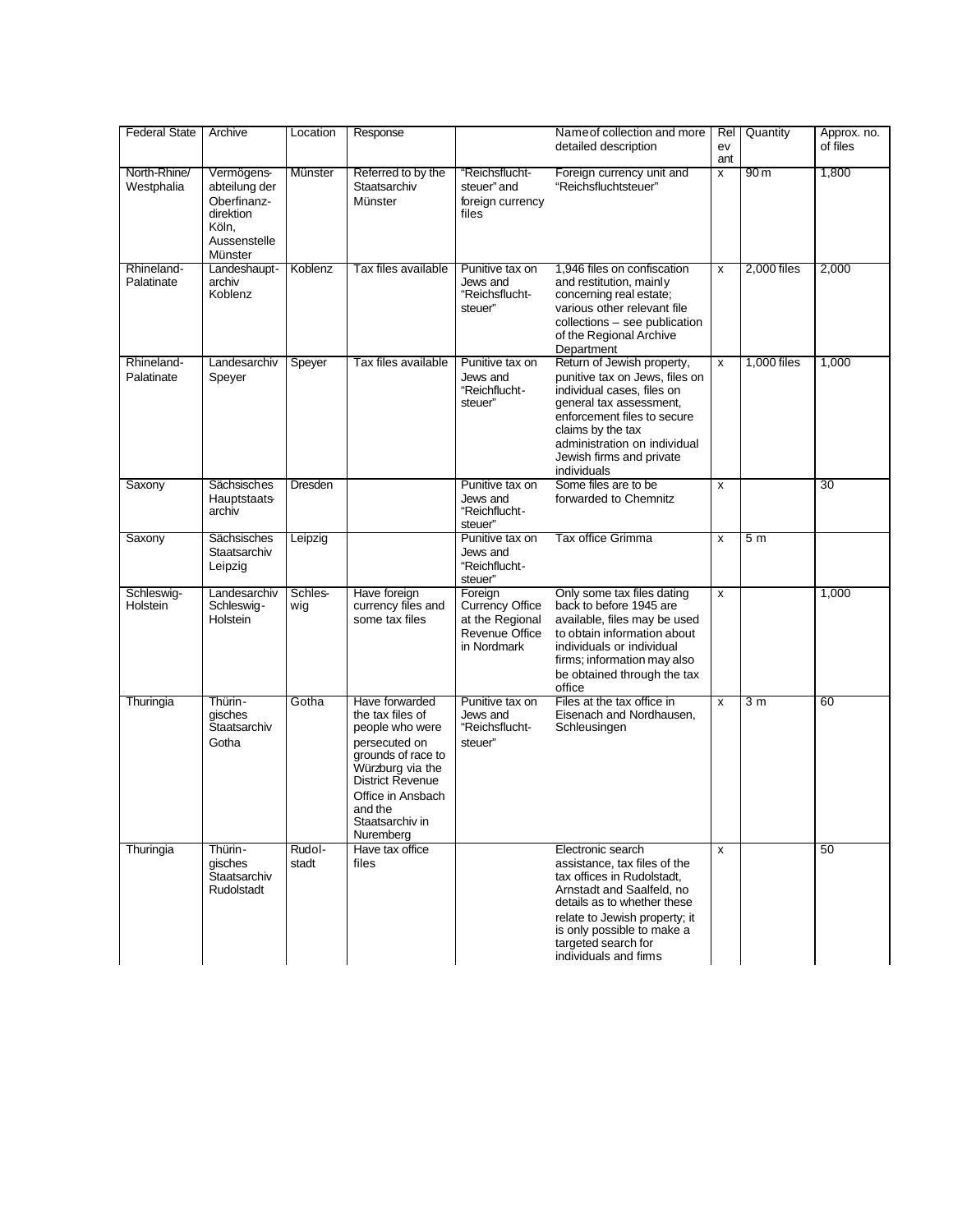| <b>Federal State</b>       | Archive                                                                                     | Location        | Response                                                                                                                                                                                             |                                                                                              | Name of collection and more<br>detailed description                                                                                                                                                                                                       | Rel<br>ev<br>ant | Quantity        | Approx. no.<br>of files |
|----------------------------|---------------------------------------------------------------------------------------------|-----------------|------------------------------------------------------------------------------------------------------------------------------------------------------------------------------------------------------|----------------------------------------------------------------------------------------------|-----------------------------------------------------------------------------------------------------------------------------------------------------------------------------------------------------------------------------------------------------------|------------------|-----------------|-------------------------|
| North-Rhine/<br>Westphalia | Vermögens-<br>abteilung der<br>Oberfinanz-<br>direktion<br>Köln,<br>Aussenstelle<br>Münster | Münster         | Referred to by the<br>Staatsarchiv<br>Münster                                                                                                                                                        | "Reichsflucht-<br>steuer" and<br>foreign currency<br>files                                   | Foreign currency unit and<br>"Reichsfluchtsteuer"                                                                                                                                                                                                         | x                | 90 <sub>m</sub> | 1,800                   |
| Rhineland-<br>Palatinate   | Landeshaupt-<br>archiv<br>Koblenz                                                           | Koblenz         | Tax files available                                                                                                                                                                                  | Punitive tax on<br>Jews and<br>"Reichsflucht-<br>steuer"                                     | 1,946 files on confiscation<br>and restitution, mainly<br>concerning real estate;<br>various other relevant file<br>collections - see publication<br>of the Regional Archive<br>Department                                                                | x                | 2,000 files     | 2,000                   |
| Rhineland-<br>Palatinate   | Landesarchiv<br>Speyer                                                                      | Speyer          | Tax files available                                                                                                                                                                                  | Punitive tax on<br>Jews and<br>"Reichflucht-<br>steuer"                                      | Return of Jewish property,<br>punitive tax on Jews, files on<br>individual cases, files on<br>general tax assessment,<br>enforcement files to secure<br>claims by the tax<br>administration on individual<br>Jewish firms and private<br>individuals      | X                | 1,000 files     | 1,000                   |
| Saxony                     | Sächsisches<br>Hauptstaats<br>archiv                                                        | Dresden         |                                                                                                                                                                                                      | Punitive tax on<br>Jews and<br>"Reichflucht-<br>steuer"                                      | Some files are to be<br>forwarded to Chemnitz                                                                                                                                                                                                             | X                |                 | 30                      |
| Saxony                     | Sächsisches<br>Staatsarchiv<br>Leipzig                                                      | Leipzig         |                                                                                                                                                                                                      | Punitive tax on<br>Jews and<br>"Reichflucht-<br>steuer"                                      | Tax office Grimma                                                                                                                                                                                                                                         | X                | 5 <sub>m</sub>  |                         |
| Schleswig-<br>Holstein     | Landesarchiv<br>Schleswig-<br>Holstein                                                      | Schles-<br>wig  | Have foreign<br>currency files and<br>some tax files                                                                                                                                                 | Foreign<br><b>Currency Office</b><br>at the Regional<br><b>Revenue Office</b><br>in Nordmark | Only some tax files dating<br>back to before 1945 are<br>available, files may be used<br>to obtain information about<br>individuals or individual<br>firms; information may also<br>be obtained through the tax<br>office                                 | x                |                 | 1,000                   |
| Thuringia                  | Thürin-<br>gisches<br>Staatsarchiv<br>Gotha                                                 | Gotha           | Have forwarded<br>the tax files of<br>people who were<br>persecuted on<br>grounds of race to<br>Würzburg via the<br>District Revenue<br>Office in Ansbach<br>and the<br>Staatsarchiv in<br>Nuremberg | Punitive tax on<br>Jews and<br>"Reichsflucht-<br>steuer"                                     | Files at the tax office in<br>Eisenach and Nordhausen,<br>Schleusingen                                                                                                                                                                                    | x                | 3 <sub>m</sub>  | 60                      |
| Thuringia                  | Thürin-<br>gisches<br>Staatsarchiv<br>Rudolstadt                                            | Rudol-<br>stadt | Have tax office<br>files                                                                                                                                                                             |                                                                                              | Electronic search<br>assistance, tax files of the<br>tax offices in Rudolstadt,<br>Arnstadt and Saalfeld, no<br>details as to whether these<br>relate to Jewish property; it<br>is only possible to make a<br>targeted search for<br>individuals and fims | x                |                 | 50                      |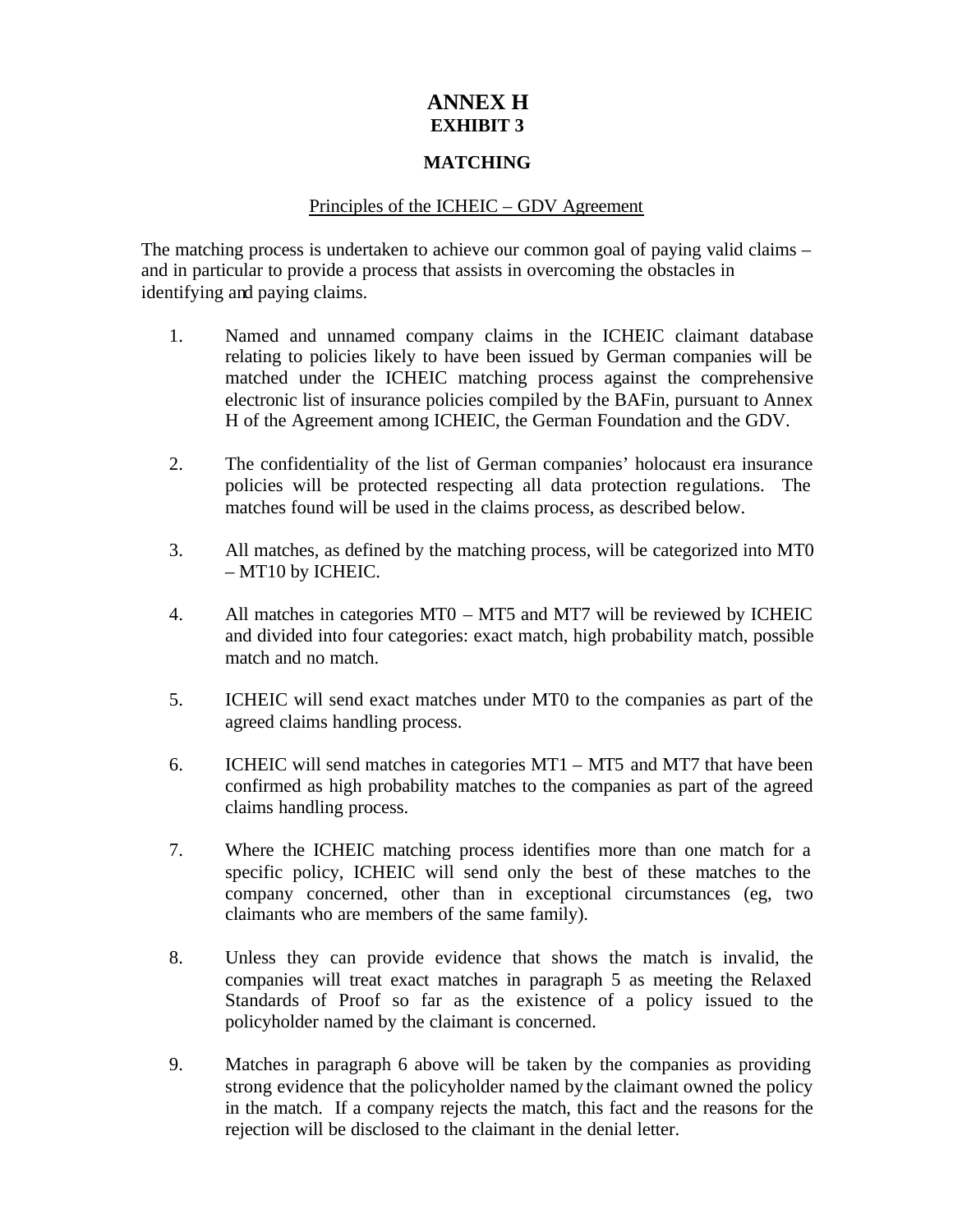# **ANNEX H EXHIBIT 3**

## **MATCHING**

## Principles of the ICHEIC – GDV Agreement

The matching process is undertaken to achieve our common goal of paying valid claims – and in particular to provide a process that assists in overcoming the obstacles in identifying and paying claims.

- 1. Named and unnamed company claims in the ICHEIC claimant database relating to policies likely to have been issued by German companies will be matched under the ICHEIC matching process against the comprehensive electronic list of insurance policies compiled by the BAFin, pursuant to Annex H of the Agreement among ICHEIC, the German Foundation and the GDV.
- 2. The confidentiality of the list of German companies' holocaust era insurance policies will be protected respecting all data protection regulations. The matches found will be used in the claims process, as described below.
- 3. All matches, as defined by the matching process, will be categorized into MT0 – MT10 by ICHEIC.
- 4. All matches in categories MT0 MT5 and MT7 will be reviewed by ICHEIC and divided into four categories: exact match, high probability match, possible match and no match.
- 5. ICHEIC will send exact matches under MT0 to the companies as part of the agreed claims handling process.
- 6. ICHEIC will send matches in categories MT1 MT5 and MT7 that have been confirmed as high probability matches to the companies as part of the agreed claims handling process.
- 7. Where the ICHEIC matching process identifies more than one match for a specific policy, ICHEIC will send only the best of these matches to the company concerned, other than in exceptional circumstances (eg, two claimants who are members of the same family).
- 8. Unless they can provide evidence that shows the match is invalid, the companies will treat exact matches in paragraph 5 as meeting the Relaxed Standards of Proof so far as the existence of a policy issued to the policyholder named by the claimant is concerned.
- 9. Matches in paragraph 6 above will be taken by the companies as providing strong evidence that the policyholder named by the claimant owned the policy in the match. If a company rejects the match, this fact and the reasons for the rejection will be disclosed to the claimant in the denial letter.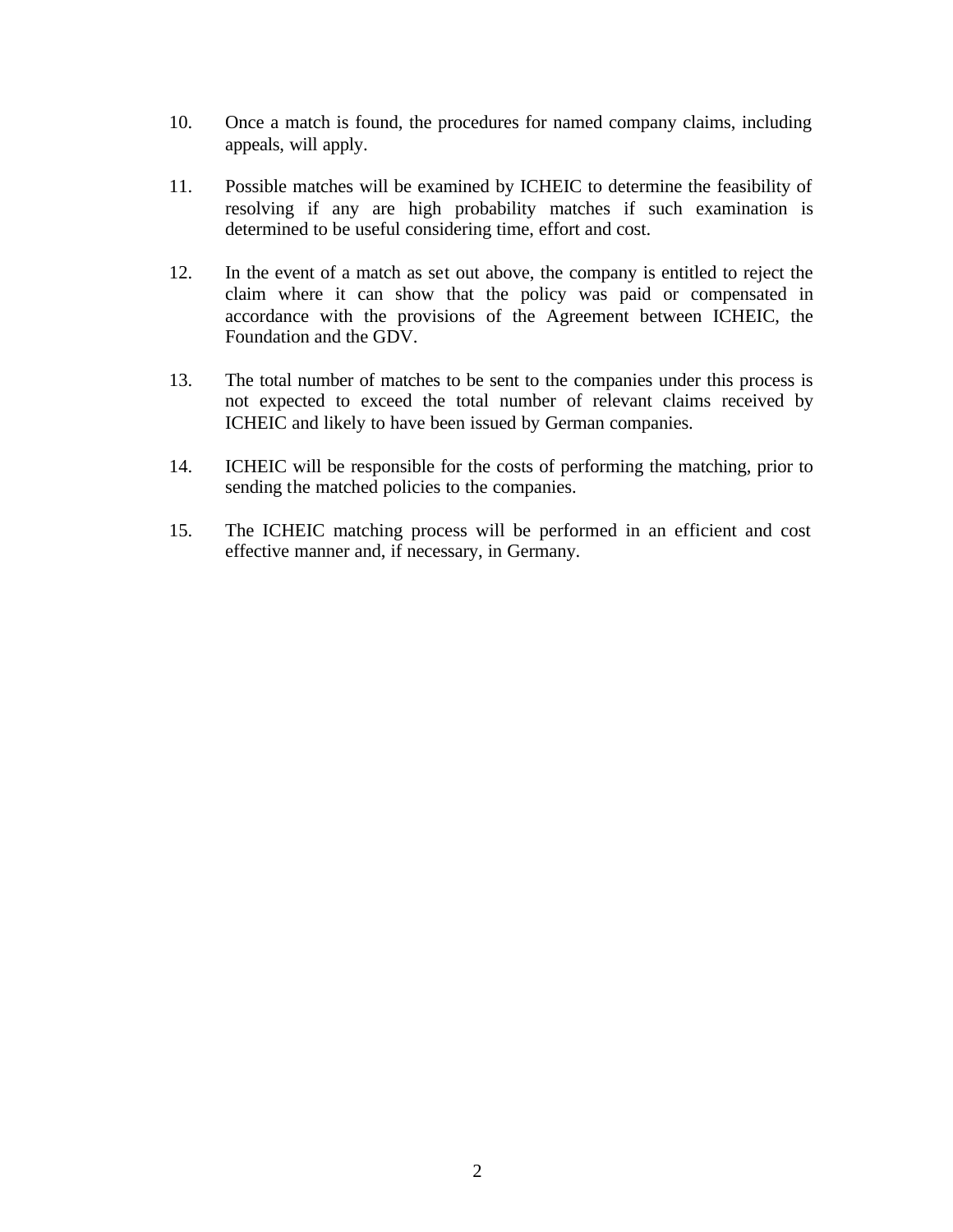- 10. Once a match is found, the procedures for named company claims, including appeals, will apply.
- 11. Possible matches will be examined by ICHEIC to determine the feasibility of resolving if any are high probability matches if such examination is determined to be useful considering time, effort and cost.
- 12. In the event of a match as set out above, the company is entitled to reject the claim where it can show that the policy was paid or compensated in accordance with the provisions of the Agreement between ICHEIC, the Foundation and the GDV.
- 13. The total number of matches to be sent to the companies under this process is not expected to exceed the total number of relevant claims received by ICHEIC and likely to have been issued by German companies.
- 14. ICHEIC will be responsible for the costs of performing the matching, prior to sending the matched policies to the companies.
- 15. The ICHEIC matching process will be performed in an efficient and cost effective manner and, if necessary, in Germany.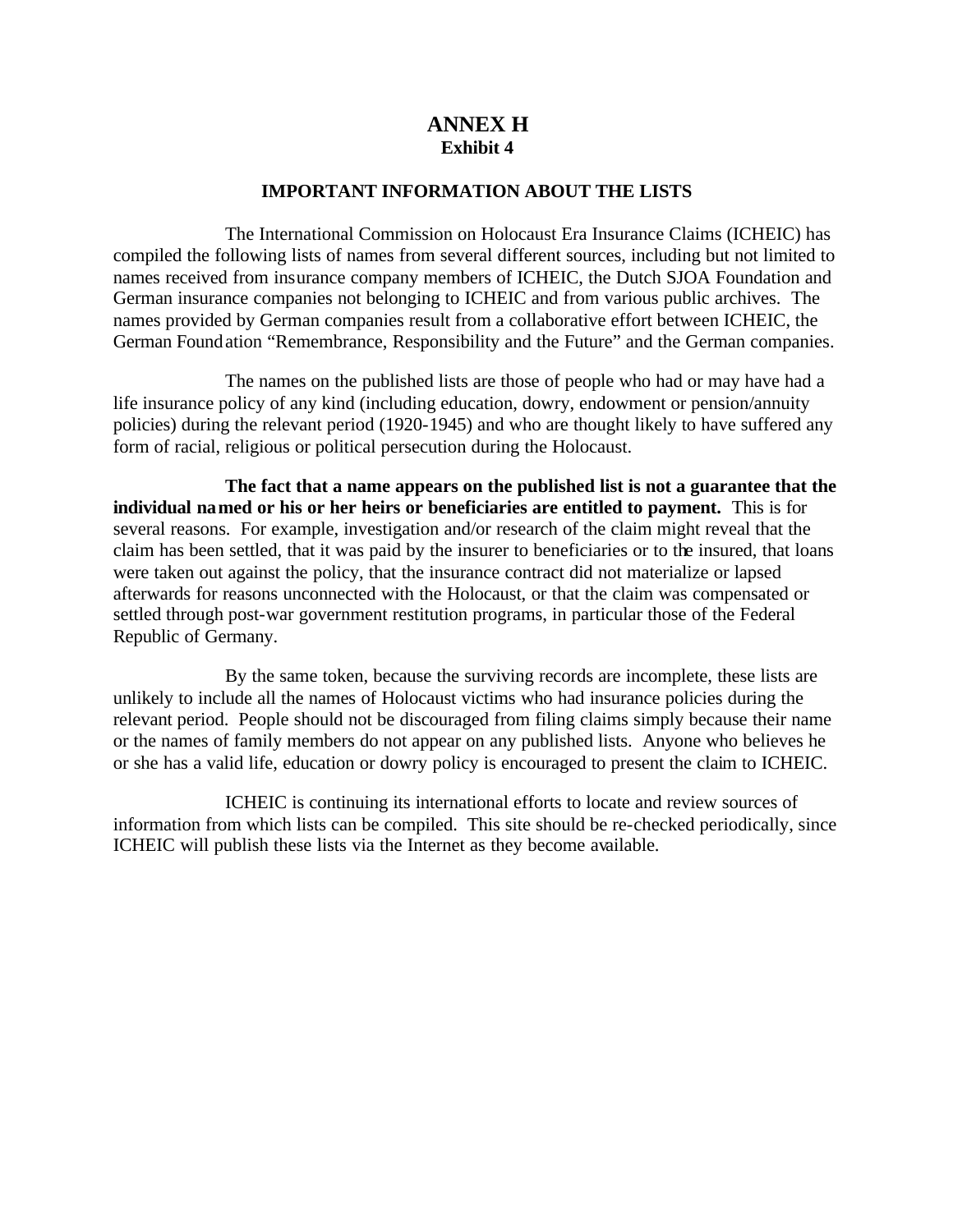# **ANNEX H Exhibit 4**

## **IMPORTANT INFORMATION ABOUT THE LISTS**

The International Commission on Holocaust Era Insurance Claims (ICHEIC) has compiled the following lists of names from several different sources, including but not limited to names received from insurance company members of ICHEIC, the Dutch SJOA Foundation and German insurance companies not belonging to ICHEIC and from various public archives. The names provided by German companies result from a collaborative effort between ICHEIC, the German Foundation "Remembrance, Responsibility and the Future" and the German companies.

The names on the published lists are those of people who had or may have had a life insurance policy of any kind (including education, dowry, endowment or pension/annuity policies) during the relevant period (1920-1945) and who are thought likely to have suffered any form of racial, religious or political persecution during the Holocaust.

**The fact that a name appears on the published list is not a guarantee that the individual named or his or her heirs or beneficiaries are entitled to payment.** This is for several reasons. For example, investigation and/or research of the claim might reveal that the claim has been settled, that it was paid by the insurer to beneficiaries or to the insured, that loans were taken out against the policy, that the insurance contract did not materialize or lapsed afterwards for reasons unconnected with the Holocaust, or that the claim was compensated or settled through post-war government restitution programs, in particular those of the Federal Republic of Germany.

By the same token, because the surviving records are incomplete, these lists are unlikely to include all the names of Holocaust victims who had insurance policies during the relevant period. People should not be discouraged from filing claims simply because their name or the names of family members do not appear on any published lists. Anyone who believes he or she has a valid life, education or dowry policy is encouraged to present the claim to ICHEIC.

ICHEIC is continuing its international efforts to locate and review sources of information from which lists can be compiled. This site should be re-checked periodically, since ICHEIC will publish these lists via the Internet as they become available.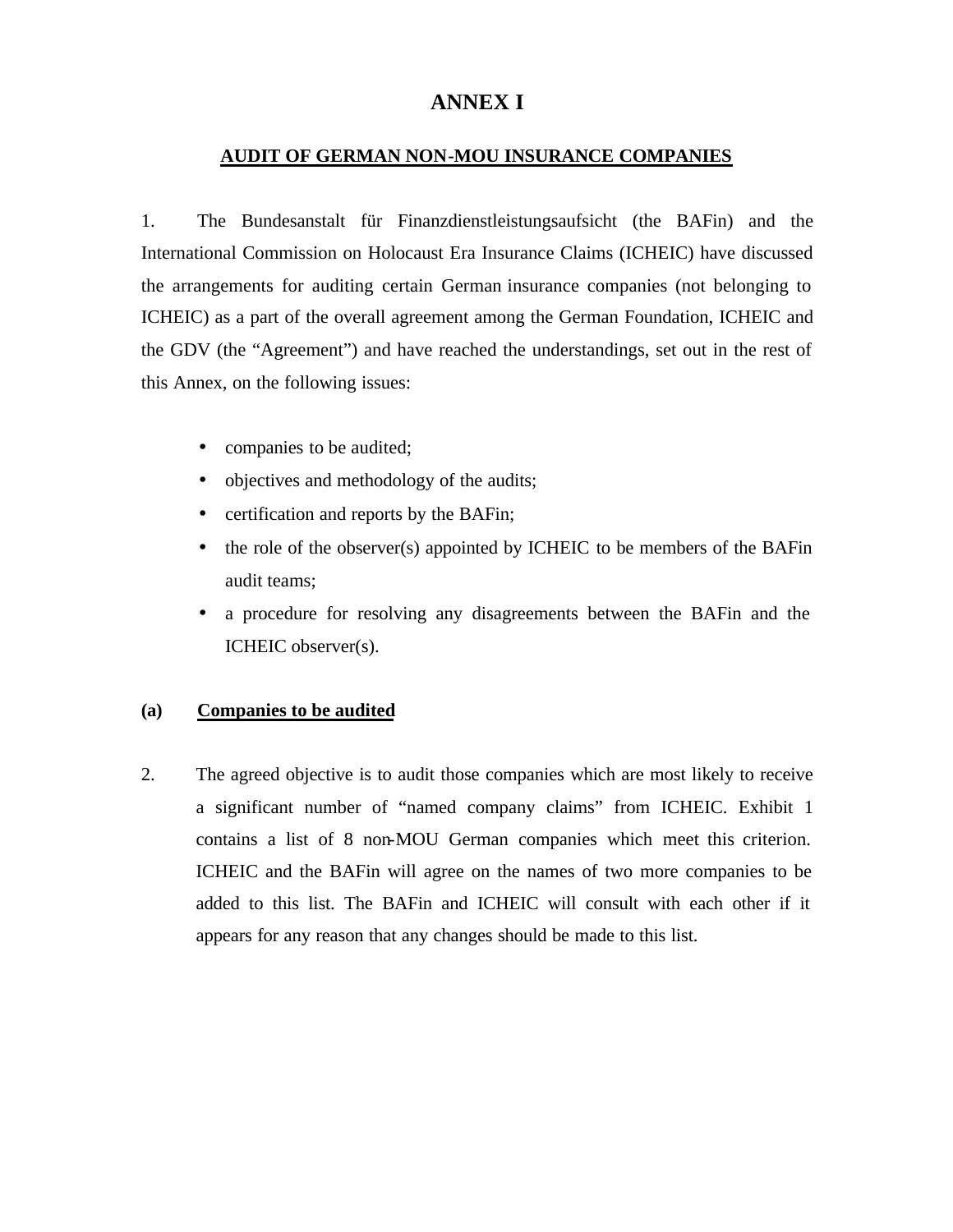# **ANNEX I**

## **AUDIT OF GERMAN NON-MOU INSURANCE COMPANIES**

1. The Bundesanstalt für Finanzdienstleistungsaufsicht (the BAFin) and the International Commission on Holocaust Era Insurance Claims (ICHEIC) have discussed the arrangements for auditing certain German insurance companies (not belonging to ICHEIC) as a part of the overall agreement among the German Foundation, ICHEIC and the GDV (the "Agreement") and have reached the understandings, set out in the rest of this Annex, on the following issues:

- companies to be audited;
- objectives and methodology of the audits;
- certification and reports by the BAFin;
- the role of the observer(s) appointed by ICHEIC to be members of the BAFin audit teams;
- a procedure for resolving any disagreements between the BAFin and the ICHEIC observer(s).

### **(a) Companies to be audited**

2. The agreed objective is to audit those companies which are most likely to receive a significant number of "named company claims" from ICHEIC. Exhibit 1 contains a list of 8 non-MOU German companies which meet this criterion. ICHEIC and the BAFin will agree on the names of two more companies to be added to this list. The BAFin and ICHEIC will consult with each other if it appears for any reason that any changes should be made to this list.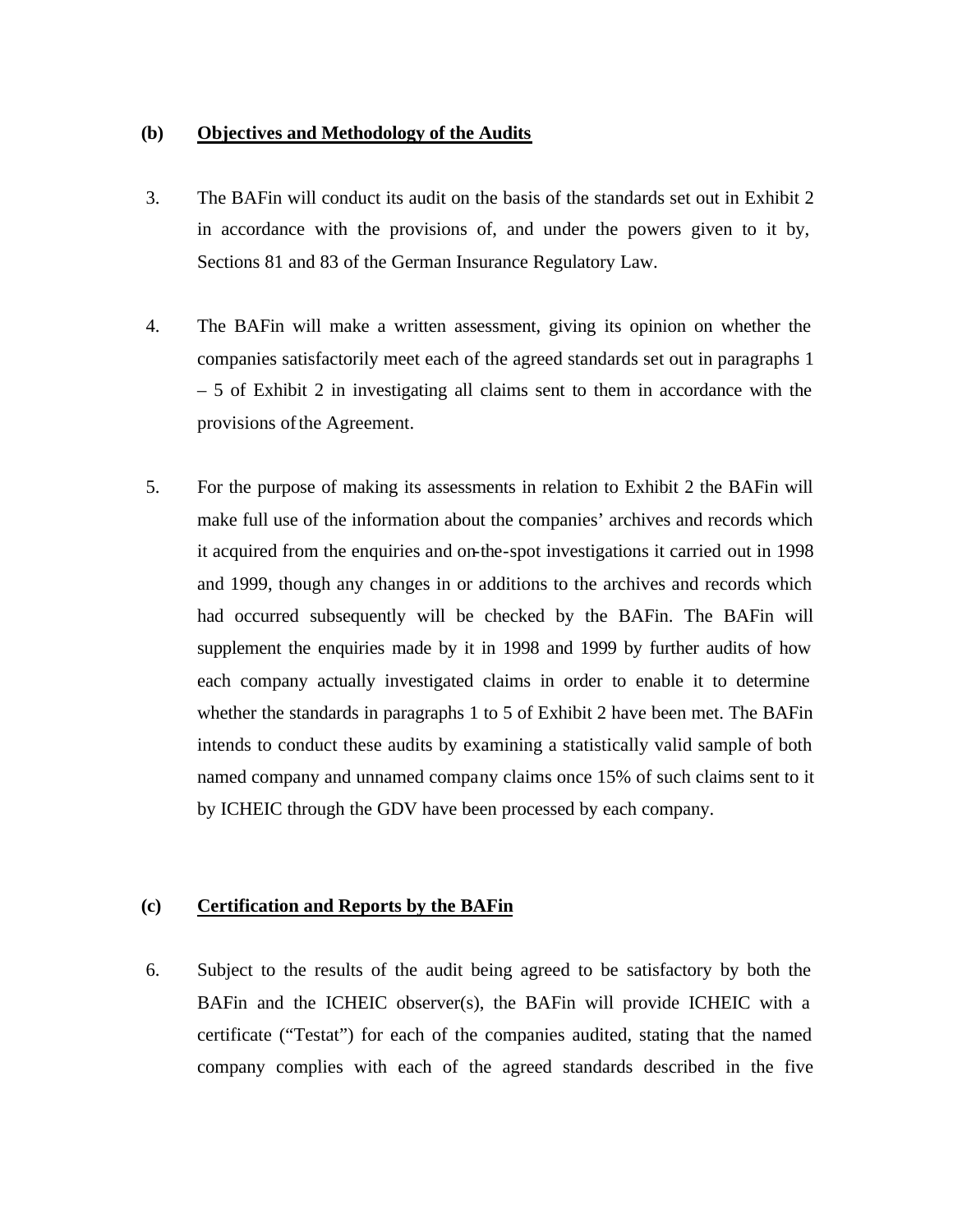### **(b) Objectives and Methodology of the Audits**

- 3. The BAFin will conduct its audit on the basis of the standards set out in Exhibit 2 in accordance with the provisions of, and under the powers given to it by, Sections 81 and 83 of the German Insurance Regulatory Law.
- 4. The BAFin will make a written assessment, giving its opinion on whether the companies satisfactorily meet each of the agreed standards set out in paragraphs 1 – 5 of Exhibit 2 in investigating all claims sent to them in accordance with the provisions of the Agreement.
- 5. For the purpose of making its assessments in relation to Exhibit 2 the BAFin will make full use of the information about the companies' archives and records which it acquired from the enquiries and on-the-spot investigations it carried out in 1998 and 1999, though any changes in or additions to the archives and records which had occurred subsequently will be checked by the BAFin. The BAFin will supplement the enquiries made by it in 1998 and 1999 by further audits of how each company actually investigated claims in order to enable it to determine whether the standards in paragraphs 1 to 5 of Exhibit 2 have been met. The BAFin intends to conduct these audits by examining a statistically valid sample of both named company and unnamed company claims once 15% of such claims sent to it by ICHEIC through the GDV have been processed by each company.

## **(c) Certification and Reports by the BAFin**

 6. Subject to the results of the audit being agreed to be satisfactory by both the BAFin and the ICHEIC observer(s), the BAFin will provide ICHEIC with a certificate ("Testat") for each of the companies audited, stating that the named company complies with each of the agreed standards described in the five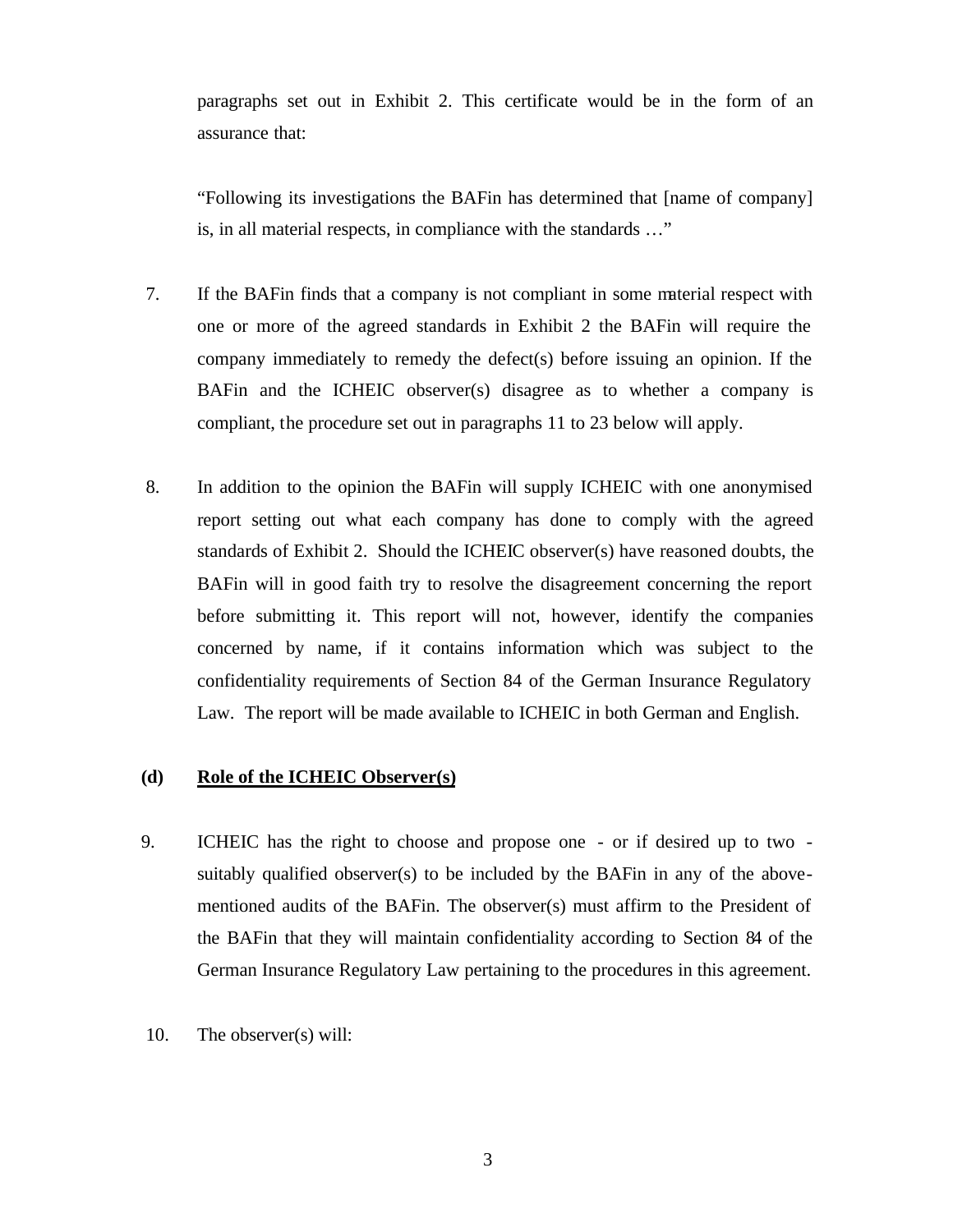paragraphs set out in Exhibit 2. This certificate would be in the form of an assurance that:

"Following its investigations the BAFin has determined that [name of company] is, in all material respects, in compliance with the standards …"

- 7. If the BAFin finds that a company is not compliant in some material respect with one or more of the agreed standards in Exhibit 2 the BAFin will require the company immediately to remedy the defect(s) before issuing an opinion. If the BAFin and the ICHEIC observer(s) disagree as to whether a company is compliant, the procedure set out in paragraphs 11 to 23 below will apply.
- 8. In addition to the opinion the BAFin will supply ICHEIC with one anonymised report setting out what each company has done to comply with the agreed standards of Exhibit 2. Should the ICHEIC observer(s) have reasoned doubts, the BAFin will in good faith try to resolve the disagreement concerning the report before submitting it. This report will not, however, identify the companies concerned by name, if it contains information which was subject to the confidentiality requirements of Section 84 of the German Insurance Regulatory Law. The report will be made available to ICHEIC in both German and English.

#### **(d) Role of the ICHEIC Observer(s)**

- 9. ICHEIC has the right to choose and propose one or if desired up to two suitably qualified observer(s) to be included by the BAFin in any of the abovementioned audits of the BAFin. The observer(s) must affirm to the President of the BAFin that they will maintain confidentiality according to Section 84 of the German Insurance Regulatory Law pertaining to the procedures in this agreement.
- 10. The observer(s) will: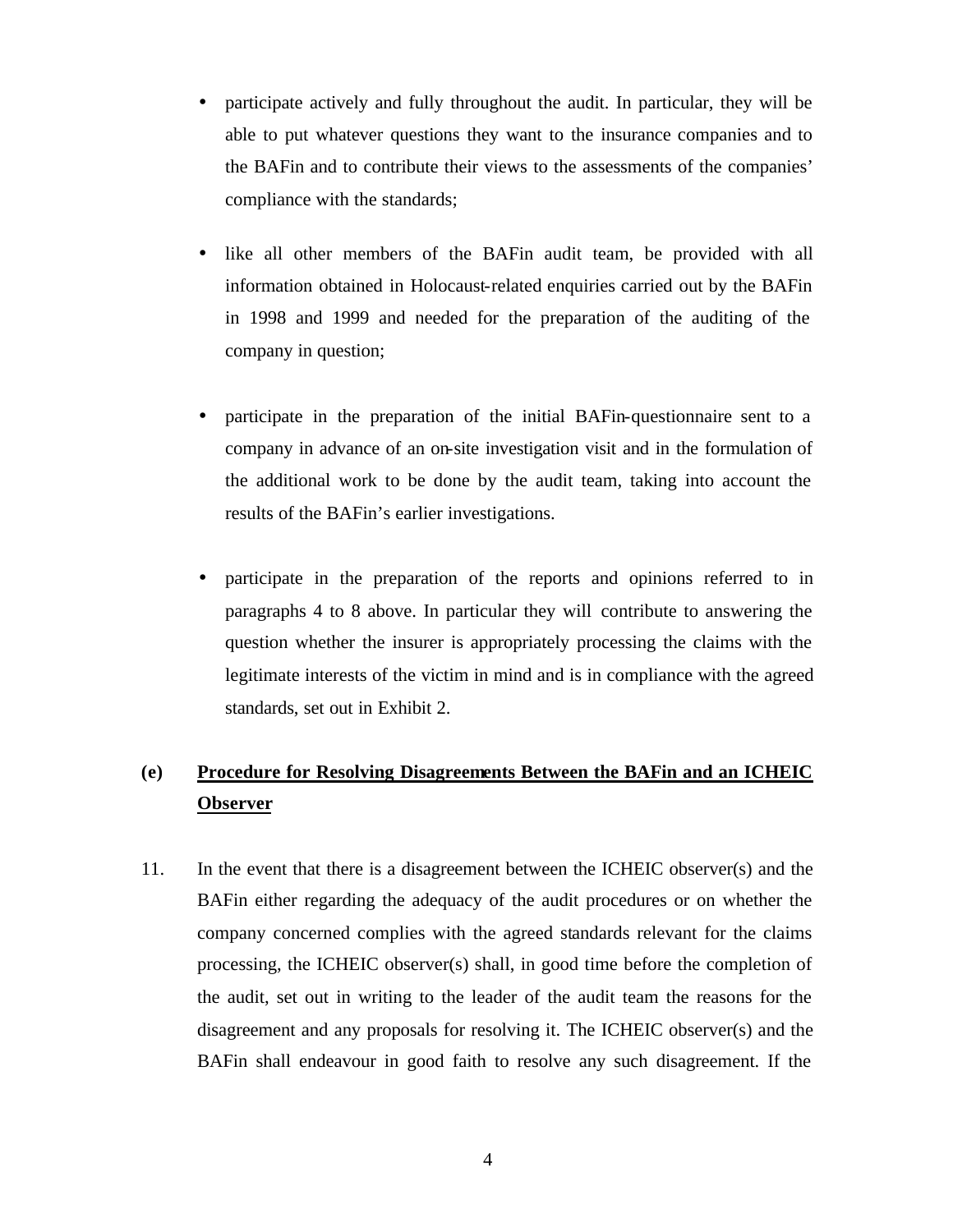- participate actively and fully throughout the audit. In particular, they will be able to put whatever questions they want to the insurance companies and to the BAFin and to contribute their views to the assessments of the companies' compliance with the standards;
- like all other members of the BAFin audit team, be provided with all information obtained in Holocaust-related enquiries carried out by the BAFin in 1998 and 1999 and needed for the preparation of the auditing of the company in question;
- participate in the preparation of the initial BAFin-questionnaire sent to a company in advance of an on-site investigation visit and in the formulation of the additional work to be done by the audit team, taking into account the results of the BAFin's earlier investigations.
- participate in the preparation of the reports and opinions referred to in paragraphs 4 to 8 above. In particular they will contribute to answering the question whether the insurer is appropriately processing the claims with the legitimate interests of the victim in mind and is in compliance with the agreed standards, set out in Exhibit 2.

# **(e) Procedure for Resolving Disagreements Between the BAFin and an ICHEIC Observer**

11. In the event that there is a disagreement between the ICHEIC observer(s) and the BAFin either regarding the adequacy of the audit procedures or on whether the company concerned complies with the agreed standards relevant for the claims processing, the ICHEIC observer(s) shall, in good time before the completion of the audit, set out in writing to the leader of the audit team the reasons for the disagreement and any proposals for resolving it. The ICHEIC observer(s) and the BAFin shall endeavour in good faith to resolve any such disagreement. If the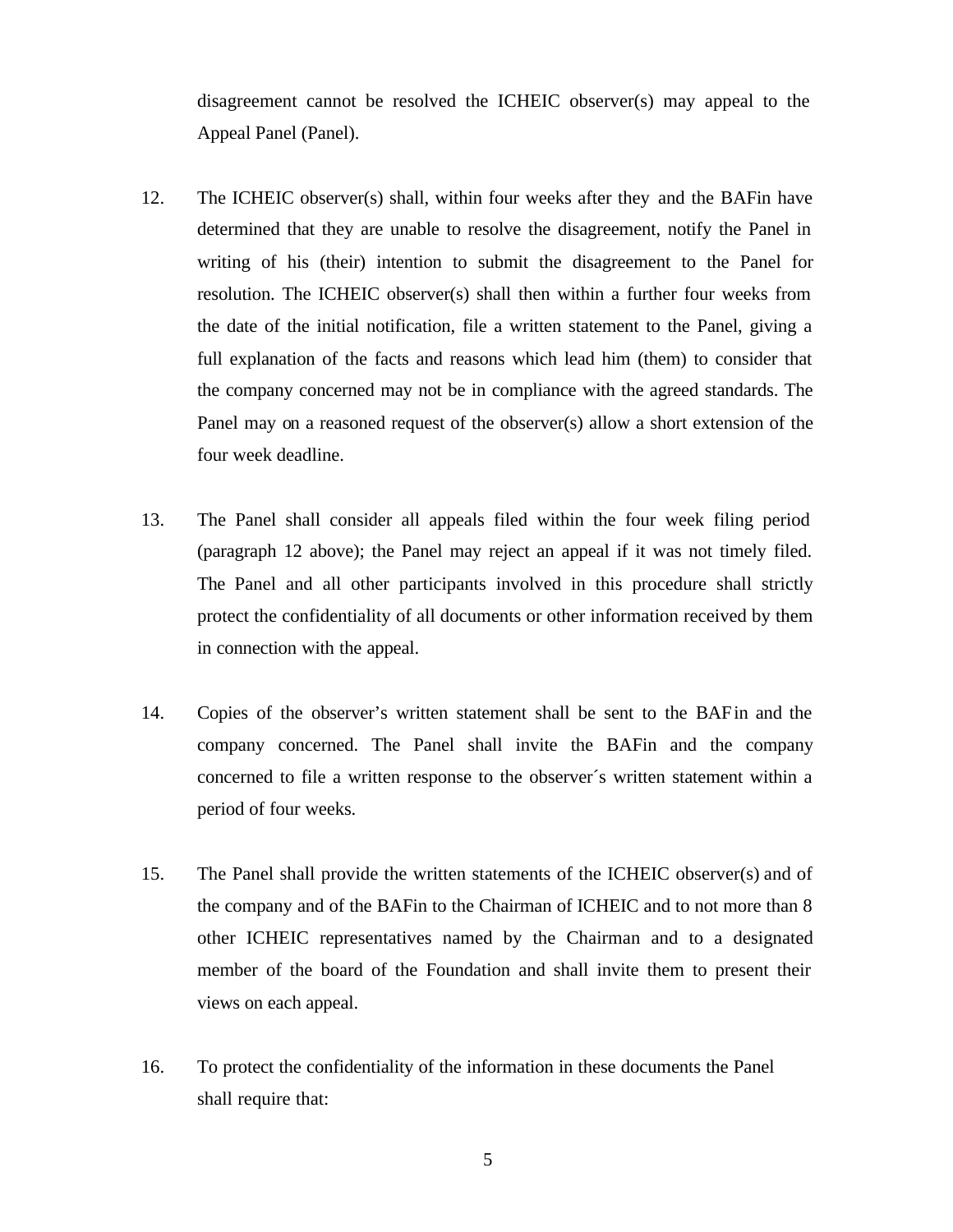disagreement cannot be resolved the ICHEIC observer(s) may appeal to the Appeal Panel (Panel).

- 12. The ICHEIC observer(s) shall, within four weeks after they and the BAFin have determined that they are unable to resolve the disagreement, notify the Panel in writing of his (their) intention to submit the disagreement to the Panel for resolution. The ICHEIC observer(s) shall then within a further four weeks from the date of the initial notification, file a written statement to the Panel, giving a full explanation of the facts and reasons which lead him (them) to consider that the company concerned may not be in compliance with the agreed standards. The Panel may on a reasoned request of the observer(s) allow a short extension of the four week deadline.
- 13. The Panel shall consider all appeals filed within the four week filing period (paragraph 12 above); the Panel may reject an appeal if it was not timely filed. The Panel and all other participants involved in this procedure shall strictly protect the confidentiality of all documents or other information received by them in connection with the appeal.
- 14. Copies of the observer's written statement shall be sent to the BAFin and the company concerned. The Panel shall invite the BAFin and the company concerned to file a written response to the observer´s written statement within a period of four weeks.
- 15. The Panel shall provide the written statements of the ICHEIC observer(s) and of the company and of the BAFin to the Chairman of ICHEIC and to not more than 8 other ICHEIC representatives named by the Chairman and to a designated member of the board of the Foundation and shall invite them to present their views on each appeal.
- 16. To protect the confidentiality of the information in these documents the Panel shall require that: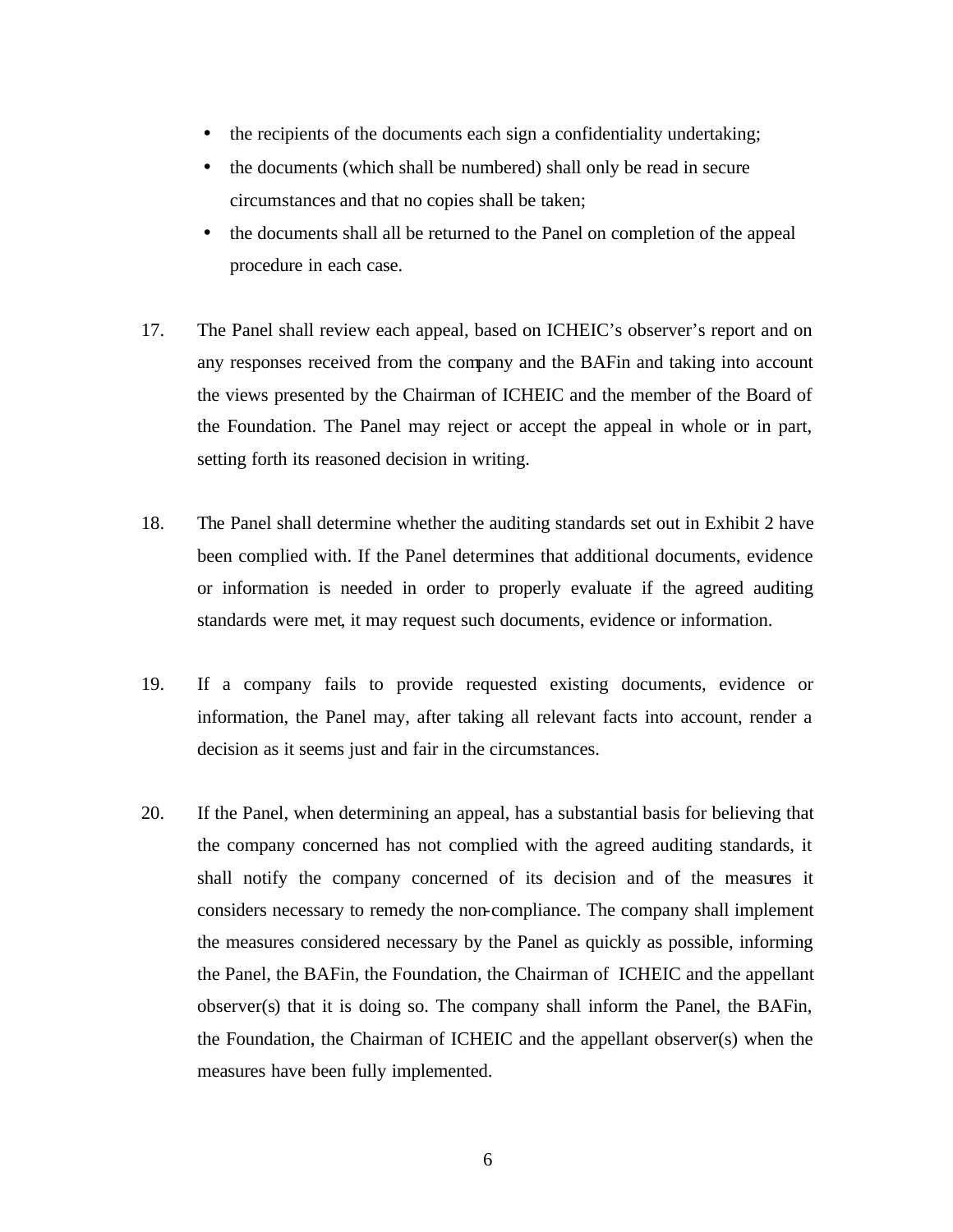- the recipients of the documents each sign a confidentiality undertaking;
- the documents (which shall be numbered) shall only be read in secure circumstances and that no copies shall be taken;
- the documents shall all be returned to the Panel on completion of the appeal procedure in each case.
- 17. The Panel shall review each appeal, based on ICHEIC's observer's report and on any responses received from the company and the BAFin and taking into account the views presented by the Chairman of ICHEIC and the member of the Board of the Foundation. The Panel may reject or accept the appeal in whole or in part, setting forth its reasoned decision in writing.
- 18. The Panel shall determine whether the auditing standards set out in Exhibit 2 have been complied with. If the Panel determines that additional documents, evidence or information is needed in order to properly evaluate if the agreed auditing standards were met, it may request such documents, evidence or information.
- 19. If a company fails to provide requested existing documents, evidence or information, the Panel may, after taking all relevant facts into account, render a decision as it seems just and fair in the circumstances.
- 20. If the Panel, when determining an appeal, has a substantial basis for believing that the company concerned has not complied with the agreed auditing standards, it shall notify the company concerned of its decision and of the measures it considers necessary to remedy the non-compliance. The company shall implement the measures considered necessary by the Panel as quickly as possible, informing the Panel, the BAFin, the Foundation, the Chairman of ICHEIC and the appellant observer(s) that it is doing so. The company shall inform the Panel, the BAFin, the Foundation, the Chairman of ICHEIC and the appellant observer(s) when the measures have been fully implemented.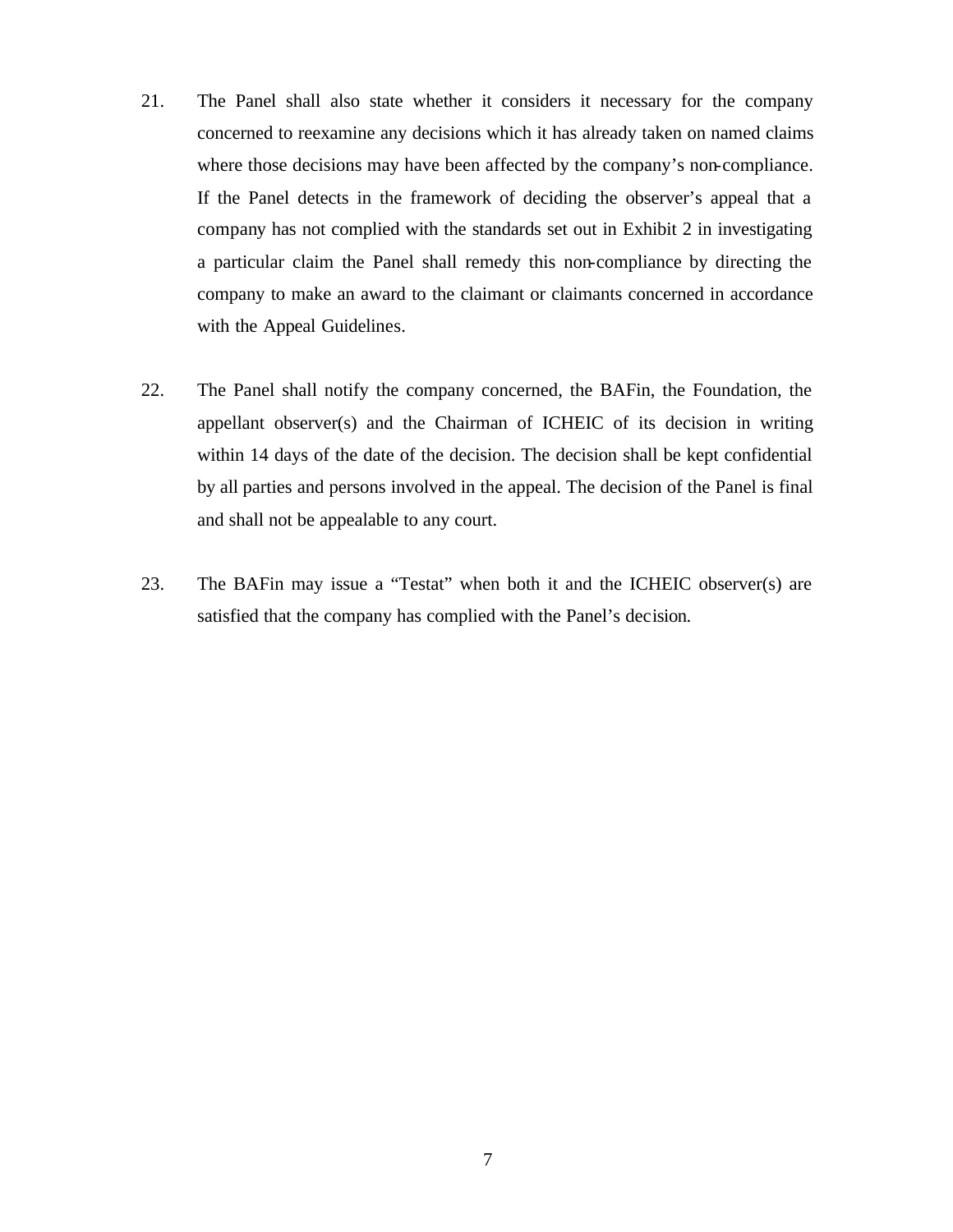- 21. The Panel shall also state whether it considers it necessary for the company concerned to reexamine any decisions which it has already taken on named claims where those decisions may have been affected by the company's non-compliance. If the Panel detects in the framework of deciding the observer's appeal that a company has not complied with the standards set out in Exhibit 2 in investigating a particular claim the Panel shall remedy this non-compliance by directing the company to make an award to the claimant or claimants concerned in accordance with the Appeal Guidelines.
- 22. The Panel shall notify the company concerned, the BAFin, the Foundation, the appellant observer(s) and the Chairman of ICHEIC of its decision in writing within 14 days of the date of the decision. The decision shall be kept confidential by all parties and persons involved in the appeal. The decision of the Panel is final and shall not be appealable to any court.
- 23. The BAFin may issue a "Testat" when both it and the ICHEIC observer(s) are satisfied that the company has complied with the Panel's decision.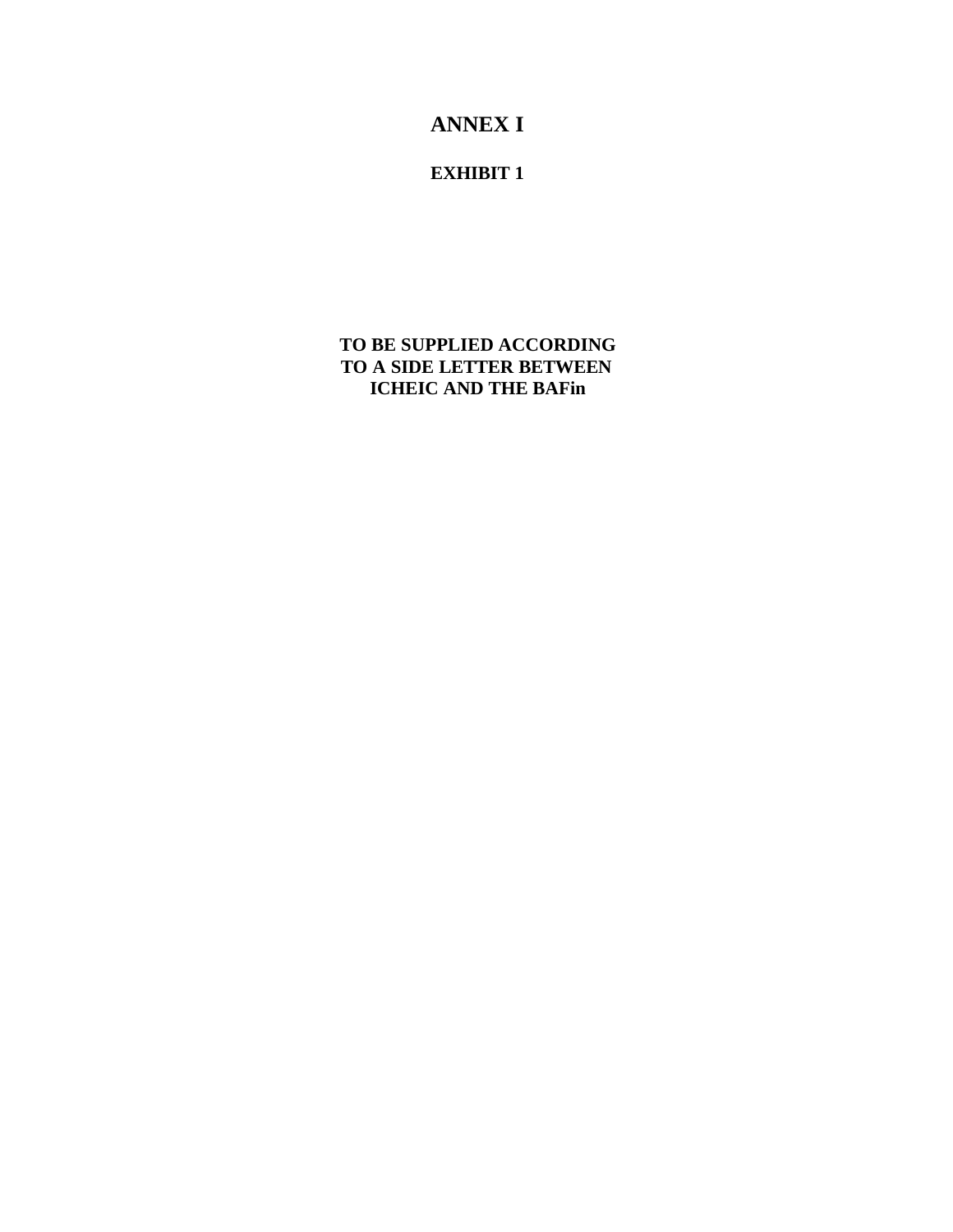**ANNEX I**

# **EXHIBIT 1**

# **TO BE SUPPLIED ACCORDING TO A SIDE LETTER BETWEEN ICHEIC AND THE BAFin**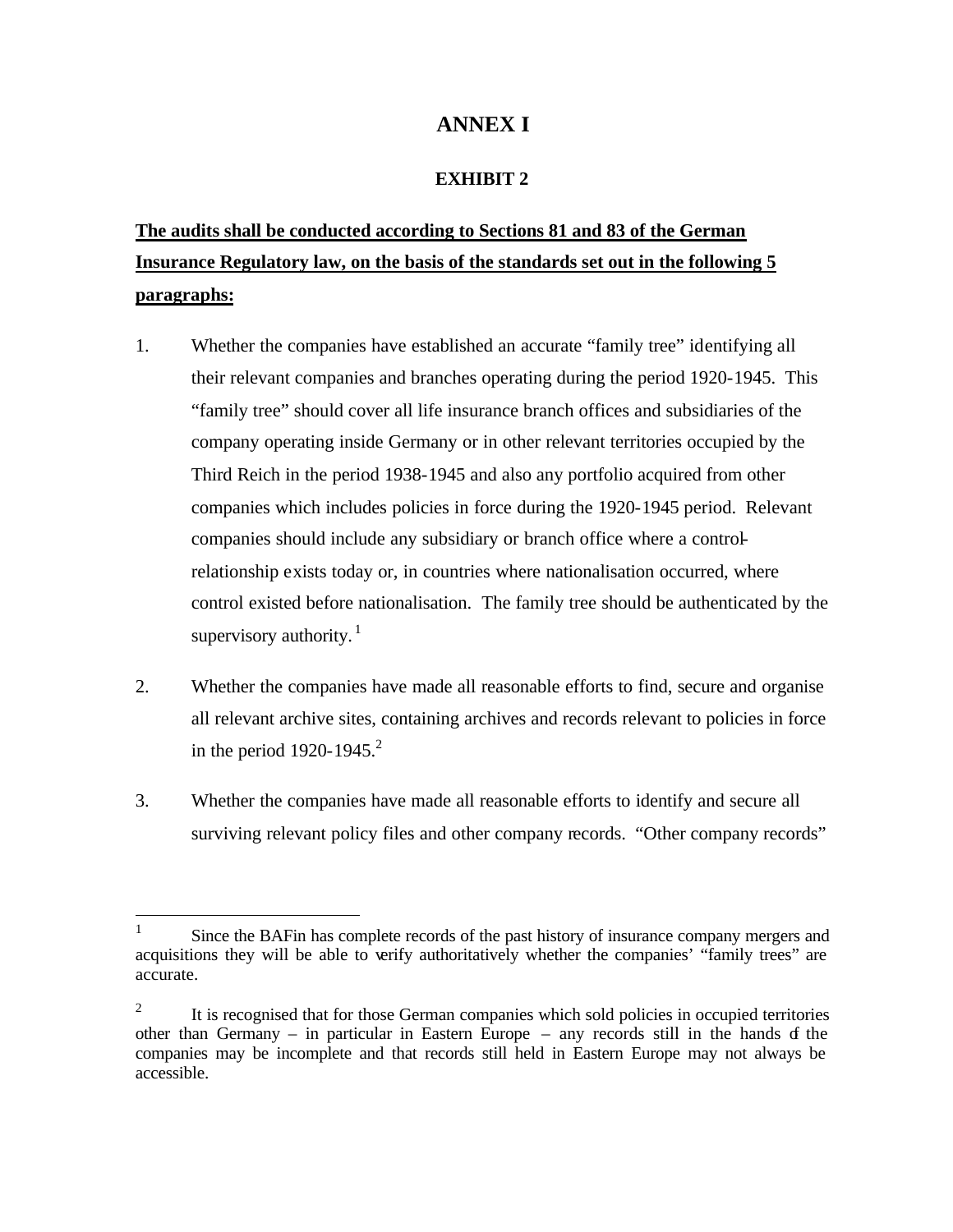# **ANNEX I**

## **EXHIBIT 2**

# **The audits shall be conducted according to Sections 81 and 83 of the German Insurance Regulatory law, on the basis of the standards set out in the following 5 paragraphs:**

- 1. Whether the companies have established an accurate "family tree" identifying all their relevant companies and branches operating during the period 1920-1945. This "family tree" should cover all life insurance branch offices and subsidiaries of the company operating inside Germany or in other relevant territories occupied by the Third Reich in the period 1938-1945 and also any portfolio acquired from other companies which includes policies in force during the 1920-1945 period. Relevant companies should include any subsidiary or branch office where a controlrelationship exists today or, in countries where nationalisation occurred, where control existed before nationalisation. The family tree should be authenticated by the supervisory authority. $\frac{1}{1}$
- 2. Whether the companies have made all reasonable efforts to find, secure and organise all relevant archive sites, containing archives and records relevant to policies in force in the period  $1920-1945$ <sup>2</sup>
- 3. Whether the companies have made all reasonable efforts to identify and secure all surviving relevant policy files and other company records. "Other company records"

 $\overline{a}$ 

<sup>1</sup> Since the BAFin has complete records of the past history of insurance company mergers and acquisitions they will be able to verify authoritatively whether the companies' "family trees" are accurate.

<sup>2</sup> It is recognised that for those German companies which sold policies in occupied territories other than Germany – in particular in Eastern Europe – any records still in the hands  $d$  the companies may be incomplete and that records still held in Eastern Europe may not always be accessible.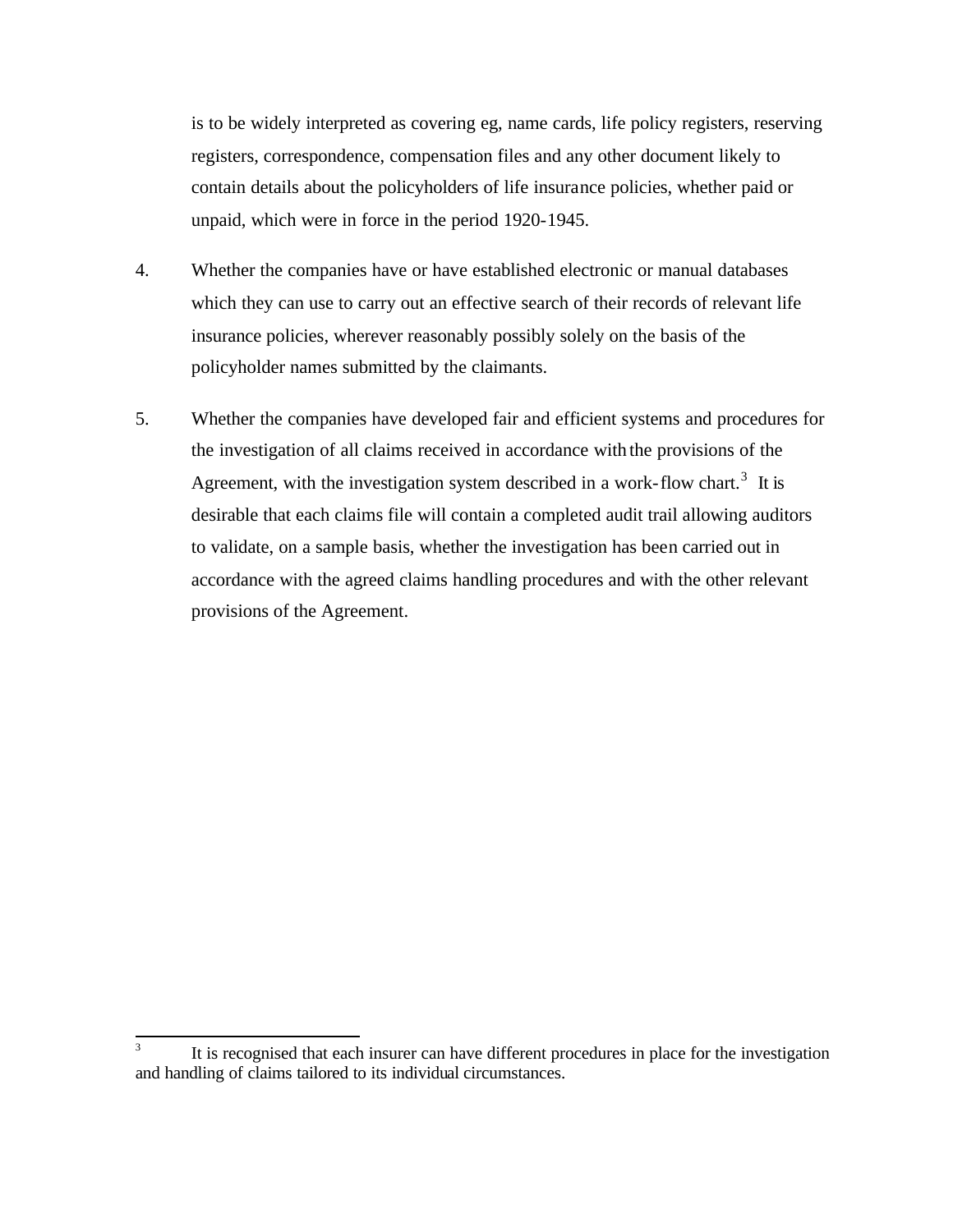is to be widely interpreted as covering eg, name cards, life policy registers, reserving registers, correspondence, compensation files and any other document likely to contain details about the policyholders of life insurance policies, whether paid or unpaid, which were in force in the period 1920-1945.

- 4. Whether the companies have or have established electronic or manual databases which they can use to carry out an effective search of their records of relevant life insurance policies, wherever reasonably possibly solely on the basis of the policyholder names submitted by the claimants.
- 5. Whether the companies have developed fair and efficient systems and procedures for the investigation of all claims received in accordance with the provisions of the Agreement, with the investigation system described in a work-flow chart.<sup>3</sup> It is desirable that each claims file will contain a completed audit trail allowing auditors to validate, on a sample basis, whether the investigation has been carried out in accordance with the agreed claims handling procedures and with the other relevant provisions of the Agreement.

 $\frac{1}{3}$ It is recognised that each insurer can have different procedures in place for the investigation and handling of claims tailored to its individual circumstances.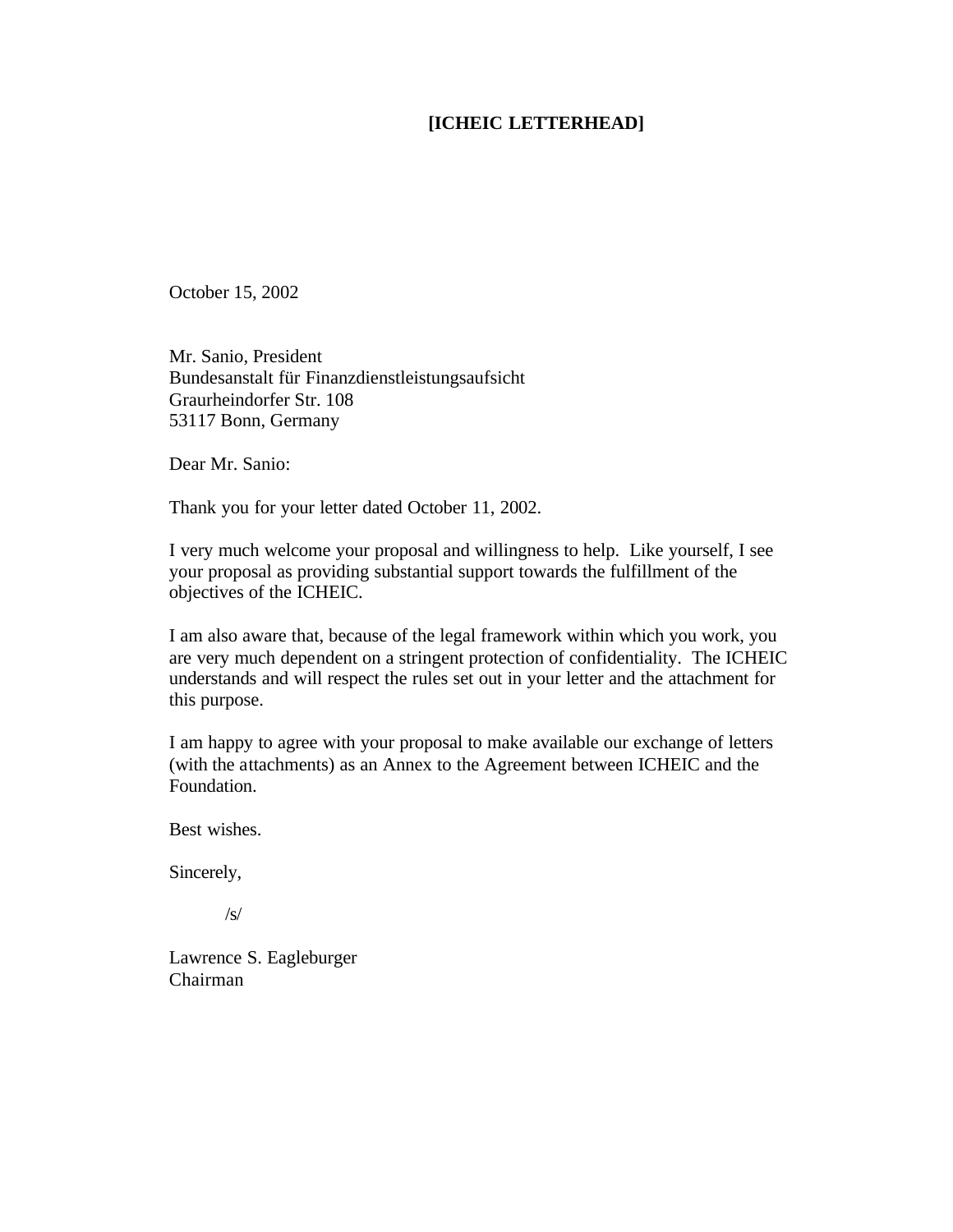## **[ICHEIC LETTERHEAD]**

October 15, 2002

Mr. Sanio, President Bundesanstalt für Finanzdienstleistungsaufsicht Graurheindorfer Str. 108 53117 Bonn, Germany

Dear Mr. Sanio:

Thank you for your letter dated October 11, 2002.

I very much welcome your proposal and willingness to help. Like yourself, I see your proposal as providing substantial support towards the fulfillment of the objectives of the ICHEIC.

I am also aware that, because of the legal framework within which you work, you are very much dependent on a stringent protection of confidentiality. The ICHEIC understands and will respect the rules set out in your letter and the attachment for this purpose.

I am happy to agree with your proposal to make available our exchange of letters (with the attachments) as an Annex to the Agreement between ICHEIC and the Foundation.

Best wishes.

Sincerely,

/s/

Lawrence S. Eagleburger Chairman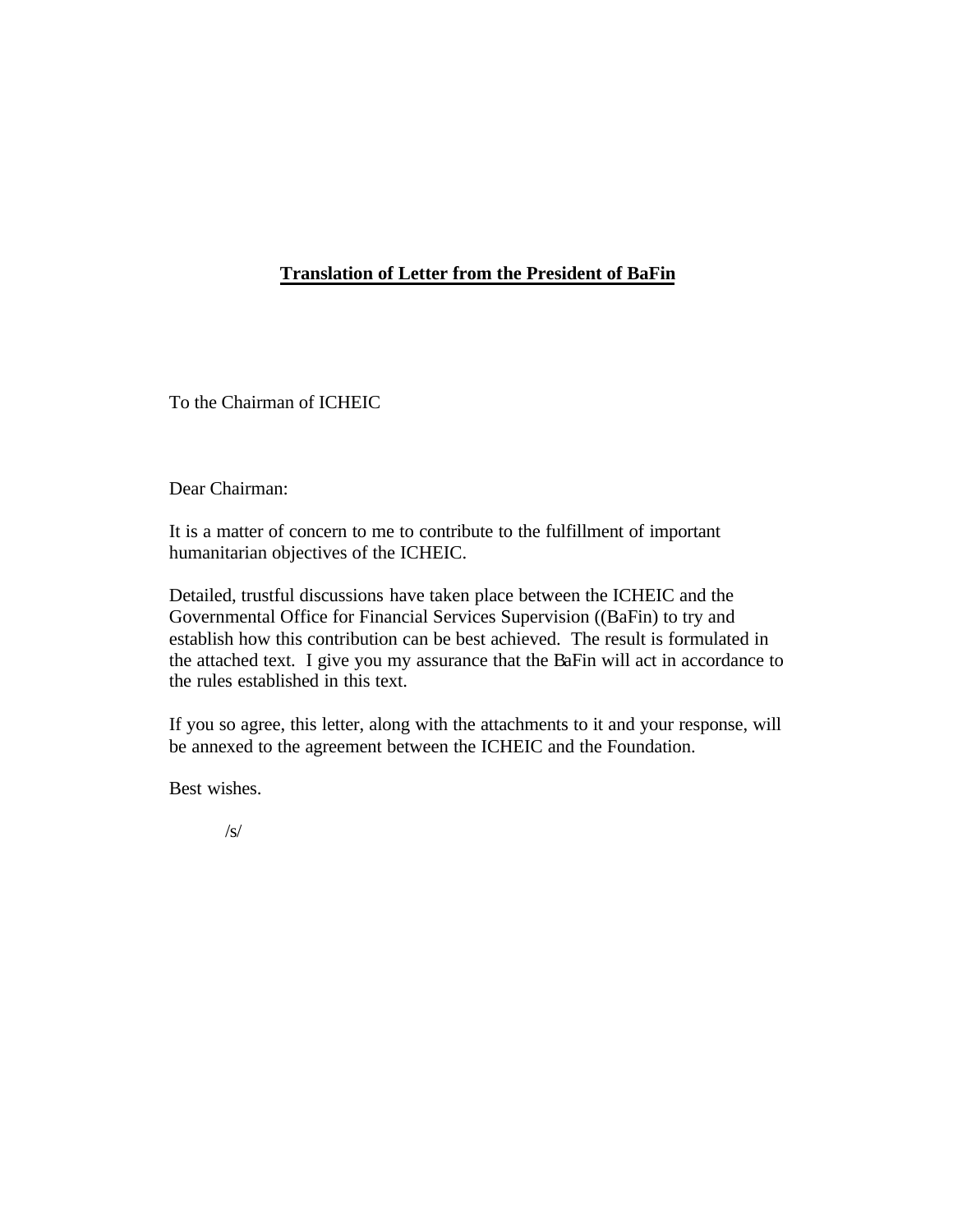## **Translation of Letter from the President of BaFin**

To the Chairman of ICHEIC

Dear Chairman:

It is a matter of concern to me to contribute to the fulfillment of important humanitarian objectives of the ICHEIC.

Detailed, trustful discussions have taken place between the ICHEIC and the Governmental Office for Financial Services Supervision ((BaFin) to try and establish how this contribution can be best achieved. The result is formulated in the attached text. I give you my assurance that the BaFin will act in accordance to the rules established in this text.

If you so agree, this letter, along with the attachments to it and your response, will be annexed to the agreement between the ICHEIC and the Foundation.

Best wishes.

/s/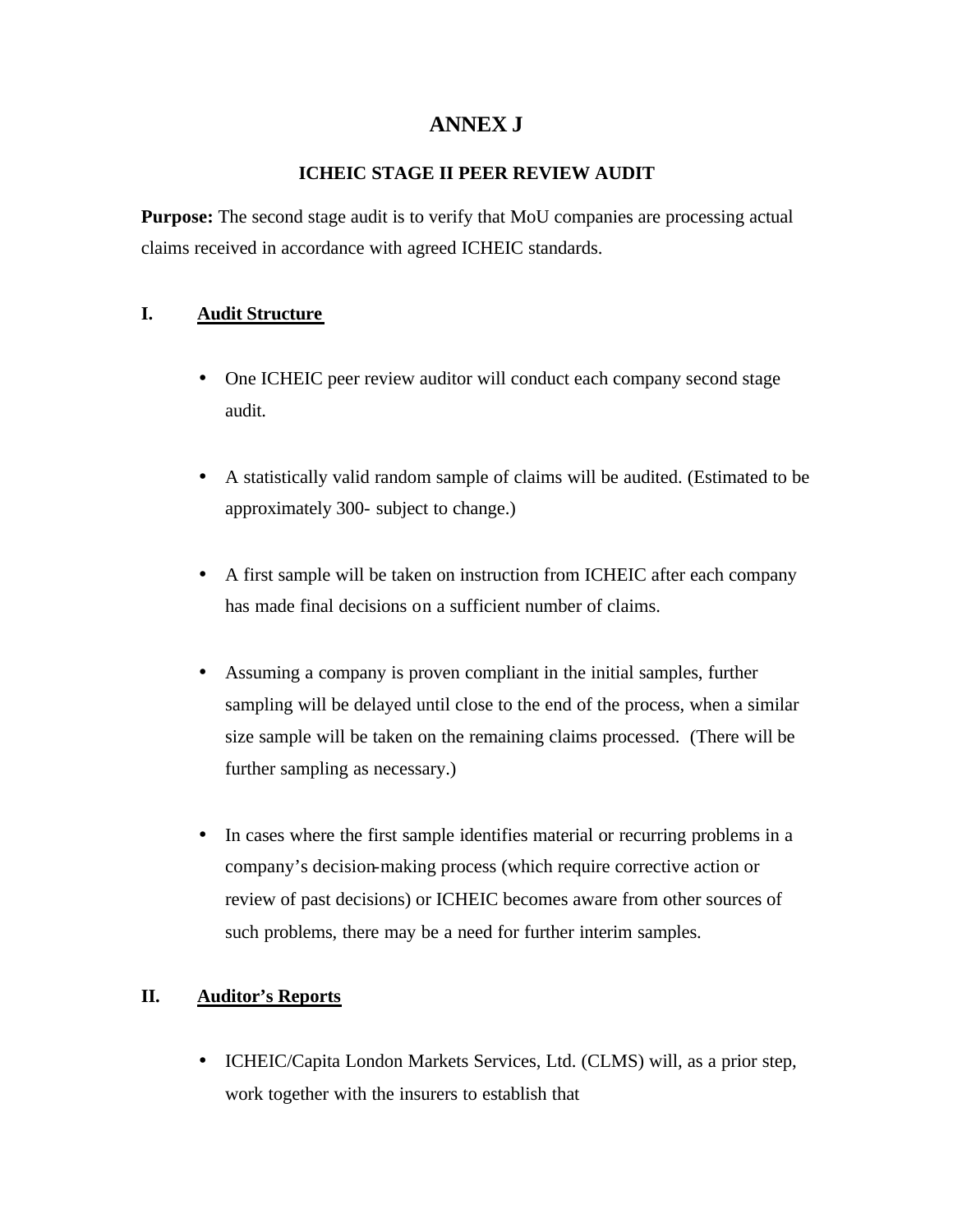# **ANNEX J**

## **ICHEIC STAGE II PEER REVIEW AUDIT**

**Purpose:** The second stage audit is to verify that MoU companies are processing actual claims received in accordance with agreed ICHEIC standards.

## **I. Audit Structure**

- One ICHEIC peer review auditor will conduct each company second stage audit.
- A statistically valid random sample of claims will be audited. (Estimated to be approximately 300- subject to change.)
- A first sample will be taken on instruction from ICHEIC after each company has made final decisions on a sufficient number of claims.
- Assuming a company is proven compliant in the initial samples, further sampling will be delayed until close to the end of the process, when a similar size sample will be taken on the remaining claims processed. (There will be further sampling as necessary.)
- In cases where the first sample identifies material or recurring problems in a company's decision-making process (which require corrective action or review of past decisions) or ICHEIC becomes aware from other sources of such problems, there may be a need for further interim samples.

## **II. Auditor's Reports**

• ICHEIC/Capita London Markets Services, Ltd. (CLMS) will, as a prior step, work together with the insurers to establish that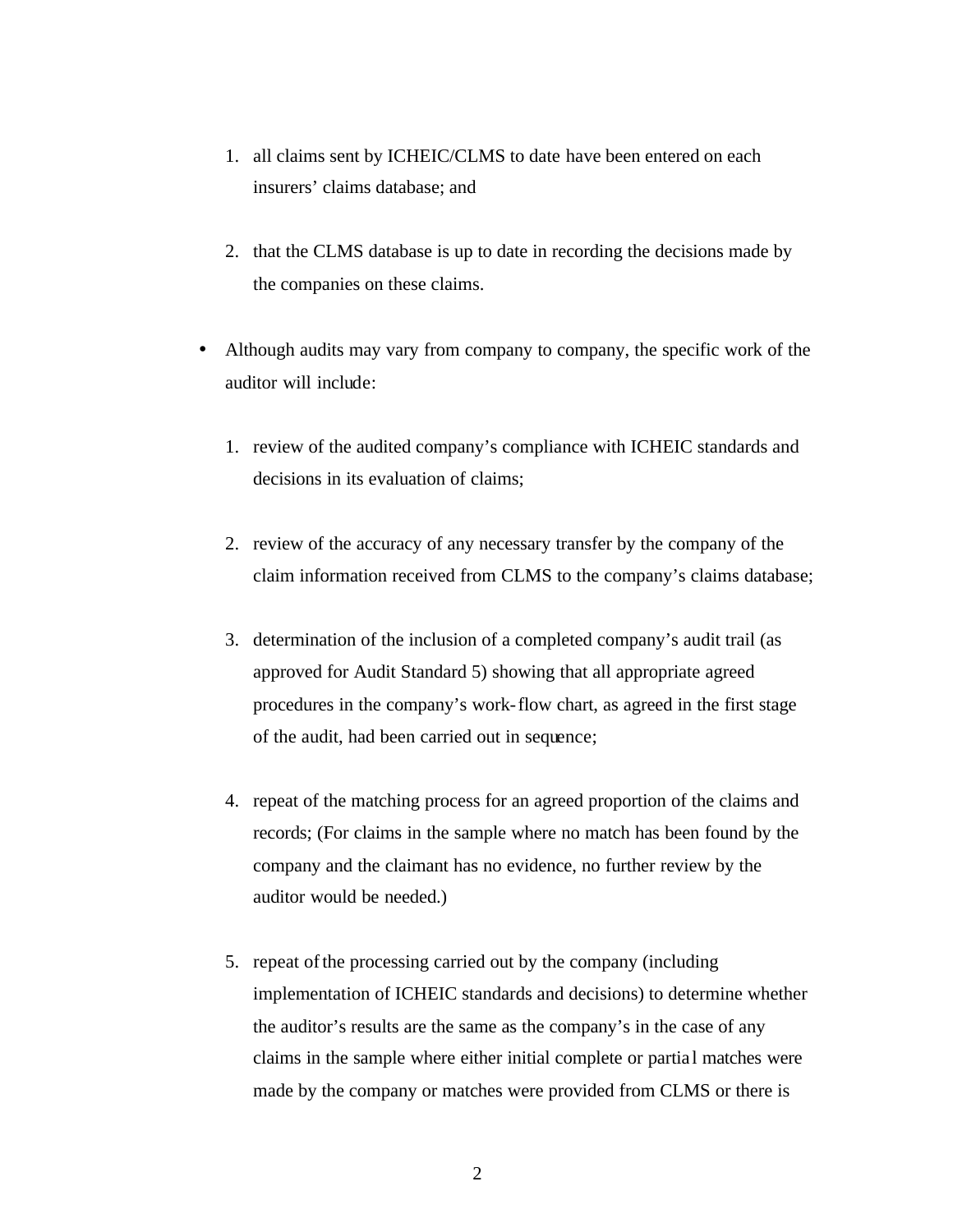- 1. all claims sent by ICHEIC/CLMS to date have been entered on each insurers' claims database; and
- 2. that the CLMS database is up to date in recording the decisions made by the companies on these claims.
- Although audits may vary from company to company, the specific work of the auditor will include:
	- 1. review of the audited company's compliance with ICHEIC standards and decisions in its evaluation of claims;
	- 2. review of the accuracy of any necessary transfer by the company of the claim information received from CLMS to the company's claims database;
	- 3. determination of the inclusion of a completed company's audit trail (as approved for Audit Standard 5) showing that all appropriate agreed procedures in the company's work-flow chart, as agreed in the first stage of the audit, had been carried out in sequence;
	- 4. repeat of the matching process for an agreed proportion of the claims and records; (For claims in the sample where no match has been found by the company and the claimant has no evidence, no further review by the auditor would be needed.)
	- 5. repeat of the processing carried out by the company (including implementation of ICHEIC standards and decisions) to determine whether the auditor's results are the same as the company's in the case of any claims in the sample where either initial complete or partia l matches were made by the company or matches were provided from CLMS or there is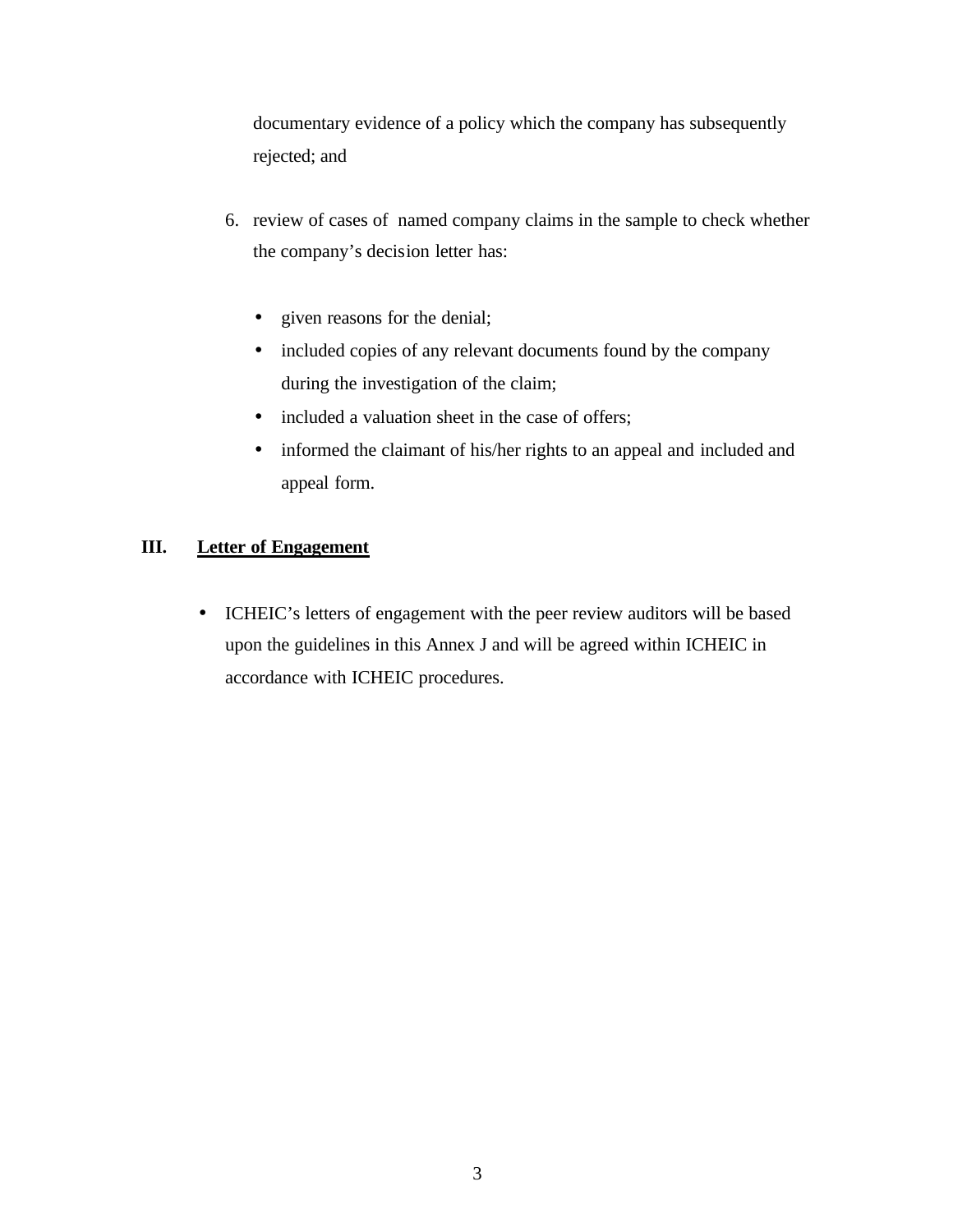documentary evidence of a policy which the company has subsequently rejected; and

- 6. review of cases of named company claims in the sample to check whether the company's decision letter has:
	- given reasons for the denial;
	- included copies of any relevant documents found by the company during the investigation of the claim;
	- included a valuation sheet in the case of offers;
	- informed the claimant of his/her rights to an appeal and included and appeal form.

## **III. Letter of Engagement**

• ICHEIC's letters of engagement with the peer review auditors will be based upon the guidelines in this Annex J and will be agreed within ICHEIC in accordance with ICHEIC procedures.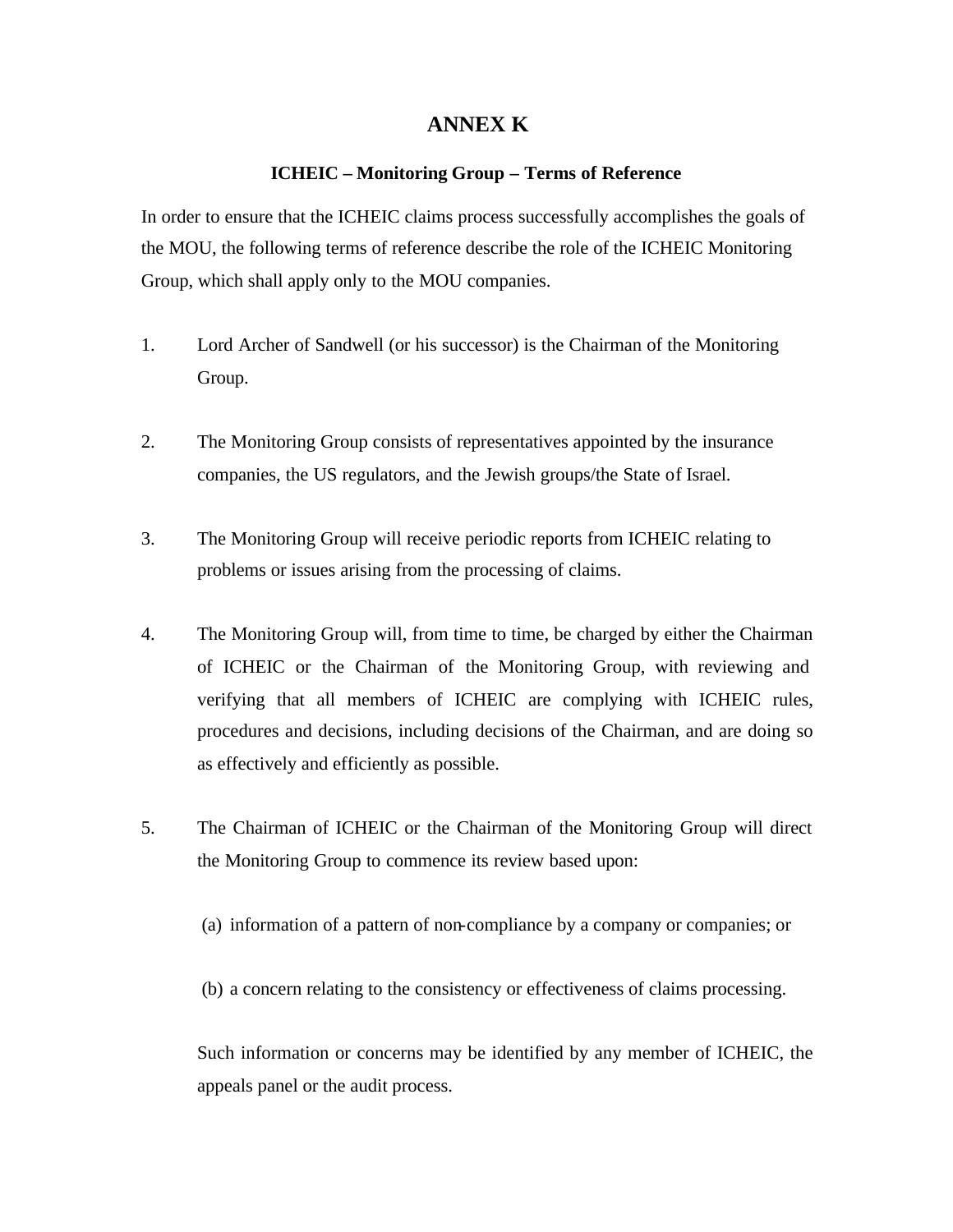## **ANNEX K**

## **ICHEIC – Monitoring Group – Terms of Reference**

In order to ensure that the ICHEIC claims process successfully accomplishes the goals of the MOU, the following terms of reference describe the role of the ICHEIC Monitoring Group, which shall apply only to the MOU companies.

- 1. Lord Archer of Sandwell (or his successor) is the Chairman of the Monitoring Group.
- 2. The Monitoring Group consists of representatives appointed by the insurance companies, the US regulators, and the Jewish groups/the State of Israel.
- 3. The Monitoring Group will receive periodic reports from ICHEIC relating to problems or issues arising from the processing of claims.
- 4. The Monitoring Group will, from time to time, be charged by either the Chairman of ICHEIC or the Chairman of the Monitoring Group, with reviewing and verifying that all members of ICHEIC are complying with ICHEIC rules, procedures and decisions, including decisions of the Chairman, and are doing so as effectively and efficiently as possible.
- 5. The Chairman of ICHEIC or the Chairman of the Monitoring Group will direct the Monitoring Group to commence its review based upon:
	- (a) information of a pattern of non-compliance by a company or companies; or
	- (b) a concern relating to the consistency or effectiveness of claims processing.

Such information or concerns may be identified by any member of ICHEIC, the appeals panel or the audit process.